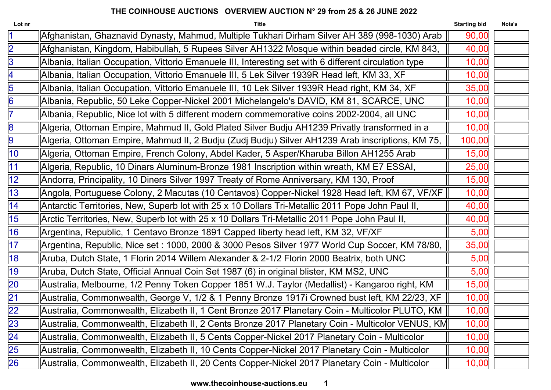| Lot nr          | <b>Title</b>                                                                                          | <b>Starting bid</b> | Nota's |
|-----------------|-------------------------------------------------------------------------------------------------------|---------------------|--------|
| $\overline{1}$  | Afghanistan, Ghaznavid Dynasty, Mahmud, Multiple Tukhari Dirham Silver AH 389 (998-1030) Arab         | 90,00               |        |
| $\overline{2}$  | Afghanistan, Kingdom, Habibullah, 5 Rupees Silver AH1322 Mosque within beaded circle, KM 843,         | 40,00               |        |
| 3               | Albania, Italian Occupation, Vittorio Emanuele III, Interesting set with 6 different circulation type | 10,00               |        |
| 4               | Albania, Italian Occupation, Vittorio Emanuele III, 5 Lek Silver 1939R Head left, KM 33, XF           | 10,00               |        |
| 5               | Albania, Italian Occupation, Vittorio Emanuele III, 10 Lek Silver 1939R Head right, KM 34, XF         | 35,00               |        |
| 6               | Albania, Republic, 50 Leke Copper-Nickel 2001 Michelangelo's DAVID, KM 81, SCARCE, UNC                | 10,00               |        |
| $\overline{7}$  | Albania, Republic, Nice lot with 5 different modern commemorative coins 2002-2004, all UNC            | 10,00               |        |
| 8               | Algeria, Ottoman Empire, Mahmud II, Gold Plated Silver Budju AH1239 Privatly transformed in a         | 10,00               |        |
| 9               | Algeria, Ottoman Empire, Mahmud II, 2 Budju (Zudj Budju) Silver AH1239 Arab inscriptions, KM 75,      | 100,00              |        |
| $ 10\rangle$    | Algeria, Ottoman Empire, French Colony, Abdel Kader, 5 Asper/Kharuba Billon AH1255 Arab               | 15,00               |        |
| 11              | Algeria, Republic, 10 Dinars Aluminum-Bronze 1981 Inscription within wreath, KM E7 ESSAI,             | 25,00               |        |
| 12              | Andorra, Principality, 10 Diners Silver 1997 Treaty of Rome Anniversary, KM 130, Proof                | 15,00               |        |
| 13              | Angola, Portuguese Colony, 2 Macutas (10 Centavos) Copper-Nickel 1928 Head left, KM 67, VF/XF         | 10,00               |        |
| 14              | Antarctic Territories, New, Superb lot with 25 x 10 Dollars Tri-Metallic 2011 Pope John Paul II,      | 40,00               |        |
| 15              | Arctic Territories, New, Superb lot with 25 x 10 Dollars Tri-Metallic 2011 Pope John Paul II,         | 40,00               |        |
| 16              | Argentina, Republic, 1 Centavo Bronze 1891 Capped liberty head left, KM 32, VF/XF                     | 5,00                |        |
| 17              | Argentina, Republic, Nice set : 1000, 2000 & 3000 Pesos Silver 1977 World Cup Soccer, KM 78/80,       | 35,00               |        |
| 18              | Aruba, Dutch State, 1 Florin 2014 Willem Alexander & 2-1/2 Florin 2000 Beatrix, both UNC              | 5,00                |        |
| 19              | Aruba, Dutch State, Official Annual Coin Set 1987 (6) in original blister, KM MS2, UNC                | 5,00                |        |
| $\overline{20}$ | Australia, Melbourne, 1/2 Penny Token Copper 1851 W.J. Taylor (Medallist) - Kangaroo right, KM        | 15,00               |        |
| $\overline{21}$ | Australia, Commonwealth, George V, 1/2 & 1 Penny Bronze 1917i Crowned bust left, KM 22/23, XF         | 10,00               |        |
| 22              | Australia, Commonwealth, Elizabeth II, 1 Cent Bronze 2017 Planetary Coin - Multicolor PLUTO, KM       | 10,00               |        |
| 23              | Australia, Commonwealth, Elizabeth II, 2 Cents Bronze 2017 Planetary Coin - Multicolor VENUS, KM      | 10,00               |        |
| $\overline{24}$ | Australia, Commonwealth, Elizabeth II, 5 Cents Copper-Nickel 2017 Planetary Coin - Multicolor         | 10,00               |        |
| 25              | Australia, Commonwealth, Elizabeth II, 10 Cents Copper-Nickel 2017 Planetary Coin - Multicolor        | 10,00               |        |
| <b>26</b>       | Australia, Commonwealth, Elizabeth II, 20 Cents Copper-Nickel 2017 Planetary Coin - Multicolor        | 10,00               |        |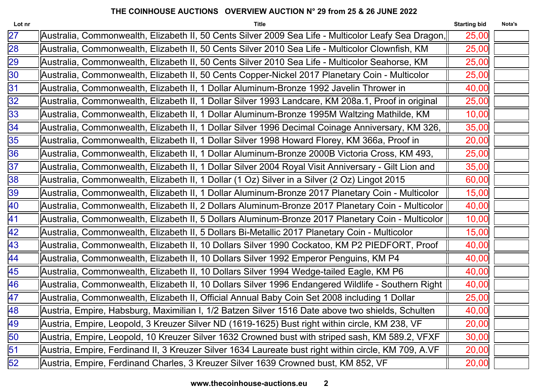| Lot nr          | <b>Title</b>                                                                                         | <b>Starting bid</b> | Nota's |
|-----------------|------------------------------------------------------------------------------------------------------|---------------------|--------|
| $\overline{27}$ | Australia, Commonwealth, Elizabeth II, 50 Cents Silver 2009 Sea Life - Multicolor Leafy Sea Dragon,  | 25,00               |        |
| 28              | Australia, Commonwealth, Elizabeth II, 50 Cents Silver 2010 Sea Life - Multicolor Clownfish, KM      | 25,00               |        |
| 29              | Australia, Commonwealth, Elizabeth II, 50 Cents Silver 2010 Sea Life - Multicolor Seahorse, KM       | 25,00               |        |
| 30              | Australia, Commonwealth, Elizabeth II, 50 Cents Copper-Nickel 2017 Planetary Coin - Multicolor       | 25,00               |        |
| 31              | Australia, Commonwealth, Elizabeth II, 1 Dollar Aluminum-Bronze 1992 Javelin Thrower in              | 40,00               |        |
| 32              | Australia, Commonwealth, Elizabeth II, 1 Dollar Silver 1993 Landcare, KM 208a.1, Proof in original   | 25,00               |        |
| 33              | Australia, Commonwealth, Elizabeth II, 1 Dollar Aluminum-Bronze 1995M Waltzing Mathilde, KM          | 10,00               |        |
| 34              | Australia, Commonwealth, Elizabeth II, 1 Dollar Silver 1996 Decimal Coinage Anniversary, KM 326,     | 35,00               |        |
| 35              | Australia, Commonwealth, Elizabeth II, 1 Dollar Silver 1998 Howard Florey, KM 366a, Proof in         | 20,00               |        |
| 36              | Australia, Commonwealth, Elizabeth II, 1 Dollar Aluminum-Bronze 2000B Victoria Cross, KM 493,        | 25,00               |        |
| 37              | Australia, Commonwealth, Elizabeth II, 1 Dollar Silver 2004 Royal Visit Anniversary - Gilt Lion and  | 35,00               |        |
| 38              | Australia, Commonwealth, Elizabeth II, 1 Dollar (1 Oz) Silver in a Silver (2 Oz) Lingot 2015         | 60,00               |        |
| 39              | Australia, Commonwealth, Elizabeth II, 1 Dollar Aluminum-Bronze 2017 Planetary Coin - Multicolor     | 15,00               |        |
| 40              | Australia, Commonwealth, Elizabeth II, 2 Dollars Aluminum-Bronze 2017 Planetary Coin - Multicolor    | 40,00               |        |
| 41              | Australia, Commonwealth, Elizabeth II, 5 Dollars Aluminum-Bronze 2017 Planetary Coin - Multicolor    | 10,00               |        |
| 42              | Australia, Commonwealth, Elizabeth II, 5 Dollars Bi-Metallic 2017 Planetary Coin - Multicolor        | 15,00               |        |
| 43              | Australia, Commonwealth, Elizabeth II, 10 Dollars Silver 1990 Cockatoo, KM P2 PIEDFORT, Proof        | 40,00               |        |
| 44              | Australia, Commonwealth, Elizabeth II, 10 Dollars Silver 1992 Emperor Penguins, KM P4                | 40,00               |        |
| 45              | Australia, Commonwealth, Elizabeth II, 10 Dollars Silver 1994 Wedge-tailed Eagle, KM P6              | 40,00               |        |
| 46              | Australia, Commonwealth, Elizabeth II, 10 Dollars Silver 1996 Endangered Wildlife - Southern Right   | 40,00               |        |
| 47              | Australia, Commonwealth, Elizabeth II, Official Annual Baby Coin Set 2008 including 1 Dollar         | 25,00               |        |
| 48              | Austria, Empire, Habsburg, Maximilian I, 1/2 Batzen Silver 1516 Date above two shields, Schulten     | 40,00               |        |
| 49              | Austria, Empire, Leopold, 3 Kreuzer Silver ND (1619-1625) Bust right within circle, KM 238, VF       | 20,00               |        |
| 50              | Austria, Empire, Leopold, 10 Kreuzer Silver 1632 Crowned bust with striped sash, KM 589.2, VFXF      | 30,00               |        |
| 51              | Austria, Empire, Ferdinand II, 3 Kreuzer Silver 1634 Laureate bust right within circle, KM 709, A.VF | 20,00               |        |
| 52              | Austria, Empire, Ferdinand Charles, 3 Kreuzer Silver 1639 Crowned bust, KM 852, VF                   | 20,00               |        |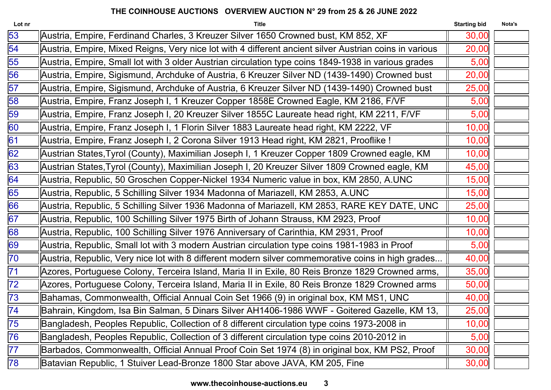| Lot nr          | <b>Title</b>                                                                                           | <b>Starting bid</b> | Nota's |
|-----------------|--------------------------------------------------------------------------------------------------------|---------------------|--------|
| 53              | Austria, Empire, Ferdinand Charles, 3 Kreuzer Silver 1650 Crowned bust, KM 852, XF                     | 30,00               |        |
| 54              | Austria, Empire, Mixed Reigns, Very nice lot with 4 different ancient silver Austrian coins in various | 20,00               |        |
| 55              | Austria, Empire, Small lot with 3 older Austrian circulation type coins 1849-1938 in various grades    | 5,00                |        |
| 56              | Austria, Empire, Sigismund, Archduke of Austria, 6 Kreuzer Silver ND (1439-1490) Crowned bust          | 20,00               |        |
| 57              | Austria, Empire, Sigismund, Archduke of Austria, 6 Kreuzer Silver ND (1439-1490) Crowned bust          | 25,00               |        |
| 58              | Austria, Empire, Franz Joseph I, 1 Kreuzer Copper 1858E Crowned Eagle, KM 2186, F/VF                   | 5,00                |        |
| 59              | Austria, Empire, Franz Joseph I, 20 Kreuzer Silver 1855C Laureate head right, KM 2211, F/VF            | 5,00                |        |
| 60              | Austria, Empire, Franz Joseph I, 1 Florin Silver 1883 Laureate head right, KM 2222, VF                 | 10,00               |        |
| 61              | Austria, Empire, Franz Joseph I, 2 Corona Silver 1913 Head right, KM 2821, Prooflike !                 | 10,00               |        |
| 62              | Austrian States, Tyrol (County), Maximilian Joseph I, 1 Kreuzer Copper 1809 Crowned eagle, KM          | 10,00               |        |
| 63              | Austrian States, Tyrol (County), Maximilian Joseph I, 20 Kreuzer Silver 1809 Crowned eagle, KM         | 45,00               |        |
| 64              | Austria, Republic, 50 Groschen Copper-Nickel 1934 Numeric value in box, KM 2850, A.UNC                 | 15,00               |        |
| 65              | Austria, Republic, 5 Schilling Silver 1934 Madonna of Mariazell, KM 2853, A.UNC                        | 15,00               |        |
| 66              | Austria, Republic, 5 Schilling Silver 1936 Madonna of Mariazell, KM 2853, RARE KEY DATE, UNC           | 25,00               |        |
| 67              | Austria, Republic, 100 Schilling Silver 1975 Birth of Johann Strauss, KM 2923, Proof                   | 10,00               |        |
| 68              | Austria, Republic, 100 Schilling Silver 1976 Anniversary of Carinthia, KM 2931, Proof                  | 10,00               |        |
| 69              | Austria, Republic, Small lot with 3 modern Austrian circulation type coins 1981-1983 in Proof          | 5,00                |        |
| $\overline{70}$ | Austria, Republic, Very nice lot with 8 different modern silver commemorative coins in high grades     | 40,00               |        |
| 71              | Azores, Portuguese Colony, Terceira Island, Maria II in Exile, 80 Reis Bronze 1829 Crowned arms,       | 35,00               |        |
| $\overline{72}$ | Azores, Portuguese Colony, Terceira Island, Maria II in Exile, 80 Reis Bronze 1829 Crowned arms        | 50,00               |        |
| $\overline{73}$ | Bahamas, Commonwealth, Official Annual Coin Set 1966 (9) in original box, KM MS1, UNC                  | 40,00               |        |
| $\overline{74}$ | Bahrain, Kingdom, Isa Bin Salman, 5 Dinars Silver AH1406-1986 WWF - Goitered Gazelle, KM 13,           | 25,00               |        |
| $\overline{75}$ | Bangladesh, Peoples Republic, Collection of 8 different circulation type coins 1973-2008 in            | 10,00               |        |
| 76              | Bangladesh, Peoples Republic, Collection of 3 different circulation type coins 2010-2012 in            | 5,00                |        |
| 77              | Barbados, Commonwealth, Official Annual Proof Coin Set 1974 (8) in original box, KM PS2, Proof         | 30,00               |        |
| 78              | Batavian Republic, 1 Stuiver Lead-Bronze 1800 Star above JAVA, KM 205, Fine                            | 30,00               |        |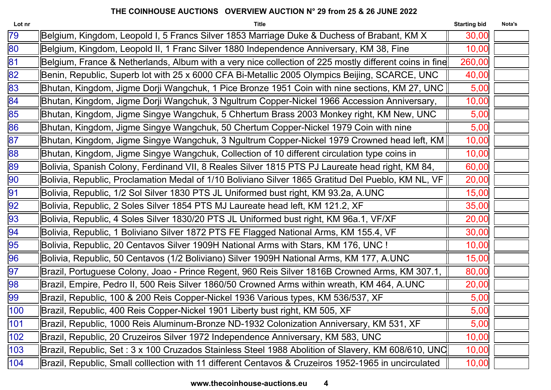| <b>Title</b>                                                                                         | <b>Starting bid</b> | Nota's                                                                                                                                                                                                                                                                                                          |
|------------------------------------------------------------------------------------------------------|---------------------|-----------------------------------------------------------------------------------------------------------------------------------------------------------------------------------------------------------------------------------------------------------------------------------------------------------------|
| Belgium, Kingdom, Leopold I, 5 Francs Silver 1853 Marriage Duke & Duchess of Brabant, KM X           | 30,00               |                                                                                                                                                                                                                                                                                                                 |
| Belgium, Kingdom, Leopold II, 1 Franc Silver 1880 Independence Anniversary, KM 38, Fine              | 10,00               |                                                                                                                                                                                                                                                                                                                 |
|                                                                                                      | 260,00              |                                                                                                                                                                                                                                                                                                                 |
| Benin, Republic, Superb lot with 25 x 6000 CFA Bi-Metallic 2005 Olympics Beijing, SCARCE, UNC        | 40,00               |                                                                                                                                                                                                                                                                                                                 |
| Bhutan, Kingdom, Jigme Dorji Wangchuk, 1 Pice Bronze 1951 Coin with nine sections, KM 27, UNC        | 5,00                |                                                                                                                                                                                                                                                                                                                 |
| Bhutan, Kingdom, Jigme Dorji Wangchuk, 3 Ngultrum Copper-Nickel 1966 Accession Anniversary,          | 10,00               |                                                                                                                                                                                                                                                                                                                 |
| Bhutan, Kingdom, Jigme Singye Wangchuk, 5 Chhertum Brass 2003 Monkey right, KM New, UNC              | 5,00                |                                                                                                                                                                                                                                                                                                                 |
| Bhutan, Kingdom, Jigme Singye Wangchuk, 50 Chertum Copper-Nickel 1979 Coin with nine                 | 5,00                |                                                                                                                                                                                                                                                                                                                 |
|                                                                                                      | 10,00               |                                                                                                                                                                                                                                                                                                                 |
| Bhutan, Kingdom, Jigme Singye Wangchuk, Collection of 10 different circulation type coins in         | 10,00               |                                                                                                                                                                                                                                                                                                                 |
| Bolivia, Spanish Colony, Ferdinand VII, 8 Reales Silver 1815 PTS PJ Laureate head right, KM 84,      | 60,00               |                                                                                                                                                                                                                                                                                                                 |
| Bolivia, Republic, Proclamation Medal of 1/10 Boliviano Silver 1865 Gratitud Del Pueblo, KM NL, VF   | 20,00               |                                                                                                                                                                                                                                                                                                                 |
| Bolivia, Republic, 1/2 Sol Silver 1830 PTS JL Uniformed bust right, KM 93.2a, A.UNC                  | 15,00               |                                                                                                                                                                                                                                                                                                                 |
| Bolivia, Republic, 2 Soles Silver 1854 PTS MJ Laureate head left, KM 121.2, XF                       | 35,00               |                                                                                                                                                                                                                                                                                                                 |
| Bolivia, Republic, 4 Soles Silver 1830/20 PTS JL Uniformed bust right, KM 96a.1, VF/XF               | 20,00               |                                                                                                                                                                                                                                                                                                                 |
| Bolivia, Republic, 1 Boliviano Silver 1872 PTS FE Flagged National Arms, KM 155.4, VF                | 30,00               |                                                                                                                                                                                                                                                                                                                 |
| Bolivia, Republic, 20 Centavos Silver 1909H National Arms with Stars, KM 176, UNC !                  | 10,00               |                                                                                                                                                                                                                                                                                                                 |
| Bolivia, Republic, 50 Centavos (1/2 Boliviano) Silver 1909H National Arms, KM 177, A.UNC             | 15,00               |                                                                                                                                                                                                                                                                                                                 |
| Brazil, Portuguese Colony, Joao - Prince Regent, 960 Reis Silver 1816B Crowned Arms, KM 307.1,       | 80,00               |                                                                                                                                                                                                                                                                                                                 |
| Brazil, Empire, Pedro II, 500 Reis Silver 1860/50 Crowned Arms within wreath, KM 464, A.UNC          | 20,00               |                                                                                                                                                                                                                                                                                                                 |
| Brazil, Republic, 100 & 200 Reis Copper-Nickel 1936 Various types, KM 536/537, XF                    | 5,00                |                                                                                                                                                                                                                                                                                                                 |
| Brazil, Republic, 400 Reis Copper-Nickel 1901 Liberty bust right, KM 505, XF                         | 5,00                |                                                                                                                                                                                                                                                                                                                 |
| Brazil, Republic, 1000 Reis Aluminum-Bronze ND-1932 Colonization Anniversary, KM 531, XF             | 5,00                |                                                                                                                                                                                                                                                                                                                 |
| Brazil, Republic, 20 Cruzeiros Silver 1972 Independence Anniversary, KM 583, UNC                     | 10,00               |                                                                                                                                                                                                                                                                                                                 |
|                                                                                                      | 10,00               |                                                                                                                                                                                                                                                                                                                 |
| Brazil, Republic, Small colllection with 11 different Centavos & Cruzeiros 1952-1965 in uncirculated | 10,00               |                                                                                                                                                                                                                                                                                                                 |
|                                                                                                      |                     | Belgium, France & Netherlands, Album with a very nice collection of 225 mostly different coins in fine<br>Bhutan, Kingdom, Jigme Singye Wangchuk, 3 Ngultrum Copper-Nickel 1979 Crowned head left, KM   <br>Brazil, Republic, Set : 3 x 100 Cruzados Stainless Steel 1988 Abolition of Slavery, KM 608/610, UNC |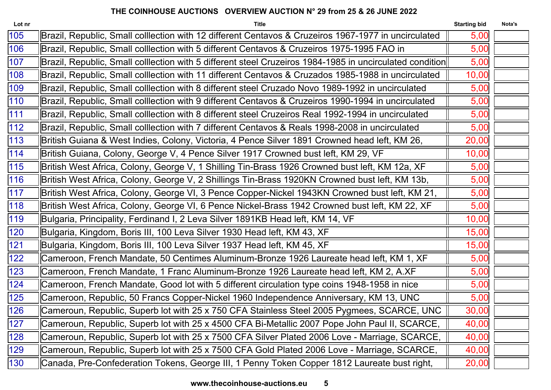| Lot nr | <b>Title</b>                                                                                             | <b>Starting bid</b> | Nota's |
|--------|----------------------------------------------------------------------------------------------------------|---------------------|--------|
| 105    | Brazil, Republic, Small colllection with 12 different Centavos & Cruzeiros 1967-1977 in uncirculated     | 5,00                |        |
| 106    | Brazil, Republic, Small colllection with 5 different Centavos & Cruzeiros 1975-1995 FAO in               | 5,00                |        |
| 107    | Brazil, Republic, Small colllection with 5 different steel Cruzeiros 1984-1985 in uncirculated condition | 5,00                |        |
| 108    | Brazil, Republic, Small colllection with 11 different Centavos & Cruzados 1985-1988 in uncirculated      | 10,00               |        |
| 109    | Brazil, Republic, Small colllection with 8 different steel Cruzado Novo 1989-1992 in uncirculated        | 5,00                |        |
| 110    | Brazil, Republic, Small colllection with 9 different Centavos & Cruzeiros 1990-1994 in uncirculated      | 5,00                |        |
| 111    | Brazil, Republic, Small colllection with 8 different steel Cruzeiros Real 1992-1994 in uncirculated      | 5,00                |        |
| 112    | Brazil, Republic, Small colllection with 7 different Centavos & Reals 1998-2008 in uncirculated          | 5,00                |        |
| 113    | British Guiana & West Indies, Colony, Victoria, 4 Pence Silver 1891 Crowned head left, KM 26,            | 20,00               |        |
| 114    | British Guiana, Colony, George V, 4 Pence Silver 1917 Crowned bust left, KM 29, VF                       | 10,00               |        |
| 115    | British West Africa, Colony, George V, 1 Shilling Tin-Brass 1926 Crowned bust left, KM 12a, XF           | 5,00                |        |
| 116    | British West Africa, Colony, George V, 2 Shillings Tin-Brass 1920KN Crowned bust left, KM 13b,           | 5,00                |        |
| 117    | British West Africa, Colony, George VI, 3 Pence Copper-Nickel 1943KN Crowned bust left, KM 21,           | 5,00                |        |
| 118    | British West Africa, Colony, George VI, 6 Pence Nickel-Brass 1942 Crowned bust left, KM 22, XF           | 5,00                |        |
| 119    | Bulgaria, Principality, Ferdinand I, 2 Leva Silver 1891KB Head left, KM 14, VF                           | 10,00               |        |
| 120    | Bulgaria, Kingdom, Boris III, 100 Leva Silver 1930 Head left, KM 43, XF                                  | 15,00               |        |
| 121    | Bulgaria, Kingdom, Boris III, 100 Leva Silver 1937 Head left, KM 45, XF                                  | 15,00               |        |
| 122    | Cameroon, French Mandate, 50 Centimes Aluminum-Bronze 1926 Laureate head left, KM 1, XF                  | 5,00                |        |
| 123    | Cameroon, French Mandate, 1 Franc Aluminum-Bronze 1926 Laureate head left, KM 2, A.XF                    | 5,00                |        |
| 124    | Cameroon, French Mandate, Good lot with 5 different circulation type coins 1948-1958 in nice             | 5,00                |        |
| 125    | Cameroon, Republic, 50 Francs Copper-Nickel 1960 Independence Anniversary, KM 13, UNC                    | 5,00                |        |
| 126    | Cameroun, Republic, Superb lot with 25 x 750 CFA Stainless Steel 2005 Pygmees, SCARCE, UNC               | 30,00               |        |
| 127    | Cameroun, Republic, Superb lot with 25 x 4500 CFA Bi-Metallic 2007 Pope John Paul II, SCARCE,            | 40,00               |        |
| 128    | Cameroun, Republic, Superb lot with 25 x 7500 CFA Silver Plated 2006 Love - Marriage, SCARCE,            | 40,00               |        |
| 129    | Cameroun, Republic, Superb lot with 25 x 7500 CFA Gold Plated 2006 Love - Marriage, SCARCE,              | 40,00               |        |
| 130    | Canada, Pre-Confederation Tokens, George III, 1 Penny Token Copper 1812 Laureate bust right,             | 20,00               |        |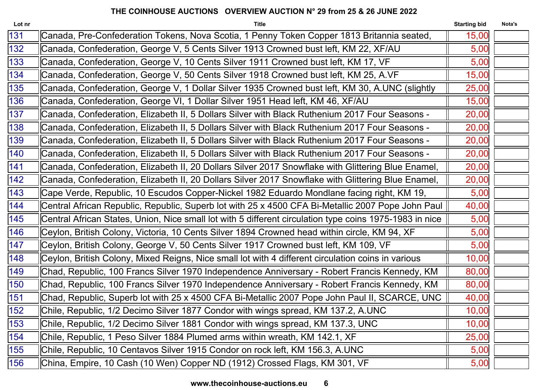| Lot nr | <b>Title</b>                                                                                            | <b>Starting bid</b> | Nota's |
|--------|---------------------------------------------------------------------------------------------------------|---------------------|--------|
| 131    | Canada, Pre-Confederation Tokens, Nova Scotia, 1 Penny Token Copper 1813 Britannia seated,              | 15,00               |        |
| 132    | Canada, Confederation, George V, 5 Cents Silver 1913 Crowned bust left, KM 22, XF/AU                    | 5,00                |        |
| 133    | Canada, Confederation, George V, 10 Cents Silver 1911 Crowned bust left, KM 17, VF                      | 5,00                |        |
| 134    | Canada, Confederation, George V, 50 Cents Silver 1918 Crowned bust left, KM 25, A.VF                    | 15,00               |        |
| 135    | Canada, Confederation, George V, 1 Dollar Silver 1935 Crowned bust left, KM 30, A.UNC (slightly         | 25,00               |        |
| 136    | Canada, Confederation, George VI, 1 Dollar Silver 1951 Head left, KM 46, XF/AU                          | 15,00               |        |
| 137    | Canada, Confederation, Elizabeth II, 5 Dollars Silver with Black Ruthenium 2017 Four Seasons -          | 20,00               |        |
| 138    | Canada, Confederation, Elizabeth II, 5 Dollars Silver with Black Ruthenium 2017 Four Seasons -          | 20,00               |        |
| 139    | Canada, Confederation, Elizabeth II, 5 Dollars Silver with Black Ruthenium 2017 Four Seasons -          | 20,00               |        |
| 140    | Canada, Confederation, Elizabeth II, 5 Dollars Silver with Black Ruthenium 2017 Four Seasons -          | 20,00               |        |
| 141    | Canada, Confederation, Elizabeth II, 20 Dollars Silver 2017 Snowflake with Glittering Blue Enamel,      | 20,00               |        |
| 142    | Canada, Confederation, Elizabeth II, 20 Dollars Silver 2017 Snowflake with Glittering Blue Enamel,      | 20,00               |        |
| 143    | Cape Verde, Republic, 10 Escudos Copper-Nickel 1982 Eduardo Mondlane facing right, KM 19,               | 5,00                |        |
| 144    | Central African Republic, Republic, Superb lot with 25 x 4500 CFA Bi-Metallic 2007 Pope John Paul       | 40,00               |        |
| 145    | Central African States, Union, Nice small lot with 5 different circulation type coins 1975-1983 in nice | 5,00                |        |
| 146    | Ceylon, British Colony, Victoria, 10 Cents Silver 1894 Crowned head within circle, KM 94, XF            | 5,00                |        |
| 147    | Ceylon, British Colony, George V, 50 Cents Silver 1917 Crowned bust left, KM 109, VF                    | 5,00                |        |
| 148    | Ceylon, British Colony, Mixed Reigns, Nice small lot with 4 different circulation coins in various      | 10,00               |        |
| 149    | Chad, Republic, 100 Francs Silver 1970 Independence Anniversary - Robert Francis Kennedy, KM            | 80,00               |        |
| 150    | Chad, Republic, 100 Francs Silver 1970 Independence Anniversary - Robert Francis Kennedy, KM            | 80,00               |        |
| 151    | Chad, Republic, Superb lot with 25 x 4500 CFA Bi-Metallic 2007 Pope John Paul II, SCARCE, UNC           | 40,00               |        |
| 152    | Chile, Republic, 1/2 Decimo Silver 1877 Condor with wings spread, KM 137.2, A.UNC                       | 10,00               |        |
| 153    | Chile, Republic, 1/2 Decimo Silver 1881 Condor with wings spread, KM 137.3, UNC                         | 10,00               |        |
| 154    | Chile, Republic, 1 Peso Silver 1884 Plumed arms within wreath, KM 142.1, XF                             | 25,00               |        |
| 155    | Chile, Republic, 10 Centavos Silver 1915 Condor on rock left, KM 156.3, A.UNC                           | 5,00                |        |
| 156    | China, Empire, 10 Cash (10 Wen) Copper ND (1912) Crossed Flags, KM 301, VF                              | 5,00                |        |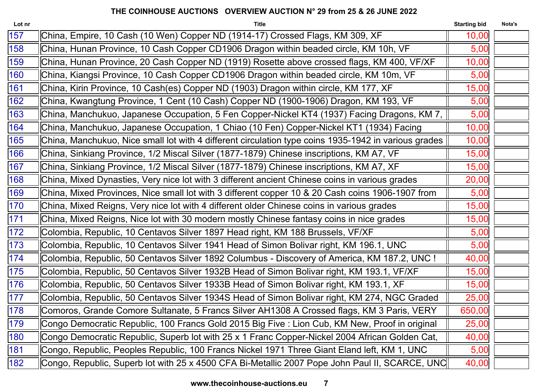| Lot nr | <b>Title</b>                                                                                         | <b>Starting bid</b> | Nota's |
|--------|------------------------------------------------------------------------------------------------------|---------------------|--------|
| 157    | China, Empire, 10 Cash (10 Wen) Copper ND (1914-17) Crossed Flags, KM 309, XF                        | 10,00               |        |
| 158    | China, Hunan Province, 10 Cash Copper CD1906 Dragon within beaded circle, KM 10h, VF                 | 5,00                |        |
| 159    | China, Hunan Province, 20 Cash Copper ND (1919) Rosette above crossed flags, KM 400, VF/XF           | 10,00               |        |
| 160    | China, Kiangsi Province, 10 Cash Copper CD1906 Dragon within beaded circle, KM 10m, VF               | 5,00                |        |
| 161    | China, Kirin Province, 10 Cash(es) Copper ND (1903) Dragon within circle, KM 177, XF                 | 15,00               |        |
| 162    | China, Kwangtung Province, 1 Cent (10 Cash) Copper ND (1900-1906) Dragon, KM 193, VF                 | 5,00                |        |
| 163    | China, Manchukuo, Japanese Occupation, 5 Fen Copper-Nickel KT4 (1937) Facing Dragons, KM 7,          | 5,00                |        |
| 164    | China, Manchukuo, Japanese Occupation, 1 Chiao (10 Fen) Copper-Nickel KT1 (1934) Facing              | 10,00               |        |
| 165    | China, Manchukuo, Nice small lot with 4 different circulation type coins 1935-1942 in various grades | 10,00               |        |
| 166    | China, Sinkiang Province, 1/2 Miscal Silver (1877-1879) Chinese inscriptions, KM A7, VF              | 15,00               |        |
| 167    | China, Sinkiang Province, 1/2 Miscal Silver (1877-1879) Chinese inscriptions, KM A7, XF              | 15,00               |        |
| 168    | China, Mixed Dynasties, Very nice lot with 3 different ancient Chinese coins in various grades       | 20,00               |        |
| 169    | China, Mixed Provinces, Nice small lot with 3 different copper 10 & 20 Cash coins 1906-1907 from     | 5,00                |        |
| 170    | China, Mixed Reigns, Very nice lot with 4 different older Chinese coins in various grades            | 15,00               |        |
| 171    | China, Mixed Reigns, Nice lot with 30 modern mostly Chinese fantasy coins in nice grades             | 15,00               |        |
| 172    | Colombia, Republic, 10 Centavos Silver 1897 Head right, KM 188 Brussels, VF/XF                       | 5,00                |        |
| 173    | Colombia, Republic, 10 Centavos Silver 1941 Head of Simon Bolivar right, KM 196.1, UNC               | 5,00                |        |
| 174    | Colombia, Republic, 50 Centavos Silver 1892 Columbus - Discovery of America, KM 187.2, UNC !         | 40,00               |        |
| 175    | Colombia, Republic, 50 Centavos Silver 1932B Head of Simon Bolivar right, KM 193.1, VF/XF            | 15,00               |        |
| 176    | Colombia, Republic, 50 Centavos Silver 1933B Head of Simon Bolivar right, KM 193.1, XF               | 15,00               |        |
| 177    | Colombia, Republic, 50 Centavos Silver 1934S Head of Simon Bolivar right, KM 274, NGC Graded         | 25,00               |        |
| 178    | Comoros, Grande Comore Sultanate, 5 Francs Silver AH1308 A Crossed flags, KM 3 Paris, VERY           | 650,00              |        |
| 179    | Congo Democratic Republic, 100 Francs Gold 2015 Big Five : Lion Cub, KM New, Proof in original       | 25,00               |        |
| 180    | Congo Democratic Republic, Superb lot with 25 x 1 Franc Copper-Nickel 2004 African Golden Cat,       | 40,00               |        |
| 181    | Congo, Republic, Peoples Republic, 100 Francs Nickel 1971 Three Giant Eland left, KM 1, UNC          | 5,00                |        |
| 182    | Congo, Republic, Superb lot with 25 x 4500 CFA Bi-Metallic 2007 Pope John Paul II, SCARCE, UNC       | 40,00               |        |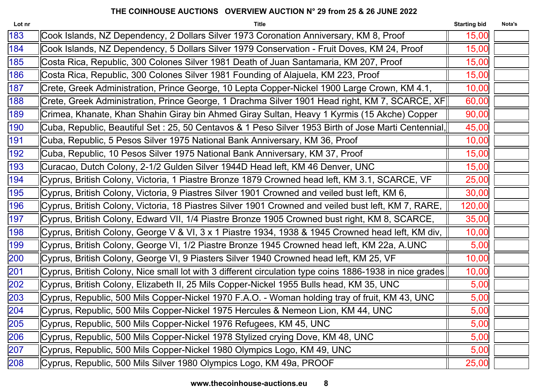| Lot nr | <b>Title</b>                                                                                            | <b>Starting bid</b> | Nota's |
|--------|---------------------------------------------------------------------------------------------------------|---------------------|--------|
| 183    | Cook Islands, NZ Dependency, 2 Dollars Silver 1973 Coronation Anniversary, KM 8, Proof                  | 15,00               |        |
| 184    | Cook Islands, NZ Dependency, 5 Dollars Silver 1979 Conservation - Fruit Doves, KM 24, Proof             | 15,00               |        |
| 185    | Costa Rica, Republic, 300 Colones Silver 1981 Death of Juan Santamaria, KM 207, Proof                   | 15,00               |        |
| 186    | Costa Rica, Republic, 300 Colones Silver 1981 Founding of Alajuela, KM 223, Proof                       | 15,00               |        |
| 187    | Crete, Greek Administration, Prince George, 10 Lepta Copper-Nickel 1900 Large Crown, KM 4.1,            | 10,00               |        |
| 188    | Crete, Greek Administration, Prince George, 1 Drachma Silver 1901 Head right, KM 7, SCARCE, XF          | 60,00               |        |
| 189    | Crimea, Khanate, Khan Shahin Giray bin Ahmed Giray Sultan, Heavy 1 Kyrmis (15 Akche) Copper             | 90,00               |        |
| 190    | Cuba, Republic, Beautiful Set : 25, 50 Centavos & 1 Peso Silver 1953 Birth of Jose Marti Centennial,    | 45,00               |        |
| 191    | Cuba, Republic, 5 Pesos Silver 1975 National Bank Anniversary, KM 36, Proof                             | 10,00               |        |
| 192    | Cuba, Republic, 10 Pesos Silver 1975 National Bank Anniversary, KM 37, Proof                            | 15,00               |        |
| 193    | Curacao, Dutch Colony, 2-1/2 Gulden Silver 1944D Head left, KM 46 Denver, UNC                           | 15,00               |        |
| 194    | Cyprus, British Colony, Victoria, 1 Piastre Bronze 1879 Crowned head left, KM 3.1, SCARCE, VF           | 25,00               |        |
| 195    | Cyprus, British Colony, Victoria, 9 Piastres Silver 1901 Crowned and veiled bust left, KM 6,            | 30,00               |        |
| 196    | Cyprus, British Colony, Victoria, 18 Piastres Silver 1901 Crowned and veiled bust left, KM 7, RARE,     | 120,00              |        |
| 197    | Cyprus, British Colony, Edward VII, 1/4 Piastre Bronze 1905 Crowned bust right, KM 8, SCARCE,           | 35,00               |        |
| 198    | Cyprus, British Colony, George V & VI, 3 x 1 Piastre 1934, 1938 & 1945 Crowned head left, KM div,       | 10,00               |        |
| 199    | Cyprus, British Colony, George VI, 1/2 Piastre Bronze 1945 Crowned head left, KM 22a, A.UNC             | 5,00                |        |
| 200    | Cyprus, British Colony, George VI, 9 Piasters Silver 1940 Crowned head left, KM 25, VF                  | 10,00               |        |
| 201    | Cyprus, British Colony, Nice small lot with 3 different circulation type coins 1886-1938 in nice grades | 10,00               |        |
| 202    | Cyprus, British Colony, Elizabeth II, 25 Mils Copper-Nickel 1955 Bulls head, KM 35, UNC                 | 5,00                |        |
| 203    | Cyprus, Republic, 500 Mils Copper-Nickel 1970 F.A.O. - Woman holding tray of fruit, KM 43, UNC          | 5,00                |        |
| 204    | Cyprus, Republic, 500 Mils Copper-Nickel 1975 Hercules & Nemeon Lion, KM 44, UNC                        | 5,00                |        |
| 205    | Cyprus, Republic, 500 Mils Copper-Nickel 1976 Refugees, KM 45, UNC                                      | 5,00                |        |
| 206    | Cyprus, Republic, 500 Mils Copper-Nickel 1978 Stylized crying Dove, KM 48, UNC                          | 5,00                |        |
| 207    | Cyprus, Republic, 500 Mils Copper-Nickel 1980 Olympics Logo, KM 49, UNC                                 | 5,00                |        |
| 208    | Cyprus, Republic, 500 Mils Silver 1980 Olympics Logo, KM 49a, PROOF                                     | 25,00               |        |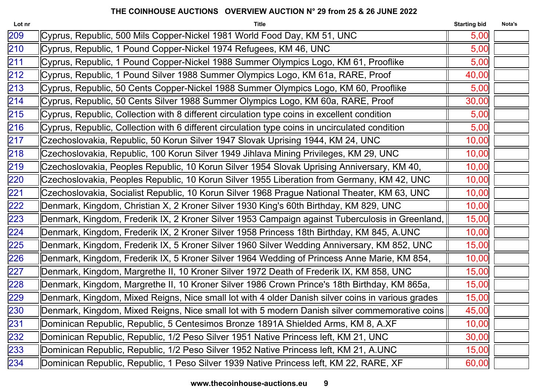| Lot nr           | <b>Title</b>                                                                                      | <b>Starting bid</b> | Nota's |
|------------------|---------------------------------------------------------------------------------------------------|---------------------|--------|
| 209              | Cyprus, Republic, 500 Mils Copper-Nickel 1981 World Food Day, KM 51, UNC                          | 5,00                |        |
| $\overline{210}$ | Cyprus, Republic, 1 Pound Copper-Nickel 1974 Refugees, KM 46, UNC                                 | 5,00                |        |
| 211              | Cyprus, Republic, 1 Pound Copper-Nickel 1988 Summer Olympics Logo, KM 61, Prooflike               | 5,00                |        |
| 212              | Cyprus, Republic, 1 Pound Silver 1988 Summer Olympics Logo, KM 61a, RARE, Proof                   | 40,00               |        |
| $\overline{213}$ | Cyprus, Republic, 50 Cents Copper-Nickel 1988 Summer Olympics Logo, KM 60, Prooflike              | 5,00                |        |
| 214              | Cyprus, Republic, 50 Cents Silver 1988 Summer Olympics Logo, KM 60a, RARE, Proof                  | 30,00               |        |
| 215              | Cyprus, Republic, Collection with 8 different circulation type coins in excellent condition       | 5,00                |        |
| 216              | Cyprus, Republic, Collection with 6 different circulation type coins in uncirculated condition    | 5,00                |        |
| 217              | Czechoslovakia, Republic, 50 Korun Silver 1947 Slovak Uprising 1944, KM 24, UNC                   | 10,00               |        |
| 218              | Czechoslovakia, Republic, 100 Korun Silver 1949 Jihlava Mining Privileges, KM 29, UNC             | 10,00               |        |
| 219              | Czechoslovakia, Peoples Republic, 10 Korun Silver 1954 Slovak Uprising Anniversary, KM 40,        | 10,00               |        |
| 220              | Czechoslovakia, Peoples Republic, 10 Korun Silver 1955 Liberation from Germany, KM 42, UNC        | 10,00               |        |
| 221              | Czechoslovakia, Socialist Republic, 10 Korun Silver 1968 Prague National Theater, KM 63, UNC      | 10,00               |        |
| 222              | Denmark, Kingdom, Christian X, 2 Kroner Silver 1930 King's 60th Birthday, KM 829, UNC             | 10,00               |        |
| 223              | Denmark, Kingdom, Frederik IX, 2 Kroner Silver 1953 Campaign against Tuberculosis in Greenland,   | 15,00               |        |
| 224              | Denmark, Kingdom, Frederik IX, 2 Kroner Silver 1958 Princess 18th Birthday, KM 845, A.UNC         | 10,00               |        |
| 225              | Denmark, Kingdom, Frederik IX, 5 Kroner Silver 1960 Silver Wedding Anniversary, KM 852, UNC       | 15,00               |        |
| 226              | Denmark, Kingdom, Frederik IX, 5 Kroner Silver 1964 Wedding of Princess Anne Marie, KM 854,       | 10,00               |        |
| 227              | Denmark, Kingdom, Margrethe II, 10 Kroner Silver 1972 Death of Frederik IX, KM 858, UNC           | 15,00               |        |
| 228              | Denmark, Kingdom, Margrethe II, 10 Kroner Silver 1986 Crown Prince's 18th Birthday, KM 865a,      | 15,00               |        |
| 229              | Denmark, Kingdom, Mixed Reigns, Nice small lot with 4 older Danish silver coins in various grades | 15,00               |        |
| 230              | Denmark, Kingdom, Mixed Reigns, Nice small lot with 5 modern Danish silver commemorative coins    | 45,00               |        |
| 231              | Dominican Republic, Republic, 5 Centesimos Bronze 1891A Shielded Arms, KM 8, A.XF                 | 10,00               |        |
| 232              | Dominican Republic, Republic, 1/2 Peso Silver 1951 Native Princess left, KM 21, UNC               | 30,00               |        |
| 233              | Dominican Republic, Republic, 1/2 Peso Silver 1952 Native Princess left, KM 21, A.UNC             | 15,00               |        |
| 234              | Dominican Republic, Republic, 1 Peso Silver 1939 Native Princess left, KM 22, RARE, XF            | 60,00               |        |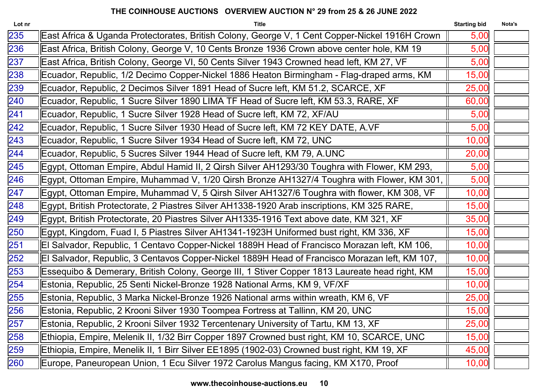| <b>Title</b>                                                                                   | <b>Starting bid</b> | Nota's |
|------------------------------------------------------------------------------------------------|---------------------|--------|
| East Africa & Uganda Protectorates, British Colony, George V, 1 Cent Copper-Nickel 1916H Crown | 5,00                |        |
| East Africa, British Colony, George V, 10 Cents Bronze 1936 Crown above center hole, KM 19     | 5,00                |        |
| East Africa, British Colony, George VI, 50 Cents Silver 1943 Crowned head left, KM 27, VF      | 5,00                |        |
| Ecuador, Republic, 1/2 Decimo Copper-Nickel 1886 Heaton Birmingham - Flag-draped arms, KM      | 15,00               |        |
| Ecuador, Republic, 2 Decimos Silver 1891 Head of Sucre left, KM 51.2, SCARCE, XF               | 25,00               |        |
| Ecuador, Republic, 1 Sucre Silver 1890 LIMA TF Head of Sucre left, KM 53.3, RARE, XF           | 60,00               |        |
| Ecuador, Republic, 1 Sucre Silver 1928 Head of Sucre left, KM 72, XF/AU                        | 5,00                |        |
| Ecuador, Republic, 1 Sucre Silver 1930 Head of Sucre left, KM 72 KEY DATE, A.VF                | 5,00                |        |
| Ecuador, Republic, 1 Sucre Silver 1934 Head of Sucre left, KM 72, UNC                          | 10,00               |        |
| Ecuador, Republic, 5 Sucres Silver 1944 Head of Sucre left, KM 79, A.UNC                       | 20,00               |        |
| Egypt, Ottoman Empire, Abdul Hamid II, 2 Qirsh Silver AH1293/30 Toughra with Flower, KM 293,   | 5,00                |        |
| Egypt, Ottoman Empire, Muhammad V, 1/20 Qirsh Bronze AH1327/4 Toughra with Flower, KM 301,     | 5,00                |        |
| Egypt, Ottoman Empire, Muhammad V, 5 Qirsh Silver AH1327/6 Toughra with flower, KM 308, VF     | 10,00               |        |
| Egypt, British Protectorate, 2 Piastres Silver AH1338-1920 Arab inscriptions, KM 325 RARE,     | 15,00               |        |
| Egypt, British Protectorate, 20 Piastres Silver AH1335-1916 Text above date, KM 321, XF        | 35,00               |        |
| Egypt, Kingdom, Fuad I, 5 Piastres Silver AH1341-1923H Uniformed bust right, KM 336, XF        | 15,00               |        |
| El Salvador, Republic, 1 Centavo Copper-Nickel 1889H Head of Francisco Morazan left, KM 106,   | 10,00               |        |
| El Salvador, Republic, 3 Centavos Copper-Nickel 1889H Head of Francisco Morazan left, KM 107,  | 10,00               |        |
| Essequibo & Demerary, British Colony, George III, 1 Stiver Copper 1813 Laureate head right, KM | 15,00               |        |
| Estonia, Republic, 25 Senti Nickel-Bronze 1928 National Arms, KM 9, VF/XF                      | 10,00               |        |
| Estonia, Republic, 3 Marka Nickel-Bronze 1926 National arms within wreath, KM 6, VF            | 25,00               |        |
| Estonia, Republic, 2 Krooni Silver 1930 Toompea Fortress at Tallinn, KM 20, UNC                | 15,00               |        |
| Estonia, Republic, 2 Krooni Silver 1932 Tercentenary University of Tartu, KM 13, XF            | 25,00               |        |
| Ethiopia, Empire, Melenik II, 1/32 Birr Copper 1897 Crowned bust right, KM 10, SCARCE, UNC     | 15,00               |        |
| Ethiopia, Empire, Menelik II, 1 Birr Silver EE1895 (1902-03) Crowned bust right, KM 19, XF     | 45,00               |        |
| Europe, Paneuropean Union, 1 Ecu Silver 1972 Carolus Mangus facing, KM X170, Proof             | 10,00               |        |
|                                                                                                |                     |        |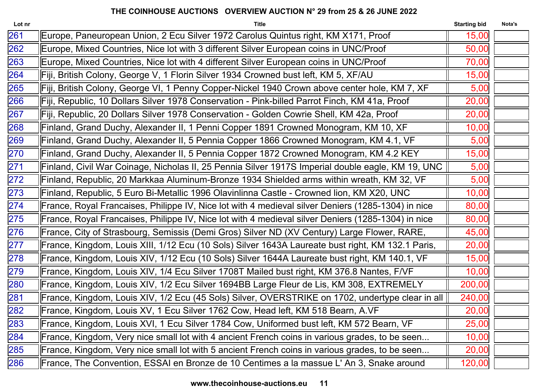| <b>Title</b>                                                                                       | <b>Starting bid</b> | Nota's |
|----------------------------------------------------------------------------------------------------|---------------------|--------|
| Europe, Paneuropean Union, 2 Ecu Silver 1972 Carolus Quintus right, KM X171, Proof                 | 15,00               |        |
| Europe, Mixed Countries, Nice lot with 3 different Silver European coins in UNC/Proof              | 50,00               |        |
| Europe, Mixed Countries, Nice lot with 4 different Silver European coins in UNC/Proof              | 70,00               |        |
| Fiji, British Colony, George V, 1 Florin Silver 1934 Crowned bust left, KM 5, XF/AU                | 15,00               |        |
| Fiji, British Colony, George VI, 1 Penny Copper-Nickel 1940 Crown above center hole, KM 7, XF      | 5,00                |        |
| Fiji, Republic, 10 Dollars Silver 1978 Conservation - Pink-billed Parrot Finch, KM 41a, Proof      | 20,00               |        |
| Fiji, Republic, 20 Dollars Silver 1978 Conservation - Golden Cowrie Shell, KM 42a, Proof           | 20,00               |        |
| Finland, Grand Duchy, Alexander II, 1 Penni Copper 1891 Crowned Monogram, KM 10, XF                | 10,00               |        |
| Finland, Grand Duchy, Alexander II, 5 Pennia Copper 1866 Crowned Monogram, KM 4.1, VF              | 5,00                |        |
| Finland, Grand Duchy, Alexander II, 5 Pennia Copper 1872 Crowned Monogram, KM 4.2 KEY              | 15,00               |        |
| Finland, Civil War Coinage, Nicholas II, 25 Pennia Silver 1917S Imperial double eagle, KM 19, UNC  | 5,00                |        |
| Finland, Republic, 20 Markkaa Aluminum-Bronze 1934 Shielded arms within wreath, KM 32, VF          | 5,00                |        |
| Finland, Republic, 5 Euro Bi-Metallic 1996 Olavinlinna Castle - Crowned lion, KM X20, UNC          | 10,00               |        |
| France, Royal Francaises, Philippe IV, Nice lot with 4 medieval silver Deniers (1285-1304) in nice | 80,00               |        |
| France, Royal Francaises, Philippe IV, Nice lot with 4 medieval silver Deniers (1285-1304) in nice | 80,00               |        |
| France, City of Strasbourg, Semissis (Demi Gros) Silver ND (XV Century) Large Flower, RARE,        | 45,00               |        |
| France, Kingdom, Louis XIII, 1/12 Ecu (10 Sols) Silver 1643A Laureate bust right, KM 132.1 Paris,  | 20,00               |        |
| France, Kingdom, Louis XIV, 1/12 Ecu (10 Sols) Silver 1644A Laureate bust right, KM 140.1, VF      | 15,00               |        |
| France, Kingdom, Louis XIV, 1/4 Ecu Silver 1708T Mailed bust right, KM 376.8 Nantes, F/VF          | 10,00               |        |
| France, Kingdom, Louis XIV, 1/2 Ecu Silver 1694BB Large Fleur de Lis, KM 308, EXTREMELY            | 200,00              |        |
| France, Kingdom, Louis XIV, 1/2 Ecu (45 Sols) Silver, OVERSTRIKE on 1702, undertype clear in all   | 240,00              |        |
| France, Kingdom, Louis XV, 1 Ecu Silver 1762 Cow, Head left, KM 518 Bearn, A.VF                    | 20,00               |        |
| France, Kingdom, Louis XVI, 1 Ecu Silver 1784 Cow, Uniformed bust left, KM 572 Bearn, VF           | 25,00               |        |
| France, Kingdom, Very nice small lot with 4 ancient French coins in various grades, to be seen     | 10,00               |        |
| France, Kingdom, Very nice small lot with 5 ancient French coins in various grades, to be seen     | 20,00               |        |
| France, The Convention, ESSAI en Bronze de 10 Centimes a la massue L'An 3, Snake around            | 120,00              |        |
|                                                                                                    |                     |        |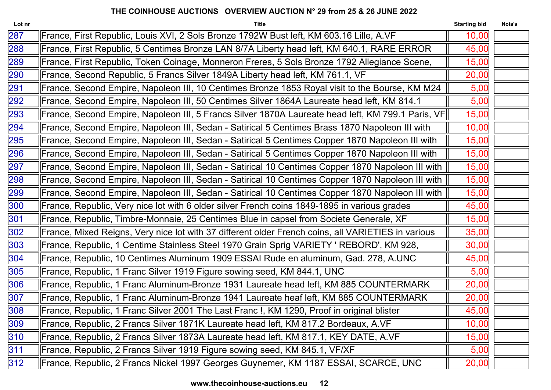| <b>Title</b>                                                                                       | <b>Starting bid</b> | Nota's                                                                                            |
|----------------------------------------------------------------------------------------------------|---------------------|---------------------------------------------------------------------------------------------------|
| France, First Republic, Louis XVI, 2 Sols Bronze 1792W Bust left, KM 603.16 Lille, A.VF            | 10,00               |                                                                                                   |
| France, First Republic, 5 Centimes Bronze LAN 8/7A Liberty head left, KM 640.1, RARE ERROR         | 45,00               |                                                                                                   |
| France, First Republic, Token Coinage, Monneron Freres, 5 Sols Bronze 1792 Allegiance Scene,       | 15,00               |                                                                                                   |
| France, Second Republic, 5 Francs Silver 1849A Liberty head left, KM 761.1, VF                     | 20,00               |                                                                                                   |
| France, Second Empire, Napoleon III, 10 Centimes Bronze 1853 Royal visit to the Bourse, KM M24     | 5,00                |                                                                                                   |
| France, Second Empire, Napoleon III, 50 Centimes Silver 1864A Laureate head left, KM 814.1         | 5,00                |                                                                                                   |
|                                                                                                    | 15,00               |                                                                                                   |
| France, Second Empire, Napoleon III, Sedan - Satirical 5 Centimes Brass 1870 Napoleon III with     | 10,00               |                                                                                                   |
| France, Second Empire, Napoleon III, Sedan - Satirical 5 Centimes Copper 1870 Napoleon III with    | 15,00               |                                                                                                   |
| France, Second Empire, Napoleon III, Sedan - Satirical 5 Centimes Copper 1870 Napoleon III with    | 15,00               |                                                                                                   |
| France, Second Empire, Napoleon III, Sedan - Satirical 10 Centimes Copper 1870 Napoleon III with   | 15,00               |                                                                                                   |
| France, Second Empire, Napoleon III, Sedan - Satirical 10 Centimes Copper 1870 Napoleon III with   | 15,00               |                                                                                                   |
| France, Second Empire, Napoleon III, Sedan - Satirical 10 Centimes Copper 1870 Napoleon III with   | 15,00               |                                                                                                   |
| France, Republic, Very nice lot with 6 older silver French coins 1849-1895 in various grades       | 45,00               |                                                                                                   |
| France, Republic, Timbre-Monnaie, 25 Centimes Blue in capsel from Societe Generale, XF             | 15,00               |                                                                                                   |
| France, Mixed Reigns, Very nice lot with 37 different older French coins, all VARIETIES in various | 35,00               |                                                                                                   |
| France, Republic, 1 Centime Stainless Steel 1970 Grain Sprig VARIETY ' REBORD', KM 928,            | 30,00               |                                                                                                   |
| France, Republic, 10 Centimes Aluminum 1909 ESSAI Rude en aluminum, Gad. 278, A.UNC                | 45,00               |                                                                                                   |
| France, Republic, 1 Franc Silver 1919 Figure sowing seed, KM 844.1, UNC                            | 5,00                |                                                                                                   |
| France, Republic, 1 Franc Aluminum-Bronze 1931 Laureate head left, KM 885 COUNTERMARK              | 20,00               |                                                                                                   |
| France, Republic, 1 Franc Aluminum-Bronze 1941 Laureate heaf left, KM 885 COUNTERMARK              | 20,00               |                                                                                                   |
| France, Republic, 1 Franc Silver 2001 The Last Franc !, KM 1290, Proof in original blister         | 45,00               |                                                                                                   |
| France, Republic, 2 Francs Silver 1871K Laureate head left, KM 817.2 Bordeaux, A.VF                | 10,00               |                                                                                                   |
| France, Republic, 2 Francs Silver 1873A Laureate head left, KM 817.1, KEY DATE, A.VF               | 15,00               |                                                                                                   |
| France, Republic, 2 Francs Silver 1919 Figure sowing seed, KM 845.1, VF/XF                         | 5,00                |                                                                                                   |
| France, Republic, 2 Francs Nickel 1997 Georges Guynemer, KM 1187 ESSAI, SCARCE, UNC                | 20,00               |                                                                                                   |
|                                                                                                    |                     | France, Second Empire, Napoleon III, 5 Francs Silver 1870A Laureate head left, KM 799.1 Paris, VF |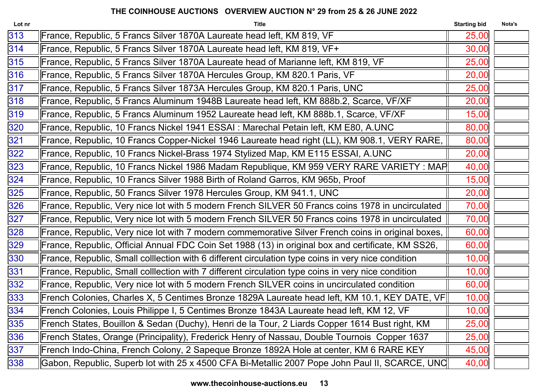| 313<br>France, Republic, 5 Francs Silver 1870A Laureate head left, KM 819, VF<br>25,00<br>France, Republic, 5 Francs Silver 1870A Laureate head left, KM 819, VF+<br>30,00<br>France, Republic, 5 Francs Silver 1870A Laureate head of Marianne left, KM 819, VF<br>25,00<br>France, Republic, 5 Francs Silver 1870A Hercules Group, KM 820.1 Paris, VF<br>20,00<br>France, Republic, 5 Francs Silver 1873A Hercules Group, KM 820.1 Paris, UNC<br>25,00<br>France, Republic, 5 Francs Aluminum 1948B Laureate head left, KM 888b.2, Scarce, VF/XF<br>20,00<br>France, Republic, 5 Francs Aluminum 1952 Laureate head left, KM 888b.1, Scarce, VF/XF<br>15,00<br>France, Republic, 10 Francs Nickel 1941 ESSAI : Marechal Petain left, KM E80, A.UNC<br>80,00<br>France, Republic, 10 Francs Copper-Nickel 1946 Laureate head right (LL), KM 908.1, VERY RARE,<br>80,00<br>France, Republic, 10 Francs Nickel-Brass 1974 Stylized Map, KM E115 ESSAI, A.UNC<br>20,00<br>France, Republic, 10 Francs Nickel 1986 Madam Republique, KM 959 VERY RARE VARIETY : MAP<br>40,00<br>France, Republic, 10 Francs Silver 1988 Birth of Roland Garros, KM 965b, Proof<br>15,00<br>France, Republic, 50 Francs Silver 1978 Hercules Group, KM 941.1, UNC<br>20,00<br>France, Republic, Very nice lot with 5 modern French SILVER 50 Francs coins 1978 in uncirculated<br>70,00 | Nota's |
|---------------------------------------------------------------------------------------------------------------------------------------------------------------------------------------------------------------------------------------------------------------------------------------------------------------------------------------------------------------------------------------------------------------------------------------------------------------------------------------------------------------------------------------------------------------------------------------------------------------------------------------------------------------------------------------------------------------------------------------------------------------------------------------------------------------------------------------------------------------------------------------------------------------------------------------------------------------------------------------------------------------------------------------------------------------------------------------------------------------------------------------------------------------------------------------------------------------------------------------------------------------------------------------------------------------------------------------------------------------------|--------|
| 314<br>315<br>316<br>317<br>318<br>319<br>320<br>321<br>322<br>323<br>324<br>325<br>326                                                                                                                                                                                                                                                                                                                                                                                                                                                                                                                                                                                                                                                                                                                                                                                                                                                                                                                                                                                                                                                                                                                                                                                                                                                                             |        |
|                                                                                                                                                                                                                                                                                                                                                                                                                                                                                                                                                                                                                                                                                                                                                                                                                                                                                                                                                                                                                                                                                                                                                                                                                                                                                                                                                                     |        |
|                                                                                                                                                                                                                                                                                                                                                                                                                                                                                                                                                                                                                                                                                                                                                                                                                                                                                                                                                                                                                                                                                                                                                                                                                                                                                                                                                                     |        |
|                                                                                                                                                                                                                                                                                                                                                                                                                                                                                                                                                                                                                                                                                                                                                                                                                                                                                                                                                                                                                                                                                                                                                                                                                                                                                                                                                                     |        |
|                                                                                                                                                                                                                                                                                                                                                                                                                                                                                                                                                                                                                                                                                                                                                                                                                                                                                                                                                                                                                                                                                                                                                                                                                                                                                                                                                                     |        |
|                                                                                                                                                                                                                                                                                                                                                                                                                                                                                                                                                                                                                                                                                                                                                                                                                                                                                                                                                                                                                                                                                                                                                                                                                                                                                                                                                                     |        |
|                                                                                                                                                                                                                                                                                                                                                                                                                                                                                                                                                                                                                                                                                                                                                                                                                                                                                                                                                                                                                                                                                                                                                                                                                                                                                                                                                                     |        |
|                                                                                                                                                                                                                                                                                                                                                                                                                                                                                                                                                                                                                                                                                                                                                                                                                                                                                                                                                                                                                                                                                                                                                                                                                                                                                                                                                                     |        |
|                                                                                                                                                                                                                                                                                                                                                                                                                                                                                                                                                                                                                                                                                                                                                                                                                                                                                                                                                                                                                                                                                                                                                                                                                                                                                                                                                                     |        |
|                                                                                                                                                                                                                                                                                                                                                                                                                                                                                                                                                                                                                                                                                                                                                                                                                                                                                                                                                                                                                                                                                                                                                                                                                                                                                                                                                                     |        |
|                                                                                                                                                                                                                                                                                                                                                                                                                                                                                                                                                                                                                                                                                                                                                                                                                                                                                                                                                                                                                                                                                                                                                                                                                                                                                                                                                                     |        |
|                                                                                                                                                                                                                                                                                                                                                                                                                                                                                                                                                                                                                                                                                                                                                                                                                                                                                                                                                                                                                                                                                                                                                                                                                                                                                                                                                                     |        |
|                                                                                                                                                                                                                                                                                                                                                                                                                                                                                                                                                                                                                                                                                                                                                                                                                                                                                                                                                                                                                                                                                                                                                                                                                                                                                                                                                                     |        |
|                                                                                                                                                                                                                                                                                                                                                                                                                                                                                                                                                                                                                                                                                                                                                                                                                                                                                                                                                                                                                                                                                                                                                                                                                                                                                                                                                                     |        |
| 327<br>France, Republic, Very nice lot with 5 modern French SILVER 50 Francs coins 1978 in uncirculated<br>70,00                                                                                                                                                                                                                                                                                                                                                                                                                                                                                                                                                                                                                                                                                                                                                                                                                                                                                                                                                                                                                                                                                                                                                                                                                                                    |        |
| 328<br>60,00<br>France, Republic, Very nice lot with 7 modern commemorative Silver French coins in original boxes,                                                                                                                                                                                                                                                                                                                                                                                                                                                                                                                                                                                                                                                                                                                                                                                                                                                                                                                                                                                                                                                                                                                                                                                                                                                  |        |
| 329<br>France, Republic, Official Annual FDC Coin Set 1988 (13) in original box and certificate, KM SS26,<br>60,00                                                                                                                                                                                                                                                                                                                                                                                                                                                                                                                                                                                                                                                                                                                                                                                                                                                                                                                                                                                                                                                                                                                                                                                                                                                  |        |
| 330<br>France, Republic, Small colllection with 6 different circulation type coins in very nice condition<br>10,00                                                                                                                                                                                                                                                                                                                                                                                                                                                                                                                                                                                                                                                                                                                                                                                                                                                                                                                                                                                                                                                                                                                                                                                                                                                  |        |
| 331<br>10,00<br>France, Republic, Small colllection with 7 different circulation type coins in very nice condition                                                                                                                                                                                                                                                                                                                                                                                                                                                                                                                                                                                                                                                                                                                                                                                                                                                                                                                                                                                                                                                                                                                                                                                                                                                  |        |
| 332<br>60,00<br>France, Republic, Very nice lot with 5 modern French SILVER coins in uncirculated condition                                                                                                                                                                                                                                                                                                                                                                                                                                                                                                                                                                                                                                                                                                                                                                                                                                                                                                                                                                                                                                                                                                                                                                                                                                                         |        |
| 333<br>French Colonies, Charles X, 5 Centimes Bronze 1829A Laureate head left, KM 10.1, KEY DATE, VF <br>10,00                                                                                                                                                                                                                                                                                                                                                                                                                                                                                                                                                                                                                                                                                                                                                                                                                                                                                                                                                                                                                                                                                                                                                                                                                                                      |        |
| 334<br>10,00<br>French Colonies, Louis Philippe I, 5 Centimes Bronze 1843A Laureate head left, KM 12, VF                                                                                                                                                                                                                                                                                                                                                                                                                                                                                                                                                                                                                                                                                                                                                                                                                                                                                                                                                                                                                                                                                                                                                                                                                                                            |        |
| 335<br>French States, Bouillon & Sedan (Duchy), Henri de la Tour, 2 Liards Copper 1614 Bust right, KM<br>25,00                                                                                                                                                                                                                                                                                                                                                                                                                                                                                                                                                                                                                                                                                                                                                                                                                                                                                                                                                                                                                                                                                                                                                                                                                                                      |        |
| 336<br>French States, Orange (Principality), Frederick Henry of Nassau, Double Tournois Copper 1637<br>25,00                                                                                                                                                                                                                                                                                                                                                                                                                                                                                                                                                                                                                                                                                                                                                                                                                                                                                                                                                                                                                                                                                                                                                                                                                                                        |        |
| 337<br>French Indo-China, French Colony, 2 Sapeque Bronze 1892A Hole at center, KM 6 RARE KEY<br>45,00                                                                                                                                                                                                                                                                                                                                                                                                                                                                                                                                                                                                                                                                                                                                                                                                                                                                                                                                                                                                                                                                                                                                                                                                                                                              |        |
| Gabon, Republic, Superb lot with 25 x 4500 CFA Bi-Metallic 2007 Pope John Paul II, SCARCE, UNC<br>338<br>40,00                                                                                                                                                                                                                                                                                                                                                                                                                                                                                                                                                                                                                                                                                                                                                                                                                                                                                                                                                                                                                                                                                                                                                                                                                                                      |        |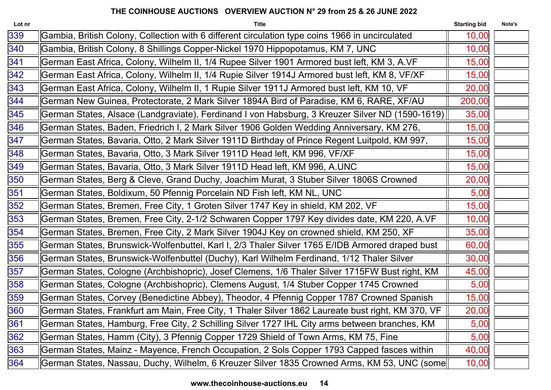| Lot nr | <b>Title</b>                                                                                      | <b>Starting bid</b> | Nota's |
|--------|---------------------------------------------------------------------------------------------------|---------------------|--------|
| 339    | Gambia, British Colony, Collection with 6 different circulation type coins 1966 in uncirculated   | 10,00               |        |
| 340    | Gambia, British Colony, 8 Shillings Copper-Nickel 1970 Hippopotamus, KM 7, UNC                    | 10,00               |        |
| 341    | German East Africa, Colony, Wilhelm II, 1/4 Rupee Silver 1901 Armored bust left, KM 3, A.VF       | 15,00               |        |
| 342    | German East Africa, Colony, Wilhelm II, 1/4 Rupie Silver 1914J Armored bust left, KM 8, VF/XF     | 15,00               |        |
| 343    | German East Africa, Colony, Wilhelm II, 1 Rupie Silver 1911J Armored bust left, KM 10, VF         | 20,00               |        |
| 344    | German New Guinea, Protectorate, 2 Mark Silver 1894A Bird of Paradise, KM 6, RARE, XF/AU          | 200,00              |        |
| 345    | German States, Alsace (Landgraviate), Ferdinand I von Habsburg, 3 Kreuzer Silver ND (1590-1619)   | 35,00               |        |
| 346    | German States, Baden, Friedrich I, 2 Mark Silver 1906 Golden Wedding Anniversary, KM 276,         | 15,00               |        |
| 347    | German States, Bavaria, Otto, 2 Mark Silver 1911D Birthday of Prince Regent Luitpold, KM 997,     | 15,00               |        |
| 348    | German States, Bavaria, Otto, 3 Mark Silver 1911D Head left, KM 996, VF/XF                        | 15,00               |        |
| 349    | German States, Bavaria, Otto, 3 Mark Silver 1911D Head left, KM 996, A.UNC                        | 15,00               |        |
| 350    | German States, Berg & Cleve, Grand Duchy, Joachim Murat, 3 Stuber Silver 1806S Crowned            | 20,00               |        |
| 351    | German States, Boldixum, 50 Pfennig Porcelain ND Fish left, KM NL, UNC                            | 5,00                |        |
| 352    | German States, Bremen, Free City, 1 Groten Silver 1747 Key in shield, KM 202, VF                  | 15,00               |        |
| 353    | German States, Bremen, Free City, 2-1/2 Schwaren Copper 1797 Key divides date, KM 220, A.VF       | 10,00               |        |
| 354    | German States, Bremen, Free City, 2 Mark Silver 1904J Key on crowned shield, KM 250, XF           | 35,00               |        |
| 355    | German States, Brunswick-Wolfenbuttel, Karl I, 2/3 Thaler Silver 1765 E/IDB Armored draped bust   | 60,00               |        |
| 356    | German States, Brunswick-Wolfenbuttel (Duchy), Karl Wilhelm Ferdinand, 1/12 Thaler Silver         | 30,00               |        |
| 357    | German States, Cologne (Archbishopric), Josef Clemens, 1/6 Thaler Silver 1715FW Bust right, KM    | 45,00               |        |
| 358    | German States, Cologne (Archbishopric), Clemens August, 1/4 Stuber Copper 1745 Crowned            | 5,00                |        |
| 359    | German States, Corvey (Benedictine Abbey), Theodor, 4 Pfennig Copper 1787 Crowned Spanish         | 15,00               |        |
| 360    | German States, Frankfurt am Main, Free City, 1 Thaler Silver 1862 Laureate bust right, KM 370, VF | 20,00               |        |
| 361    | German States, Hamburg, Free City, 2 Schilling Silver 1727 IHL City arms between branches, KM     | 5,00                |        |
| 362    | German States, Hamm (City), 3 Pfennig Copper 1729 Shield of Town Arms, KM 75, Fine                | 5,00                |        |
| 363    | German States, Mainz - Mayence, French Occupation, 2 Sols Copper 1793 Capped fasces within        | 40,00               |        |
| 364    | German States, Nassau, Duchy, Wilhelm, 6 Kreuzer Silver 1835 Crowned Arms, KM 53, UNC (some       | 10,00               |        |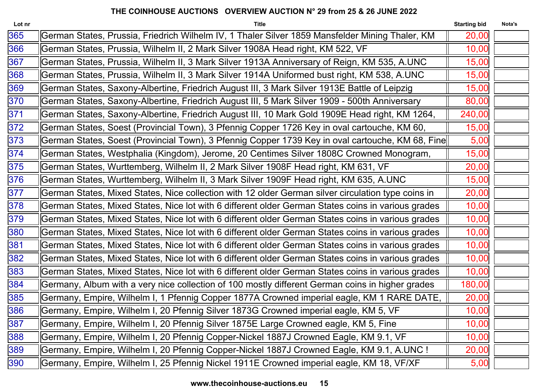| Lot nr | <b>Title</b>                                                                                       | <b>Starting bid</b> | Nota's |
|--------|----------------------------------------------------------------------------------------------------|---------------------|--------|
| 365    | German States, Prussia, Friedrich Wilhelm IV, 1 Thaler Silver 1859 Mansfelder Mining Thaler, KM    | 20,00               |        |
| 366    | German States, Prussia, Wilhelm II, 2 Mark Silver 1908A Head right, KM 522, VF                     | 10,00               |        |
| 367    | German States, Prussia, Wilhelm II, 3 Mark Silver 1913A Anniversary of Reign, KM 535, A.UNC        | 15,00               |        |
| 368    | German States, Prussia, Wilhelm II, 3 Mark Silver 1914A Uniformed bust right, KM 538, A.UNC        | 15,00               |        |
| 369    | German States, Saxony-Albertine, Friedrich August III, 3 Mark Silver 1913E Battle of Leipzig       | 15,00               |        |
| 370    | German States, Saxony-Albertine, Friedrich August III, 5 Mark Silver 1909 - 500th Anniversary      | 80,00               |        |
| 371    | German States, Saxony-Albertine, Friedrich August III, 10 Mark Gold 1909E Head right, KM 1264,     | 240,00              |        |
| 372    | German States, Soest (Provincial Town), 3 Pfennig Copper 1726 Key in oval cartouche, KM 60,        | 15,00               |        |
| 373    | German States, Soest (Provincial Town), 3 Pfennig Copper 1739 Key in oval cartouche, KM 68, Fine   | 5,00                |        |
| 374    | German States, Westphalia (Kingdom), Jerome, 20 Centimes Silver 1808C Crowned Monogram,            | 15,00               |        |
| 375    | German States, Wurttemberg, Wilhelm II, 2 Mark Silver 1908F Head right, KM 631, VF                 | 20,00               |        |
| 376    | German States, Wurttemberg, Wilhelm II, 3 Mark Silver 1909F Head right, KM 635, A.UNC              | 15,00               |        |
| 377    | German States, Mixed States, Nice collection with 12 older German silver circulation type coins in | 20,00               |        |
| 378    | German States, Mixed States, Nice lot with 6 different older German States coins in various grades | 10,00               |        |
| 379    | German States, Mixed States, Nice lot with 6 different older German States coins in various grades | 10,00               |        |
| 380    | German States, Mixed States, Nice lot with 6 different older German States coins in various grades | 10,00               |        |
| 381    | German States, Mixed States, Nice lot with 6 different older German States coins in various grades | 10,00               |        |
| 382    | German States, Mixed States, Nice lot with 6 different older German States coins in various grades | 10,00               |        |
| 383    | German States, Mixed States, Nice lot with 6 different older German States coins in various grades | 10,00               |        |
| 384    | Germany, Album with a very nice collection of 100 mostly different German coins in higher grades   | 180,00              |        |
| 385    | Germany, Empire, Wilhelm I, 1 Pfennig Copper 1877A Crowned imperial eagle, KM 1 RARE DATE,         | 20,00               |        |
| 386    | Germany, Empire, Wilhelm I, 20 Pfennig Silver 1873G Crowned imperial eagle, KM 5, VF               | 10,00               |        |
| 387    | Germany, Empire, Wilhelm I, 20 Pfennig Silver 1875E Large Crowned eagle, KM 5, Fine                | 10,00               |        |
| 388    | Germany, Empire, Wilhelm I, 20 Pfennig Copper-Nickel 1887J Crowned Eagle, KM 9.1, VF               | 10,00               |        |
| 389    | Germany, Empire, Wilhelm I, 20 Pfennig Copper-Nickel 1887J Crowned Eagle, KM 9.1, A.UNC !          | 20,00               |        |
| 390    | Germany, Empire, Wilhelm I, 25 Pfennig Nickel 1911E Crowned imperial eagle, KM 18, VF/XF           | 5,00                |        |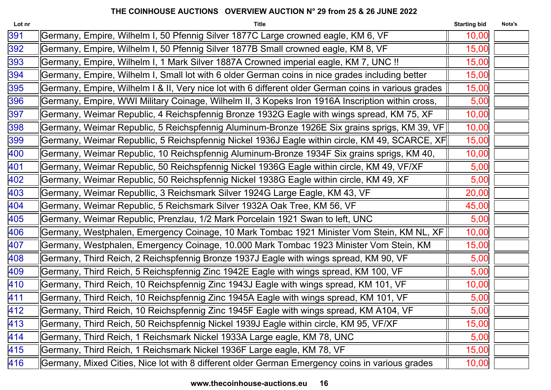| Lot nr | <b>Title</b>                                                                                         | <b>Starting bid</b> | Nota's |
|--------|------------------------------------------------------------------------------------------------------|---------------------|--------|
| 391    | Germany, Empire, Wilhelm I, 50 Pfennig Silver 1877C Large crowned eagle, KM 6, VF                    | 10,00               |        |
| 392    | Germany, Empire, Wilhelm I, 50 Pfennig Silver 1877B Small crowned eagle, KM 8, VF                    | 15,00               |        |
| 393    | Germany, Empire, Wilhelm I, 1 Mark Silver 1887A Crowned imperial eagle, KM 7, UNC !!                 | 15,00               |        |
| 394    | Germany, Empire, Wilhelm I, Small lot with 6 older German coins in nice grades including better      | 15,00               |        |
| 395    | Germany, Empire, Wilhelm I & II, Very nice lot with 6 different older German coins in various grades | 15,00               |        |
| 396    | Germany, Empire, WWI Military Coinage, Wilhelm II, 3 Kopeks Iron 1916A Inscription within cross,     | 5,00                |        |
| 397    | Germany, Weimar Republic, 4 Reichspfennig Bronze 1932G Eagle with wings spread, KM 75, XF            | 10,00               |        |
| 398    | Germany, Weimar Republic, 5 Reichspfennig Aluminum-Bronze 1926E Six grains sprigs, KM 39, VF         | 10,00               |        |
| 399    | Germany, Weimar Republlic, 5 Reichspfennig Nickel 1936J Eagle within circle, KM 49, SCARCE, XF       | 15,00               |        |
| 400    | Germany, Weimar Republic, 10 Reichspfennig Aluminum-Bronze 1934F Six grains sprigs, KM 40,           | 10,00               |        |
| 401    | Germany, Weimar Republic, 50 Reichspfennig Nickel 1936G Eagle within circle, KM 49, VF/XF            | 5,00                |        |
| 402    | Germany, Weimar Republic, 50 Reichspfennig Nickel 1938G Eagle within circle, KM 49, XF               | 5,00                |        |
| 403    | Germany, Weimar Republlic, 3 Reichsmark Silver 1924G Large Eagle, KM 43, VF                          | 20,00               |        |
| 404    | Germany, Weimar Republic, 5 Reichsmark Silver 1932A Oak Tree, KM 56, VF                              | 45,00               |        |
| 405    | Germany, Weimar Republic, Prenzlau, 1/2 Mark Porcelain 1921 Swan to left, UNC                        | 5,00                |        |
| 406    | Germany, Westphalen, Emergency Coinage, 10 Mark Tombac 1921 Minister Vom Stein, KM NL, XF            | 10,00               |        |
| 407    | Germany, Westphalen, Emergency Coinage, 10.000 Mark Tombac 1923 Minister Vom Stein, KM               | 15,00               |        |
| 408    | Germany, Third Reich, 2 Reichspfennig Bronze 1937J Eagle with wings spread, KM 90, VF                | 5,00                |        |
| 409    | Germany, Third Reich, 5 Reichspfennig Zinc 1942E Eagle with wings spread, KM 100, VF                 | 5,00                |        |
| 410    | Germany, Third Reich, 10 Reichspfennig Zinc 1943J Eagle with wings spread, KM 101, VF                | 10,00               |        |
| 411    | Germany, Third Reich, 10 Reichspfennig Zinc 1945A Eagle with wings spread, KM 101, VF                | 5,00                |        |
| 412    | Germany, Third Reich, 10 Reichspfennig Zinc 1945F Eagle with wings spread, KM A104, VF               | 5,00                |        |
| 413    | Germany, Third Reich, 50 Reichspfennig Nickel 1939J Eagle within circle, KM 95, VF/XF                | 15,00               |        |
| 414    | Germany, Third Reich, 1 Reichsmark Nickel 1933A Large eagle, KM 78, UNC                              | 5,00                |        |
| 415    | Germany, Third Reich, 1 Reichsmark Nickel 1936F Large eagle, KM 78, VF                               | 15,00               |        |
| 416    | Germany, Mixed Cities, Nice lot with 8 different older German Emergency coins in various grades      | 10,00               |        |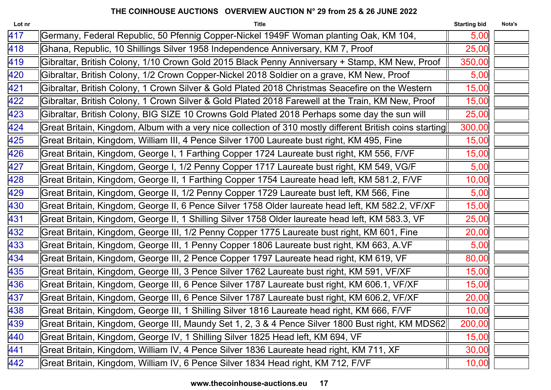| Lot nr | <b>Title</b>                                                                                             | <b>Starting bid</b> | Nota's |
|--------|----------------------------------------------------------------------------------------------------------|---------------------|--------|
| 417    | Germany, Federal Republic, 50 Pfennig Copper-Nickel 1949F Woman planting Oak, KM 104,                    | 5,00                |        |
| 418    | Ghana, Republic, 10 Shillings Silver 1958 Independence Anniversary, KM 7, Proof                          | 25,00               |        |
| 419    | Gibraltar, British Colony, 1/10 Crown Gold 2015 Black Penny Anniversary + Stamp, KM New, Proof           | 350,00              |        |
| 420    | Gibraltar, British Colony, 1/2 Crown Copper-Nickel 2018 Soldier on a grave, KM New, Proof                | 5,00                |        |
| 421    | Gibraltar, British Colony, 1 Crown Silver & Gold Plated 2018 Christmas Seacefire on the Western          | 15,00               |        |
| 422    | Gibraltar, British Colony, 1 Crown Silver & Gold Plated 2018 Farewell at the Train, KM New, Proof        | 15,00               |        |
| 423    | Gibraltar, British Colony, BIG SIZE 10 Crowns Gold Plated 2018 Perhaps some day the sun will             | 25,00               |        |
| 424    | Great Britain, Kingdom, Album with a very nice collection of 310 mostly different British coins starting | 300,00              |        |
| 425    | Great Britain, Kingdom, William III, 4 Pence Silver 1700 Laureate bust right, KM 495, Fine               | 15,00               |        |
| 426    | Great Britain, Kingdom, George I, 1 Farthing Copper 1724 Laureate bust right, KM 556, F/VF               | 15,00               |        |
| 427    | Great Britain, Kingdom, George I, 1/2 Penny Copper 1717 Laureate bust right, KM 549, VG/F                | 5,00                |        |
| 428    | Great Britain, Kingdom, George II, 1 Farthing Copper 1754 Laureate head left, KM 581.2, F/VF             | 10,00               |        |
| 429    | Great Britain, Kingdom, George II, 1/2 Penny Copper 1729 Laureate bust left, KM 566, Fine                | 5,00                |        |
| 430    | Great Britain, Kingdom, George II, 6 Pence Silver 1758 Older laureate head left, KM 582.2, VF/XF         | 15,00               |        |
| 431    | Great Britain, Kingdom, George II, 1 Shilling Silver 1758 Older laureate head left, KM 583.3, VF         | 25,00               |        |
| 432    | Great Britain, Kingdom, George III, 1/2 Penny Copper 1775 Laureate bust right, KM 601, Fine              | 20,00               |        |
| 433    | Great Britain, Kingdom, George III, 1 Penny Copper 1806 Laureate bust right, KM 663, A.VF                | 5,00                |        |
| 434    | Great Britain, Kingdom, George III, 2 Pence Copper 1797 Laureate head right, KM 619, VF                  | 80,00               |        |
| 435    | Great Britain, Kingdom, George III, 3 Pence Silver 1762 Laureate bust right, KM 591, VF/XF               | 15,00               |        |
| 436    | Great Britain, Kingdom, George III, 6 Pence Silver 1787 Laureate bust right, KM 606.1, VF/XF             | 15,00               |        |
| 437    | Great Britain, Kingdom, George III, 6 Pence Silver 1787 Laureate bust right, KM 606.2, VF/XF             | 20,00               |        |
| 438    | Great Britain, Kingdom, George III, 1 Shilling Silver 1816 Laureate head right, KM 666, F/VF             | 10,00               |        |
| 439    | Great Britain, Kingdom, George III, Maundy Set 1, 2, 3 & 4 Pence Silver 1800 Bust right, KM MDS62        | 200,00              |        |
| 440    | Great Britain, Kingdom, George IV, 1 Shilling Silver 1825 Head left, KM 694, VF                          | 15,00               |        |
| 441    | Great Britain, Kingdom, William IV, 4 Pence Silver 1836 Laureate head right, KM 711, XF                  | 30,00               |        |
| 442    | Great Britain, Kingdom, William IV, 6 Pence Silver 1834 Head right, KM 712, F/VF                         | 10,00               |        |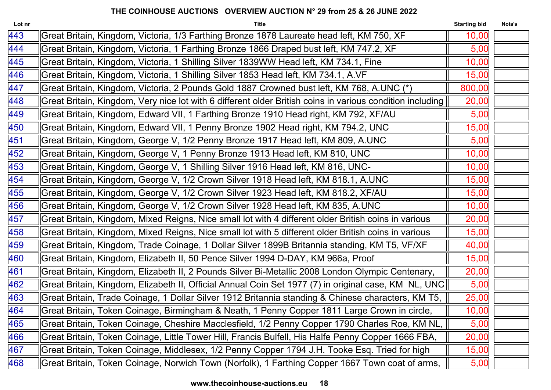| Lot nr | <b>Title</b>                                                                                              | <b>Starting bid</b> | Nota's |
|--------|-----------------------------------------------------------------------------------------------------------|---------------------|--------|
| 443    | Great Britain, Kingdom, Victoria, 1/3 Farthing Bronze 1878 Laureate head left, KM 750, XF                 | 10,00               |        |
| 444    | Great Britain, Kingdom, Victoria, 1 Farthing Bronze 1866 Draped bust left, KM 747.2, XF                   | 5,00                |        |
| 445    | Great Britain, Kingdom, Victoria, 1 Shilling Silver 1839WW Head left, KM 734.1, Fine                      | 10,00               |        |
| 446    | Great Britain, Kingdom, Victoria, 1 Shilling Silver 1853 Head left, KM 734.1, A.VF                        | 15,00               |        |
| 447    | Great Britain, Kingdom, Victoria, 2 Pounds Gold 1887 Crowned bust left, KM 768, A.UNC (*)                 | 800,00              |        |
| 448    | Great Britain, Kingdom, Very nice lot with 6 different older British coins in various condition including | 20,00               |        |
| 449    | Great Britain, Kingdom, Edward VII, 1 Farthing Bronze 1910 Head right, KM 792, XF/AU                      | 5,00                |        |
| 450    | Great Britain, Kingdom, Edward VII, 1 Penny Bronze 1902 Head right, KM 794.2, UNC                         | 15,00               |        |
| 451    | Great Britain, Kingdom, George V, 1/2 Penny Bronze 1917 Head left, KM 809, A.UNC                          | 5,00                |        |
| 452    | Great Britain, Kingdom, George V, 1 Penny Bronze 1913 Head left, KM 810, UNC                              | 10,00               |        |
| 453    | Great Britain, Kingdom, George V, 1 Shilling Silver 1916 Head left, KM 816, UNC-                          | 10,00               |        |
| 454    | Great Britain, Kingdom, George V, 1/2 Crown Silver 1918 Head left, KM 818.1, A.UNC                        | 15,00               |        |
| 455    | Great Britain, Kingdom, George V, 1/2 Crown Silver 1923 Head left, KM 818.2, XF/AU                        | 15,00               |        |
| 456    | Great Britain, Kingdom, George V, 1/2 Crown Silver 1928 Head left, KM 835, A.UNC                          | 10,00               |        |
| 457    | Great Britain, Kingdom, Mixed Reigns, Nice small lot with 4 different older British coins in various      | 20,00               |        |
| 458    | Great Britain, Kingdom, Mixed Reigns, Nice small lot with 5 different older British coins in various      | 15,00               |        |
| 459    | Great Britain, Kingdom, Trade Coinage, 1 Dollar Silver 1899B Britannia standing, KM T5, VF/XF             | 40,00               |        |
| 460    | Great Britain, Kingdom, Elizabeth II, 50 Pence Silver 1994 D-DAY, KM 966a, Proof                          | 15,00               |        |
| 461    | Great Britain, Kingdom, Elizabeth II, 2 Pounds Silver Bi-Metallic 2008 London Olympic Centenary,          | 20,00               |        |
| 462    | Great Britain, Kingdom, Elizabeth II, Official Annual Coin Set 1977 (7) in original case, KM NL, UNC      | 5,00                |        |
| 463    | Great Britain, Trade Coinage, 1 Dollar Silver 1912 Britannia standing & Chinese characters, KM T5,        | 25,00               |        |
| 464    | Great Britain, Token Coinage, Birmingham & Neath, 1 Penny Copper 1811 Large Crown in circle,              | 10,00               |        |
| 465    | Great Britain, Token Coinage, Cheshire Macclesfield, 1/2 Penny Copper 1790 Charles Roe, KM NL,            | 5,00                |        |
| 466    | Great Britain, Token Coinage, Little Tower Hill, Francis Bulfell, His Halfe Penny Copper 1666 FBA,        | 20,00               |        |
| 467    | Great Britain, Token Coinage, Middlesex, 1/2 Penny Copper 1794 J.H. Tooke Esq. Tried for high             | 15,00               |        |
| 468    | Great Britain, Token Coinage, Norwich Town (Norfolk), 1 Farthing Copper 1667 Town coat of arms,           | 5,00                |        |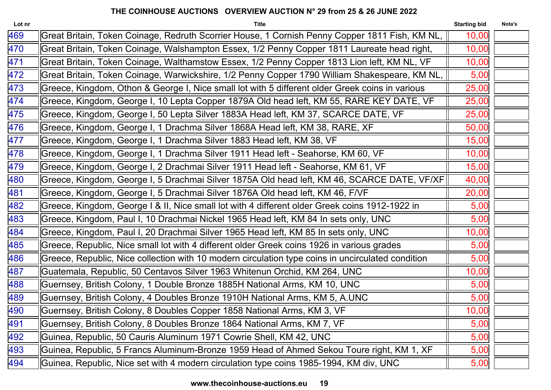| Lot nr | <b>Title</b>                                                                                      | <b>Starting bid</b> | Nota's |
|--------|---------------------------------------------------------------------------------------------------|---------------------|--------|
| 469    | Great Britain, Token Coinage, Redruth Scorrier House, 1 Cornish Penny Copper 1811 Fish, KM NL,    | 10,00               |        |
| 470    | Great Britain, Token Coinage, Walshampton Essex, 1/2 Penny Copper 1811 Laureate head right,       | 10,00               |        |
| 471    | Great Britain, Token Coinage, Walthamstow Essex, 1/2 Penny Copper 1813 Lion left, KM NL, VF       | 10,00               |        |
| 472    | Great Britain, Token Coinage, Warwickshire, 1/2 Penny Copper 1790 William Shakespeare, KM NL,     | 5,00                |        |
| 473    | Greece, Kingdom, Othon & George I, Nice small lot with 5 different older Greek coins in various   | 25,00               |        |
| 474    | Greece, Kingdom, George I, 10 Lepta Copper 1879A Old head left, KM 55, RARE KEY DATE, VF          | 25,00               |        |
| 475    | Greece, Kingdom, George I, 50 Lepta Silver 1883A Head left, KM 37, SCARCE DATE, VF                | 25,00               |        |
| 476    | Greece, Kingdom, George I, 1 Drachma Silver 1868A Head left, KM 38, RARE, XF                      | 50,00               |        |
| 477    | Greece, Kingdom, George I, 1 Drachma Silver 1883 Head left, KM 38, VF                             | 15,00               |        |
| 478    | Greece, Kingdom, George I, 1 Drachma Silver 1911 Head left - Seahorse, KM 60, VF                  | 10,00               |        |
| 479    | Greece, Kingdom, George I, 2 Drachmai Silver 1911 Head left - Seahorse, KM 61, VF                 | 15,00               |        |
| 480    | Greece, Kingdom, George I, 5 Drachmai Silver 1875A Old head left, KM 46, SCARCE DATE, VF/XF       | 40,00               |        |
| 481    | Greece, Kingdom, George I, 5 Drachmai Silver 1876A Old head left, KM 46, F/VF                     | 20,00               |        |
| 482    | Greece, Kingdom, George I & II, Nice small lot with 4 different older Greek coins 1912-1922 in    | 5,00                |        |
| 483    | Greece, Kingdom, Paul I, 10 Drachmai Nickel 1965 Head left, KM 84 In sets only, UNC               | 5,00                |        |
| 484    | Greece, Kingdom, Paul I, 20 Drachmai Silver 1965 Head left, KM 85 In sets only, UNC               | 10,00               |        |
| 485    | Greece, Republic, Nice small lot with 4 different older Greek coins 1926 in various grades        | 5,00                |        |
| 486    | Greece, Republic, Nice collection with 10 modern circulation type coins in uncirculated condition | 5,00                |        |
| 487    | Guatemala, Republic, 50 Centavos Silver 1963 Whitenun Orchid, KM 264, UNC                         | 10,00               |        |
| 488    | Guernsey, British Colony, 1 Double Bronze 1885H National Arms, KM 10, UNC                         | 5,00                |        |
| 489    | Guernsey, British Colony, 4 Doubles Bronze 1910H National Arms, KM 5, A.UNC                       | 5,00                |        |
| 490    | Guernsey, British Colony, 8 Doubles Copper 1858 National Arms, KM 3, VF                           | 10,00               |        |
| 491    | Guernsey, British Colony, 8 Doubles Bronze 1864 National Arms, KM 7, VF                           | 5,00                |        |
| 492    | Guinea, Republic, 50 Cauris Aluminum 1971 Cowrie Shell, KM 42, UNC                                | 5,00                |        |
| 493    | Guinea, Republic, 5 Francs Aluminum-Bronze 1959 Head of Ahmed Sekou Toure right, KM 1, XF         | 5,00                |        |
| 494    | Guinea, Republic, Nice set with 4 modern circulation type coins 1985-1994, KM div, UNC            | 5,00                |        |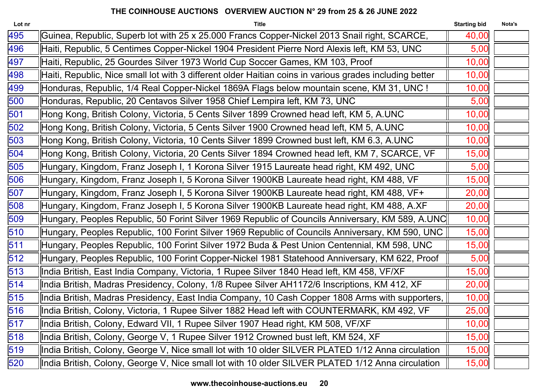| Guinea, Republic, Superb lot with 25 x 25.000 Francs Copper-Nickel 2013 Snail right, SCARCE,<br>40,00<br>Haiti, Republic, 5 Centimes Copper-Nickel 1904 President Pierre Nord Alexis left, KM 53, UNC<br>5,00<br>Haiti, Republic, 25 Gourdes Silver 1973 World Cup Soccer Games, KM 103, Proof<br>10,00<br>Haiti, Republic, Nice small lot with 3 different older Haitian coins in various grades including better<br>10,00<br>Honduras, Republic, 1/4 Real Copper-Nickel 1869A Flags below mountain scene, KM 31, UNC !<br>10,00<br>Honduras, Republic, 20 Centavos Silver 1958 Chief Lempira left, KM 73, UNC<br>5,00<br>Hong Kong, British Colony, Victoria, 5 Cents Silver 1899 Crowned head left, KM 5, A.UNC<br>10,00<br>Hong Kong, British Colony, Victoria, 5 Cents Silver 1900 Crowned head left, KM 5, A.UNC<br>10,00<br>Hong Kong, British Colony, Victoria, 10 Cents Silver 1899 Crowned bust left, KM 6.3, A.UNC<br>10,00<br>Hong Kong, British Colony, Victoria, 20 Cents Silver 1894 Crowned head left, KM 7, SCARCE, VF<br>15,00<br>5,00<br>Hungary, Kingdom, Franz Joseph I, 1 Korona Silver 1915 Laureate head right, KM 492, UNC<br>Hungary, Kingdom, Franz Joseph I, 5 Korona Silver 1900KB Laureate head right, KM 488, VF<br>15,00<br>Hungary, Kingdom, Franz Joseph I, 5 Korona Silver 1900KB Laureate head right, KM 488, VF+<br>20,00<br>20,00<br>Hungary, Kingdom, Franz Joseph I, 5 Korona Silver 1900KB Laureate head right, KM 488, A.XF<br>Hungary, Peoples Republic, 50 Forint Silver 1969 Republic of Councils Anniversary, KM 589, A.UNC<br>10,00<br>Hungary, Peoples Republic, 100 Forint Silver 1969 Republic of Councils Anniversary, KM 590, UNC<br>15,00<br>Hungary, Peoples Republic, 100 Forint Silver 1972 Buda & Pest Union Centennial, KM 598, UNC<br>15,00<br>Hungary, Peoples Republic, 100 Forint Copper-Nickel 1981 Statehood Anniversary, KM 622, Proof<br>5,00<br>15,00<br>  India British, East India Company, Victoria, 1 Rupee Silver 1840 Head left, KM 458, VF/XF<br>India British, Madras Presidency, Colony, 1/8 Rupee Silver AH1172/6 Inscriptions, KM 412, XF<br>20,00<br>India British, Madras Presidency, East India Company, 10 Cash Copper 1808 Arms with supporters,<br>10,00<br>25,00<br>  India British, Colony, Victoria, 1 Rupee Silver 1882 Head left with COUNTERMARK, KM 492, VF<br>India British, Colony, Edward VII, 1 Rupee Silver 1907 Head right, KM 508, VF/XF<br>10,00<br>India British, Colony, George V, 1 Rupee Silver 1912 Crowned bust left, KM 524, XF<br>15,00<br>India British, Colony, George V, Nice small lot with 10 older SILVER PLATED 1/12 Anna circulation<br>15,00<br>India British, Colony, George V, Nice small lot with 10 older SILVER PLATED 1/12 Anna circulation<br>15,00 | Lot nr | <b>Title</b> | <b>Starting bid</b> | Nota's |
|--------------------------------------------------------------------------------------------------------------------------------------------------------------------------------------------------------------------------------------------------------------------------------------------------------------------------------------------------------------------------------------------------------------------------------------------------------------------------------------------------------------------------------------------------------------------------------------------------------------------------------------------------------------------------------------------------------------------------------------------------------------------------------------------------------------------------------------------------------------------------------------------------------------------------------------------------------------------------------------------------------------------------------------------------------------------------------------------------------------------------------------------------------------------------------------------------------------------------------------------------------------------------------------------------------------------------------------------------------------------------------------------------------------------------------------------------------------------------------------------------------------------------------------------------------------------------------------------------------------------------------------------------------------------------------------------------------------------------------------------------------------------------------------------------------------------------------------------------------------------------------------------------------------------------------------------------------------------------------------------------------------------------------------------------------------------------------------------------------------------------------------------------------------------------------------------------------------------------------------------------------------------------------------------------------------------------------------------------------------------------------------------------------------------------------------------------------------------------------------------------------------------------------------------------------------------------------------------------------------------------------------------------------------------------------------------------------------------------------------------------------------------------------|--------|--------------|---------------------|--------|
|                                                                                                                                                                                                                                                                                                                                                                                                                                                                                                                                                                                                                                                                                                                                                                                                                                                                                                                                                                                                                                                                                                                                                                                                                                                                                                                                                                                                                                                                                                                                                                                                                                                                                                                                                                                                                                                                                                                                                                                                                                                                                                                                                                                                                                                                                                                                                                                                                                                                                                                                                                                                                                                                                                                                                                                | 495    |              |                     |        |
|                                                                                                                                                                                                                                                                                                                                                                                                                                                                                                                                                                                                                                                                                                                                                                                                                                                                                                                                                                                                                                                                                                                                                                                                                                                                                                                                                                                                                                                                                                                                                                                                                                                                                                                                                                                                                                                                                                                                                                                                                                                                                                                                                                                                                                                                                                                                                                                                                                                                                                                                                                                                                                                                                                                                                                                | 496    |              |                     |        |
|                                                                                                                                                                                                                                                                                                                                                                                                                                                                                                                                                                                                                                                                                                                                                                                                                                                                                                                                                                                                                                                                                                                                                                                                                                                                                                                                                                                                                                                                                                                                                                                                                                                                                                                                                                                                                                                                                                                                                                                                                                                                                                                                                                                                                                                                                                                                                                                                                                                                                                                                                                                                                                                                                                                                                                                | 497    |              |                     |        |
|                                                                                                                                                                                                                                                                                                                                                                                                                                                                                                                                                                                                                                                                                                                                                                                                                                                                                                                                                                                                                                                                                                                                                                                                                                                                                                                                                                                                                                                                                                                                                                                                                                                                                                                                                                                                                                                                                                                                                                                                                                                                                                                                                                                                                                                                                                                                                                                                                                                                                                                                                                                                                                                                                                                                                                                | 498    |              |                     |        |
|                                                                                                                                                                                                                                                                                                                                                                                                                                                                                                                                                                                                                                                                                                                                                                                                                                                                                                                                                                                                                                                                                                                                                                                                                                                                                                                                                                                                                                                                                                                                                                                                                                                                                                                                                                                                                                                                                                                                                                                                                                                                                                                                                                                                                                                                                                                                                                                                                                                                                                                                                                                                                                                                                                                                                                                | 499    |              |                     |        |
|                                                                                                                                                                                                                                                                                                                                                                                                                                                                                                                                                                                                                                                                                                                                                                                                                                                                                                                                                                                                                                                                                                                                                                                                                                                                                                                                                                                                                                                                                                                                                                                                                                                                                                                                                                                                                                                                                                                                                                                                                                                                                                                                                                                                                                                                                                                                                                                                                                                                                                                                                                                                                                                                                                                                                                                | 500    |              |                     |        |
|                                                                                                                                                                                                                                                                                                                                                                                                                                                                                                                                                                                                                                                                                                                                                                                                                                                                                                                                                                                                                                                                                                                                                                                                                                                                                                                                                                                                                                                                                                                                                                                                                                                                                                                                                                                                                                                                                                                                                                                                                                                                                                                                                                                                                                                                                                                                                                                                                                                                                                                                                                                                                                                                                                                                                                                | 501    |              |                     |        |
|                                                                                                                                                                                                                                                                                                                                                                                                                                                                                                                                                                                                                                                                                                                                                                                                                                                                                                                                                                                                                                                                                                                                                                                                                                                                                                                                                                                                                                                                                                                                                                                                                                                                                                                                                                                                                                                                                                                                                                                                                                                                                                                                                                                                                                                                                                                                                                                                                                                                                                                                                                                                                                                                                                                                                                                | 502    |              |                     |        |
|                                                                                                                                                                                                                                                                                                                                                                                                                                                                                                                                                                                                                                                                                                                                                                                                                                                                                                                                                                                                                                                                                                                                                                                                                                                                                                                                                                                                                                                                                                                                                                                                                                                                                                                                                                                                                                                                                                                                                                                                                                                                                                                                                                                                                                                                                                                                                                                                                                                                                                                                                                                                                                                                                                                                                                                | 503    |              |                     |        |
|                                                                                                                                                                                                                                                                                                                                                                                                                                                                                                                                                                                                                                                                                                                                                                                                                                                                                                                                                                                                                                                                                                                                                                                                                                                                                                                                                                                                                                                                                                                                                                                                                                                                                                                                                                                                                                                                                                                                                                                                                                                                                                                                                                                                                                                                                                                                                                                                                                                                                                                                                                                                                                                                                                                                                                                | 504    |              |                     |        |
|                                                                                                                                                                                                                                                                                                                                                                                                                                                                                                                                                                                                                                                                                                                                                                                                                                                                                                                                                                                                                                                                                                                                                                                                                                                                                                                                                                                                                                                                                                                                                                                                                                                                                                                                                                                                                                                                                                                                                                                                                                                                                                                                                                                                                                                                                                                                                                                                                                                                                                                                                                                                                                                                                                                                                                                | 505    |              |                     |        |
|                                                                                                                                                                                                                                                                                                                                                                                                                                                                                                                                                                                                                                                                                                                                                                                                                                                                                                                                                                                                                                                                                                                                                                                                                                                                                                                                                                                                                                                                                                                                                                                                                                                                                                                                                                                                                                                                                                                                                                                                                                                                                                                                                                                                                                                                                                                                                                                                                                                                                                                                                                                                                                                                                                                                                                                | 506    |              |                     |        |
|                                                                                                                                                                                                                                                                                                                                                                                                                                                                                                                                                                                                                                                                                                                                                                                                                                                                                                                                                                                                                                                                                                                                                                                                                                                                                                                                                                                                                                                                                                                                                                                                                                                                                                                                                                                                                                                                                                                                                                                                                                                                                                                                                                                                                                                                                                                                                                                                                                                                                                                                                                                                                                                                                                                                                                                | 507    |              |                     |        |
|                                                                                                                                                                                                                                                                                                                                                                                                                                                                                                                                                                                                                                                                                                                                                                                                                                                                                                                                                                                                                                                                                                                                                                                                                                                                                                                                                                                                                                                                                                                                                                                                                                                                                                                                                                                                                                                                                                                                                                                                                                                                                                                                                                                                                                                                                                                                                                                                                                                                                                                                                                                                                                                                                                                                                                                | 508    |              |                     |        |
|                                                                                                                                                                                                                                                                                                                                                                                                                                                                                                                                                                                                                                                                                                                                                                                                                                                                                                                                                                                                                                                                                                                                                                                                                                                                                                                                                                                                                                                                                                                                                                                                                                                                                                                                                                                                                                                                                                                                                                                                                                                                                                                                                                                                                                                                                                                                                                                                                                                                                                                                                                                                                                                                                                                                                                                | 509    |              |                     |        |
|                                                                                                                                                                                                                                                                                                                                                                                                                                                                                                                                                                                                                                                                                                                                                                                                                                                                                                                                                                                                                                                                                                                                                                                                                                                                                                                                                                                                                                                                                                                                                                                                                                                                                                                                                                                                                                                                                                                                                                                                                                                                                                                                                                                                                                                                                                                                                                                                                                                                                                                                                                                                                                                                                                                                                                                | 510    |              |                     |        |
|                                                                                                                                                                                                                                                                                                                                                                                                                                                                                                                                                                                                                                                                                                                                                                                                                                                                                                                                                                                                                                                                                                                                                                                                                                                                                                                                                                                                                                                                                                                                                                                                                                                                                                                                                                                                                                                                                                                                                                                                                                                                                                                                                                                                                                                                                                                                                                                                                                                                                                                                                                                                                                                                                                                                                                                | 511    |              |                     |        |
|                                                                                                                                                                                                                                                                                                                                                                                                                                                                                                                                                                                                                                                                                                                                                                                                                                                                                                                                                                                                                                                                                                                                                                                                                                                                                                                                                                                                                                                                                                                                                                                                                                                                                                                                                                                                                                                                                                                                                                                                                                                                                                                                                                                                                                                                                                                                                                                                                                                                                                                                                                                                                                                                                                                                                                                | 512    |              |                     |        |
|                                                                                                                                                                                                                                                                                                                                                                                                                                                                                                                                                                                                                                                                                                                                                                                                                                                                                                                                                                                                                                                                                                                                                                                                                                                                                                                                                                                                                                                                                                                                                                                                                                                                                                                                                                                                                                                                                                                                                                                                                                                                                                                                                                                                                                                                                                                                                                                                                                                                                                                                                                                                                                                                                                                                                                                | 513    |              |                     |        |
|                                                                                                                                                                                                                                                                                                                                                                                                                                                                                                                                                                                                                                                                                                                                                                                                                                                                                                                                                                                                                                                                                                                                                                                                                                                                                                                                                                                                                                                                                                                                                                                                                                                                                                                                                                                                                                                                                                                                                                                                                                                                                                                                                                                                                                                                                                                                                                                                                                                                                                                                                                                                                                                                                                                                                                                | 514    |              |                     |        |
|                                                                                                                                                                                                                                                                                                                                                                                                                                                                                                                                                                                                                                                                                                                                                                                                                                                                                                                                                                                                                                                                                                                                                                                                                                                                                                                                                                                                                                                                                                                                                                                                                                                                                                                                                                                                                                                                                                                                                                                                                                                                                                                                                                                                                                                                                                                                                                                                                                                                                                                                                                                                                                                                                                                                                                                | 515    |              |                     |        |
|                                                                                                                                                                                                                                                                                                                                                                                                                                                                                                                                                                                                                                                                                                                                                                                                                                                                                                                                                                                                                                                                                                                                                                                                                                                                                                                                                                                                                                                                                                                                                                                                                                                                                                                                                                                                                                                                                                                                                                                                                                                                                                                                                                                                                                                                                                                                                                                                                                                                                                                                                                                                                                                                                                                                                                                | 516    |              |                     |        |
|                                                                                                                                                                                                                                                                                                                                                                                                                                                                                                                                                                                                                                                                                                                                                                                                                                                                                                                                                                                                                                                                                                                                                                                                                                                                                                                                                                                                                                                                                                                                                                                                                                                                                                                                                                                                                                                                                                                                                                                                                                                                                                                                                                                                                                                                                                                                                                                                                                                                                                                                                                                                                                                                                                                                                                                | 517    |              |                     |        |
|                                                                                                                                                                                                                                                                                                                                                                                                                                                                                                                                                                                                                                                                                                                                                                                                                                                                                                                                                                                                                                                                                                                                                                                                                                                                                                                                                                                                                                                                                                                                                                                                                                                                                                                                                                                                                                                                                                                                                                                                                                                                                                                                                                                                                                                                                                                                                                                                                                                                                                                                                                                                                                                                                                                                                                                | 518    |              |                     |        |
|                                                                                                                                                                                                                                                                                                                                                                                                                                                                                                                                                                                                                                                                                                                                                                                                                                                                                                                                                                                                                                                                                                                                                                                                                                                                                                                                                                                                                                                                                                                                                                                                                                                                                                                                                                                                                                                                                                                                                                                                                                                                                                                                                                                                                                                                                                                                                                                                                                                                                                                                                                                                                                                                                                                                                                                | 519    |              |                     |        |
|                                                                                                                                                                                                                                                                                                                                                                                                                                                                                                                                                                                                                                                                                                                                                                                                                                                                                                                                                                                                                                                                                                                                                                                                                                                                                                                                                                                                                                                                                                                                                                                                                                                                                                                                                                                                                                                                                                                                                                                                                                                                                                                                                                                                                                                                                                                                                                                                                                                                                                                                                                                                                                                                                                                                                                                | 520    |              |                     |        |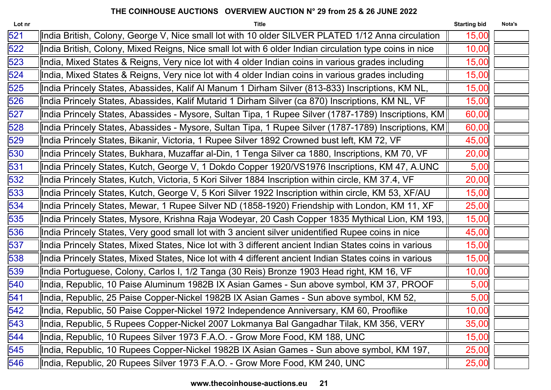| India British, Colony, George V, Nice small lot with 10 older SILVER PLATED 1/12 Anna circulation<br>15,00<br>India British, Colony, Mixed Reigns, Nice small lot with 6 older Indian circulation type coins in nice<br>10,00<br>India, Mixed States & Reigns, Very nice lot with 4 older Indian coins in various grades including<br>15,00<br>India, Mixed States & Reigns, Very nice lot with 4 older Indian coins in various grades including<br>15,00<br>15,00<br>India Princely States, Abassides, Kalif Al Manum 1 Dirham Silver (813-833) Inscriptions, KM NL,<br>India Princely States, Abassides, Kalif Mutarid 1 Dirham Silver (ca 870) Inscriptions, KM NL, VF<br>15,00<br>lndia Princely States, Abassides - Mysore, Sultan Tipa, 1 Rupee Silver (1787-1789) Inscriptions, KM <br>60,00<br>60,00<br>lndia Princely States, Abassides - Mysore, Sultan Tipa, 1 Rupee Silver (1787-1789) Inscriptions, KM  <br>India Princely States, Bikanir, Victoria, 1 Rupee Silver 1892 Crowned bust left, KM 72, VF<br>45,00<br>India Princely States, Bukhara, Muzaffar al-Din, 1 Tenga Silver ca 1880, Inscriptions, KM 70, VF<br>20,00<br>India Princely States, Kutch, George V, 1 Dokdo Copper 1920/VS1976 Inscriptions, KM 47, A.UNC<br>5,00<br>India Princely States, Kutch, Victoria, 5 Kori Silver 1884 Inscription within circle, KM 37.4, VF<br>20,00<br>lndia Princely States, Kutch, George V, 5 Kori Silver 1922 Inscription within circle, KM 53, XF/AU<br>15,00<br>India Princely States, Mewar, 1 Rupee Silver ND (1858-1920) Friendship with London, KM 11, XF<br>25,00<br> India Princely States, Mysore, Krishna Raja Wodeyar, 20 Cash Copper 1835 Mythical Lion, KM 193,   <br>15,00<br>India Princely States, Very good small lot with 3 ancient silver unidentified Rupee coins in nice<br>45,00<br>India Princely States, Mixed States, Nice lot with 3 different ancient Indian States coins in various<br>15,00<br>India Princely States, Mixed States, Nice lot with 4 different ancient Indian States coins in various<br>15,00<br>India Portuguese, Colony, Carlos I, 1/2 Tanga (30 Reis) Bronze 1903 Head right, KM 16, VF<br>10,00<br>India, Republic, 10 Paise Aluminum 1982B IX Asian Games - Sun above symbol, KM 37, PROOF<br>5,00<br>India, Republic, 25 Paise Copper-Nickel 1982B IX Asian Games - Sun above symbol, KM 52,<br>5,00<br>10,00<br>India, Republic, 50 Paise Copper-Nickel 1972 Independence Anniversary, KM 60, Prooflike<br>India, Republic, 5 Rupees Copper-Nickel 2007 Lokmanya Bal Gangadhar Tilak, KM 356, VERY<br>35,00<br>India, Republic, 10 Rupees Silver 1973 F.A.O. - Grow More Food, KM 188, UNC<br>15,00<br>India, Republic, 10 Rupees Copper-Nickel 1982B IX Asian Games - Sun above symbol, KM 197,<br>25,00<br>India, Republic, 20 Rupees Silver 1973 F.A.O. - Grow More Food, KM 240, UNC<br>25,00 | Lot nr | <b>Title</b> | <b>Starting bid</b> | Nota's |
|------------------------------------------------------------------------------------------------------------------------------------------------------------------------------------------------------------------------------------------------------------------------------------------------------------------------------------------------------------------------------------------------------------------------------------------------------------------------------------------------------------------------------------------------------------------------------------------------------------------------------------------------------------------------------------------------------------------------------------------------------------------------------------------------------------------------------------------------------------------------------------------------------------------------------------------------------------------------------------------------------------------------------------------------------------------------------------------------------------------------------------------------------------------------------------------------------------------------------------------------------------------------------------------------------------------------------------------------------------------------------------------------------------------------------------------------------------------------------------------------------------------------------------------------------------------------------------------------------------------------------------------------------------------------------------------------------------------------------------------------------------------------------------------------------------------------------------------------------------------------------------------------------------------------------------------------------------------------------------------------------------------------------------------------------------------------------------------------------------------------------------------------------------------------------------------------------------------------------------------------------------------------------------------------------------------------------------------------------------------------------------------------------------------------------------------------------------------------------------------------------------------------------------------------------------------------------------------------------------------------------------------------------------------------------------------------------------------------------------------------------------------------------------------------------------------------------------------------------------------------|--------|--------------|---------------------|--------|
|                                                                                                                                                                                                                                                                                                                                                                                                                                                                                                                                                                                                                                                                                                                                                                                                                                                                                                                                                                                                                                                                                                                                                                                                                                                                                                                                                                                                                                                                                                                                                                                                                                                                                                                                                                                                                                                                                                                                                                                                                                                                                                                                                                                                                                                                                                                                                                                                                                                                                                                                                                                                                                                                                                                                                                                                                                                                        | 521    |              |                     |        |
|                                                                                                                                                                                                                                                                                                                                                                                                                                                                                                                                                                                                                                                                                                                                                                                                                                                                                                                                                                                                                                                                                                                                                                                                                                                                                                                                                                                                                                                                                                                                                                                                                                                                                                                                                                                                                                                                                                                                                                                                                                                                                                                                                                                                                                                                                                                                                                                                                                                                                                                                                                                                                                                                                                                                                                                                                                                                        | 522    |              |                     |        |
|                                                                                                                                                                                                                                                                                                                                                                                                                                                                                                                                                                                                                                                                                                                                                                                                                                                                                                                                                                                                                                                                                                                                                                                                                                                                                                                                                                                                                                                                                                                                                                                                                                                                                                                                                                                                                                                                                                                                                                                                                                                                                                                                                                                                                                                                                                                                                                                                                                                                                                                                                                                                                                                                                                                                                                                                                                                                        | 523    |              |                     |        |
|                                                                                                                                                                                                                                                                                                                                                                                                                                                                                                                                                                                                                                                                                                                                                                                                                                                                                                                                                                                                                                                                                                                                                                                                                                                                                                                                                                                                                                                                                                                                                                                                                                                                                                                                                                                                                                                                                                                                                                                                                                                                                                                                                                                                                                                                                                                                                                                                                                                                                                                                                                                                                                                                                                                                                                                                                                                                        | 524    |              |                     |        |
|                                                                                                                                                                                                                                                                                                                                                                                                                                                                                                                                                                                                                                                                                                                                                                                                                                                                                                                                                                                                                                                                                                                                                                                                                                                                                                                                                                                                                                                                                                                                                                                                                                                                                                                                                                                                                                                                                                                                                                                                                                                                                                                                                                                                                                                                                                                                                                                                                                                                                                                                                                                                                                                                                                                                                                                                                                                                        | 525    |              |                     |        |
|                                                                                                                                                                                                                                                                                                                                                                                                                                                                                                                                                                                                                                                                                                                                                                                                                                                                                                                                                                                                                                                                                                                                                                                                                                                                                                                                                                                                                                                                                                                                                                                                                                                                                                                                                                                                                                                                                                                                                                                                                                                                                                                                                                                                                                                                                                                                                                                                                                                                                                                                                                                                                                                                                                                                                                                                                                                                        | 526    |              |                     |        |
|                                                                                                                                                                                                                                                                                                                                                                                                                                                                                                                                                                                                                                                                                                                                                                                                                                                                                                                                                                                                                                                                                                                                                                                                                                                                                                                                                                                                                                                                                                                                                                                                                                                                                                                                                                                                                                                                                                                                                                                                                                                                                                                                                                                                                                                                                                                                                                                                                                                                                                                                                                                                                                                                                                                                                                                                                                                                        | 527    |              |                     |        |
|                                                                                                                                                                                                                                                                                                                                                                                                                                                                                                                                                                                                                                                                                                                                                                                                                                                                                                                                                                                                                                                                                                                                                                                                                                                                                                                                                                                                                                                                                                                                                                                                                                                                                                                                                                                                                                                                                                                                                                                                                                                                                                                                                                                                                                                                                                                                                                                                                                                                                                                                                                                                                                                                                                                                                                                                                                                                        | 528    |              |                     |        |
|                                                                                                                                                                                                                                                                                                                                                                                                                                                                                                                                                                                                                                                                                                                                                                                                                                                                                                                                                                                                                                                                                                                                                                                                                                                                                                                                                                                                                                                                                                                                                                                                                                                                                                                                                                                                                                                                                                                                                                                                                                                                                                                                                                                                                                                                                                                                                                                                                                                                                                                                                                                                                                                                                                                                                                                                                                                                        | 529    |              |                     |        |
|                                                                                                                                                                                                                                                                                                                                                                                                                                                                                                                                                                                                                                                                                                                                                                                                                                                                                                                                                                                                                                                                                                                                                                                                                                                                                                                                                                                                                                                                                                                                                                                                                                                                                                                                                                                                                                                                                                                                                                                                                                                                                                                                                                                                                                                                                                                                                                                                                                                                                                                                                                                                                                                                                                                                                                                                                                                                        | 530    |              |                     |        |
|                                                                                                                                                                                                                                                                                                                                                                                                                                                                                                                                                                                                                                                                                                                                                                                                                                                                                                                                                                                                                                                                                                                                                                                                                                                                                                                                                                                                                                                                                                                                                                                                                                                                                                                                                                                                                                                                                                                                                                                                                                                                                                                                                                                                                                                                                                                                                                                                                                                                                                                                                                                                                                                                                                                                                                                                                                                                        | 531    |              |                     |        |
|                                                                                                                                                                                                                                                                                                                                                                                                                                                                                                                                                                                                                                                                                                                                                                                                                                                                                                                                                                                                                                                                                                                                                                                                                                                                                                                                                                                                                                                                                                                                                                                                                                                                                                                                                                                                                                                                                                                                                                                                                                                                                                                                                                                                                                                                                                                                                                                                                                                                                                                                                                                                                                                                                                                                                                                                                                                                        | 532    |              |                     |        |
|                                                                                                                                                                                                                                                                                                                                                                                                                                                                                                                                                                                                                                                                                                                                                                                                                                                                                                                                                                                                                                                                                                                                                                                                                                                                                                                                                                                                                                                                                                                                                                                                                                                                                                                                                                                                                                                                                                                                                                                                                                                                                                                                                                                                                                                                                                                                                                                                                                                                                                                                                                                                                                                                                                                                                                                                                                                                        | 533    |              |                     |        |
|                                                                                                                                                                                                                                                                                                                                                                                                                                                                                                                                                                                                                                                                                                                                                                                                                                                                                                                                                                                                                                                                                                                                                                                                                                                                                                                                                                                                                                                                                                                                                                                                                                                                                                                                                                                                                                                                                                                                                                                                                                                                                                                                                                                                                                                                                                                                                                                                                                                                                                                                                                                                                                                                                                                                                                                                                                                                        | 534    |              |                     |        |
|                                                                                                                                                                                                                                                                                                                                                                                                                                                                                                                                                                                                                                                                                                                                                                                                                                                                                                                                                                                                                                                                                                                                                                                                                                                                                                                                                                                                                                                                                                                                                                                                                                                                                                                                                                                                                                                                                                                                                                                                                                                                                                                                                                                                                                                                                                                                                                                                                                                                                                                                                                                                                                                                                                                                                                                                                                                                        | 535    |              |                     |        |
|                                                                                                                                                                                                                                                                                                                                                                                                                                                                                                                                                                                                                                                                                                                                                                                                                                                                                                                                                                                                                                                                                                                                                                                                                                                                                                                                                                                                                                                                                                                                                                                                                                                                                                                                                                                                                                                                                                                                                                                                                                                                                                                                                                                                                                                                                                                                                                                                                                                                                                                                                                                                                                                                                                                                                                                                                                                                        | 536    |              |                     |        |
|                                                                                                                                                                                                                                                                                                                                                                                                                                                                                                                                                                                                                                                                                                                                                                                                                                                                                                                                                                                                                                                                                                                                                                                                                                                                                                                                                                                                                                                                                                                                                                                                                                                                                                                                                                                                                                                                                                                                                                                                                                                                                                                                                                                                                                                                                                                                                                                                                                                                                                                                                                                                                                                                                                                                                                                                                                                                        | 537    |              |                     |        |
|                                                                                                                                                                                                                                                                                                                                                                                                                                                                                                                                                                                                                                                                                                                                                                                                                                                                                                                                                                                                                                                                                                                                                                                                                                                                                                                                                                                                                                                                                                                                                                                                                                                                                                                                                                                                                                                                                                                                                                                                                                                                                                                                                                                                                                                                                                                                                                                                                                                                                                                                                                                                                                                                                                                                                                                                                                                                        | 538    |              |                     |        |
|                                                                                                                                                                                                                                                                                                                                                                                                                                                                                                                                                                                                                                                                                                                                                                                                                                                                                                                                                                                                                                                                                                                                                                                                                                                                                                                                                                                                                                                                                                                                                                                                                                                                                                                                                                                                                                                                                                                                                                                                                                                                                                                                                                                                                                                                                                                                                                                                                                                                                                                                                                                                                                                                                                                                                                                                                                                                        | 539    |              |                     |        |
|                                                                                                                                                                                                                                                                                                                                                                                                                                                                                                                                                                                                                                                                                                                                                                                                                                                                                                                                                                                                                                                                                                                                                                                                                                                                                                                                                                                                                                                                                                                                                                                                                                                                                                                                                                                                                                                                                                                                                                                                                                                                                                                                                                                                                                                                                                                                                                                                                                                                                                                                                                                                                                                                                                                                                                                                                                                                        | 540    |              |                     |        |
|                                                                                                                                                                                                                                                                                                                                                                                                                                                                                                                                                                                                                                                                                                                                                                                                                                                                                                                                                                                                                                                                                                                                                                                                                                                                                                                                                                                                                                                                                                                                                                                                                                                                                                                                                                                                                                                                                                                                                                                                                                                                                                                                                                                                                                                                                                                                                                                                                                                                                                                                                                                                                                                                                                                                                                                                                                                                        | 541    |              |                     |        |
|                                                                                                                                                                                                                                                                                                                                                                                                                                                                                                                                                                                                                                                                                                                                                                                                                                                                                                                                                                                                                                                                                                                                                                                                                                                                                                                                                                                                                                                                                                                                                                                                                                                                                                                                                                                                                                                                                                                                                                                                                                                                                                                                                                                                                                                                                                                                                                                                                                                                                                                                                                                                                                                                                                                                                                                                                                                                        | 542    |              |                     |        |
|                                                                                                                                                                                                                                                                                                                                                                                                                                                                                                                                                                                                                                                                                                                                                                                                                                                                                                                                                                                                                                                                                                                                                                                                                                                                                                                                                                                                                                                                                                                                                                                                                                                                                                                                                                                                                                                                                                                                                                                                                                                                                                                                                                                                                                                                                                                                                                                                                                                                                                                                                                                                                                                                                                                                                                                                                                                                        | 543    |              |                     |        |
|                                                                                                                                                                                                                                                                                                                                                                                                                                                                                                                                                                                                                                                                                                                                                                                                                                                                                                                                                                                                                                                                                                                                                                                                                                                                                                                                                                                                                                                                                                                                                                                                                                                                                                                                                                                                                                                                                                                                                                                                                                                                                                                                                                                                                                                                                                                                                                                                                                                                                                                                                                                                                                                                                                                                                                                                                                                                        | 544    |              |                     |        |
|                                                                                                                                                                                                                                                                                                                                                                                                                                                                                                                                                                                                                                                                                                                                                                                                                                                                                                                                                                                                                                                                                                                                                                                                                                                                                                                                                                                                                                                                                                                                                                                                                                                                                                                                                                                                                                                                                                                                                                                                                                                                                                                                                                                                                                                                                                                                                                                                                                                                                                                                                                                                                                                                                                                                                                                                                                                                        | 545    |              |                     |        |
|                                                                                                                                                                                                                                                                                                                                                                                                                                                                                                                                                                                                                                                                                                                                                                                                                                                                                                                                                                                                                                                                                                                                                                                                                                                                                                                                                                                                                                                                                                                                                                                                                                                                                                                                                                                                                                                                                                                                                                                                                                                                                                                                                                                                                                                                                                                                                                                                                                                                                                                                                                                                                                                                                                                                                                                                                                                                        | 546    |              |                     |        |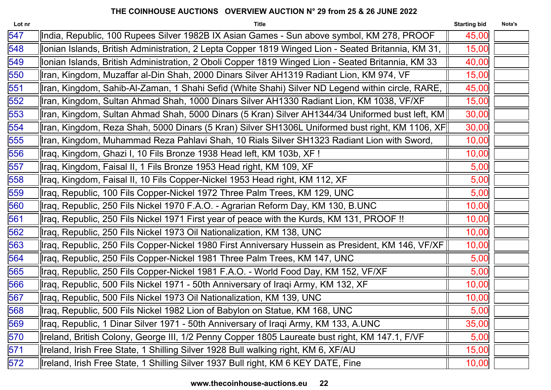| Lot nr | <b>Title</b>                                                                                       | <b>Starting bid</b> | Nota's |
|--------|----------------------------------------------------------------------------------------------------|---------------------|--------|
| 547    | India, Republic, 100 Rupees Silver 1982B IX Asian Games - Sun above symbol, KM 278, PROOF          | 45,00               |        |
| 548    | lonian Islands, British Administration, 2 Lepta Copper 1819 Winged Lion - Seated Britannia, KM 31, | 15,00               |        |
| 549    | Ionian Islands, British Administration, 2 Oboli Copper 1819 Winged Lion - Seated Britannia, KM 33  | 40,00               |        |
| 550    | Iran, Kingdom, Muzaffar al-Din Shah, 2000 Dinars Silver AH1319 Radiant Lion, KM 974, VF            | 15,00               |        |
| 551    | Iran, Kingdom, Sahib-Al-Zaman, 1 Shahi Sefid (White Shahi) Silver ND Legend within circle, RARE,   | 45,00               |        |
| 552    | Iran, Kingdom, Sultan Ahmad Shah, 1000 Dinars Silver AH1330 Radiant Lion, KM 1038, VF/XF           | 15,00               |        |
| 553    | Iran, Kingdom, Sultan Ahmad Shah, 5000 Dinars (5 Kran) Silver AH1344/34 Uniformed bust left, KM    | 30,00               |        |
| 554    | llran, Kingdom, Reza Shah, 5000 Dinars (5 Kran) Silver SH1306L Uniformed bust right, KM 1106, XF   | 30,00               |        |
| 555    | Iran, Kingdom, Muhammad Reza Pahlavi Shah, 10 Rials Silver SH1323 Radiant Lion with Sword,         | 10,00               |        |
| 556    | Iraq, Kingdom, Ghazi I, 10 Fils Bronze 1938 Head left, KM 103b, XF !                               | 10,00               |        |
| 557    | Iraq, Kingdom, Faisal II, 1 Fils Bronze 1953 Head right, KM 109, XF                                | 5,00                |        |
| 558    | Iraq, Kingdom, Faisal II, 10 Fils Copper-Nickel 1953 Head right, KM 112, XF                        | 5,00                |        |
| 559    | Iraq, Republic, 100 Fils Copper-Nickel 1972 Three Palm Trees, KM 129, UNC                          | 5,00                |        |
| 560    | Iraq, Republic, 250 Fils Nickel 1970 F.A.O. - Agrarian Reform Day, KM 130, B.UNC                   | 10,00               |        |
| 561    | llraq, Republic, 250 Fils Nickel 1971 First year of peace with the Kurds, KM 131, PROOF !!         | 10,00               |        |
| 562    | Ilraq, Republic, 250 Fils Nickel 1973 Oil Nationalization, KM 138, UNC                             | 10,00               |        |
| 563    | llraq, Republic, 250 Fils Copper-Nickel 1980 First Anniversary Hussein as President, KM 146, VF/XF | 10,00               |        |
| 564    | Iraq, Republic, 250 Fils Copper-Nickel 1981 Three Palm Trees, KM 147, UNC                          | 5,00                |        |
| 565    | Ilraq, Republic, 250 Fils Copper-Nickel 1981 F.A.O. - World Food Day, KM 152, VF/XF                | 5,00                |        |
| 566    | Iraq, Republic, 500 Fils Nickel 1971 - 50th Anniversary of Iraqi Army, KM 132, XF                  | 10,00               |        |
| 567    | Iraq, Republic, 500 Fils Nickel 1973 Oil Nationalization, KM 139, UNC                              | 10,00               |        |
| 568    | Iraq, Republic, 500 Fils Nickel 1982 Lion of Babylon on Statue, KM 168, UNC                        | 5,00                |        |
| 569    | Iraq, Republic, 1 Dinar Silver 1971 - 50th Anniversary of Iraqi Army, KM 133, A.UNC                | 35,00               |        |
| 570    | Ireland, British Colony, George III, 1/2 Penny Copper 1805 Laureate bust right, KM 147.1, F/VF     | 5,00                |        |
| 571    | Ireland, Irish Free State, 1 Shilling Silver 1928 Bull walking right, KM 6, XF/AU                  | 15,00               |        |
| 572    | Ireland, Irish Free State, 1 Shilling Silver 1937 Bull right, KM 6 KEY DATE, Fine                  | 10,00               |        |
|        |                                                                                                    |                     |        |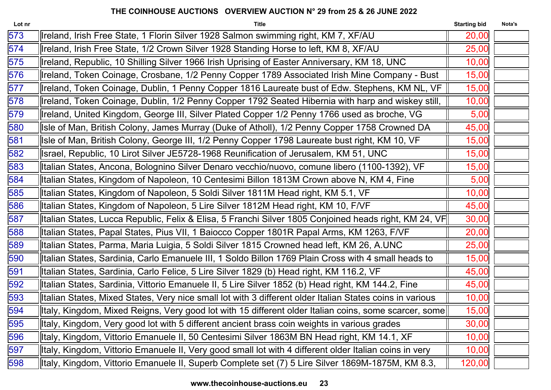| Lot nr           | <b>Title</b>                                                                                             | <b>Starting bid</b> | Nota's |
|------------------|----------------------------------------------------------------------------------------------------------|---------------------|--------|
| 573              | Ireland, Irish Free State, 1 Florin Silver 1928 Salmon swimming right, KM 7, XF/AU                       | 20,00               |        |
| $\overline{574}$ | Ireland, Irish Free State, 1/2 Crown Silver 1928 Standing Horse to left, KM 8, XF/AU                     | 25,00               |        |
| 575              | Ireland, Republic, 10 Shilling Silver 1966 Irish Uprising of Easter Anniversary, KM 18, UNC              | 10,00               |        |
| 576              | Ireland, Token Coinage, Crosbane, 1/2 Penny Copper 1789 Associated Irish Mine Company - Bust             | 15,00               |        |
| 577              | Ireland, Token Coinage, Dublin, 1 Penny Copper 1816 Laureate bust of Edw. Stephens, KM NL, VF            | 15,00               |        |
| 578              | Ireland, Token Coinage, Dublin, 1/2 Penny Copper 1792 Seated Hibernia with harp and wiskey still,        | 10,00               |        |
| 579              | Ireland, United Kingdom, George III, Silver Plated Copper 1/2 Penny 1766 used as broche, VG              | 5,00                |        |
| 580              | Isle of Man, British Colony, James Murray (Duke of Atholl), 1/2 Penny Copper 1758 Crowned DA             | 45,00               |        |
| 581              | Isle of Man, British Colony, George III, 1/2 Penny Copper 1798 Laureate bust right, KM 10, VF            | 15,00               |        |
| 582              | Israel, Republic, 10 Lirot Silver JE5728-1968 Reunification of Jerusalem, KM 51, UNC                     | 15,00               |        |
| 583              | Italian States, Ancona, Bolognino Silver Denaro vecchio/nuovo, comune libero (1100-1392), VF             | 15,00               |        |
| 584              | Italian States, Kingdom of Napoleon, 10 Centesimi Billon 1813M Crown above N, KM 4, Fine                 | 5,00                |        |
| 585              | Italian States, Kingdom of Napoleon, 5 Soldi Silver 1811M Head right, KM 5.1, VF                         | 10,00               |        |
| 586              | Italian States, Kingdom of Napoleon, 5 Lire Silver 1812M Head right, KM 10, F/VF                         | 45,00               |        |
| 587              | lltalian States, Lucca Republic, Felix & Elisa, 5 Franchi Silver 1805 Conjoined heads right, KM 24, VF   | 30,00               |        |
| 588              | Italian States, Papal States, Pius VII, 1 Baiocco Copper 1801R Papal Arms, KM 1263, F/VF                 | 20,00               |        |
| 589              | Italian States, Parma, Maria Luigia, 5 Soldi Silver 1815 Crowned head left, KM 26, A.UNC                 | 25,00               |        |
| 590              | Italian States, Sardinia, Carlo Emanuele III, 1 Soldo Billon 1769 Plain Cross with 4 small heads to      | 15,00               |        |
| 591              | Italian States, Sardinia, Carlo Felice, 5 Lire Silver 1829 (b) Head right, KM 116.2, VF                  | 45,00               |        |
| 592              | Italian States, Sardinia, Vittorio Emanuele II, 5 Lire Silver 1852 (b) Head right, KM 144.2, Fine        | 45,00               |        |
| 593              | Italian States, Mixed States, Very nice small lot with 3 different older Italian States coins in various | 10,00               |        |
| 594              | lltaly, Kingdom, Mixed Reigns, Very good lot with 15 different older Italian coins, some scarcer, some   | 15,00               |        |
| 595              | Italy, Kingdom, Very good lot with 5 different ancient brass coin weights in various grades              | 30,00               |        |
| 596              | Italy, Kingdom, Vittorio Emanuele II, 50 Centesimi Silver 1863M BN Head right, KM 14.1, XF               | 10,00               |        |
| 597              | Italy, Kingdom, Vittorio Emanuele II, Very good small lot with 4 different older Italian coins in very   | 10,00               |        |
| 598              | Italy, Kingdom, Vittorio Emanuele II, Superb Complete set (7) 5 Lire Silver 1869M-1875M, KM 8.3,         | 120,00              |        |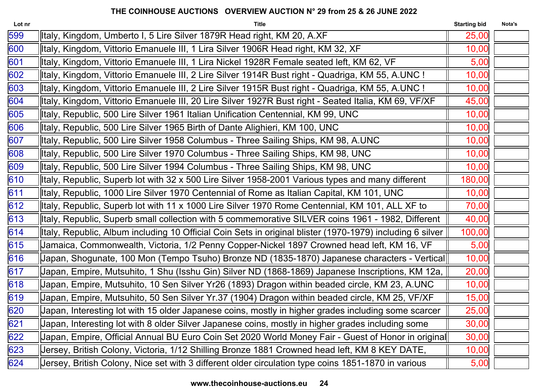| Lot nr | <b>Title</b>                                                                                              | <b>Starting bid</b> | Nota's |
|--------|-----------------------------------------------------------------------------------------------------------|---------------------|--------|
| 599    | Italy, Kingdom, Umberto I, 5 Lire Silver 1879R Head right, KM 20, A.XF                                    | 25,00               |        |
| 600    | Italy, Kingdom, Vittorio Emanuele III, 1 Lira Silver 1906R Head right, KM 32, XF                          | 10,00               |        |
| 601    | Italy, Kingdom, Vittorio Emanuele III, 1 Lira Nickel 1928R Female seated left, KM 62, VF                  | 5,00                |        |
| 602    | lltaly, Kingdom, Vittorio Emanuele III, 2 Lire Silver 1914R Bust right - Quadriga, KM 55, A.UNC !         | 10,00               |        |
| 603    | lltaly, Kingdom, Vittorio Emanuele III, 2 Lire Silver 1915R Bust right - Quadriga, KM 55, A.UNC !         | 10,00               |        |
| 604    | ltaly, Kingdom, Vittorio Emanuele III, 20 Lire Silver 1927R Bust right - Seated Italia, KM 69, VF/XF      | 45,00               |        |
| 605    | Italy, Republic, 500 Lire Silver 1961 Italian Unification Centennial, KM 99, UNC                          | 10,00               |        |
| 606    | Italy, Republic, 500 Lire Silver 1965 Birth of Dante Alighieri, KM 100, UNC                               | 10,00               |        |
| 607    | Italy, Republic, 500 Lire Silver 1958 Columbus - Three Sailing Ships, KM 98, A.UNC                        | 10,00               |        |
| 608    | Italy, Republic, 500 Lire Silver 1970 Columbus - Three Sailing Ships, KM 98, UNC                          | 10,00               |        |
| 609    | Italy, Republic, 500 Lire Silver 1994 Columbus - Three Sailing Ships, KM 98, UNC                          | 10,00               |        |
| 610    | Italy, Republic, Superb lot with 32 x 500 Lire Silver 1958-2001 Various types and many different          | 180,00              |        |
| 611    | Italy, Republic, 1000 Lire Silver 1970 Centennial of Rome as Italian Capital, KM 101, UNC                 | 10,00               |        |
| 612    | Italy, Republic, Superb lot with 11 x 1000 Lire Silver 1970 Rome Centennial, KM 101, ALL XF to            | 70,00               |        |
| 613    | Italy, Republic, Superb small collection with 5 commemorative SILVER coins 1961 - 1982, Different         | 40,00               |        |
| 614    | Italy, Republic, Album including 10 Official Coin Sets in original blister (1970-1979) including 6 silver | 100,00              |        |
| 615    | Jamaica, Commonwealth, Victoria, 1/2 Penny Copper-Nickel 1897 Crowned head left, KM 16, VF                | 5,00                |        |
| 616    | Japan, Shogunate, 100 Mon (Tempo Tsuho) Bronze ND (1835-1870) Japanese characters - Vertical              | 10,00               |        |
| 617    | Japan, Empire, Mutsuhito, 1 Shu (Isshu Gin) Silver ND (1868-1869) Japanese Inscriptions, KM 12a,          | 20,00               |        |
| 618    | Japan, Empire, Mutsuhito, 10 Sen Silver Yr26 (1893) Dragon within beaded circle, KM 23, A.UNC             | 10,00               |        |
| 619    | Japan, Empire, Mutsuhito, 50 Sen Silver Yr.37 (1904) Dragon within beaded circle, KM 25, VF/XF            | 15,00               |        |
| 620    | Japan, Interesting lot with 15 older Japanese coins, mostly in higher grades including some scarcer       | 25,00               |        |
| 621    | Japan, Interesting lot with 8 older Silver Japanese coins, mostly in higher grades including some         | 30,00               |        |
| 622    | Japan, Empire, Official Annual BU Euro Coin Set 2020 World Money Fair - Guest of Honor in original        | 30,00               |        |
| 623    | Jersey, British Colony, Victoria, 1/12 Shilling Bronze 1881 Crowned head left, KM 8 KEY DATE,             | 10,00               |        |
| 624    | Jersey, British Colony, Nice set with 3 different older circulation type coins 1851-1870 in various       | 5,00                |        |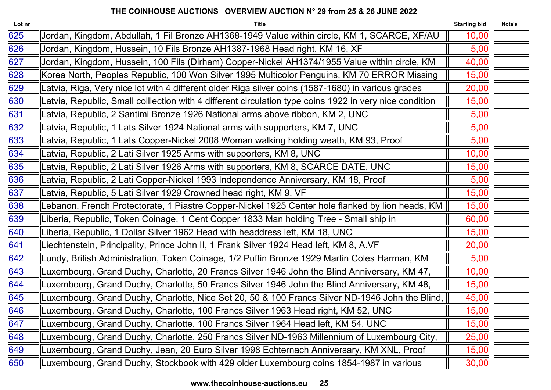| Lot nr | <b>Title</b>                                                                                            | <b>Starting bid</b> | Nota's |
|--------|---------------------------------------------------------------------------------------------------------|---------------------|--------|
| 625    | Jordan, Kingdom, Abdullah, 1 Fil Bronze AH1368-1949 Value within circle, KM 1, SCARCE, XF/AU            | 10,00               |        |
| 626    | Jordan, Kingdom, Hussein, 10 Fils Bronze AH1387-1968 Head right, KM 16, XF                              | 5,00                |        |
| 627    | Jordan, Kingdom, Hussein, 100 Fils (Dirham) Copper-Nickel AH1374/1955 Value within circle, KM           | 40,00               |        |
| 628    | Korea North, Peoples Republic, 100 Won Silver 1995 Multicolor Penguins, KM 70 ERROR Missing             | 15,00               |        |
| 629    | Latvia, Riga, Very nice lot with 4 different older Riga silver coins (1587-1680) in various grades      | 20,00               |        |
| 630    | Latvia, Republic, Small colllection with 4 different circulation type coins 1922 in very nice condition | 15,00               |        |
| 631    | Latvia, Republic, 2 Santimi Bronze 1926 National arms above ribbon, KM 2, UNC                           | 5,00                |        |
| 632    | Latvia, Republic, 1 Lats Silver 1924 National arms with supporters, KM 7, UNC                           | 5,00                |        |
| 633    | Latvia, Republic, 1 Lats Copper-Nickel 2008 Woman walking holding weath, KM 93, Proof                   | 5,00                |        |
| 634    | Latvia, Republic, 2 Lati Silver 1925 Arms with supporters, KM 8, UNC                                    | 10,00               |        |
| 635    | Latvia, Republic, 2 Lati Silver 1926 Arms with supporters, KM 8, SCARCE DATE, UNC                       | 15,00               |        |
| 636    | Latvia, Republic, 2 Lati Copper-Nickel 1993 Independence Anniversary, KM 18, Proof                      | 5,00                |        |
| 637    | Latvia, Republic, 5 Lati Silver 1929 Crowned head right, KM 9, VF                                       | 15,00               |        |
| 638    | Lebanon, French Protectorate, 1 Piastre Copper-Nickel 1925 Center hole flanked by lion heads, KM        | 15,00               |        |
| 639    | Liberia, Republic, Token Coinage, 1 Cent Copper 1833 Man holding Tree - Small ship in                   | 60,00               |        |
| 640    | Liberia, Republic, 1 Dollar Silver 1962 Head with headdress left, KM 18, UNC                            | 15,00               |        |
| 641    | Liechtenstein, Principality, Prince John II, 1 Frank Silver 1924 Head left, KM 8, A.VF                  | 20,00               |        |
| 642    | Lundy, British Administration, Token Coinage, 1/2 Puffin Bronze 1929 Martin Coles Harman, KM            | 5,00                |        |
| 643    | Luxembourg, Grand Duchy, Charlotte, 20 Francs Silver 1946 John the Blind Anniversary, KM 47,            | 10,00               |        |
| 644    | Luxembourg, Grand Duchy, Charlotte, 50 Francs Silver 1946 John the Blind Anniversary, KM 48,            | 15,00               |        |
| 645    | Luxembourg, Grand Duchy, Charlotte, Nice Set 20, 50 & 100 Francs Silver ND-1946 John the Blind,         | 45,00               |        |
| 646    | Luxembourg, Grand Duchy, Charlotte, 100 Francs Silver 1963 Head right, KM 52, UNC                       | 15,00               |        |
| 647    | Luxembourg, Grand Duchy, Charlotte, 100 Francs Silver 1964 Head left, KM 54, UNC                        | 15,00               |        |
| 648    | Luxembourg, Grand Duchy, Charlotte, 250 Francs Silver ND-1963 Millennium of Luxembourg City,            | 25,00               |        |
| 649    | Luxembourg, Grand Duchy, Jean, 20 Euro Silver 1998 Echternach Anniversary, KM XNL, Proof                | 15,00               |        |
| 650    | Luxembourg, Grand Duchy, Stockbook with 429 older Luxembourg coins 1854-1987 in various                 | 30,00               |        |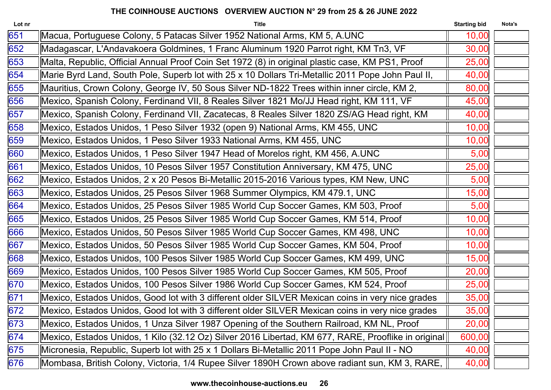| Lot nr | <b>Title</b>                                                                                        | <b>Starting bid</b> | Nota's |
|--------|-----------------------------------------------------------------------------------------------------|---------------------|--------|
| 651    | Macua, Portuguese Colony, 5 Patacas Silver 1952 National Arms, KM 5, A.UNC                          | 10,00               |        |
| 652    | Madagascar, L'Andavakoera Goldmines, 1 Franc Aluminum 1920 Parrot right, KM Tn3, VF                 | 30,00               |        |
| 653    | Malta, Republic, Official Annual Proof Coin Set 1972 (8) in original plastic case, KM PS1, Proof    | 25,00               |        |
| 654    | Marie Byrd Land, South Pole, Superb lot with 25 x 10 Dollars Tri-Metallic 2011 Pope John Paul II,   | 40,00               |        |
| 655    | Mauritius, Crown Colony, George IV, 50 Sous Silver ND-1822 Trees within inner circle, KM 2,         | 80,00               |        |
| 656    | Mexico, Spanish Colony, Ferdinand VII, 8 Reales Silver 1821 Mo/JJ Head right, KM 111, VF            | 45,00               |        |
| 657    | Mexico, Spanish Colony, Ferdinand VII, Zacatecas, 8 Reales Silver 1820 ZS/AG Head right, KM         | 40,00               |        |
| 658    | Mexico, Estados Unidos, 1 Peso Silver 1932 (open 9) National Arms, KM 455, UNC                      | 10,00               |        |
| 659    | Mexico, Estados Unidos, 1 Peso Silver 1933 National Arms, KM 455, UNC                               | 10,00               |        |
| 660    | Mexico, Estados Unidos, 1 Peso Silver 1947 Head of Morelos right, KM 456, A.UNC                     | 5,00                |        |
| 661    | Mexico, Estados Unidos, 10 Pesos Silver 1957 Constitution Anniversary, KM 475, UNC                  | 25,00               |        |
| 662    | Mexico, Estados Unidos, 2 x 20 Pesos Bi-Metallic 2015-2016 Various types, KM New, UNC               | 5,00                |        |
| 663    | Mexico, Estados Unidos, 25 Pesos Silver 1968 Summer Olympics, KM 479.1, UNC                         | 15,00               |        |
| 664    | Mexico, Estados Unidos, 25 Pesos Silver 1985 World Cup Soccer Games, KM 503, Proof                  | 5,00                |        |
| 665    | Mexico, Estados Unidos, 25 Pesos Silver 1985 World Cup Soccer Games, KM 514, Proof                  | 10,00               |        |
| 666    | Mexico, Estados Unidos, 50 Pesos Silver 1985 World Cup Soccer Games, KM 498, UNC                    | 10,00               |        |
| 667    | Mexico, Estados Unidos, 50 Pesos Silver 1985 World Cup Soccer Games, KM 504, Proof                  | 10,00               |        |
| 668    | Mexico, Estados Unidos, 100 Pesos Silver 1985 World Cup Soccer Games, KM 499, UNC                   | 15,00               |        |
| 669    | Mexico, Estados Unidos, 100 Pesos Silver 1985 World Cup Soccer Games, KM 505, Proof                 | 20,00               |        |
| 670    | Mexico, Estados Unidos, 100 Pesos Silver 1986 World Cup Soccer Games, KM 524, Proof                 | 25,00               |        |
| 671    | Mexico, Estados Unidos, Good lot with 3 different older SILVER Mexican coins in very nice grades    | 35,00               |        |
| 672    | Mexico, Estados Unidos, Good lot with 3 different older SILVER Mexican coins in very nice grades    | 35,00               |        |
| 673    | Mexico, Estados Unidos, 1 Unza Silver 1987 Opening of the Southern Railroad, KM NL, Proof           | 20,00               |        |
| 674    | Mexico, Estados Unidos, 1 Kilo (32.12 Oz) Silver 2016 Libertad, KM 677, RARE, Prooflike in original | 600,00              |        |
| 675    | Micronesia, Republic, Superb lot with 25 x 1 Dollars Bi-Metallic 2011 Pope John Paul II - NO        | 40,00               |        |
| 676    | Mombasa, British Colony, Victoria, 1/4 Rupee Silver 1890H Crown above radiant sun, KM 3, RARE,      | 40,00               |        |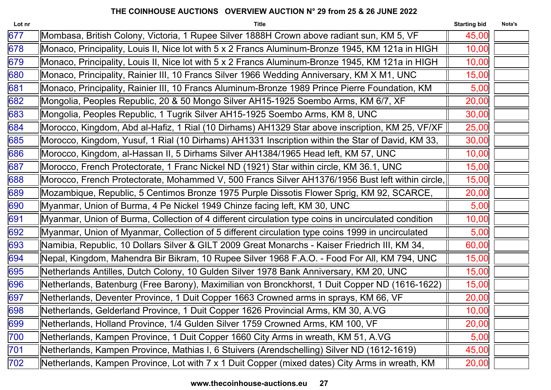| Lot nr | <b>Title</b>                                                                                        | <b>Starting bid</b> | Nota's |
|--------|-----------------------------------------------------------------------------------------------------|---------------------|--------|
| 677    | Mombasa, British Colony, Victoria, 1 Rupee Silver 1888H Crown above radiant sun, KM 5, VF           | 45,00               |        |
| 678    | Monaco, Principality, Louis II, Nice lot with 5 x 2 Francs Aluminum-Bronze 1945, KM 121a in HIGH    | 10,00               |        |
| 679    | Monaco, Principality, Louis II, Nice lot with 5 x 2 Francs Aluminum-Bronze 1945, KM 121a in HIGH    | 10,00               |        |
| 680    | Monaco, Principality, Rainier III, 10 Francs Silver 1966 Wedding Anniversary, KM X M1, UNC          | 15,00               |        |
| 681    | Monaco, Principality, Rainier III, 10 Francs Aluminum-Bronze 1989 Prince Pierre Foundation, KM      | 5,00                |        |
| 682    | Mongolia, Peoples Republic, 20 & 50 Mongo Silver AH15-1925 Soembo Arms, KM 6/7, XF                  | 20,00               |        |
| 683    | Mongolia, Peoples Republic, 1 Tugrik Silver AH15-1925 Soembo Arms, KM 8, UNC                        | 30,00               |        |
| 684    | Morocco, Kingdom, Abd al-Hafiz, 1 Rial (10 Dirhams) AH1329 Star above inscription, KM 25, VF/XF     | 25,00               |        |
| 685    | Morocco, Kingdom, Yusuf, 1 Rial (10 Dirhams) AH1331 Inscription within the Star of David, KM 33,    | 30,00               |        |
| 686    | Morocco, Kingdom, al-Hassan II, 5 Dirhams Silver AH1384/1965 Head left, KM 57, UNC                  | 10,00               |        |
| 687    | Morocco, French Protectorate, 1 Franc Nickel ND (1921) Star within circle, KM 36.1, UNC             | 15,00               |        |
| 688    | Morocco, French Protectorate, Mohammed V, 500 Francs Silver AH1376/1956 Bust left within circle,    | 15,00               |        |
| 689    | Mozambique, Republic, 5 Centimos Bronze 1975 Purple Dissotis Flower Sprig, KM 92, SCARCE,           | 20,00               |        |
| 690    | Myanmar, Union of Burma, 4 Pe Nickel 1949 Chinze facing left, KM 30, UNC                            | 5,00                |        |
| 691    | Myanmar, Union of Burma, Collection of 4 different circulation type coins in uncirculated condition | 10,00               |        |
| 692    | Myanmar, Union of Myanmar, Collection of 5 different circulation type coins 1999 in uncirculated    | 5,00                |        |
| 693    | Namibia, Republic, 10 Dollars Silver & GILT 2009 Great Monarchs - Kaiser Friedrich III, KM 34,      | 60,00               |        |
| 694    | Nepal, Kingdom, Mahendra Bir Bikram, 10 Rupee Silver 1968 F.A.O. - Food For All, KM 794, UNC        | 15,00               |        |
| 695    | Netherlands Antilles, Dutch Colony, 10 Gulden Silver 1978 Bank Anniversary, KM 20, UNC              | 15,00               |        |
| 696    | Netherlands, Batenburg (Free Barony), Maximilian von Bronckhorst, 1 Duit Copper ND (1616-1622)      | 15,00               |        |
| 697    | Netherlands, Deventer Province, 1 Duit Copper 1663 Crowned arms in sprays, KM 66, VF                | 20,00               |        |
| 698    | Netherlands, Gelderland Province, 1 Duit Copper 1626 Provincial Arms, KM 30, A.VG                   | 10,00               |        |
| 699    | Netherlands, Holland Province, 1/4 Gulden Silver 1759 Crowned Arms, KM 100, VF                      | 20,00               |        |
| 700    | Netherlands, Kampen Province, 1 Duit Copper 1660 City Arms in wreath, KM 51, A.VG                   | 5,00                |        |
| 701    | Netherlands, Kampen Province, Mathias I, 6 Stuivers (Arendschelling) Silver ND (1612-1619)          | 45,00               |        |
| 702    | Netherlands, Kampen Province, Lot with 7 x 1 Duit Copper (mixed dates) City Arms in wreath, KM      | 20,00               |        |
|        |                                                                                                     |                     |        |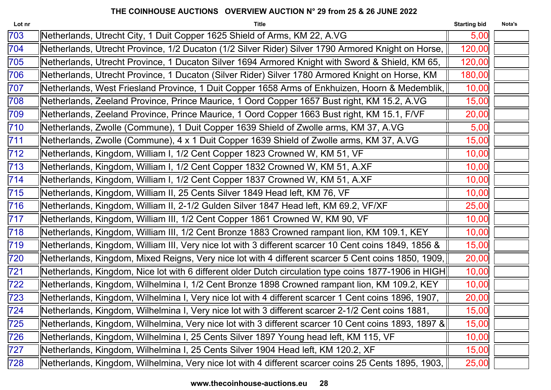| Lot nr | <b>Title</b>                                                                                          | <b>Starting bid</b> | Nota's |
|--------|-------------------------------------------------------------------------------------------------------|---------------------|--------|
| 703    | Netherlands, Utrecht City, 1 Duit Copper 1625 Shield of Arms, KM 22, A.VG                             | 5,00                |        |
| 704    | Netherlands, Utrecht Province, 1/2 Ducaton (1/2 Silver Rider) Silver 1790 Armored Knight on Horse,    | 120,00              |        |
| 705    | Netherlands, Utrecht Province, 1 Ducaton Silver 1694 Armored Knight with Sword & Shield, KM 65,       | 120,00              |        |
| 706    | Netherlands, Utrecht Province, 1 Ducaton (Silver Rider) Silver 1780 Armored Knight on Horse, KM       | 180,00              |        |
| 707    | Netherlands, West Friesland Province, 1 Duit Copper 1658 Arms of Enkhuizen, Hoorn & Medemblik,        | 10,00               |        |
| 708    | Netherlands, Zeeland Province, Prince Maurice, 1 Oord Copper 1657 Bust right, KM 15.2, A.VG           | 15,00               |        |
| 709    | Netherlands, Zeeland Province, Prince Maurice, 1 Oord Copper 1663 Bust right, KM 15.1, F/VF           | 20,00               |        |
| 710    | Netherlands, Zwolle (Commune), 1 Duit Copper 1639 Shield of Zwolle arms, KM 37, A.VG                  | 5,00                |        |
| 711    | Netherlands, Zwolle (Commune), 4 x 1 Duit Copper 1639 Shield of Zwolle arms, KM 37, A.VG              | 15,00               |        |
| 712    | Netherlands, Kingdom, William I, 1/2 Cent Copper 1823 Crowned W, KM 51, VF                            | 10,00               |        |
| 713    | Netherlands, Kingdom, William I, 1/2 Cent Copper 1832 Crowned W, KM 51, A.XF                          | 10,00               |        |
| 714    | Netherlands, Kingdom, William I, 1/2 Cent Copper 1837 Crowned W, KM 51, A.XF                          | 10,00               |        |
| 715    | Netherlands, Kingdom, William II, 25 Cents Silver 1849 Head left, KM 76, VF                           | 10,00               |        |
| 716    | Netherlands, Kingdom, William II, 2-1/2 Gulden Silver 1847 Head left, KM 69.2, VF/XF                  | 25,00               |        |
| 717    | Netherlands, Kingdom, William III, 1/2 Cent Copper 1861 Crowned W, KM 90, VF                          | 10,00               |        |
| 718    | Netherlands, Kingdom, William III, 1/2 Cent Bronze 1883 Crowned rampant lion, KM 109.1, KEY           | 10,00               |        |
| 719    | Netherlands, Kingdom, William III, Very nice lot with 3 different scarcer 10 Cent coins 1849, 1856 &  | 15,00               |        |
| 720    | Netherlands, Kingdom, Mixed Reigns, Very nice lot with 4 different scarcer 5 Cent coins 1850, 1909,   | 20,00               |        |
| 721    | [Netherlands, Kingdom, Nice lot with 6 different older Dutch circulation type coins 1877-1906 in HIGH | 10,00               |        |
| 722    | Netherlands, Kingdom, Wilhelmina I, 1/2 Cent Bronze 1898 Crowned rampant lion, KM 109.2, KEY          | 10,00               |        |
| 723    | Netherlands, Kingdom, Wilhelmina I, Very nice lot with 4 different scarcer 1 Cent coins 1896, 1907,   | 20,00               |        |
| 724    | Netherlands, Kingdom, Wilhelmina I, Very nice lot with 3 different scarcer 2-1/2 Cent coins 1881,     | 15,00               |        |
| 725    | [Netherlands, Kingdom, Wilhelmina, Very nice lot with 3 different scarcer 10 Cent coins 1893, 1897 &  | 15,00               |        |
| 726    | Netherlands, Kingdom, Wilhelmina I, 25 Cents Silver 1897 Young head left, KM 115, VF                  | 10,00               |        |
| 727    | Netherlands, Kingdom, Wilhelmina I, 25 Cents Silver 1904 Head left, KM 120.2, XF                      | 15,00               |        |
| 728    | Netherlands, Kingdom, Wilhelmina, Very nice lot with 4 different scarcer coins 25 Cents 1895, 1903,   | 25,00               |        |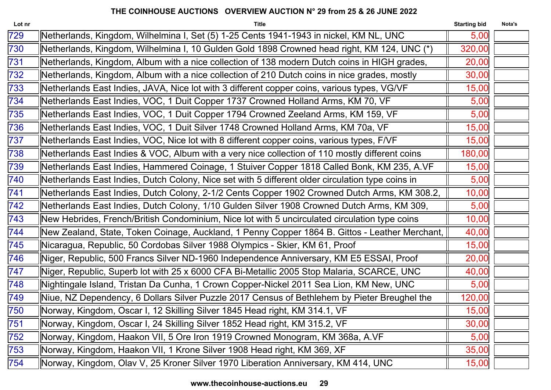| Lot nr | <b>Title</b>                                                                                     | <b>Starting bid</b> | Nota's |
|--------|--------------------------------------------------------------------------------------------------|---------------------|--------|
| 729    | Netherlands, Kingdom, Wilhelmina I, Set (5) 1-25 Cents 1941-1943 in nickel, KM NL, UNC           | 5,00                |        |
| 730    | Netherlands, Kingdom, Wilhelmina I, 10 Gulden Gold 1898 Crowned head right, KM 124, UNC (*)      | 320,00              |        |
| 731    | Netherlands, Kingdom, Album with a nice collection of 138 modern Dutch coins in HIGH grades,     | 20,00               |        |
| 732    | Netherlands, Kingdom, Album with a nice collection of 210 Dutch coins in nice grades, mostly     | 30,00               |        |
| 733    | Netherlands East Indies, JAVA, Nice lot with 3 different copper coins, various types, VG/VF      | 15,00               |        |
| 734    | Netherlands East Indies, VOC, 1 Duit Copper 1737 Crowned Holland Arms, KM 70, VF                 | 5,00                |        |
| 735    | Netherlands East Indies, VOC, 1 Duit Copper 1794 Crowned Zeeland Arms, KM 159, VF                | 5,00                |        |
| 736    | Netherlands East Indies, VOC, 1 Duit Silver 1748 Crowned Holland Arms, KM 70a, VF                | 15,00               |        |
| 737    | Netherlands East Indies, VOC, Nice lot with 8 different copper coins, various types, F/VF        | 15,00               |        |
| 738    | Netherlands East Indies & VOC, Album with a very nice collection of 110 mostly different coins   | 180,00              |        |
| 739    | Netherlands East Indies, Hammered Coinage, 1 Stuiver Copper 1818 Called Bonk, KM 235, A.VF       | 15,00               |        |
| 740    | Netherlands East Indies, Dutch Colony, Nice set with 5 different older circulation type coins in | 5,00                |        |
| 741    | Netherlands East Indies, Dutch Colony, 2-1/2 Cents Copper 1902 Crowned Dutch Arms, KM 308.2,     | 10,00               |        |
| 742    | Netherlands East Indies, Dutch Colony, 1/10 Gulden Silver 1908 Crowned Dutch Arms, KM 309,       | 5,00                |        |
| 743    | New Hebrides, French/British Condominium, Nice lot with 5 uncirculated circulation type coins    | 10,00               |        |
| 744    | New Zealand, State, Token Coinage, Auckland, 1 Penny Copper 1864 B. Gittos - Leather Merchant,   | 40,00               |        |
| 745    | Nicaragua, Republic, 50 Cordobas Silver 1988 Olympics - Skier, KM 61, Proof                      | 15,00               |        |
| 746    | Niger, Republic, 500 Francs Silver ND-1960 Independence Anniversary, KM E5 ESSAI, Proof          | 20,00               |        |
| 747    | Niger, Republic, Superb lot with 25 x 6000 CFA Bi-Metallic 2005 Stop Malaria, SCARCE, UNC        | 40,00               |        |
| 748    | Nightingale Island, Tristan Da Cunha, 1 Crown Copper-Nickel 2011 Sea Lion, KM New, UNC           | 5,00                |        |
| 749    | Niue, NZ Dependency, 6 Dollars Silver Puzzle 2017 Census of Bethlehem by Pieter Breughel the     | 120,00              |        |
| 750    | Norway, Kingdom, Oscar I, 12 Skilling Silver 1845 Head right, KM 314.1, VF                       | 15,00               |        |
| 751    | Norway, Kingdom, Oscar I, 24 Skilling Silver 1852 Head right, KM 315.2, VF                       | 30,00               |        |
| 752    | Norway, Kingdom, Haakon VII, 5 Ore Iron 1919 Crowned Monogram, KM 368a, A.VF                     | 5,00                |        |
| 753    | Norway, Kingdom, Haakon VII, 1 Krone Silver 1908 Head right, KM 369, XF                          | 35,00               |        |
| 754    | Norway, Kingdom, Olav V, 25 Kroner Silver 1970 Liberation Anniversary, KM 414, UNC               | 15,00               |        |
|        |                                                                                                  |                     |        |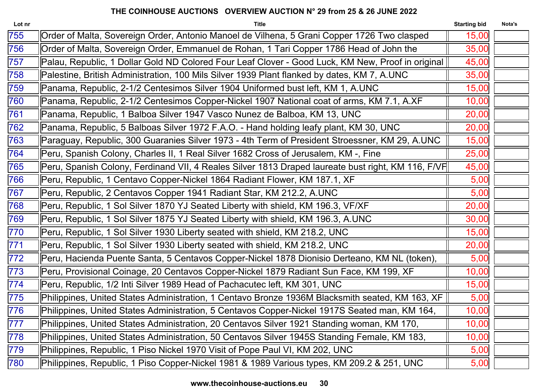| Order of Malta, Sovereign Order, Antonio Manoel de Vilhena, 5 Grani Copper 1726 Two clasped<br>15,00<br>Order of Malta, Sovereign Order, Emmanuel de Rohan, 1 Tari Copper 1786 Head of John the<br>35,00<br>Palau, Republic, 1 Dollar Gold ND Colored Four Leaf Clover - Good Luck, KM New, Proof in original   <br>45,00<br>Palestine, British Administration, 100 Mils Silver 1939 Plant flanked by dates, KM 7, A.UNC<br>35,00<br>Panama, Republic, 2-1/2 Centesimos Silver 1904 Uniformed bust left, KM 1, A.UNC<br>15,00<br>Panama, Republic, 2-1/2 Centesimos Copper-Nickel 1907 National coat of arms, KM 7.1, A.XF<br>10,00<br>Panama, Republic, 1 Balboa Silver 1947 Vasco Nunez de Balboa, KM 13, UNC<br>20,00<br>Panama, Republic, 5 Balboas Silver 1972 F.A.O. - Hand holding leafy plant, KM 30, UNC<br>20,00<br>Paraguay, Republic, 300 Guaranies Silver 1973 - 4th Term of President Stroessner, KM 29, A.UNC<br>15,00<br>Peru, Spanish Colony, Charles II, 1 Real Silver 1682 Cross of Jerusalem, KM -, Fine<br>25,00<br>Peru, Spanish Colony, Ferdinand VII, 4 Reales Silver 1813 Draped laureate bust right, KM 116, F/VF<br>45,00<br>Peru, Republic, 1 Centavo Copper-Nickel 1864 Radiant Flower, KM 187.1, XF<br>5,00<br>Peru, Republic, 2 Centavos Copper 1941 Radiant Star, KM 212.2, A.UNC<br>5,00<br>Peru, Republic, 1 Sol Silver 1870 YJ Seated Liberty with shield, KM 196.3, VF/XF<br>20,00<br>Peru, Republic, 1 Sol Silver 1875 YJ Seated Liberty with shield, KM 196.3, A.UNC<br>30,00<br>Peru, Republic, 1 Sol Silver 1930 Liberty seated with shield, KM 218.2, UNC<br>15,00<br>Peru, Republic, 1 Sol Silver 1930 Liberty seated with shield, KM 218.2, UNC<br>20,00<br>Peru, Hacienda Puente Santa, 5 Centavos Copper-Nickel 1878 Dionisio Derteano, KM NL (token),<br>5,00<br>Peru, Provisional Coinage, 20 Centavos Copper-Nickel 1879 Radiant Sun Face, KM 199, XF<br>10,00<br>Peru, Republic, 1/2 Inti Silver 1989 Head of Pachacutec left, KM 301, UNC<br>15,00<br>Philippines, United States Administration, 1 Centavo Bronze 1936M Blacksmith seated, KM 163, XF  <br>5,00<br>10,00<br>Philippines, United States Administration, 5 Centavos Copper-Nickel 1917S Seated man, KM 164,<br>Philippines, United States Administration, 20 Centavos Silver 1921 Standing woman, KM 170,<br>10,00<br>Philippines, United States Administration, 50 Centavos Silver 1945S Standing Female, KM 183,<br>10,00<br>Philippines, Republic, 1 Piso Nickel 1970 Visit of Pope Paul VI, KM 202, UNC<br>5,00<br>Philippines, Republic, 1 Piso Copper-Nickel 1981 & 1989 Various types, KM 209.2 & 251, UNC<br>5,00 | Lot nr | <b>Title</b> | <b>Starting bid</b> | Nota's |
|-------------------------------------------------------------------------------------------------------------------------------------------------------------------------------------------------------------------------------------------------------------------------------------------------------------------------------------------------------------------------------------------------------------------------------------------------------------------------------------------------------------------------------------------------------------------------------------------------------------------------------------------------------------------------------------------------------------------------------------------------------------------------------------------------------------------------------------------------------------------------------------------------------------------------------------------------------------------------------------------------------------------------------------------------------------------------------------------------------------------------------------------------------------------------------------------------------------------------------------------------------------------------------------------------------------------------------------------------------------------------------------------------------------------------------------------------------------------------------------------------------------------------------------------------------------------------------------------------------------------------------------------------------------------------------------------------------------------------------------------------------------------------------------------------------------------------------------------------------------------------------------------------------------------------------------------------------------------------------------------------------------------------------------------------------------------------------------------------------------------------------------------------------------------------------------------------------------------------------------------------------------------------------------------------------------------------------------------------------------------------------------------------------------------------------------------------------------------------------------------------------------------------------------------------------------------------------------------------------------------------------------------|--------|--------------|---------------------|--------|
|                                                                                                                                                                                                                                                                                                                                                                                                                                                                                                                                                                                                                                                                                                                                                                                                                                                                                                                                                                                                                                                                                                                                                                                                                                                                                                                                                                                                                                                                                                                                                                                                                                                                                                                                                                                                                                                                                                                                                                                                                                                                                                                                                                                                                                                                                                                                                                                                                                                                                                                                                                                                                                           | 755    |              |                     |        |
|                                                                                                                                                                                                                                                                                                                                                                                                                                                                                                                                                                                                                                                                                                                                                                                                                                                                                                                                                                                                                                                                                                                                                                                                                                                                                                                                                                                                                                                                                                                                                                                                                                                                                                                                                                                                                                                                                                                                                                                                                                                                                                                                                                                                                                                                                                                                                                                                                                                                                                                                                                                                                                           | 756    |              |                     |        |
|                                                                                                                                                                                                                                                                                                                                                                                                                                                                                                                                                                                                                                                                                                                                                                                                                                                                                                                                                                                                                                                                                                                                                                                                                                                                                                                                                                                                                                                                                                                                                                                                                                                                                                                                                                                                                                                                                                                                                                                                                                                                                                                                                                                                                                                                                                                                                                                                                                                                                                                                                                                                                                           | 757    |              |                     |        |
|                                                                                                                                                                                                                                                                                                                                                                                                                                                                                                                                                                                                                                                                                                                                                                                                                                                                                                                                                                                                                                                                                                                                                                                                                                                                                                                                                                                                                                                                                                                                                                                                                                                                                                                                                                                                                                                                                                                                                                                                                                                                                                                                                                                                                                                                                                                                                                                                                                                                                                                                                                                                                                           | 758    |              |                     |        |
|                                                                                                                                                                                                                                                                                                                                                                                                                                                                                                                                                                                                                                                                                                                                                                                                                                                                                                                                                                                                                                                                                                                                                                                                                                                                                                                                                                                                                                                                                                                                                                                                                                                                                                                                                                                                                                                                                                                                                                                                                                                                                                                                                                                                                                                                                                                                                                                                                                                                                                                                                                                                                                           | 759    |              |                     |        |
|                                                                                                                                                                                                                                                                                                                                                                                                                                                                                                                                                                                                                                                                                                                                                                                                                                                                                                                                                                                                                                                                                                                                                                                                                                                                                                                                                                                                                                                                                                                                                                                                                                                                                                                                                                                                                                                                                                                                                                                                                                                                                                                                                                                                                                                                                                                                                                                                                                                                                                                                                                                                                                           | 760    |              |                     |        |
|                                                                                                                                                                                                                                                                                                                                                                                                                                                                                                                                                                                                                                                                                                                                                                                                                                                                                                                                                                                                                                                                                                                                                                                                                                                                                                                                                                                                                                                                                                                                                                                                                                                                                                                                                                                                                                                                                                                                                                                                                                                                                                                                                                                                                                                                                                                                                                                                                                                                                                                                                                                                                                           | 761    |              |                     |        |
|                                                                                                                                                                                                                                                                                                                                                                                                                                                                                                                                                                                                                                                                                                                                                                                                                                                                                                                                                                                                                                                                                                                                                                                                                                                                                                                                                                                                                                                                                                                                                                                                                                                                                                                                                                                                                                                                                                                                                                                                                                                                                                                                                                                                                                                                                                                                                                                                                                                                                                                                                                                                                                           | 762    |              |                     |        |
|                                                                                                                                                                                                                                                                                                                                                                                                                                                                                                                                                                                                                                                                                                                                                                                                                                                                                                                                                                                                                                                                                                                                                                                                                                                                                                                                                                                                                                                                                                                                                                                                                                                                                                                                                                                                                                                                                                                                                                                                                                                                                                                                                                                                                                                                                                                                                                                                                                                                                                                                                                                                                                           | 763    |              |                     |        |
|                                                                                                                                                                                                                                                                                                                                                                                                                                                                                                                                                                                                                                                                                                                                                                                                                                                                                                                                                                                                                                                                                                                                                                                                                                                                                                                                                                                                                                                                                                                                                                                                                                                                                                                                                                                                                                                                                                                                                                                                                                                                                                                                                                                                                                                                                                                                                                                                                                                                                                                                                                                                                                           | 764    |              |                     |        |
|                                                                                                                                                                                                                                                                                                                                                                                                                                                                                                                                                                                                                                                                                                                                                                                                                                                                                                                                                                                                                                                                                                                                                                                                                                                                                                                                                                                                                                                                                                                                                                                                                                                                                                                                                                                                                                                                                                                                                                                                                                                                                                                                                                                                                                                                                                                                                                                                                                                                                                                                                                                                                                           | 765    |              |                     |        |
|                                                                                                                                                                                                                                                                                                                                                                                                                                                                                                                                                                                                                                                                                                                                                                                                                                                                                                                                                                                                                                                                                                                                                                                                                                                                                                                                                                                                                                                                                                                                                                                                                                                                                                                                                                                                                                                                                                                                                                                                                                                                                                                                                                                                                                                                                                                                                                                                                                                                                                                                                                                                                                           | 766    |              |                     |        |
|                                                                                                                                                                                                                                                                                                                                                                                                                                                                                                                                                                                                                                                                                                                                                                                                                                                                                                                                                                                                                                                                                                                                                                                                                                                                                                                                                                                                                                                                                                                                                                                                                                                                                                                                                                                                                                                                                                                                                                                                                                                                                                                                                                                                                                                                                                                                                                                                                                                                                                                                                                                                                                           | 767    |              |                     |        |
|                                                                                                                                                                                                                                                                                                                                                                                                                                                                                                                                                                                                                                                                                                                                                                                                                                                                                                                                                                                                                                                                                                                                                                                                                                                                                                                                                                                                                                                                                                                                                                                                                                                                                                                                                                                                                                                                                                                                                                                                                                                                                                                                                                                                                                                                                                                                                                                                                                                                                                                                                                                                                                           | 768    |              |                     |        |
|                                                                                                                                                                                                                                                                                                                                                                                                                                                                                                                                                                                                                                                                                                                                                                                                                                                                                                                                                                                                                                                                                                                                                                                                                                                                                                                                                                                                                                                                                                                                                                                                                                                                                                                                                                                                                                                                                                                                                                                                                                                                                                                                                                                                                                                                                                                                                                                                                                                                                                                                                                                                                                           | 769    |              |                     |        |
|                                                                                                                                                                                                                                                                                                                                                                                                                                                                                                                                                                                                                                                                                                                                                                                                                                                                                                                                                                                                                                                                                                                                                                                                                                                                                                                                                                                                                                                                                                                                                                                                                                                                                                                                                                                                                                                                                                                                                                                                                                                                                                                                                                                                                                                                                                                                                                                                                                                                                                                                                                                                                                           | 770    |              |                     |        |
|                                                                                                                                                                                                                                                                                                                                                                                                                                                                                                                                                                                                                                                                                                                                                                                                                                                                                                                                                                                                                                                                                                                                                                                                                                                                                                                                                                                                                                                                                                                                                                                                                                                                                                                                                                                                                                                                                                                                                                                                                                                                                                                                                                                                                                                                                                                                                                                                                                                                                                                                                                                                                                           | 771    |              |                     |        |
|                                                                                                                                                                                                                                                                                                                                                                                                                                                                                                                                                                                                                                                                                                                                                                                                                                                                                                                                                                                                                                                                                                                                                                                                                                                                                                                                                                                                                                                                                                                                                                                                                                                                                                                                                                                                                                                                                                                                                                                                                                                                                                                                                                                                                                                                                                                                                                                                                                                                                                                                                                                                                                           | 772    |              |                     |        |
|                                                                                                                                                                                                                                                                                                                                                                                                                                                                                                                                                                                                                                                                                                                                                                                                                                                                                                                                                                                                                                                                                                                                                                                                                                                                                                                                                                                                                                                                                                                                                                                                                                                                                                                                                                                                                                                                                                                                                                                                                                                                                                                                                                                                                                                                                                                                                                                                                                                                                                                                                                                                                                           | 773    |              |                     |        |
|                                                                                                                                                                                                                                                                                                                                                                                                                                                                                                                                                                                                                                                                                                                                                                                                                                                                                                                                                                                                                                                                                                                                                                                                                                                                                                                                                                                                                                                                                                                                                                                                                                                                                                                                                                                                                                                                                                                                                                                                                                                                                                                                                                                                                                                                                                                                                                                                                                                                                                                                                                                                                                           | 774    |              |                     |        |
|                                                                                                                                                                                                                                                                                                                                                                                                                                                                                                                                                                                                                                                                                                                                                                                                                                                                                                                                                                                                                                                                                                                                                                                                                                                                                                                                                                                                                                                                                                                                                                                                                                                                                                                                                                                                                                                                                                                                                                                                                                                                                                                                                                                                                                                                                                                                                                                                                                                                                                                                                                                                                                           | 775    |              |                     |        |
|                                                                                                                                                                                                                                                                                                                                                                                                                                                                                                                                                                                                                                                                                                                                                                                                                                                                                                                                                                                                                                                                                                                                                                                                                                                                                                                                                                                                                                                                                                                                                                                                                                                                                                                                                                                                                                                                                                                                                                                                                                                                                                                                                                                                                                                                                                                                                                                                                                                                                                                                                                                                                                           | 776    |              |                     |        |
|                                                                                                                                                                                                                                                                                                                                                                                                                                                                                                                                                                                                                                                                                                                                                                                                                                                                                                                                                                                                                                                                                                                                                                                                                                                                                                                                                                                                                                                                                                                                                                                                                                                                                                                                                                                                                                                                                                                                                                                                                                                                                                                                                                                                                                                                                                                                                                                                                                                                                                                                                                                                                                           | 777    |              |                     |        |
|                                                                                                                                                                                                                                                                                                                                                                                                                                                                                                                                                                                                                                                                                                                                                                                                                                                                                                                                                                                                                                                                                                                                                                                                                                                                                                                                                                                                                                                                                                                                                                                                                                                                                                                                                                                                                                                                                                                                                                                                                                                                                                                                                                                                                                                                                                                                                                                                                                                                                                                                                                                                                                           | 778    |              |                     |        |
|                                                                                                                                                                                                                                                                                                                                                                                                                                                                                                                                                                                                                                                                                                                                                                                                                                                                                                                                                                                                                                                                                                                                                                                                                                                                                                                                                                                                                                                                                                                                                                                                                                                                                                                                                                                                                                                                                                                                                                                                                                                                                                                                                                                                                                                                                                                                                                                                                                                                                                                                                                                                                                           | 779    |              |                     |        |
|                                                                                                                                                                                                                                                                                                                                                                                                                                                                                                                                                                                                                                                                                                                                                                                                                                                                                                                                                                                                                                                                                                                                                                                                                                                                                                                                                                                                                                                                                                                                                                                                                                                                                                                                                                                                                                                                                                                                                                                                                                                                                                                                                                                                                                                                                                                                                                                                                                                                                                                                                                                                                                           | 780    |              |                     |        |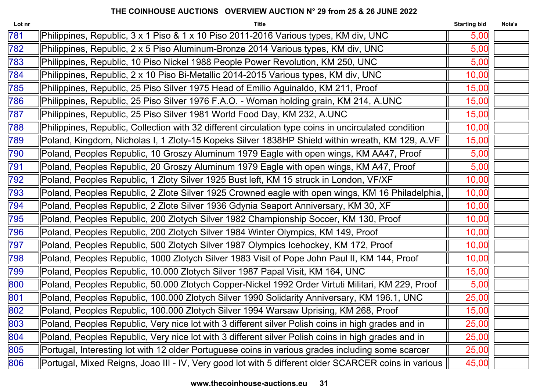| Lot nr | <b>Title</b>                                                                                         | <b>Starting bid</b> | Nota's |
|--------|------------------------------------------------------------------------------------------------------|---------------------|--------|
| 781    | Philippines, Republic, 3 x 1 Piso & 1 x 10 Piso 2011-2016 Various types, KM div, UNC                 | 5,00                |        |
| 782    | Philippines, Republic, 2 x 5 Piso Aluminum-Bronze 2014 Various types, KM div, UNC                    | 5,00                |        |
| 783    | Philippines, Republic, 10 Piso Nickel 1988 People Power Revolution, KM 250, UNC                      | 5,00                |        |
| 784    | Philippines, Republic, 2 x 10 Piso Bi-Metallic 2014-2015 Various types, KM div, UNC                  | 10,00               |        |
| 785    | Philippines, Republic, 25 Piso Silver 1975 Head of Emilio Aguinaldo, KM 211, Proof                   | 15,00               |        |
| 786    | Philippines, Republic, 25 Piso Silver 1976 F.A.O. - Woman holding grain, KM 214, A.UNC               | 15,00               |        |
| 787    | Philippines, Republic, 25 Piso Silver 1981 World Food Day, KM 232, A.UNC                             | 15,00               |        |
| 788    | Philippines, Republic, Collection with 32 different circulation type coins in uncirculated condition | 10,00               |        |
| 789    | Poland, Kingdom, Nicholas I, 1 Zloty-15 Kopeks Silver 1838HP Shield within wreath, KM 129, A.VF      | 15,00               |        |
| 790    | Poland, Peoples Republic, 10 Groszy Aluminum 1979 Eagle with open wings, KM AA47, Proof              | 5,00                |        |
| 791    | Poland, Peoples Republic, 20 Groszy Aluminum 1979 Eagle with open wings, KM A47, Proof               | 5,00                |        |
| 792    | Poland, Peoples Republic, 1 Zloty Silver 1925 Bust left, KM 15 struck in London, VF/XF               | 10,00               |        |
| 793    | Poland, Peoples Republic, 2 Zlote Silver 1925 Crowned eagle with open wings, KM 16 Philadelphia,     | 10,00               |        |
| 794    | Poland, Peoples Republic, 2 Zlote Silver 1936 Gdynia Seaport Anniversary, KM 30, XF                  | 10,00               |        |
| 795    | Poland, Peoples Republic, 200 Zlotych Silver 1982 Championship Soccer, KM 130, Proof                 | 10,00               |        |
| 796    | Poland, Peoples Republic, 200 Zlotych Silver 1984 Winter Olympics, KM 149, Proof                     | 10,00               |        |
| 797    | Poland, Peoples Republic, 500 Zlotych Silver 1987 Olympics Icehockey, KM 172, Proof                  | 10,00               |        |
| 798    | Poland, Peoples Republic, 1000 Zlotych Silver 1983 Visit of Pope John Paul II, KM 144, Proof         | 10,00               |        |
| 799    | Poland, Peoples Republic, 10.000 Zlotych Silver 1987 Papal Visit, KM 164, UNC                        | 15,00               |        |
| 800    | Poland, Peoples Republic, 50.000 Zlotych Copper-Nickel 1992 Order Virtuti Militari, KM 229, Proof    | 5,00                |        |
| 801    | Poland, Peoples Republic, 100.000 Zlotych Silver 1990 Solidarity Anniversary, KM 196.1, UNC          | 25,00               |        |
| 802    | Poland, Peoples Republic, 100.000 Zlotych Silver 1994 Warsaw Uprising, KM 268, Proof                 | 15,00               |        |
| 803    | Poland, Peoples Republic, Very nice lot with 3 different silver Polish coins in high grades and in   | 25,00               |        |
| 804    | Poland, Peoples Republic, Very nice lot with 3 different silver Polish coins in high grades and in   | 25,00               |        |
| 805    | Portugal, Interesting lot with 12 older Portuguese coins in various grades including some scarcer    | 25,00               |        |
| 806    | Portugal, Mixed Reigns, Joao III - IV, Very good lot with 5 different older SCARCER coins in various | 45,00               |        |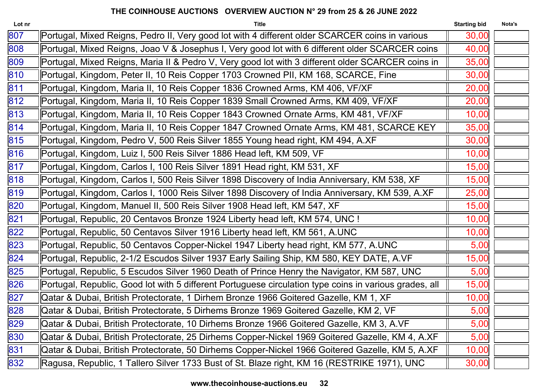| Lot nr | <b>Title</b>                                                                                           | <b>Starting bid</b> | Nota's |
|--------|--------------------------------------------------------------------------------------------------------|---------------------|--------|
| 807    | Portugal, Mixed Reigns, Pedro II, Very good lot with 4 different older SCARCER coins in various        | 30,00               |        |
| 808    | Portugal, Mixed Reigns, Joao V & Josephus I, Very good lot with 6 different older SCARCER coins        | 40,00               |        |
| 809    | Portugal, Mixed Reigns, Maria II & Pedro V, Very good lot with 3 different older SCARCER coins in      | 35,00               |        |
| 810    | Portugal, Kingdom, Peter II, 10 Reis Copper 1703 Crowned PII, KM 168, SCARCE, Fine                     | 30,00               |        |
| 811    | Portugal, Kingdom, Maria II, 10 Reis Copper 1836 Crowned Arms, KM 406, VF/XF                           | 20,00               |        |
| 812    | Portugal, Kingdom, Maria II, 10 Reis Copper 1839 Small Crowned Arms, KM 409, VF/XF                     | 20,00               |        |
| 813    | Portugal, Kingdom, Maria II, 10 Reis Copper 1843 Crowned Ornate Arms, KM 481, VF/XF                    | 10,00               |        |
| 814    | Portugal, Kingdom, Maria II, 10 Reis Copper 1847 Crowned Ornate Arms, KM 481, SCARCE KEY               | 35,00               |        |
| 815    | Portugal, Kingdom, Pedro V, 500 Reis Silver 1855 Young head right, KM 494, A.XF                        | 30,00               |        |
| 816    | Portugal, Kingdom, Luiz I, 500 Reis Silver 1886 Head left, KM 509, VF                                  | 10,00               |        |
| 817    | Portugal, Kingdom, Carlos I, 100 Reis Silver 1891 Head right, KM 531, XF                               | 15,00               |        |
| 818    | Portugal, Kingdom, Carlos I, 500 Reis Silver 1898 Discovery of India Anniversary, KM 538, XF           | 15,00               |        |
| 819    | Portugal, Kingdom, Carlos I, 1000 Reis Silver 1898 Discovery of India Anniversary, KM 539, A.XF        | 25,00               |        |
| 820    | Portugal, Kingdom, Manuel II, 500 Reis Silver 1908 Head left, KM 547, XF                               | 15,00               |        |
| 821    | Portugal, Republic, 20 Centavos Bronze 1924 Liberty head left, KM 574, UNC !                           | 10,00               |        |
| 822    | Portugal, Republic, 50 Centavos Silver 1916 Liberty head left, KM 561, A.UNC                           | 10,00               |        |
| 823    | Portugal, Republic, 50 Centavos Copper-Nickel 1947 Liberty head right, KM 577, A.UNC                   | 5,00                |        |
| 824    | Portugal, Republic, 2-1/2 Escudos Silver 1937 Early Sailing Ship, KM 580, KEY DATE, A.VF               | 15,00               |        |
| 825    | Portugal, Republic, 5 Escudos Silver 1960 Death of Prince Henry the Navigator, KM 587, UNC             | 5,00                |        |
| 826    | Portugal, Republic, Good lot with 5 different Portuguese circulation type coins in various grades, all | 15,00               |        |
| 827    | Qatar & Dubai, British Protectorate, 1 Dirhem Bronze 1966 Goitered Gazelle, KM 1, XF                   | 10,00               |        |
| 828    | Qatar & Dubai, British Protectorate, 5 Dirhems Bronze 1969 Goitered Gazelle, KM 2, VF                  | 5,00                |        |
| 829    | Qatar & Dubai, British Protectorate, 10 Dirhems Bronze 1966 Goitered Gazelle, KM 3, A.VF               | 5,00                |        |
| 830    | Qatar & Dubai, British Protectorate, 25 Dirhems Copper-Nickel 1969 Goitered Gazelle, KM 4, A.XF        | 5,00                |        |
| 831    | Qatar & Dubai, British Protectorate, 50 Dirhems Copper-Nickel 1966 Goitered Gazelle, KM 5, A.XF        | 10,00               |        |
| 832    | Ragusa, Republic, 1 Tallero Silver 1733 Bust of St. Blaze right, KM 16 (RESTRIKE 1971), UNC            | 30,00               |        |
|        |                                                                                                        |                     |        |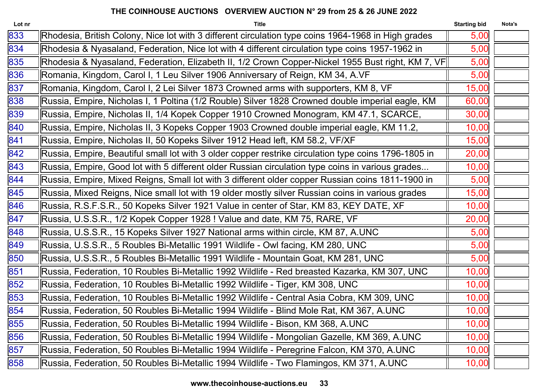| Lot nr | <b>Title</b>                                                                                         | <b>Starting bid</b> | Nota's |
|--------|------------------------------------------------------------------------------------------------------|---------------------|--------|
| 833    | Rhodesia, British Colony, Nice lot with 3 different circulation type coins 1964-1968 in High grades  | 5,00                |        |
| 834    | Rhodesia & Nyasaland, Federation, Nice lot with 4 different circulation type coins 1957-1962 in      | 5,00                |        |
| 835    | Rhodesia & Nyasaland, Federation, Elizabeth II, 1/2 Crown Copper-Nickel 1955 Bust right, KM 7, VF    | 5,00                |        |
| 836    | Romania, Kingdom, Carol I, 1 Leu Silver 1906 Anniversary of Reign, KM 34, A.VF                       | 5,00                |        |
| 837    | Romania, Kingdom, Carol I, 2 Lei Silver 1873 Crowned arms with supporters, KM 8, VF                  | 15,00               |        |
| 838    | Russia, Empire, Nicholas I, 1 Poltina (1/2 Rouble) Silver 1828 Crowned double imperial eagle, KM     | 60,00               |        |
| 839    | Russia, Empire, Nicholas II, 1/4 Kopek Copper 1910 Crowned Monogram, KM 47.1, SCARCE,                | 30,00               |        |
| 840    | Russia, Empire, Nicholas II, 3 Kopeks Copper 1903 Crowned double imperial eagle, KM 11.2,            | 10,00               |        |
| 841    | Russia, Empire, Nicholas II, 50 Kopeks Silver 1912 Head left, KM 58.2, VF/XF                         | 15,00               |        |
| 842    | Russia, Empire, Beautiful small lot with 3 older copper restrike circulation type coins 1796-1805 in | 20,00               |        |
| 843    | Russia, Empire, Good lot with 5 different older Russian circulation type coins in various grades     | 10,00               |        |
| 844    | Russia, Empire, Mixed Reigns, Small lot with 3 different older copper Russian coins 1811-1900 in     | 5,00                |        |
| 845    | Russia, Mixed Reigns, Nice small lot with 19 older mostly silver Russian coins in various grades     | 15,00               |        |
| 846    | Russia, R.S.F.S.R., 50 Kopeks Silver 1921 Value in center of Star, KM 83, KEY DATE, XF               | 10,00               |        |
| 847    | Russia, U.S.S.R., 1/2 Kopek Copper 1928 ! Value and date, KM 75, RARE, VF                            | 20,00               |        |
| 848    | Russia, U.S.S.R., 15 Kopeks Silver 1927 National arms within circle, KM 87, A.UNC                    | 5,00                |        |
| 849    | Russia, U.S.S.R., 5 Roubles Bi-Metallic 1991 Wildlife - Owl facing, KM 280, UNC                      | 5,00                |        |
| 850    | Russia, U.S.S.R., 5 Roubles Bi-Metallic 1991 Wildlife - Mountain Goat, KM 281, UNC                   | 5,00                |        |
| 851    | Russia, Federation, 10 Roubles Bi-Metallic 1992 Wildlife - Red breasted Kazarka, KM 307, UNC         | 10,00               |        |
| 852    | Russia, Federation, 10 Roubles Bi-Metallic 1992 Wildlife - Tiger, KM 308, UNC                        | 10,00               |        |
| 853    | Russia, Federation, 10 Roubles Bi-Metallic 1992 Wildlife - Central Asia Cobra, KM 309, UNC           | 10,00               |        |
| 854    | Russia, Federation, 50 Roubles Bi-Metallic 1994 Wildlife - Blind Mole Rat, KM 367, A.UNC             | 10,00               |        |
| 855    | Russia, Federation, 50 Roubles Bi-Metallic 1994 Wildlife - Bison, KM 368, A.UNC                      | 10,00               |        |
| 856    | Russia, Federation, 50 Roubles Bi-Metallic 1994 Wildlife - Mongolian Gazelle, KM 369, A.UNC          | 10,00               |        |
| 857    | Russia, Federation, 50 Roubles Bi-Metallic 1994 Wildlife - Peregrine Falcon, KM 370, A.UNC           | 10,00               |        |
| 858    | Russia, Federation, 50 Roubles Bi-Metallic 1994 Wildlife - Two Flamingos, KM 371, A.UNC              | 10,00               |        |
|        |                                                                                                      |                     |        |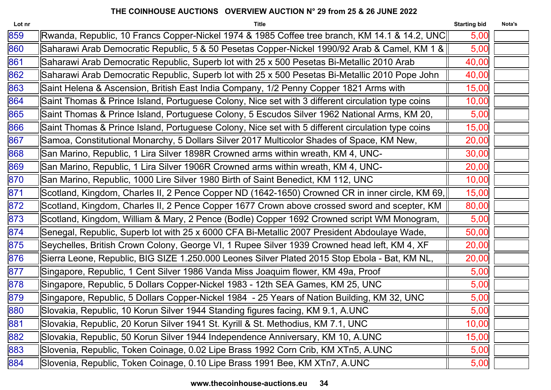| Lot nr | <b>Title</b>                                                                                      | <b>Starting bid</b> | Nota's |
|--------|---------------------------------------------------------------------------------------------------|---------------------|--------|
| 859    | Rwanda, Republic, 10 Francs Copper-Nickel 1974 & 1985 Coffee tree branch, KM 14.1 & 14.2, UNC     | 5,00                |        |
| 860    | Saharawi Arab Democratic Republic, 5 & 50 Pesetas Copper-Nickel 1990/92 Arab & Camel, KM 1 &      | 5,00                |        |
| 861    | Saharawi Arab Democratic Republic, Superb lot with 25 x 500 Pesetas Bi-Metallic 2010 Arab         | 40,00               |        |
| 862    | Saharawi Arab Democratic Republic, Superb lot with 25 x 500 Pesetas Bi-Metallic 2010 Pope John    | 40,00               |        |
| 863    | Saint Helena & Ascension, British East India Company, 1/2 Penny Copper 1821 Arms with             | 15,00               |        |
| 864    | Saint Thomas & Prince Island, Portuguese Colony, Nice set with 3 different circulation type coins | 10,00               |        |
| 865    | Saint Thomas & Prince Island, Portuguese Colony, 5 Escudos Silver 1962 National Arms, KM 20,      | 5,00                |        |
| 866    | Saint Thomas & Prince Island, Portuguese Colony, Nice set with 5 different circulation type coins | 15,00               |        |
| 867    | Samoa, Constitutional Monarchy, 5 Dollars Silver 2017 Multicolor Shades of Space, KM New,         | 20,00               |        |
| 868    | San Marino, Republic, 1 Lira Silver 1898R Crowned arms within wreath, KM 4, UNC-                  | 30,00               |        |
| 869    | San Marino, Republic, 1 Lira Silver 1906R Crowned arms within wreath, KM 4, UNC-                  | 20,00               |        |
| 870    | San Marino, Republic, 1000 Lire Silver 1980 Birth of Saint Benedict, KM 112, UNC                  | 10,00               |        |
| 871    | Scotland, Kingdom, Charles II, 2 Pence Copper ND (1642-1650) Crowned CR in inner circle, KM 69,   | 15,00               |        |
| 872    | Scotland, Kingdom, Charles II, 2 Pence Copper 1677 Crown above crossed sword and scepter, KM      | 80,00               |        |
| 873    | Scotland, Kingdom, William & Mary, 2 Pence (Bodle) Copper 1692 Crowned script WM Monogram,        | 5,00                |        |
| 874    | Senegal, Republic, Superb lot with 25 x 6000 CFA Bi-Metallic 2007 President Abdoulaye Wade,       | 50,00               |        |
| 875    | Seychelles, British Crown Colony, George VI, 1 Rupee Silver 1939 Crowned head left, KM 4, XF      | 20,00               |        |
| 876    | Sierra Leone, Republic, BIG SIZE 1.250.000 Leones Silver Plated 2015 Stop Ebola - Bat, KM NL,     | 20,00               |        |
| 877    | Singapore, Republic, 1 Cent Silver 1986 Vanda Miss Joaquim flower, KM 49a, Proof                  | 5,00                |        |
| 878    | Singapore, Republic, 5 Dollars Copper-Nickel 1983 - 12th SEA Games, KM 25, UNC                    | 5,00                |        |
| 879    | Singapore, Republic, 5 Dollars Copper-Nickel 1984 - 25 Years of Nation Building, KM 32, UNC       | 5,00                |        |
| 880    | Slovakia, Republic, 10 Korun Silver 1944 Standing figures facing, KM 9.1, A.UNC                   | 5,00                |        |
| 881    | Slovakia, Republic, 20 Korun Silver 1941 St. Kyrill & St. Methodius, KM 7.1, UNC                  | 10,00               |        |
| 882    | Slovakia, Republic, 50 Korun Silver 1944 Independence Anniversary, KM 10, A.UNC                   | 15,00               |        |
| 883    | Slovenia, Republic, Token Coinage, 0.02 Lipe Brass 1992 Corn Crib, KM XTn5, A.UNC                 | 5,00                |        |
| 884    | Slovenia, Republic, Token Coinage, 0.10 Lipe Brass 1991 Bee, KM XTn7, A.UNC                       | 5,00                |        |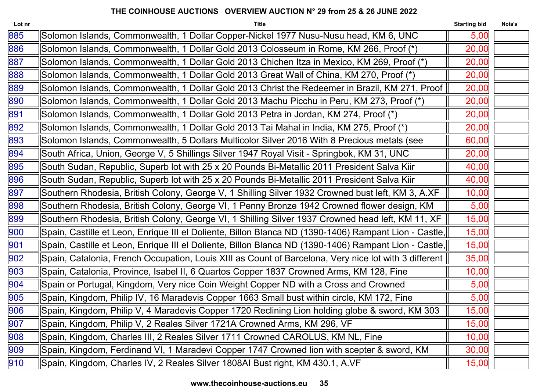| Lot nr | <b>Title</b>                                                                                          | <b>Starting bid</b> | Nota's |
|--------|-------------------------------------------------------------------------------------------------------|---------------------|--------|
| 885    | Solomon Islands, Commonwealth, 1 Dollar Copper-Nickel 1977 Nusu-Nusu head, KM 6, UNC                  | 5,00                |        |
| 886    | Solomon Islands, Commonwealth, 1 Dollar Gold 2013 Colosseum in Rome, KM 266, Proof (*)                | 20,00               |        |
| 887    | Solomon Islands, Commonwealth, 1 Dollar Gold 2013 Chichen Itza in Mexico, KM 269, Proof (*)           | 20,00               |        |
| 888    | Solomon Islands, Commonwealth, 1 Dollar Gold 2013 Great Wall of China, KM 270, Proof (*)              | 20,00               |        |
| 889    | Solomon Islands, Commonwealth, 1 Dollar Gold 2013 Christ the Redeemer in Brazil, KM 271, Proof        | 20,00               |        |
| 890    | Solomon Islands, Commonwealth, 1 Dollar Gold 2013 Machu Picchu in Peru, KM 273, Proof (*)             | 20,00               |        |
| 891    | Solomon Islands, Commonwealth, 1 Dollar Gold 2013 Petra in Jordan, KM 274, Proof (*)                  | 20,00               |        |
| 892    | Solomon Islands, Commonwealth, 1 Dollar Gold 2013 Tai Mahal in India, KM 275, Proof (*)               | 20,00               |        |
| 893    | Solomon Islands, Commonwealth, 5 Dollars Multicolor Silver 2016 With 8 Precious metals (see           | 60,00               |        |
| 894    | South Africa, Union, George V, 5 Shillings Silver 1947 Royal Visit - Springbok, KM 31, UNC            | 20,00               |        |
| 895    | South Sudan, Republic, Superb lot with 25 x 20 Pounds Bi-Metallic 2011 President Salva Kiir           | 40,00               |        |
| 896    | South Sudan, Republic, Superb lot with 25 x 20 Pounds Bi-Metallic 2011 President Salva Kiir           | 40,00               |        |
| 897    | Southern Rhodesia, British Colony, George V, 1 Shilling Silver 1932 Crowned bust left, KM 3, A.XF     | 10,00               |        |
| 898    | Southern Rhodesia, British Colony, George VI, 1 Penny Bronze 1942 Crowned flower design, KM           | 5,00                |        |
| 899    | Southern Rhodesia, British Colony, George VI, 1 Shilling Silver 1937 Crowned head left, KM 11, XF     | 15,00               |        |
| 900    | Spain, Castille et Leon, Enrique III el Doliente, Billon Blanca ND (1390-1406) Rampant Lion - Castle, | 15,00               |        |
| 901    | Spain, Castille et Leon, Enrique III el Doliente, Billon Blanca ND (1390-1406) Rampant Lion - Castle, | 15,00               |        |
| 902    | Spain, Catalonia, French Occupation, Louis XIII as Count of Barcelona, Very nice lot with 3 different | 35,00               |        |
| 903    | Spain, Catalonia, Province, Isabel II, 6 Quartos Copper 1837 Crowned Arms, KM 128, Fine               | 10,00               |        |
| 904    | Spain or Portugal, Kingdom, Very nice Coin Weight Copper ND with a Cross and Crowned                  | 5,00                |        |
| 905    | Spain, Kingdom, Philip IV, 16 Maradevis Copper 1663 Small bust within circle, KM 172, Fine            | 5,00                |        |
| 906    | Spain, Kingdom, Philip V, 4 Maradevis Copper 1720 Reclining Lion holding globe & sword, KM 303        | 15,00               |        |
| 907    | Spain, Kingdom, Philip V, 2 Reales Silver 1721A Crowned Arms, KM 296, VF                              | 15,00               |        |
| 908    | Spain, Kingdom, Charles III, 2 Reales Silver 1711 Crowned CAROLUS, KM NL, Fine                        | 10,00               |        |
| 909    | Spain, Kingdom, Ferdinand VI, 1 Maradevi Copper 1747 Crowned lion with scepter & sword, KM            | 30,00               |        |
| 910    | Spain, Kingdom, Charles IV, 2 Reales Silver 1808AI Bust right, KM 430.1, A.VF                         | 15,00               |        |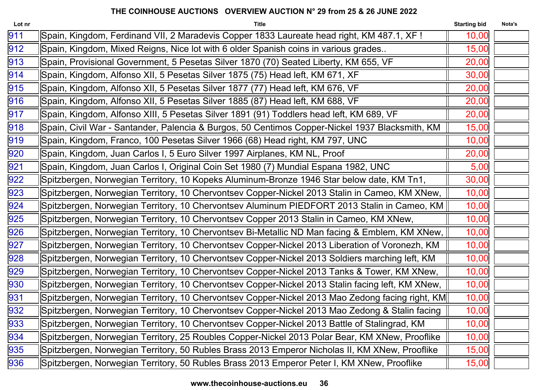| Lot nr | <b>Title</b>                                                                                     | <b>Starting bid</b> | Nota's |
|--------|--------------------------------------------------------------------------------------------------|---------------------|--------|
| 911    | Spain, Kingdom, Ferdinand VII, 2 Maradevis Copper 1833 Laureate head right, KM 487.1, XF !       | 10,00               |        |
| 912    | Spain, Kingdom, Mixed Reigns, Nice lot with 6 older Spanish coins in various grades              | 15,00               |        |
| 913    | Spain, Provisional Government, 5 Pesetas Silver 1870 (70) Seated Liberty, KM 655, VF             | 20,00               |        |
| 914    | Spain, Kingdom, Alfonso XII, 5 Pesetas Silver 1875 (75) Head left, KM 671, XF                    | 30,00               |        |
| 915    | Spain, Kingdom, Alfonso XII, 5 Pesetas Silver 1877 (77) Head left, KM 676, VF                    | 20,00               |        |
| 916    | Spain, Kingdom, Alfonso XII, 5 Pesetas Silver 1885 (87) Head left, KM 688, VF                    | 20,00               |        |
| 917    | Spain, Kingdom, Alfonso XIII, 5 Pesetas Silver 1891 (91) Toddlers head left, KM 689, VF          | 20,00               |        |
| 918    | Spain, Civil War - Santander, Palencia & Burgos, 50 Centimos Copper-Nickel 1937 Blacksmith, KM   | 15,00               |        |
| 919    | Spain, Kingdom, Franco, 100 Pesetas Silver 1966 (68) Head right, KM 797, UNC                     | 10,00               |        |
| 920    | Spain, Kingdom, Juan Carlos I, 5 Euro Silver 1997 Airplanes, KM NL, Proof                        | 20,00               |        |
| 921    | Spain, Kingdom, Juan Carlos I, Original Coin Set 1980 (7) Mundial Espana 1982, UNC               | 5,00                |        |
| 922    | Spitzbergen, Norwegian Territory, 10 Kopeks Aluminum-Bronze 1946 Star below date, KM Tn1,        | 30,00               |        |
| 923    | Spitzbergen, Norwegian Territory, 10 Chervontsev Copper-Nickel 2013 Stalin in Cameo, KM XNew,    | 10,00               |        |
| 924    | Spitzbergen, Norwegian Territory, 10 Chervontsev Aluminum PIEDFORT 2013 Stalin in Cameo, KM      | 10,00               |        |
| 925    | Spitzbergen, Norwegian Territory, 10 Chervontsev Copper 2013 Stalin in Cameo, KM XNew,           | 10,00               |        |
| 926    | Spitzbergen, Norwegian Territory, 10 Chervontsev Bi-Metallic ND Man facing & Emblem, KM XNew,    | 10,00               |        |
| 927    | Spitzbergen, Norwegian Territory, 10 Chervontsev Copper-Nickel 2013 Liberation of Voronezh, KM   | 10,00               |        |
| 928    | Spitzbergen, Norwegian Territory, 10 Chervontsev Copper-Nickel 2013 Soldiers marching left, KM   | 10,00               |        |
| 929    | Spitzbergen, Norwegian Territory, 10 Chervontsev Copper-Nickel 2013 Tanks & Tower, KM XNew,      | 10,00               |        |
| 930    | Spitzbergen, Norwegian Territory, 10 Chervontsev Copper-Nickel 2013 Stalin facing left, KM XNew, | 10,00               |        |
| 931    | Spitzbergen, Norwegian Territory, 10 Chervontsev Copper-Nickel 2013 Mao Zedong facing right, KM  | 10,00               |        |
| 932    | Spitzbergen, Norwegian Territory, 10 Chervontsev Copper-Nickel 2013 Mao Zedong & Stalin facing   | 10,00               |        |
| 933    | Spitzbergen, Norwegian Territory, 10 Chervontsev Copper-Nickel 2013 Battle of Stalingrad, KM     | 10,00               |        |
| 934    | Spitzbergen, Norwegian Territory, 25 Roubles Copper-Nickel 2013 Polar Bear, KM XNew, Prooflike   | 10,00               |        |
| 935    | Spitzbergen, Norwegian Territory, 50 Rubles Brass 2013 Emperor Nicholas II, KM XNew, Prooflike   | 15,00               |        |
| 936    | Spitzbergen, Norwegian Territory, 50 Rubles Brass 2013 Emperor Peter I, KM XNew, Prooflike       | 15,00               |        |
|        |                                                                                                  |                     |        |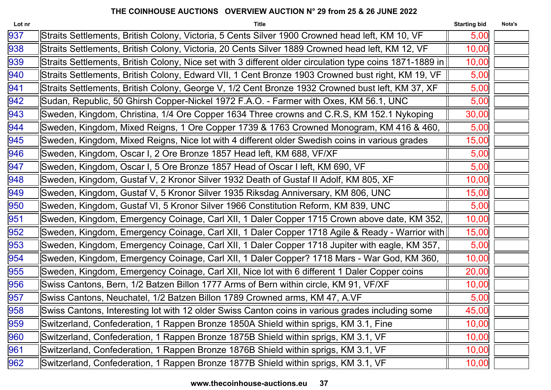| Lot nr | <b>Title</b>                                                                                             | <b>Starting bid</b> | Nota's |
|--------|----------------------------------------------------------------------------------------------------------|---------------------|--------|
| 937    | Straits Settlements, British Colony, Victoria, 5 Cents Silver 1900 Crowned head left, KM 10, VF          | 5,00                |        |
| 938    | Straits Settlements, British Colony, Victoria, 20 Cents Silver 1889 Crowned head left, KM 12, VF         | 10,00               |        |
| 939    | Straits Settlements, British Colony, Nice set with 3 different older circulation type coins 1871-1889 in | 10,00               |        |
| 940    | Straits Settlements, British Colony, Edward VII, 1 Cent Bronze 1903 Crowned bust right, KM 19, VF        | 5,00                |        |
| 941    | Straits Settlements, British Colony, George V, 1/2 Cent Bronze 1932 Crowned bust left, KM 37, XF         | 5,00                |        |
| 942    | Sudan, Republic, 50 Ghirsh Copper-Nickel 1972 F.A.O. - Farmer with Oxes, KM 56.1, UNC                    | 5,00                |        |
| 943    | Sweden, Kingdom, Christina, 1/4 Ore Copper 1634 Three crowns and C.R.S, KM 152.1 Nykoping                | 30,00               |        |
| 944    | Sweden, Kingdom, Mixed Reigns, 1 Ore Copper 1739 & 1763 Crowned Monogram, KM 416 & 460,                  | 5,00                |        |
| 945    | Sweden, Kingdom, Mixed Reigns, Nice lot with 4 different older Swedish coins in various grades           | 15,00               |        |
| 946    | Sweden, Kingdom, Oscar I, 2 Ore Bronze 1857 Head left, KM 688, VF/XF                                     | 5,00                |        |
| 947    | Sweden, Kingdom, Oscar I, 5 Ore Bronze 1857 Head of Oscar I left, KM 690, VF                             | 5,00                |        |
| 948    | Sweden, Kingdom, Gustaf V, 2 Kronor Silver 1932 Death of Gustaf II Adolf, KM 805, XF                     | 10,00               |        |
| 949    | Sweden, Kingdom, Gustaf V, 5 Kronor Silver 1935 Riksdag Anniversary, KM 806, UNC                         | 15,00               |        |
| 950    | Sweden, Kingdom, Gustaf VI, 5 Kronor Silver 1966 Constitution Reform, KM 839, UNC                        | 5,00                |        |
| 951    | Sweden, Kingdom, Emergency Coinage, Carl XII, 1 Daler Copper 1715 Crown above date, KM 352,              | 10,00               |        |
| 952    | Sweden, Kingdom, Emergency Coinage, Carl XII, 1 Daler Copper 1718 Agile & Ready - Warrior with           | 15,00               |        |
| 953    | Sweden, Kingdom, Emergency Coinage, Carl XII, 1 Daler Copper 1718 Jupiter with eagle, KM 357,            | 5,00                |        |
| 954    | Sweden, Kingdom, Emergency Coinage, Carl XII, 1 Daler Copper? 1718 Mars - War God, KM 360,               | 10,00               |        |
| 955    | Sweden, Kingdom, Emergency Coinage, Carl XII, Nice lot with 6 different 1 Daler Copper coins             | 20,00               |        |
| 956    | Swiss Cantons, Bern, 1/2 Batzen Billon 1777 Arms of Bern within circle, KM 91, VF/XF                     | 10,00               |        |
| 957    | Swiss Cantons, Neuchatel, 1/2 Batzen Billon 1789 Crowned arms, KM 47, A.VF                               | 5,00                |        |
| 958    | Swiss Cantons, Interesting lot with 12 older Swiss Canton coins in various grades including some         | 45,00               |        |
| 959    | Switzerland, Confederation, 1 Rappen Bronze 1850A Shield within sprigs, KM 3.1, Fine                     | 10,00               |        |
| 960    | Switzerland, Confederation, 1 Rappen Bronze 1875B Shield within sprigs, KM 3.1, VF                       | 10,00               |        |
| 961    | Switzerland, Confederation, 1 Rappen Bronze 1876B Shield within sprigs, KM 3.1, VF                       | 10,00               |        |
| 962    | Switzerland, Confederation, 1 Rappen Bronze 1877B Shield within sprigs, KM 3.1, VF                       | 10,00               |        |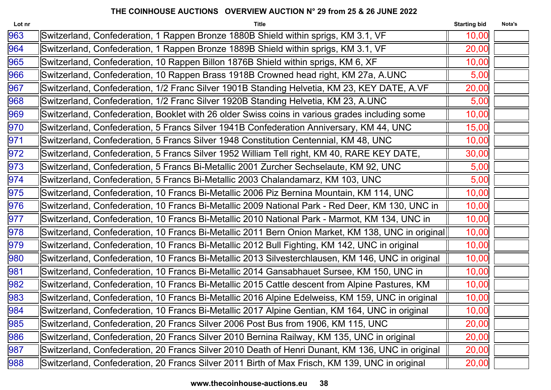| Lot nr | <b>Title</b>                                                                                      | <b>Starting bid</b> | Nota's |
|--------|---------------------------------------------------------------------------------------------------|---------------------|--------|
| 963    | Switzerland, Confederation, 1 Rappen Bronze 1880B Shield within sprigs, KM 3.1, VF                | 10,00               |        |
| 964    | Switzerland, Confederation, 1 Rappen Bronze 1889B Shield within sprigs, KM 3.1, VF                | 20,00               |        |
| 965    | Switzerland, Confederation, 10 Rappen Billon 1876B Shield within sprigs, KM 6, XF                 | 10,00               |        |
| 966    | Switzerland, Confederation, 10 Rappen Brass 1918B Crowned head right, KM 27a, A.UNC               | 5,00                |        |
| 967    | Switzerland, Confederation, 1/2 Franc Silver 1901B Standing Helvetia, KM 23, KEY DATE, A.VF       | 20,00               |        |
| 968    | Switzerland, Confederation, 1/2 Franc Silver 1920B Standing Helvetia, KM 23, A.UNC                | 5,00                |        |
| 969    | Switzerland, Confederation, Booklet with 26 older Swiss coins in various grades including some    | 10,00               |        |
| 970    | Switzerland, Confederation, 5 Francs Silver 1941B Confederation Anniversary, KM 44, UNC           | 15,00               |        |
| 971    | Switzerland, Confederation, 5 Francs Silver 1948 Constitution Centennial, KM 48, UNC              | 10,00               |        |
| 972    | Switzerland, Confederation, 5 Francs Silver 1952 William Tell right, KM 40, RARE KEY DATE,        | 30,00               |        |
| 973    | Switzerland, Confederation, 5 Francs Bi-Metallic 2001 Zurcher Sechselaute, KM 92, UNC             | 5,00                |        |
| 974    | Switzerland, Confederation, 5 Francs Bi-Metallic 2003 Chalandamarz, KM 103, UNC                   | 5,00                |        |
| 975    | Switzerland, Confederation, 10 Francs Bi-Metallic 2006 Piz Bernina Mountain, KM 114, UNC          | 10,00               |        |
| 976    | Switzerland, Confederation, 10 Francs Bi-Metallic 2009 National Park - Red Deer, KM 130, UNC in   | 10,00               |        |
| 977    | Switzerland, Confederation, 10 Francs Bi-Metallic 2010 National Park - Marmot, KM 134, UNC in     | 10,00               |        |
| 978    | Switzerland, Confederation, 10 Francs Bi-Metallic 2011 Bern Onion Market, KM 138, UNC in original | 10,00               |        |
| 979    | Switzerland, Confederation, 10 Francs Bi-Metallic 2012 Bull Fighting, KM 142, UNC in original     | 10,00               |        |
| 980    | Switzerland, Confederation, 10 Francs Bi-Metallic 2013 Silvesterchlausen, KM 146, UNC in original | 10,00               |        |
| 981    | Switzerland, Confederation, 10 Francs Bi-Metallic 2014 Gansabhauet Sursee, KM 150, UNC in         | 10,00               |        |
| 982    | Switzerland, Confederation, 10 Francs Bi-Metallic 2015 Cattle descent from Alpine Pastures, KM    | 10,00               |        |
| 983    | Switzerland, Confederation, 10 Francs Bi-Metallic 2016 Alpine Edelweiss, KM 159, UNC in original  | 10,00               |        |
| 984    | Switzerland, Confederation, 10 Francs Bi-Metallic 2017 Alpine Gentian, KM 164, UNC in original    | 10,00               |        |
| 985    | Switzerland, Confederation, 20 Francs Silver 2006 Post Bus from 1906, KM 115, UNC                 | 20,00               |        |
| 986    | Switzerland, Confederation, 20 Francs Silver 2010 Bernina Railway, KM 135, UNC in original        | 20,00               |        |
| 987    | Switzerland, Confederation, 20 Francs Silver 2010 Death of Henri Dunant, KM 136, UNC in original  | 20,00               |        |
| 988    | Switzerland, Confederation, 20 Francs Silver 2011 Birth of Max Frisch, KM 139, UNC in original    | 20,00               |        |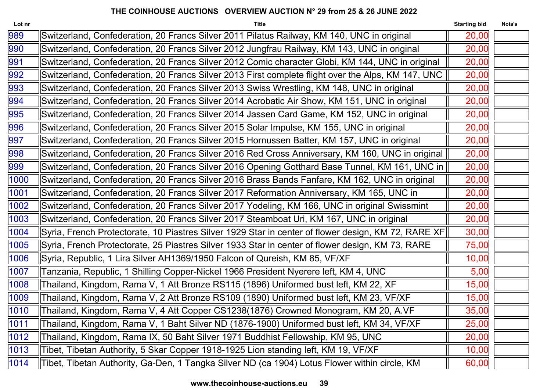| Switzerland, Confederation, 20 Francs Silver 2011 Pilatus Railway, KM 140, UNC in original<br>20,00<br>Switzerland, Confederation, 20 Francs Silver 2012 Jungfrau Railway, KM 143, UNC in original<br>20,00<br>Switzerland, Confederation, 20 Francs Silver 2012 Comic character Globi, KM 144, UNC in original<br>20,00<br>Switzerland, Confederation, 20 Francs Silver 2013 First complete flight over the Alps, KM 147, UNC<br>20,00<br>Switzerland, Confederation, 20 Francs Silver 2013 Swiss Wrestling, KM 148, UNC in original<br>20,00<br>Switzerland, Confederation, 20 Francs Silver 2014 Acrobatic Air Show, KM 151, UNC in original<br>20,00<br>Switzerland, Confederation, 20 Francs Silver 2014 Jassen Card Game, KM 152, UNC in original<br>20,00<br>Switzerland, Confederation, 20 Francs Silver 2015 Solar Impulse, KM 155, UNC in original<br>20,00<br>Switzerland, Confederation, 20 Francs Silver 2015 Hornussen Batter, KM 157, UNC in original<br>20,00<br>Switzerland, Confederation, 20 Francs Silver 2016 Red Cross Anniversary, KM 160, UNC in original<br>20,00<br>Switzerland, Confederation, 20 Francs Silver 2016 Opening Gotthard Base Tunnel, KM 161, UNC in   <br>20,00<br>Switzerland, Confederation, 20 Francs Silver 2016 Brass Bands Fanfare, KM 162, UNC in original<br>20,00<br>Switzerland, Confederation, 20 Francs Silver 2017 Reformation Anniversary, KM 165, UNC in<br>20,00<br>Switzerland, Confederation, 20 Francs Silver 2017 Yodeling, KM 166, UNC in original Swissmint<br>20,00<br>Switzerland, Confederation, 20 Francs Silver 2017 Steamboat Uri, KM 167, UNC in original<br>20,00<br>Syria, French Protectorate, 10 Piastres Silver 1929 Star in center of flower design, KM 72, RARE XF <br>30,00<br>75,00<br>Syria, French Protectorate, 25 Piastres Silver 1933 Star in center of flower design, KM 73, RARE<br>Syria, Republic, 1 Lira Silver AH1369/1950 Falcon of Qureish, KM 85, VF/XF<br>10,00<br>Tanzania, Republic, 1 Shilling Copper-Nickel 1966 President Nyerere left, KM 4, UNC<br>5,00<br>Thailand, Kingdom, Rama V, 1 Att Bronze RS115 (1896) Uniformed bust left, KM 22, XF<br>15,00<br>Thailand, Kingdom, Rama V, 2 Att Bronze RS109 (1890) Uniformed bust left, KM 23, VF/XF<br>15,00<br>Thailand, Kingdom, Rama V, 4 Att Copper CS1238(1876) Crowned Monogram, KM 20, A.VF<br>35,00<br>Thailand, Kingdom, Rama V, 1 Baht Silver ND (1876-1900) Uniformed bust left, KM 34, VF/XF<br>25,00<br>Thailand, Kingdom, Rama IX, 50 Baht Silver 1971 Buddhist Fellowship, KM 95, UNC<br>20,00<br>Tibet, Tibetan Authority, 5 Skar Copper 1918-1925 Lion standing left, KM 19, VF/XF<br>10,00<br>Tibet, Tibetan Authority, Ga-Den, 1 Tangka Silver ND (ca 1904) Lotus Flower within circle, KM<br>60,00 | Lot nr | <b>Title</b> | <b>Starting bid</b> | Nota's |
|---------------------------------------------------------------------------------------------------------------------------------------------------------------------------------------------------------------------------------------------------------------------------------------------------------------------------------------------------------------------------------------------------------------------------------------------------------------------------------------------------------------------------------------------------------------------------------------------------------------------------------------------------------------------------------------------------------------------------------------------------------------------------------------------------------------------------------------------------------------------------------------------------------------------------------------------------------------------------------------------------------------------------------------------------------------------------------------------------------------------------------------------------------------------------------------------------------------------------------------------------------------------------------------------------------------------------------------------------------------------------------------------------------------------------------------------------------------------------------------------------------------------------------------------------------------------------------------------------------------------------------------------------------------------------------------------------------------------------------------------------------------------------------------------------------------------------------------------------------------------------------------------------------------------------------------------------------------------------------------------------------------------------------------------------------------------------------------------------------------------------------------------------------------------------------------------------------------------------------------------------------------------------------------------------------------------------------------------------------------------------------------------------------------------------------------------------------------------------------------------------------------------------------------------------------------------------------------------------------------------------------------------------------------------------------------------------------------------------------------------------------------------------|--------|--------------|---------------------|--------|
|                                                                                                                                                                                                                                                                                                                                                                                                                                                                                                                                                                                                                                                                                                                                                                                                                                                                                                                                                                                                                                                                                                                                                                                                                                                                                                                                                                                                                                                                                                                                                                                                                                                                                                                                                                                                                                                                                                                                                                                                                                                                                                                                                                                                                                                                                                                                                                                                                                                                                                                                                                                                                                                                                                                                                                           | 989    |              |                     |        |
|                                                                                                                                                                                                                                                                                                                                                                                                                                                                                                                                                                                                                                                                                                                                                                                                                                                                                                                                                                                                                                                                                                                                                                                                                                                                                                                                                                                                                                                                                                                                                                                                                                                                                                                                                                                                                                                                                                                                                                                                                                                                                                                                                                                                                                                                                                                                                                                                                                                                                                                                                                                                                                                                                                                                                                           | 990    |              |                     |        |
|                                                                                                                                                                                                                                                                                                                                                                                                                                                                                                                                                                                                                                                                                                                                                                                                                                                                                                                                                                                                                                                                                                                                                                                                                                                                                                                                                                                                                                                                                                                                                                                                                                                                                                                                                                                                                                                                                                                                                                                                                                                                                                                                                                                                                                                                                                                                                                                                                                                                                                                                                                                                                                                                                                                                                                           | 991    |              |                     |        |
|                                                                                                                                                                                                                                                                                                                                                                                                                                                                                                                                                                                                                                                                                                                                                                                                                                                                                                                                                                                                                                                                                                                                                                                                                                                                                                                                                                                                                                                                                                                                                                                                                                                                                                                                                                                                                                                                                                                                                                                                                                                                                                                                                                                                                                                                                                                                                                                                                                                                                                                                                                                                                                                                                                                                                                           | 992    |              |                     |        |
|                                                                                                                                                                                                                                                                                                                                                                                                                                                                                                                                                                                                                                                                                                                                                                                                                                                                                                                                                                                                                                                                                                                                                                                                                                                                                                                                                                                                                                                                                                                                                                                                                                                                                                                                                                                                                                                                                                                                                                                                                                                                                                                                                                                                                                                                                                                                                                                                                                                                                                                                                                                                                                                                                                                                                                           | 993    |              |                     |        |
|                                                                                                                                                                                                                                                                                                                                                                                                                                                                                                                                                                                                                                                                                                                                                                                                                                                                                                                                                                                                                                                                                                                                                                                                                                                                                                                                                                                                                                                                                                                                                                                                                                                                                                                                                                                                                                                                                                                                                                                                                                                                                                                                                                                                                                                                                                                                                                                                                                                                                                                                                                                                                                                                                                                                                                           | 994    |              |                     |        |
|                                                                                                                                                                                                                                                                                                                                                                                                                                                                                                                                                                                                                                                                                                                                                                                                                                                                                                                                                                                                                                                                                                                                                                                                                                                                                                                                                                                                                                                                                                                                                                                                                                                                                                                                                                                                                                                                                                                                                                                                                                                                                                                                                                                                                                                                                                                                                                                                                                                                                                                                                                                                                                                                                                                                                                           | 995    |              |                     |        |
|                                                                                                                                                                                                                                                                                                                                                                                                                                                                                                                                                                                                                                                                                                                                                                                                                                                                                                                                                                                                                                                                                                                                                                                                                                                                                                                                                                                                                                                                                                                                                                                                                                                                                                                                                                                                                                                                                                                                                                                                                                                                                                                                                                                                                                                                                                                                                                                                                                                                                                                                                                                                                                                                                                                                                                           | 996    |              |                     |        |
|                                                                                                                                                                                                                                                                                                                                                                                                                                                                                                                                                                                                                                                                                                                                                                                                                                                                                                                                                                                                                                                                                                                                                                                                                                                                                                                                                                                                                                                                                                                                                                                                                                                                                                                                                                                                                                                                                                                                                                                                                                                                                                                                                                                                                                                                                                                                                                                                                                                                                                                                                                                                                                                                                                                                                                           | 997    |              |                     |        |
|                                                                                                                                                                                                                                                                                                                                                                                                                                                                                                                                                                                                                                                                                                                                                                                                                                                                                                                                                                                                                                                                                                                                                                                                                                                                                                                                                                                                                                                                                                                                                                                                                                                                                                                                                                                                                                                                                                                                                                                                                                                                                                                                                                                                                                                                                                                                                                                                                                                                                                                                                                                                                                                                                                                                                                           | 998    |              |                     |        |
|                                                                                                                                                                                                                                                                                                                                                                                                                                                                                                                                                                                                                                                                                                                                                                                                                                                                                                                                                                                                                                                                                                                                                                                                                                                                                                                                                                                                                                                                                                                                                                                                                                                                                                                                                                                                                                                                                                                                                                                                                                                                                                                                                                                                                                                                                                                                                                                                                                                                                                                                                                                                                                                                                                                                                                           | 999    |              |                     |        |
|                                                                                                                                                                                                                                                                                                                                                                                                                                                                                                                                                                                                                                                                                                                                                                                                                                                                                                                                                                                                                                                                                                                                                                                                                                                                                                                                                                                                                                                                                                                                                                                                                                                                                                                                                                                                                                                                                                                                                                                                                                                                                                                                                                                                                                                                                                                                                                                                                                                                                                                                                                                                                                                                                                                                                                           | 1000   |              |                     |        |
|                                                                                                                                                                                                                                                                                                                                                                                                                                                                                                                                                                                                                                                                                                                                                                                                                                                                                                                                                                                                                                                                                                                                                                                                                                                                                                                                                                                                                                                                                                                                                                                                                                                                                                                                                                                                                                                                                                                                                                                                                                                                                                                                                                                                                                                                                                                                                                                                                                                                                                                                                                                                                                                                                                                                                                           | 1001   |              |                     |        |
|                                                                                                                                                                                                                                                                                                                                                                                                                                                                                                                                                                                                                                                                                                                                                                                                                                                                                                                                                                                                                                                                                                                                                                                                                                                                                                                                                                                                                                                                                                                                                                                                                                                                                                                                                                                                                                                                                                                                                                                                                                                                                                                                                                                                                                                                                                                                                                                                                                                                                                                                                                                                                                                                                                                                                                           | 1002   |              |                     |        |
|                                                                                                                                                                                                                                                                                                                                                                                                                                                                                                                                                                                                                                                                                                                                                                                                                                                                                                                                                                                                                                                                                                                                                                                                                                                                                                                                                                                                                                                                                                                                                                                                                                                                                                                                                                                                                                                                                                                                                                                                                                                                                                                                                                                                                                                                                                                                                                                                                                                                                                                                                                                                                                                                                                                                                                           | 1003   |              |                     |        |
|                                                                                                                                                                                                                                                                                                                                                                                                                                                                                                                                                                                                                                                                                                                                                                                                                                                                                                                                                                                                                                                                                                                                                                                                                                                                                                                                                                                                                                                                                                                                                                                                                                                                                                                                                                                                                                                                                                                                                                                                                                                                                                                                                                                                                                                                                                                                                                                                                                                                                                                                                                                                                                                                                                                                                                           | 1004   |              |                     |        |
|                                                                                                                                                                                                                                                                                                                                                                                                                                                                                                                                                                                                                                                                                                                                                                                                                                                                                                                                                                                                                                                                                                                                                                                                                                                                                                                                                                                                                                                                                                                                                                                                                                                                                                                                                                                                                                                                                                                                                                                                                                                                                                                                                                                                                                                                                                                                                                                                                                                                                                                                                                                                                                                                                                                                                                           | 1005   |              |                     |        |
|                                                                                                                                                                                                                                                                                                                                                                                                                                                                                                                                                                                                                                                                                                                                                                                                                                                                                                                                                                                                                                                                                                                                                                                                                                                                                                                                                                                                                                                                                                                                                                                                                                                                                                                                                                                                                                                                                                                                                                                                                                                                                                                                                                                                                                                                                                                                                                                                                                                                                                                                                                                                                                                                                                                                                                           | 1006   |              |                     |        |
|                                                                                                                                                                                                                                                                                                                                                                                                                                                                                                                                                                                                                                                                                                                                                                                                                                                                                                                                                                                                                                                                                                                                                                                                                                                                                                                                                                                                                                                                                                                                                                                                                                                                                                                                                                                                                                                                                                                                                                                                                                                                                                                                                                                                                                                                                                                                                                                                                                                                                                                                                                                                                                                                                                                                                                           | 1007   |              |                     |        |
|                                                                                                                                                                                                                                                                                                                                                                                                                                                                                                                                                                                                                                                                                                                                                                                                                                                                                                                                                                                                                                                                                                                                                                                                                                                                                                                                                                                                                                                                                                                                                                                                                                                                                                                                                                                                                                                                                                                                                                                                                                                                                                                                                                                                                                                                                                                                                                                                                                                                                                                                                                                                                                                                                                                                                                           | 1008   |              |                     |        |
|                                                                                                                                                                                                                                                                                                                                                                                                                                                                                                                                                                                                                                                                                                                                                                                                                                                                                                                                                                                                                                                                                                                                                                                                                                                                                                                                                                                                                                                                                                                                                                                                                                                                                                                                                                                                                                                                                                                                                                                                                                                                                                                                                                                                                                                                                                                                                                                                                                                                                                                                                                                                                                                                                                                                                                           | 1009   |              |                     |        |
|                                                                                                                                                                                                                                                                                                                                                                                                                                                                                                                                                                                                                                                                                                                                                                                                                                                                                                                                                                                                                                                                                                                                                                                                                                                                                                                                                                                                                                                                                                                                                                                                                                                                                                                                                                                                                                                                                                                                                                                                                                                                                                                                                                                                                                                                                                                                                                                                                                                                                                                                                                                                                                                                                                                                                                           | 1010   |              |                     |        |
|                                                                                                                                                                                                                                                                                                                                                                                                                                                                                                                                                                                                                                                                                                                                                                                                                                                                                                                                                                                                                                                                                                                                                                                                                                                                                                                                                                                                                                                                                                                                                                                                                                                                                                                                                                                                                                                                                                                                                                                                                                                                                                                                                                                                                                                                                                                                                                                                                                                                                                                                                                                                                                                                                                                                                                           | 1011   |              |                     |        |
|                                                                                                                                                                                                                                                                                                                                                                                                                                                                                                                                                                                                                                                                                                                                                                                                                                                                                                                                                                                                                                                                                                                                                                                                                                                                                                                                                                                                                                                                                                                                                                                                                                                                                                                                                                                                                                                                                                                                                                                                                                                                                                                                                                                                                                                                                                                                                                                                                                                                                                                                                                                                                                                                                                                                                                           | 1012   |              |                     |        |
|                                                                                                                                                                                                                                                                                                                                                                                                                                                                                                                                                                                                                                                                                                                                                                                                                                                                                                                                                                                                                                                                                                                                                                                                                                                                                                                                                                                                                                                                                                                                                                                                                                                                                                                                                                                                                                                                                                                                                                                                                                                                                                                                                                                                                                                                                                                                                                                                                                                                                                                                                                                                                                                                                                                                                                           | 1013   |              |                     |        |
|                                                                                                                                                                                                                                                                                                                                                                                                                                                                                                                                                                                                                                                                                                                                                                                                                                                                                                                                                                                                                                                                                                                                                                                                                                                                                                                                                                                                                                                                                                                                                                                                                                                                                                                                                                                                                                                                                                                                                                                                                                                                                                                                                                                                                                                                                                                                                                                                                                                                                                                                                                                                                                                                                                                                                                           | 1014   |              |                     |        |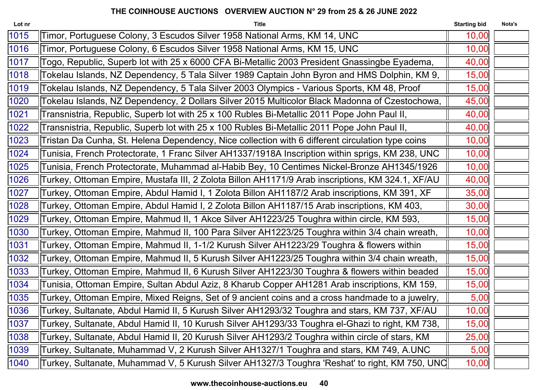| Lot nr | <b>Title</b>                                                                                     | <b>Starting bid</b> | Nota's |
|--------|--------------------------------------------------------------------------------------------------|---------------------|--------|
| 1015   | Timor, Portuguese Colony, 3 Escudos Silver 1958 National Arms, KM 14, UNC                        | 10,00               |        |
| 1016   | Timor, Portuguese Colony, 6 Escudos Silver 1958 National Arms, KM 15, UNC                        | 10,00               |        |
| 1017   | Togo, Republic, Superb lot with 25 x 6000 CFA Bi-Metallic 2003 President Gnassingbe Eyadema,     | 40,00               |        |
| 1018   | Tokelau Islands, NZ Dependency, 5 Tala Silver 1989 Captain John Byron and HMS Dolphin, KM 9,     | 15,00               |        |
| 1019   | Tokelau Islands, NZ Dependency, 5 Tala Silver 2003 Olympics - Various Sports, KM 48, Proof       | 15,00               |        |
| 1020   | Tokelau Islands, NZ Dependency, 2 Dollars Silver 2015 Multicolor Black Madonna of Czestochowa,   | 45,00               |        |
| 1021   | Transnistria, Republic, Superb lot with 25 x 100 Rubles Bi-Metallic 2011 Pope John Paul II,      | 40,00               |        |
| 1022   | Transnistria, Republic, Superb lot with 25 x 100 Rubles Bi-Metallic 2011 Pope John Paul II,      | 40,00               |        |
| 1023   | Tristan Da Cunha, St. Helena Dependency, Nice collection with 6 different circulation type coins | 10,00               |        |
| 1024   | Tunisia, French Protectorate, 1 Franc Silver AH1337/1918A Inscription within sprigs, KM 238, UNC | 10,00               |        |
| 1025   | Tunisia, French Protectorate, Muhammad al-Habib Bey, 10 Centimes Nickel-Bronze AH1345/1926       | 10,00               |        |
| 1026   | Turkey, Ottoman Empire, Mustafa III, 2 Zolota Billon AH1171/9 Arab inscriptions, KM 324.1, XF/AU | 40,00               |        |
| 1027   | Turkey, Ottoman Empire, Abdul Hamid I, 1 Zolota Billon AH1187/2 Arab inscriptions, KM 391, XF    | 35,00               |        |
| 1028   | Turkey, Ottoman Empire, Abdul Hamid I, 2 Zolota Billon AH1187/15 Arab inscriptions, KM 403,      | 30,00               |        |
| 1029   | Turkey, Ottoman Empire, Mahmud II, 1 Akce Silver AH1223/25 Toughra within circle, KM 593,        | 15,00               |        |
| 1030   | Turkey, Ottoman Empire, Mahmud II, 100 Para Silver AH1223/25 Toughra within 3/4 chain wreath,    | 10,00               |        |
| 1031   | Turkey, Ottoman Empire, Mahmud II, 1-1/2 Kurush Silver AH1223/29 Toughra & flowers within        | 15,00               |        |
| 1032   | Turkey, Ottoman Empire, Mahmud II, 5 Kurush Silver AH1223/25 Toughra within 3/4 chain wreath,    | 15,00               |        |
| 1033   | Turkey, Ottoman Empire, Mahmud II, 6 Kurush Silver AH1223/30 Toughra & flowers within beaded     | 15,00               |        |
| 1034   | Tunisia, Ottoman Empire, Sultan Abdul Aziz, 8 Kharub Copper AH1281 Arab inscriptions, KM 159,    | 15,00               |        |
| 1035   | Turkey, Ottoman Empire, Mixed Reigns, Set of 9 ancient coins and a cross handmade to a juwelry,  | 5,00                |        |
| 1036   | Turkey, Sultanate, Abdul Hamid II, 5 Kurush Silver AH1293/32 Toughra and stars, KM 737, XF/AU    | 10,00               |        |
| 1037   | Turkey, Sultanate, Abdul Hamid II, 10 Kurush Silver AH1293/33 Toughra el-Ghazi to right, KM 738, | 15,00               |        |
| 1038   | Turkey, Sultanate, Abdul Hamid II, 20 Kurush Silver AH1293/2 Toughra within circle of stars, KM  | 25,00               |        |
| 1039   | Turkey, Sultanate, Muhammad V, 2 Kurush Silver AH1327/1 Toughra and stars, KM 749, A.UNC         | 5,00                |        |
| 1040   | Turkey, Sultanate, Muhammad V, 5 Kurush Silver AH1327/3 Toughra 'Reshat' to right, KM 750, UNC   | 10,00               |        |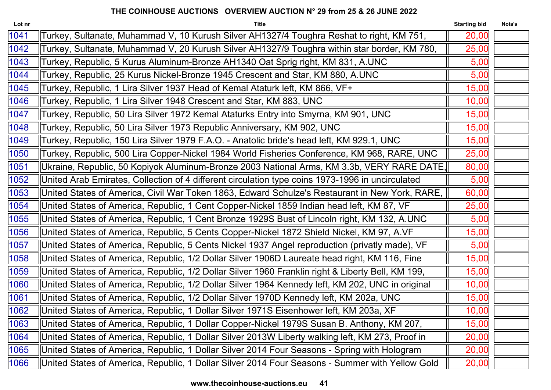| Lot nr | <b>Title</b>                                                                                      | <b>Starting bid</b> | Nota's |
|--------|---------------------------------------------------------------------------------------------------|---------------------|--------|
| 1041   | Turkey, Sultanate, Muhammad V, 10 Kurush Silver AH1327/4 Toughra Reshat to right, KM 751,         | 20,00               |        |
| 1042   | Turkey, Sultanate, Muhammad V, 20 Kurush Silver AH1327/9 Toughra within star border, KM 780,      | 25,00               |        |
| 1043   | Turkey, Republic, 5 Kurus Aluminum-Bronze AH1340 Oat Sprig right, KM 831, A.UNC                   | 5,00                |        |
| 1044   | Turkey, Republic, 25 Kurus Nickel-Bronze 1945 Crescent and Star, KM 880, A.UNC                    | 5,00                |        |
| 1045   | Turkey, Republic, 1 Lira Silver 1937 Head of Kemal Ataturk left, KM 866, VF+                      | 15,00               |        |
| 1046   | Turkey, Republic, 1 Lira Silver 1948 Crescent and Star, KM 883, UNC                               | 10,00               |        |
| 1047   | Turkey, Republic, 50 Lira Silver 1972 Kemal Ataturks Entry into Smyrna, KM 901, UNC               | 15,00               |        |
| 1048   | Turkey, Republic, 50 Lira Silver 1973 Republic Anniversary, KM 902, UNC                           | 15,00               |        |
| 1049   | Turkey, Republic, 150 Lira Silver 1979 F.A.O. - Anatolic bride's head left, KM 929.1, UNC         | 15,00               |        |
| 1050   | Turkey, Republic, 500 Lira Copper-Nickel 1984 World Fisheries Conference, KM 968, RARE, UNC       | 25,00               |        |
| 1051   | Ukraine, Republic, 50 Kopiyok Aluminum-Bronze 2003 National Arms, KM 3.3b, VERY RARE DATE,        | 80,00               |        |
| 1052   | United Arab Emirates, Collection of 4 different circulation type coins 1973-1996 in uncirculated  | 5,00                |        |
| 1053   | United States of America, Civil War Token 1863, Edward Schulze's Restaurant in New York, RARE,    | 60,00               |        |
| 1054   | United States of America, Republic, 1 Cent Copper-Nickel 1859 Indian head left, KM 87, VF         | 25,00               |        |
| 1055   | United States of America, Republic, 1 Cent Bronze 1929S Bust of Lincoln right, KM 132, A.UNC      | 5,00                |        |
| 1056   | United States of America, Republic, 5 Cents Copper-Nickel 1872 Shield Nickel, KM 97, A.VF         | 15,00               |        |
| 1057   | United States of America, Republic, 5 Cents Nickel 1937 Angel reproduction (privatly made), VF    | 5,00                |        |
| 1058   | United States of America, Republic, 1/2 Dollar Silver 1906D Laureate head right, KM 116, Fine     | 15,00               |        |
| 1059   | United States of America, Republic, 1/2 Dollar Silver 1960 Franklin right & Liberty Bell, KM 199, | 15,00               |        |
| 1060   | United States of America, Republic, 1/2 Dollar Silver 1964 Kennedy left, KM 202, UNC in original  | 10,00               |        |
| 1061   | United States of America, Republic, 1/2 Dollar Silver 1970D Kennedy left, KM 202a, UNC            | 15,00               |        |
| 1062   | United States of America, Republic, 1 Dollar Silver 1971S Eisenhower left, KM 203a, XF            | 10,00               |        |
| 1063   | United States of America, Republic, 1 Dollar Copper-Nickel 1979S Susan B. Anthony, KM 207,        | 15,00               |        |
| 1064   | United States of America, Republic, 1 Dollar Silver 2013W Liberty walking left, KM 273, Proof in  | 20,00               |        |
| 1065   | United States of America, Republic, 1 Dollar Silver 2014 Four Seasons - Spring with Hologram      | 20,00               |        |
| 1066   | United States of America, Republic, 1 Dollar Silver 2014 Four Seasons - Summer with Yellow Gold   | 20,00               |        |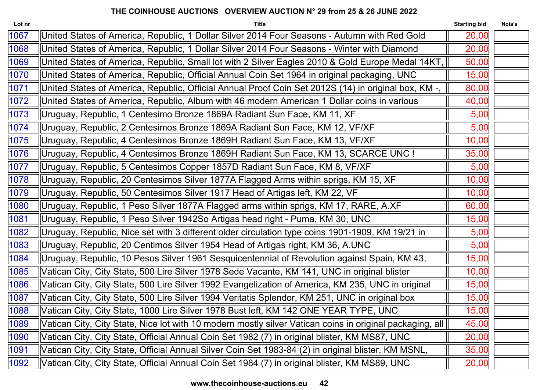| Lot nr | <b>Title</b>                                                                                             | <b>Starting bid</b> | Nota's |
|--------|----------------------------------------------------------------------------------------------------------|---------------------|--------|
| 1067   | United States of America, Republic, 1 Dollar Silver 2014 Four Seasons - Autumn with Red Gold             | 20,00               |        |
| 1068   | United States of America, Republic, 1 Dollar Silver 2014 Four Seasons - Winter with Diamond              | 20,00               |        |
| 1069   | United States of America, Republic, Small lot with 2 Silver Eagles 2010 & Gold Europe Medal 14KT,        | 50,00               |        |
| 1070   | United States of America, Republic, Official Annual Coin Set 1964 in original packaging, UNC             | 15,00               |        |
| 1071   | United States of America, Republic, Official Annual Proof Coin Set 2012S (14) in original box, KM -,     | 80,00               |        |
| 1072   | United States of America, Republic, Album with 46 modern American 1 Dollar coins in various              | 40,00               |        |
| 1073   | Uruguay, Republic, 1 Centesimo Bronze 1869A Radiant Sun Face, KM 11, XF                                  | 5,00                |        |
| 1074   | Uruguay, Republic, 2 Centesimos Bronze 1869A Radiant Sun Face, KM 12, VF/XF                              | 5,00                |        |
| 1075   | Uruguay, Republic, 4 Centesimos Bronze 1869H Radiant Sun Face, KM 13, VF/XF                              | 10,00               |        |
| 1076   | Uruguay, Republic, 4 Centesimos Bronze 1869H Radiant Sun Face, KM 13, SCARCE UNC !                       | 35,00               |        |
| 1077   | Uruguay, Republic, 5 Centesimos Copper 1857D Radiant Sun Face, KM 8, VF/XF                               | 5,00                |        |
| 1078   | Uruguay, Republic, 20 Centesimos Silver 1877A Flagged Arms within sprigs, KM 15, XF                      | 10,00               |        |
| 1079   | Uruguay, Republic, 50 Centesimos Silver 1917 Head of Artigas left, KM 22, VF                             | 10,00               |        |
| 1080   | Uruguay, Republic, 1 Peso Silver 1877A Flagged arms within sprigs, KM 17, RARE, A.XF                     | 60,00               |        |
| 1081   | Uruguay, Republic, 1 Peso Silver 1942So Artigas head right - Puma, KM 30, UNC                            | 15,00               |        |
| 1082   | Uruguay, Republic, Nice set with 3 different older circulation type coins 1901-1909, KM 19/21 in         | 5,00                |        |
| 1083   | Uruguay, Republic, 20 Centimos Silver 1954 Head of Artigas right, KM 36, A.UNC                           | 5,00                |        |
| 1084   | Uruguay, Republic, 10 Pesos Silver 1961 Sesquicentennial of Revolution against Spain, KM 43,             | 15,00               |        |
| 1085   | Vatican City, City State, 500 Lire Silver 1978 Sede Vacante, KM 141, UNC in original blister             | 10,00               |        |
| 1086   | Vatican City, City State, 500 Lire Silver 1992 Evangelization of America, KM 235, UNC in original        | 15,00               |        |
| 1087   | Vatican City, City State, 500 Lire Silver 1994 Veritatis Splendor, KM 251, UNC in original box           | 15,00               |        |
| 1088   | Vatican City, City State, 1000 Lire Silver 1978 Bust left, KM 142 ONE YEAR TYPE, UNC                     | 15,00               |        |
| 1089   | Vatican City, City State, Nice lot with 10 modern mostly silver Vatican coins in original packaging, all | 45,00               |        |
| 1090   | Vatican City, City State, Official Annual Coin Set 1982 (7) in original blister, KM MS87, UNC            | 20,00               |        |
| 1091   | Vatican City, City State, Official Annual Silver Coin Set 1983-84 (2) in original blister, KM MSNL,      | 35,00               |        |
| 1092   | Vatican City, City State, Official Annual Coin Set 1984 (7) in original blister, KM MS89, UNC            | 20,00               |        |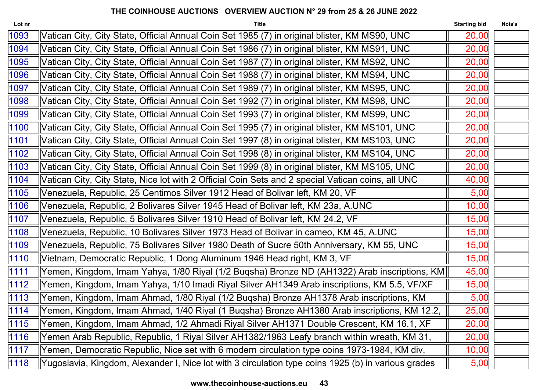| Lot nr | <b>Title</b>                                                                                        | <b>Starting bid</b> | Nota's |
|--------|-----------------------------------------------------------------------------------------------------|---------------------|--------|
| 1093   | Vatican City, City State, Official Annual Coin Set 1985 (7) in original blister, KM MS90, UNC       | 20,00               |        |
| 1094   | Vatican City, City State, Official Annual Coin Set 1986 (7) in original blister, KM MS91, UNC       | 20,00               |        |
| 1095   | Vatican City, City State, Official Annual Coin Set 1987 (7) in original blister, KM MS92, UNC       | 20,00               |        |
| 1096   | Vatican City, City State, Official Annual Coin Set 1988 (7) in original blister, KM MS94, UNC       | 20,00               |        |
| 1097   | Vatican City, City State, Official Annual Coin Set 1989 (7) in original blister, KM MS95, UNC       | 20,00               |        |
| 1098   | Vatican City, City State, Official Annual Coin Set 1992 (7) in original blister, KM MS98, UNC       | 20,00               |        |
| 1099   | Vatican City, City State, Official Annual Coin Set 1993 (7) in original blister, KM MS99, UNC       | 20,00               |        |
| 1100   | Vatican City, City State, Official Annual Coin Set 1995 (7) in original blister, KM MS101, UNC      | 20,00               |        |
| 1101   | Vatican City, City State, Official Annual Coin Set 1997 (8) in original blister, KM MS103, UNC      | 20,00               |        |
| 1102   | Vatican City, City State, Official Annual Coin Set 1998 (8) in original blister, KM MS104, UNC      | 20,00               |        |
| 1103   | Vatican City, City State, Official Annual Coin Set 1999 (8) in original blister, KM MS105, UNC      | 20,00               |        |
| 1104   | Vatican City, City State, Nice lot with 2 Official Coin Sets and 2 special Vatican coins, all UNC   | 40,00               |        |
| 1105   | Venezuela, Republic, 25 Centimos Silver 1912 Head of Bolivar left, KM 20, VF                        | 5,00                |        |
| 1106   | Venezuela, Republic, 2 Bolivares Silver 1945 Head of Bolivar left, KM 23a, A.UNC                    | 10,00               |        |
| 1107   | Venezuela, Republic, 5 Bolivares Silver 1910 Head of Bolivar left, KM 24.2, VF                      | 15,00               |        |
| 1108   | Venezuela, Republic, 10 Bolivares Silver 1973 Head of Bolivar in cameo, KM 45, A.UNC                | 15,00               |        |
| 1109   | Venezuela, Republic, 75 Bolivares Silver 1980 Death of Sucre 50th Anniversary, KM 55, UNC           | 15,00               |        |
| 1110   | Vietnam, Democratic Republic, 1 Dong Aluminum 1946 Head right, KM 3, VF                             | 15,00               |        |
| 1111   | Yemen, Kingdom, Imam Yahya, 1/80 Riyal (1/2 Buqsha) Bronze ND (AH1322) Arab inscriptions, KM        | 45,00               |        |
| 1112   | Yemen, Kingdom, Imam Yahya, 1/10 Imadi Riyal Silver AH1349 Arab inscriptions, KM 5.5, VF/XF         | 15,00               |        |
| 1113   | Yemen, Kingdom, Imam Ahmad, 1/80 Riyal (1/2 Buqsha) Bronze AH1378 Arab inscriptions, KM             | 5,00                |        |
| 1114   | Yemen, Kingdom, Imam Ahmad, 1/40 Riyal (1 Buqsha) Bronze AH1380 Arab inscriptions, KM 12.2,         | 25,00               |        |
| 1115   | Yemen, Kingdom, Imam Ahmad, 1/2 Ahmadi Riyal Silver AH1371 Double Crescent, KM 16.1, XF             | 20,00               |        |
| 1116   | Yemen Arab Republic, Republic, 1 Riyal Silver AH1382/1963 Leafy branch within wreath, KM 31,        | 20,00               |        |
| 1117   | Yemen, Democratic Republic, Nice set with 6 modern circulation type coins 1973-1984, KM div,        | 10,00               |        |
| 1118   | Yugoslavia, Kingdom, Alexander I, Nice lot with 3 circulation type coins 1925 (b) in various grades | 5,00                |        |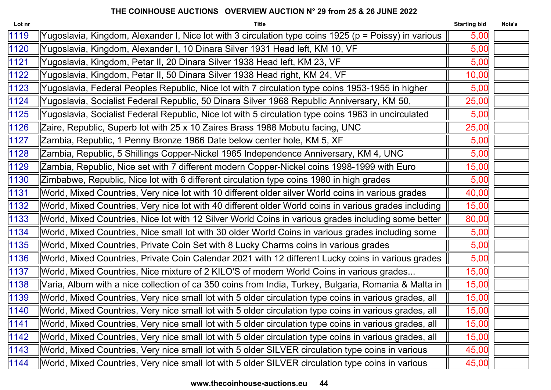| Lot nr | <b>Title</b>                                                                                           | <b>Starting bid</b> | Nota's |
|--------|--------------------------------------------------------------------------------------------------------|---------------------|--------|
| 1119   | Yugoslavia, Kingdom, Alexander I, Nice lot with 3 circulation type coins 1925 (p = Poissy) in various  | 5,00                |        |
| 1120   | Yugoslavia, Kingdom, Alexander I, 10 Dinara Silver 1931 Head left, KM 10, VF                           | 5,00                |        |
| 1121   | Yugoslavia, Kingdom, Petar II, 20 Dinara Silver 1938 Head left, KM 23, VF                              | 5,00                |        |
| 1122   | Yugoslavia, Kingdom, Petar II, 50 Dinara Silver 1938 Head right, KM 24, VF                             | 10,00               |        |
| 1123   | Yugoslavia, Federal Peoples Republic, Nice lot with 7 circulation type coins 1953-1955 in higher       | 5,00                |        |
| 1124   | Yugoslavia, Socialist Federal Republic, 50 Dinara Silver 1968 Republic Anniversary, KM 50,             | 25,00               |        |
| 1125   | Yugoslavia, Socialist Federal Republic, Nice lot with 5 circulation type coins 1963 in uncirculated    | 5,00                |        |
| 1126   | Zaire, Republic, Superb lot with 25 x 10 Zaires Brass 1988 Mobutu facing, UNC                          | 25,00               |        |
| 1127   | Zambia, Republic, 1 Penny Bronze 1966 Date below center hole, KM 5, XF                                 | 5,00                |        |
| 1128   | Zambia, Republic, 5 Shillings Copper-Nickel 1965 Independence Anniversary, KM 4, UNC                   | 5,00                |        |
| 1129   | Zambia, Republic, Nice set with 7 different modern Copper-Nickel coins 1998-1999 with Euro             | 15,00               |        |
| 1130   | Zimbabwe, Republic, Nice lot with 6 different circulation type coins 1980 in high grades               | 5,00                |        |
| 1131   | World, Mixed Countries, Very nice lot with 10 different older silver World coins in various grades     | 40,00               |        |
| 1132   | World, Mixed Countries, Very nice lot with 40 different older World coins in various grades including  | 15,00               |        |
| 1133   | World, Mixed Countries, Nice lot with 12 Silver World Coins in various grades including some better    | 80,00               |        |
| 1134   | World, Mixed Countries, Nice small lot with 30 older World Coins in various grades including some      | 5,00                |        |
| 1135   | World, Mixed Countries, Private Coin Set with 8 Lucky Charms coins in various grades                   | 5,00                |        |
| 1136   | World, Mixed Countries, Private Coin Calendar 2021 with 12 different Lucky coins in various grades     | 5,00                |        |
| 1137   | World, Mixed Countries, Nice mixture of 2 KILO'S of modern World Coins in various grades               | 15,00               |        |
| 1138   | Varia, Album with a nice collection of ca 350 coins from India, Turkey, Bulgaria, Romania & Malta in   | 15,00               |        |
| 1139   | World, Mixed Countries, Very nice small lot with 5 older circulation type coins in various grades, all | 15,00               |        |
| 1140   | World, Mixed Countries, Very nice small lot with 5 older circulation type coins in various grades, all | 15,00               |        |
| 1141   | World, Mixed Countries, Very nice small lot with 5 older circulation type coins in various grades, all | 15,00               |        |
| 1142   | World, Mixed Countries, Very nice small lot with 5 older circulation type coins in various grades, all | 15,00               |        |
| 1143   | World, Mixed Countries, Very nice small lot with 5 older SILVER circulation type coins in various      | 45,00               |        |
| 1144   | World, Mixed Countries, Very nice small lot with 5 older SILVER circulation type coins in various      | 45,00               |        |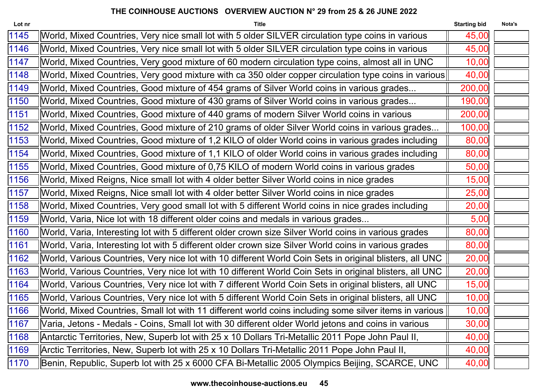| Lot nr | <b>Title</b>                                                                                            | <b>Starting bid</b> | Nota's |
|--------|---------------------------------------------------------------------------------------------------------|---------------------|--------|
| 1145   | World, Mixed Countries, Very nice small lot with 5 older SILVER circulation type coins in various       | 45,00               |        |
| 1146   | World, Mixed Countries, Very nice small lot with 5 older SILVER circulation type coins in various       | 45,00               |        |
| 1147   | World, Mixed Countries, Very good mixture of 60 modern circulation type coins, almost all in UNC        | 10,00               |        |
| 1148   | [World, Mixed Countries, Very good mixture with ca 350 older copper circulation type coins in various   | 40,00               |        |
| 1149   | World, Mixed Countries, Good mixture of 454 grams of Silver World coins in various grades               | 200,00              |        |
| 1150   | World, Mixed Countries, Good mixture of 430 grams of Silver World coins in various grades               | 190,00              |        |
| 1151   | World, Mixed Countries, Good mixture of 440 grams of modern Silver World coins in various               | 200,00              |        |
| 1152   | World, Mixed Countries, Good mixture of 210 grams of older Silver World coins in various grades         | 100,00              |        |
| 1153   | World, Mixed Countries, Good mixture of 1,2 KILO of older World coins in various grades including       | 80,00               |        |
| 1154   | World, Mixed Countries, Good mixture of 1,1 KILO of older World coins in various grades including       | 80,00               |        |
| 1155   | World, Mixed Countries, Good mixture of 0,75 KILO of modern World coins in various grades               | 50,00               |        |
| 1156   | World, Mixed Reigns, Nice small lot with 4 older better Silver World coins in nice grades               | 15,00               |        |
| 1157   | World, Mixed Reigns, Nice small lot with 4 older better Silver World coins in nice grades               | 25,00               |        |
| 1158   | World, Mixed Countries, Very good small lot with 5 different World coins in nice grades including       | 20,00               |        |
| 1159   | World, Varia, Nice lot with 18 different older coins and medals in various grades                       | 5,00                |        |
| 1160   | World, Varia, Interesting lot with 5 different older crown size Silver World coins in various grades    | 80,00               |        |
| 1161   | World, Varia, Interesting lot with 5 different older crown size Silver World coins in various grades    | 80,00               |        |
| 1162   | World, Various Countries, Very nice lot with 10 different World Coin Sets in original blisters, all UNC | 20,00               |        |
| 1163   | World, Various Countries, Very nice lot with 10 different World Coin Sets in original blisters, all UNC | 20,00               |        |
| 1164   | World, Various Countries, Very nice lot with 7 different World Coin Sets in original blisters, all UNC  | 15,00               |        |
| 1165   | World, Various Countries, Very nice lot with 5 different World Coin Sets in original blisters, all UNC  | 10,00               |        |
| 1166   | World, Mixed Countries, Small lot with 11 different world coins including some silver items in various  | 10,00               |        |
| 1167   | Varia, Jetons - Medals - Coins, Small lot with 30 different older World jetons and coins in various     | 30,00               |        |
| 1168   | Antarctic Territories, New, Superb lot with 25 x 10 Dollars Tri-Metallic 2011 Pope John Paul II,        | 40,00               |        |
| 1169   | Arctic Territories, New, Superb lot with 25 x 10 Dollars Tri-Metallic 2011 Pope John Paul II,           | 40,00               |        |
| 1170   | Benin, Republic, Superb lot with 25 x 6000 CFA Bi-Metallic 2005 Olympics Beijing, SCARCE, UNC           | 40,00               |        |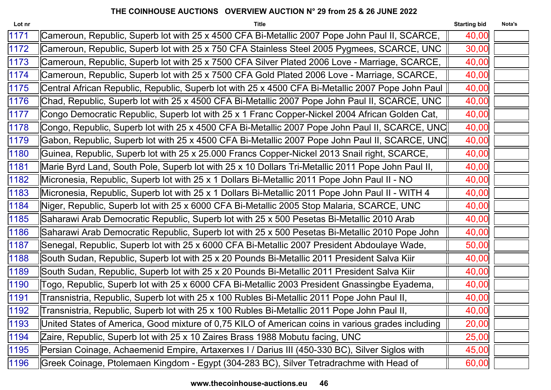| Lot nr | <b>Title</b>                                                                                      | <b>Starting bid</b> | Nota's |
|--------|---------------------------------------------------------------------------------------------------|---------------------|--------|
| 1171   | Cameroun, Republic, Superb lot with 25 x 4500 CFA Bi-Metallic 2007 Pope John Paul II, SCARCE,     | 40,00               |        |
| 1172   | Cameroun, Republic, Superb lot with 25 x 750 CFA Stainless Steel 2005 Pygmees, SCARCE, UNC        | 30,00               |        |
| 1173   | Cameroun, Republic, Superb lot with 25 x 7500 CFA Silver Plated 2006 Love - Marriage, SCARCE,     | 40,00               |        |
| 1174   | Cameroun, Republic, Superb lot with 25 x 7500 CFA Gold Plated 2006 Love - Marriage, SCARCE,       | 40,00               |        |
| 1175   | Central African Republic, Republic, Superb lot with 25 x 4500 CFA Bi-Metallic 2007 Pope John Paul | 40,00               |        |
| 1176   | Chad, Republic, Superb lot with 25 x 4500 CFA Bi-Metallic 2007 Pope John Paul II, SCARCE, UNC     | 40,00               |        |
| 1177   | Congo Democratic Republic, Superb lot with 25 x 1 Franc Copper-Nickel 2004 African Golden Cat,    | 40,00               |        |
| 1178   | Congo, Republic, Superb lot with 25 x 4500 CFA Bi-Metallic 2007 Pope John Paul II, SCARCE, UNC    | 40,00               |        |
| 1179   | Gabon, Republic, Superb lot with 25 x 4500 CFA Bi-Metallic 2007 Pope John Paul II, SCARCE, UNC    | 40,00               |        |
| 1180   | Guinea, Republic, Superb lot with 25 x 25.000 Francs Copper-Nickel 2013 Snail right, SCARCE,      | 40,00               |        |
| 1181   | Marie Byrd Land, South Pole, Superb lot with 25 x 10 Dollars Tri-Metallic 2011 Pope John Paul II, | 40,00               |        |
| 1182   | Micronesia, Republic, Superb lot with 25 x 1 Dollars Bi-Metallic 2011 Pope John Paul II - NO      | 40,00               |        |
| 1183   | Micronesia, Republic, Superb lot with 25 x 1 Dollars Bi-Metallic 2011 Pope John Paul II - WITH 4  | 40,00               |        |
| 1184   | Niger, Republic, Superb lot with 25 x 6000 CFA Bi-Metallic 2005 Stop Malaria, SCARCE, UNC         | 40,00               |        |
| 1185   | Saharawi Arab Democratic Republic, Superb lot with 25 x 500 Pesetas Bi-Metallic 2010 Arab         | 40,00               |        |
| 1186   | Saharawi Arab Democratic Republic, Superb lot with 25 x 500 Pesetas Bi-Metallic 2010 Pope John    | 40,00               |        |
| 1187   | Senegal, Republic, Superb lot with 25 x 6000 CFA Bi-Metallic 2007 President Abdoulaye Wade,       | 50,00               |        |
| 1188   | South Sudan, Republic, Superb lot with 25 x 20 Pounds Bi-Metallic 2011 President Salva Kiir       | 40,00               |        |
| 1189   | South Sudan, Republic, Superb lot with 25 x 20 Pounds Bi-Metallic 2011 President Salva Kiir       | 40,00               |        |
| 1190   | Togo, Republic, Superb lot with 25 x 6000 CFA Bi-Metallic 2003 President Gnassingbe Eyadema,      | 40,00               |        |
| 1191   | Transnistria, Republic, Superb lot with 25 x 100 Rubles Bi-Metallic 2011 Pope John Paul II,       | 40,00               |        |
| 1192   | Transnistria, Republic, Superb lot with 25 x 100 Rubles Bi-Metallic 2011 Pope John Paul II,       | 40,00               |        |
| 1193   | United States of America, Good mixture of 0,75 KILO of American coins in various grades including | 20,00               |        |
| 1194   | Zaire, Republic, Superb lot with 25 x 10 Zaires Brass 1988 Mobutu facing, UNC                     | 25,00               |        |
| 1195   | Persian Coinage, Achaemenid Empire, Artaxerxes I / Darius III (450-330 BC), Silver Siglos with    | 45,00               |        |
| 1196   | Greek Coinage, Ptolemaen Kingdom - Egypt (304-283 BC), Silver Tetradrachme with Head of           | 60,00               |        |
|        |                                                                                                   |                     |        |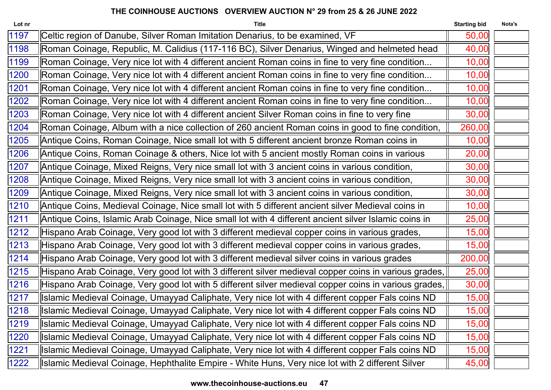| Lot nr | <b>Title</b>                                                                                         | <b>Starting bid</b> | Nota's |
|--------|------------------------------------------------------------------------------------------------------|---------------------|--------|
| 1197   | Celtic region of Danube, Silver Roman Imitation Denarius, to be examined, VF                         | 50,00               |        |
| 1198   | Roman Coinage, Republic, M. Calidius (117-116 BC), Silver Denarius, Winged and helmeted head         | 40,00               |        |
| 1199   | Roman Coinage, Very nice lot with 4 different ancient Roman coins in fine to very fine condition     | 10,00               |        |
| 1200   | Roman Coinage, Very nice lot with 4 different ancient Roman coins in fine to very fine condition     | 10,00               |        |
| 1201   | Roman Coinage, Very nice lot with 4 different ancient Roman coins in fine to very fine condition     | 10,00               |        |
| 1202   | Roman Coinage, Very nice lot with 4 different ancient Roman coins in fine to very fine condition     | 10,00               |        |
| 1203   | Roman Coinage, Very nice lot with 4 different ancient Silver Roman coins in fine to very fine        | 30,00               |        |
| 1204   | Roman Coinage, Album with a nice collection of 260 ancient Roman coins in good to fine condition,    | 260,00              |        |
| 1205   | Antique Coins, Roman Coinage, Nice small lot with 5 different ancient bronze Roman coins in          | 10,00               |        |
| 1206   | Antique Coins, Roman Coinage & others, Nice lot with 5 ancient mostly Roman coins in various         | 20,00               |        |
| 1207   | Antique Coinage, Mixed Reigns, Very nice small lot with 3 ancient coins in various condition,        | 30,00               |        |
| 1208   | Antique Coinage, Mixed Reigns, Very nice small lot with 3 ancient coins in various condition,        | 30,00               |        |
| 1209   | Antique Coinage, Mixed Reigns, Very nice small lot with 3 ancient coins in various condition,        | 30,00               |        |
| 1210   | Antique Coins, Medieval Coinage, Nice small lot with 5 different ancient silver Medieval coins in    | 10,00               |        |
| 1211   | Antique Coins, Islamic Arab Coinage, Nice small lot with 4 different ancient silver Islamic coins in | 25,00               |        |
| 1212   | Hispano Arab Coinage, Very good lot with 3 different medieval copper coins in various grades,        | 15,00               |        |
| 1213   | Hispano Arab Coinage, Very good lot with 3 different medieval copper coins in various grades,        | 15,00               |        |
| 1214   | Hispano Arab Coinage, Very good lot with 3 different medieval silver coins in various grades         | 200,00              |        |
| 1215   | Hispano Arab Coinage, Very good lot with 3 different silver medieval copper coins in various grades, | 25,00               |        |
| 1216   | Hispano Arab Coinage, Very good lot with 5 different silver medieval copper coins in various grades, | 30,00               |        |
| 1217   | Islamic Medieval Coinage, Umayyad Caliphate, Very nice lot with 4 different copper Fals coins ND     | 15,00               |        |
| 1218   | Islamic Medieval Coinage, Umayyad Caliphate, Very nice lot with 4 different copper Fals coins ND     | 15,00               |        |
| 1219   | Islamic Medieval Coinage, Umayyad Caliphate, Very nice lot with 4 different copper Fals coins ND     | 15,00               |        |
| 1220   | Islamic Medieval Coinage, Umayyad Caliphate, Very nice lot with 4 different copper Fals coins ND     | 15,00               |        |
| 1221   | Islamic Medieval Coinage, Umayyad Caliphate, Very nice lot with 4 different copper Fals coins ND     | 15,00               |        |
| 1222   | Islamic Medieval Coinage, Hephthalite Empire - White Huns, Very nice lot with 2 different Silver     | 45,00               |        |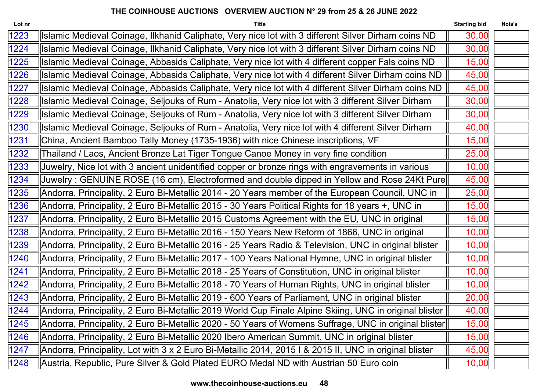| <b>Title</b>                                                                                           | <b>Starting bid</b> | Nota's                                                                                                                                                                                                   |
|--------------------------------------------------------------------------------------------------------|---------------------|----------------------------------------------------------------------------------------------------------------------------------------------------------------------------------------------------------|
| Islamic Medieval Coinage, Ilkhanid Caliphate, Very nice lot with 3 different Silver Dirham coins ND    | 30,00               |                                                                                                                                                                                                          |
| Islamic Medieval Coinage, Ilkhanid Caliphate, Very nice lot with 3 different Silver Dirham coins ND    | 30,00               |                                                                                                                                                                                                          |
| Islamic Medieval Coinage, Abbasids Caliphate, Very nice lot with 4 different copper Fals coins ND      | 15,00               |                                                                                                                                                                                                          |
| Islamic Medieval Coinage, Abbasids Caliphate, Very nice lot with 4 different Silver Dirham coins ND    | 45,00               |                                                                                                                                                                                                          |
| Islamic Medieval Coinage, Abbasids Caliphate, Very nice lot with 4 different Silver Dirham coins ND    | 45,00               |                                                                                                                                                                                                          |
| Islamic Medieval Coinage, Seljouks of Rum - Anatolia, Very nice lot with 3 different Silver Dirham     | 30,00               |                                                                                                                                                                                                          |
| Islamic Medieval Coinage, Seljouks of Rum - Anatolia, Very nice lot with 3 different Silver Dirham     | 30,00               |                                                                                                                                                                                                          |
| Islamic Medieval Coinage, Seljouks of Rum - Anatolia, Very nice lot with 4 different Silver Dirham     | 40,00               |                                                                                                                                                                                                          |
| China, Ancient Bamboo Tally Money (1735-1936) with nice Chinese inscriptions, VF                       | 15,00               |                                                                                                                                                                                                          |
| Thailand / Laos, Ancient Bronze Lat Tiger Tongue Canoe Money in very fine condition                    | 25,00               |                                                                                                                                                                                                          |
| Juwelry, Nice lot with 3 ancient unidentified copper or bronze rings with engravements in various      | 10,00               |                                                                                                                                                                                                          |
|                                                                                                        | 45,00               |                                                                                                                                                                                                          |
| Andorra, Principality, 2 Euro Bi-Metallic 2014 - 20 Years member of the European Council, UNC in       | 25,00               |                                                                                                                                                                                                          |
| Andorra, Principality, 2 Euro Bi-Metallic 2015 - 30 Years Political Rights for 18 years +, UNC in      | 15,00               |                                                                                                                                                                                                          |
| Andorra, Principality, 2 Euro Bi-Metallic 2015 Customs Agreement with the EU, UNC in original          | 15,00               |                                                                                                                                                                                                          |
| Andorra, Principality, 2 Euro Bi-Metallic 2016 - 150 Years New Reform of 1866, UNC in original         | 10,00               |                                                                                                                                                                                                          |
| Andorra, Principality, 2 Euro Bi-Metallic 2016 - 25 Years Radio & Television, UNC in original blister  | 10,00               |                                                                                                                                                                                                          |
| Andorra, Principality, 2 Euro Bi-Metallic 2017 - 100 Years National Hymne, UNC in original blister     | 10,00               |                                                                                                                                                                                                          |
| Andorra, Principality, 2 Euro Bi-Metallic 2018 - 25 Years of Constitution, UNC in original blister     | 10,00               |                                                                                                                                                                                                          |
| Andorra, Principality, 2 Euro Bi-Metallic 2018 - 70 Years of Human Rights, UNC in original blister     | 10,00               |                                                                                                                                                                                                          |
| Andorra, Principality, 2 Euro Bi-Metallic 2019 - 600 Years of Parliament, UNC in original blister      | 20,00               |                                                                                                                                                                                                          |
| Andorra, Principality, 2 Euro Bi-Metallic 2019 World Cup Finale Alpine Skiing, UNC in original blister | 40,00               |                                                                                                                                                                                                          |
|                                                                                                        | 15,00               |                                                                                                                                                                                                          |
| Andorra, Principality, 2 Euro Bi-Metallic 2020 Ibero American Summit, UNC in original blister          | 15,00               |                                                                                                                                                                                                          |
| Andorra, Principality, Lot with 3 x 2 Euro Bi-Metallic 2014, 2015 I & 2015 II, UNC in original blister | 45,00               |                                                                                                                                                                                                          |
| Austria, Republic, Pure Silver & Gold Plated EURO Medal ND with Austrian 50 Euro coin                  | 10,00               |                                                                                                                                                                                                          |
|                                                                                                        |                     | Juwelry : GENUINE ROSE (16 cm), Electroformed and double dipped in Yellow and Rose 24Kt Pure  <br>[Andorra, Principality, 2 Euro Bi-Metallic 2020 - 50 Years of Womens Suffrage, UNC in original blister |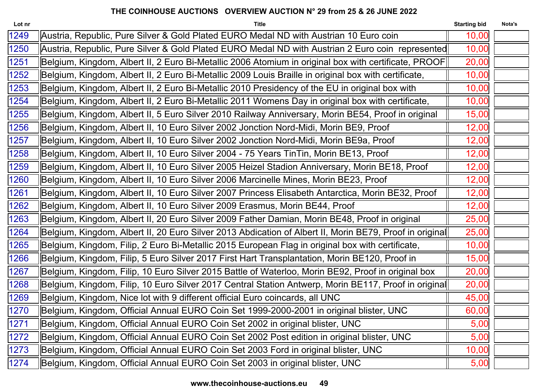| Lot nr | <b>Title</b>                                                                                            | <b>Starting bid</b> | Nota's |
|--------|---------------------------------------------------------------------------------------------------------|---------------------|--------|
| 1249   | Austria, Republic, Pure Silver & Gold Plated EURO Medal ND with Austrian 10 Euro coin                   | 10,00               |        |
| 1250   | Austria, Republic, Pure Silver & Gold Plated EURO Medal ND with Austrian 2 Euro coin represented        | 10,00               |        |
| 1251   | Belgium, Kingdom, Albert II, 2 Euro Bi-Metallic 2006 Atomium in original box with certificate, PROOF    | 20,00               |        |
| 1252   | Belgium, Kingdom, Albert II, 2 Euro Bi-Metallic 2009 Louis Braille in original box with certificate,    | 10,00               |        |
| 1253   | Belgium, Kingdom, Albert II, 2 Euro Bi-Metallic 2010 Presidency of the EU in original box with          | 10,00               |        |
| 1254   | Belgium, Kingdom, Albert II, 2 Euro Bi-Metallic 2011 Womens Day in original box with certificate,       | 10,00               |        |
| 1255   | Belgium, Kingdom, Albert II, 5 Euro Silver 2010 Railway Anniversary, Morin BE54, Proof in original      | 15,00               |        |
| 1256   | Belgium, Kingdom, Albert II, 10 Euro Silver 2002 Jonction Nord-Midi, Morin BE9, Proof                   | 12,00               |        |
| 1257   | Belgium, Kingdom, Albert II, 10 Euro Silver 2002 Jonction Nord-Midi, Morin BE9a, Proof                  | 12,00               |        |
| 1258   | Belgium, Kingdom, Albert II, 10 Euro Silver 2004 - 75 Years TinTin, Morin BE13, Proof                   | 12,00               |        |
| 1259   | Belgium, Kingdom, Albert II, 10 Euro Silver 2005 Heizel Stadion Anniversary, Morin BE18, Proof          | 12,00               |        |
| 1260   | Belgium, Kingdom, Albert II, 10 Euro Silver 2006 Marcinelle Mines, Morin BE23, Proof                    | 12,00               |        |
| 1261   | Belgium, Kingdom, Albert II, 10 Euro Silver 2007 Princess Elisabeth Antarctica, Morin BE32, Proof       | 12,00               |        |
| 1262   | Belgium, Kingdom, Albert II, 10 Euro Silver 2009 Erasmus, Morin BE44, Proof                             | 12,00               |        |
| 1263   | Belgium, Kingdom, Albert II, 20 Euro Silver 2009 Father Damian, Morin BE48, Proof in original           | 25,00               |        |
| 1264   | Belgium, Kingdom, Albert II, 20 Euro Silver 2013 Abdication of Albert II, Morin BE79, Proof in original | 25,00               |        |
| 1265   | Belgium, Kingdom, Filip, 2 Euro Bi-Metallic 2015 European Flag in original box with certificate,        | 10,00               |        |
| 1266   | Belgium, Kingdom, Filip, 5 Euro Silver 2017 First Hart Transplantation, Morin BE120, Proof in           | 15,00               |        |
| 1267   | Belgium, Kingdom, Filip, 10 Euro Silver 2015 Battle of Waterloo, Morin BE92, Proof in original box      | 20,00               |        |
| 1268   | Belgium, Kingdom, Filip, 10 Euro Silver 2017 Central Station Antwerp, Morin BE117, Proof in original    | 20,00               |        |
| 1269   | Belgium, Kingdom, Nice lot with 9 different official Euro coincards, all UNC                            | 45,00               |        |
| 1270   | Belgium, Kingdom, Official Annual EURO Coin Set 1999-2000-2001 in original blister, UNC                 | 60,00               |        |
| 1271   | Belgium, Kingdom, Official Annual EURO Coin Set 2002 in original blister, UNC                           | 5,00                |        |
| 1272   | Belgium, Kingdom, Official Annual EURO Coin Set 2002 Post edition in original blister, UNC              | 5,00                |        |
| 1273   | Belgium, Kingdom, Official Annual EURO Coin Set 2003 Ford in original blister, UNC                      | 10,00               |        |
| 1274   | Belgium, Kingdom, Official Annual EURO Coin Set 2003 in original blister, UNC                           | 5,00                |        |
|        |                                                                                                         |                     |        |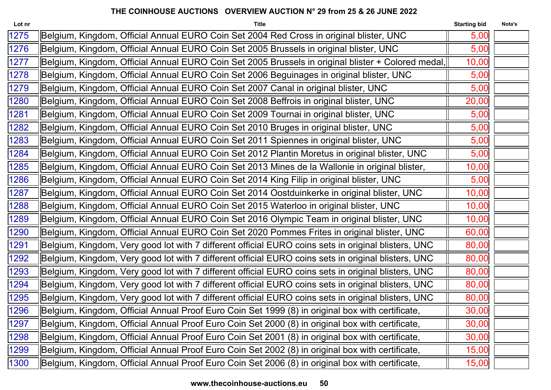| Lot nr | <b>Title</b>                                                                                        | <b>Starting bid</b> | Nota's |
|--------|-----------------------------------------------------------------------------------------------------|---------------------|--------|
| 1275   | Belgium, Kingdom, Official Annual EURO Coin Set 2004 Red Cross in original blister, UNC             | 5,00                |        |
| 1276   | Belgium, Kingdom, Official Annual EURO Coin Set 2005 Brussels in original blister, UNC              | 5,00                |        |
| 1277   | Belgium, Kingdom, Official Annual EURO Coin Set 2005 Brussels in original blister + Colored medal,  | 10,00               |        |
| 1278   | Belgium, Kingdom, Official Annual EURO Coin Set 2006 Beguinages in original blister, UNC            | 5,00                |        |
| 1279   | Belgium, Kingdom, Official Annual EURO Coin Set 2007 Canal in original blister, UNC                 | 5,00                |        |
| 1280   | Belgium, Kingdom, Official Annual EURO Coin Set 2008 Beffrois in original blister, UNC              | 20,00               |        |
| 1281   | Belgium, Kingdom, Official Annual EURO Coin Set 2009 Tournai in original blister, UNC               | 5,00                |        |
| 1282   | Belgium, Kingdom, Official Annual EURO Coin Set 2010 Bruges in original blister, UNC                | 5,00                |        |
| 1283   | Belgium, Kingdom, Official Annual EURO Coin Set 2011 Spiennes in original blister, UNC              | 5,00                |        |
| 1284   | Belgium, Kingdom, Official Annual EURO Coin Set 2012 Plantin Moretus in original blister, UNC       | 5,00                |        |
| 1285   | Belgium, Kingdom, Official Annual EURO Coin Set 2013 Mines de la Wallonie in original blister,      | 10,00               |        |
| 1286   | Belgium, Kingdom, Official Annual EURO Coin Set 2014 King Filip in original blister, UNC            | 5,00                |        |
| 1287   | Belgium, Kingdom, Official Annual EURO Coin Set 2014 Oostduinkerke in original blister, UNC         | 10,00               |        |
| 1288   | Belgium, Kingdom, Official Annual EURO Coin Set 2015 Waterloo in original blister, UNC              | 10,00               |        |
| 1289   | Belgium, Kingdom, Official Annual EURO Coin Set 2016 Olympic Team in original blister, UNC          | 10,00               |        |
| 1290   | Belgium, Kingdom, Official Annual EURO Coin Set 2020 Pommes Frites in original blister, UNC         | 60,00               |        |
| 1291   | Belgium, Kingdom, Very good lot with 7 different official EURO coins sets in original blisters, UNC | 80,00               |        |
| 1292   | Belgium, Kingdom, Very good lot with 7 different official EURO coins sets in original blisters, UNC | 80,00               |        |
| 1293   | Belgium, Kingdom, Very good lot with 7 different official EURO coins sets in original blisters, UNC | 80,00               |        |
| 1294   | Belgium, Kingdom, Very good lot with 7 different official EURO coins sets in original blisters, UNC | 80,00               |        |
| 1295   | Belgium, Kingdom, Very good lot with 7 different official EURO coins sets in original blisters, UNC | 80,00               |        |
| 1296   | Belgium, Kingdom, Official Annual Proof Euro Coin Set 1999 (8) in original box with certificate,    | 30,00               |        |
| 1297   | Belgium, Kingdom, Official Annual Proof Euro Coin Set 2000 (8) in original box with certificate,    | 30,00               |        |
| 1298   | Belgium, Kingdom, Official Annual Proof Euro Coin Set 2001 (8) in original box with certificate,    | 30,00               |        |
| 1299   | Belgium, Kingdom, Official Annual Proof Euro Coin Set 2002 (8) in original box with certificate,    | 15,00               |        |
| 1300   | Belgium, Kingdom, Official Annual Proof Euro Coin Set 2006 (8) in original box with certificate,    | 15,00               |        |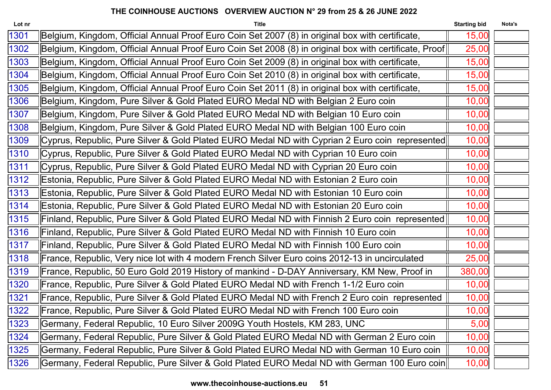| Lot nr | <b>Title</b>                                                                                           | <b>Starting bid</b> | Nota's |
|--------|--------------------------------------------------------------------------------------------------------|---------------------|--------|
| 1301   | Belgium, Kingdom, Official Annual Proof Euro Coin Set 2007 (8) in original box with certificate,       | 15,00               |        |
| 1302   | Belgium, Kingdom, Official Annual Proof Euro Coin Set 2008 (8) in original box with certificate, Proof | 25,00               |        |
| 1303   | Belgium, Kingdom, Official Annual Proof Euro Coin Set 2009 (8) in original box with certificate,       | 15,00               |        |
| 1304   | Belgium, Kingdom, Official Annual Proof Euro Coin Set 2010 (8) in original box with certificate,       | 15,00               |        |
| 1305   | Belgium, Kingdom, Official Annual Proof Euro Coin Set 2011 (8) in original box with certificate,       | 15,00               |        |
| 1306   | Belgium, Kingdom, Pure Silver & Gold Plated EURO Medal ND with Belgian 2 Euro coin                     | 10,00               |        |
| 1307   | Belgium, Kingdom, Pure Silver & Gold Plated EURO Medal ND with Belgian 10 Euro coin                    | 10,00               |        |
| 1308   | Belgium, Kingdom, Pure Silver & Gold Plated EURO Medal ND with Belgian 100 Euro coin                   | 10,00               |        |
| 1309   | Cyprus, Republic, Pure Silver & Gold Plated EURO Medal ND with Cyprian 2 Euro coin represented         | 10,00               |        |
| 1310   | Cyprus, Republic, Pure Silver & Gold Plated EURO Medal ND with Cyprian 10 Euro coin                    | 10,00               |        |
| 1311   | Cyprus, Republic, Pure Silver & Gold Plated EURO Medal ND with Cyprian 20 Euro coin                    | 10,00               |        |
| 1312   | Estonia, Republic, Pure Silver & Gold Plated EURO Medal ND with Estonian 2 Euro coin                   | 10,00               |        |
| 1313   | Estonia, Republic, Pure Silver & Gold Plated EURO Medal ND with Estonian 10 Euro coin                  | 10,00               |        |
| 1314   | Estonia, Republic, Pure Silver & Gold Plated EURO Medal ND with Estonian 20 Euro coin                  | 10,00               |        |
| 1315   | Finland, Republic, Pure Silver & Gold Plated EURO Medal ND with Finnish 2 Euro coin represented        | 10,00               |        |
| 1316   | Finland, Republic, Pure Silver & Gold Plated EURO Medal ND with Finnish 10 Euro coin                   | 10,00               |        |
| 1317   | Finland, Republic, Pure Silver & Gold Plated EURO Medal ND with Finnish 100 Euro coin                  | 10,00               |        |
| 1318   | France, Republic, Very nice lot with 4 modern French Silver Euro coins 2012-13 in uncirculated         | 25,00               |        |
| 1319   | France, Republic, 50 Euro Gold 2019 History of mankind - D-DAY Anniversary, KM New, Proof in           | 380,00              |        |
| 1320   | France, Republic, Pure Silver & Gold Plated EURO Medal ND with French 1-1/2 Euro coin                  | 10,00               |        |
| 1321   | France, Republic, Pure Silver & Gold Plated EURO Medal ND with French 2 Euro coin represented          | 10,00               |        |
| 1322   | France, Republic, Pure Silver & Gold Plated EURO Medal ND with French 100 Euro coin                    | 10,00               |        |
| 1323   | Germany, Federal Republic, 10 Euro Silver 2009G Youth Hostels, KM 283, UNC                             | 5,00                |        |
| 1324   | Germany, Federal Republic, Pure Silver & Gold Plated EURO Medal ND with German 2 Euro coin             | 10,00               |        |
| 1325   | Germany, Federal Republic, Pure Silver & Gold Plated EURO Medal ND with German 10 Euro coin            | 10,00               |        |
| 1326   | Germany, Federal Republic, Pure Silver & Gold Plated EURO Medal ND with German 100 Euro coin           | 10,00               |        |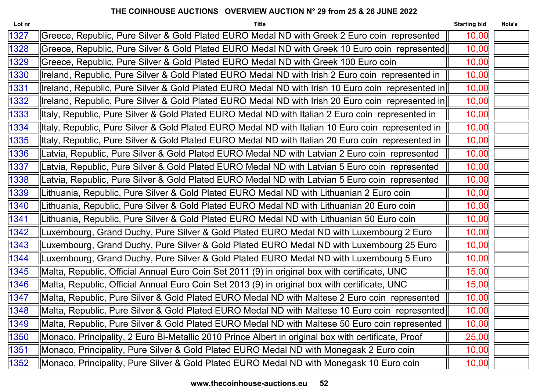| Lot nr | <b>Title</b>                                                                                        | <b>Starting bid</b> | Nota's |
|--------|-----------------------------------------------------------------------------------------------------|---------------------|--------|
| 1327   | Greece, Republic, Pure Silver & Gold Plated EURO Medal ND with Greek 2 Euro coin represented        | 10,00               |        |
| 1328   | Greece, Republic, Pure Silver & Gold Plated EURO Medal ND with Greek 10 Euro coin represented       | 10,00               |        |
| 1329   | Greece, Republic, Pure Silver & Gold Plated EURO Medal ND with Greek 100 Euro coin                  | 10,00               |        |
| 1330   | Ireland, Republic, Pure Silver & Gold Plated EURO Medal ND with Irish 2 Euro coin represented in    | 10,00               |        |
| 1331   | Ireland, Republic, Pure Silver & Gold Plated EURO Medal ND with Irish 10 Euro coin represented in   | 10,00               |        |
| 1332   | Ireland, Republic, Pure Silver & Gold Plated EURO Medal ND with Irish 20 Euro coin represented in   | 10,00               |        |
| 1333   | Italy, Republic, Pure Silver & Gold Plated EURO Medal ND with Italian 2 Euro coin represented in    | 10,00               |        |
| 1334   | Italy, Republic, Pure Silver & Gold Plated EURO Medal ND with Italian 10 Euro coin represented in   | 10,00               |        |
| 1335   | Italy, Republic, Pure Silver & Gold Plated EURO Medal ND with Italian 20 Euro coin represented in   | 10,00               |        |
| 1336   | Latvia, Republic, Pure Silver & Gold Plated EURO Medal ND with Latvian 2 Euro coin represented      | 10,00               |        |
| 1337   | Latvia, Republic, Pure Silver & Gold Plated EURO Medal ND with Latvian 5 Euro coin represented      | 10,00               |        |
| 1338   | Latvia, Republic, Pure Silver & Gold Plated EURO Medal ND with Latvian 5 Euro coin represented      | 10,00               |        |
| 1339   | Lithuania, Republic, Pure Silver & Gold Plated EURO Medal ND with Lithuanian 2 Euro coin            | 10,00               |        |
| 1340   | Lithuania, Republic, Pure Silver & Gold Plated EURO Medal ND with Lithuanian 20 Euro coin           | 10,00               |        |
| 1341   | Lithuania, Republic, Pure Silver & Gold Plated EURO Medal ND with Lithuanian 50 Euro coin           | 10,00               |        |
| 1342   | Luxembourg, Grand Duchy, Pure Silver & Gold Plated EURO Medal ND with Luxembourg 2 Euro             | 10,00               |        |
| 1343   | Luxembourg, Grand Duchy, Pure Silver & Gold Plated EURO Medal ND with Luxembourg 25 Euro            | 10,00               |        |
| 1344   | Luxembourg, Grand Duchy, Pure Silver & Gold Plated EURO Medal ND with Luxembourg 5 Euro             | 10,00               |        |
| 1345   | Malta, Republic, Official Annual Euro Coin Set 2011 (9) in original box with certificate, UNC       | 15,00               |        |
| 1346   | Malta, Republic, Official Annual Euro Coin Set 2013 (9) in original box with certificate, UNC       | 15,00               |        |
| 1347   | Malta, Republic, Pure Silver & Gold Plated EURO Medal ND with Maltese 2 Euro coin represented       | 10,00               |        |
| 1348   | Malta, Republic, Pure Silver & Gold Plated EURO Medal ND with Maltese 10 Euro coin represented      | 10,00               |        |
| 1349   | Malta, Republic, Pure Silver & Gold Plated EURO Medal ND with Maltese 50 Euro coin represented      | 10,00               |        |
| 1350   | Monaco, Principality, 2 Euro Bi-Metallic 2010 Prince Albert in original box with certificate, Proof | 25,00               |        |
| 1351   | Monaco, Principality, Pure Silver & Gold Plated EURO Medal ND with Monegask 2 Euro coin             | 10,00               |        |
| 1352   | Monaco, Principality, Pure Silver & Gold Plated EURO Medal ND with Monegask 10 Euro coin            | 10,00               |        |
|        |                                                                                                     |                     |        |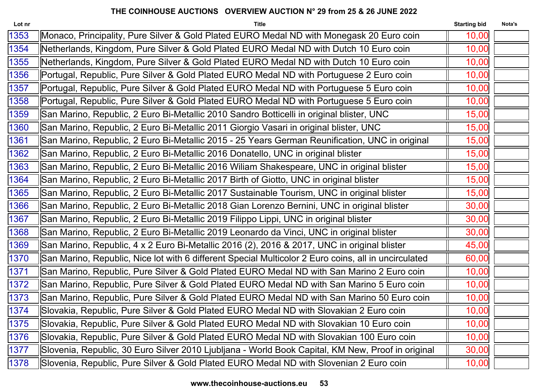| Lot nr | <b>Title</b>                                                                                         | <b>Starting bid</b> | Nota's |
|--------|------------------------------------------------------------------------------------------------------|---------------------|--------|
| 1353   | Monaco, Principality, Pure Silver & Gold Plated EURO Medal ND with Monegask 20 Euro coin             | 10,00               |        |
| 1354   | Netherlands, Kingdom, Pure Silver & Gold Plated EURO Medal ND with Dutch 10 Euro coin                | 10,00               |        |
| 1355   | Netherlands, Kingdom, Pure Silver & Gold Plated EURO Medal ND with Dutch 10 Euro coin                | 10,00               |        |
| 1356   | Portugal, Republic, Pure Silver & Gold Plated EURO Medal ND with Portuguese 2 Euro coin              | 10,00               |        |
| 1357   | Portugal, Republic, Pure Silver & Gold Plated EURO Medal ND with Portuguese 5 Euro coin              | 10,00               |        |
| 1358   | Portugal, Republic, Pure Silver & Gold Plated EURO Medal ND with Portuguese 5 Euro coin              | 10,00               |        |
| 1359   | San Marino, Republic, 2 Euro Bi-Metallic 2010 Sandro Botticelli in original blister, UNC             | 15,00               |        |
| 1360   | San Marino, Republic, 2 Euro Bi-Metallic 2011 Giorgio Vasari in original blister, UNC                | 15,00               |        |
| 1361   | San Marino, Republic, 2 Euro Bi-Metallic 2015 - 25 Years German Reunification, UNC in original       | 15,00               |        |
| 1362   | San Marino, Republic, 2 Euro Bi-Metallic 2016 Donatello, UNC in original blister                     | 15,00               |        |
| 1363   | San Marino, Republic, 2 Euro Bi-Metallic 2016 Wiliam Shakespeare, UNC in original blister            | 15,00               |        |
| 1364   | San Marino, Republic, 2 Euro Bi-Metallic 2017 Birth of Giotto, UNC in original blister               | 15,00               |        |
| 1365   | San Marino, Republic, 2 Euro Bi-Metallic 2017 Sustainable Tourism, UNC in original blister           | 15,00               |        |
| 1366   | San Marino, Republic, 2 Euro Bi-Metallic 2018 Gian Lorenzo Bernini, UNC in original blister          | 30,00               |        |
| 1367   | San Marino, Republic, 2 Euro Bi-Metallic 2019 Filippo Lippi, UNC in original blister                 | 30,00               |        |
| 1368   | San Marino, Republic, 2 Euro Bi-Metallic 2019 Leonardo da Vinci, UNC in original blister             | 30,00               |        |
| 1369   | San Marino, Republic, 4 x 2 Euro Bi-Metallic 2016 (2), 2016 & 2017, UNC in original blister          | 45,00               |        |
| 1370   | San Marino, Republic, Nice lot with 6 different Special Multicolor 2 Euro coins, all in uncirculated | 60,00               |        |
| 1371   | San Marino, Republic, Pure Silver & Gold Plated EURO Medal ND with San Marino 2 Euro coin            | 10,00               |        |
| 1372   | San Marino, Republic, Pure Silver & Gold Plated EURO Medal ND with San Marino 5 Euro coin            | 10,00               |        |
| 1373   | San Marino, Republic, Pure Silver & Gold Plated EURO Medal ND with San Marino 50 Euro coin           | 10,00               |        |
| 1374   | Slovakia, Republic, Pure Silver & Gold Plated EURO Medal ND with Slovakian 2 Euro coin               | 10,00               |        |
| 1375   | Slovakia, Republic, Pure Silver & Gold Plated EURO Medal ND with Slovakian 10 Euro coin              | 10,00               |        |
| 1376   | Slovakia, Republic, Pure Silver & Gold Plated EURO Medal ND with Slovakian 100 Euro coin             | 10,00               |        |
| 1377   | Slovenia, Republic, 30 Euro Silver 2010 Ljubljana - World Book Capital, KM New, Proof in original    | 30,00               |        |
| 1378   | Slovenia, Republic, Pure Silver & Gold Plated EURO Medal ND with Slovenian 2 Euro coin               | 10,00               |        |
|        |                                                                                                      |                     |        |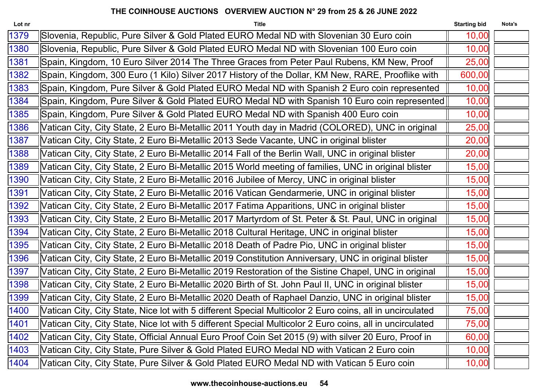| Lot nr        | <b>Title</b>                                                                                             | <b>Starting bid</b> | Nota's |
|---------------|----------------------------------------------------------------------------------------------------------|---------------------|--------|
| 1379          | Slovenia, Republic, Pure Silver & Gold Plated EURO Medal ND with Slovenian 30 Euro coin                  | 10,00               |        |
| 1380          | Slovenia, Republic, Pure Silver & Gold Plated EURO Medal ND with Slovenian 100 Euro coin                 | 10,00               |        |
| 1381          | Spain, Kingdom, 10 Euro Silver 2014 The Three Graces from Peter Paul Rubens, KM New, Proof               | 25,00               |        |
| 1382          | Spain, Kingdom, 300 Euro (1 Kilo) Silver 2017 History of the Dollar, KM New, RARE, Prooflike with        | 600,00              |        |
| 1383          | Spain, Kingdom, Pure Silver & Gold Plated EURO Medal ND with Spanish 2 Euro coin represented             | 10,00               |        |
| 1384          | Spain, Kingdom, Pure Silver & Gold Plated EURO Medal ND with Spanish 10 Euro coin represented            | 10,00               |        |
| 1385          | Spain, Kingdom, Pure Silver & Gold Plated EURO Medal ND with Spanish 400 Euro coin                       | 10,00               |        |
| 1386          | Vatican City, City State, 2 Euro Bi-Metallic 2011 Youth day in Madrid (COLORED), UNC in original         | 25,00               |        |
| 1387          | Vatican City, City State, 2 Euro Bi-Metallic 2013 Sede Vacante, UNC in original blister                  | 20,00               |        |
| 1388          | Vatican City, City State, 2 Euro Bi-Metallic 2014 Fall of the Berlin Wall, UNC in original blister       | 20,00               |        |
| 1389          | Vatican City, City State, 2 Euro Bi-Metallic 2015 World meeting of families, UNC in original blister     | 15,00               |        |
| 1390          | Vatican City, City State, 2 Euro Bi-Metallic 2016 Jubilee of Mercy, UNC in original blister              | 15,00               |        |
| 1391          | Vatican City, City State, 2 Euro Bi-Metallic 2016 Vatican Gendarmerie, UNC in original blister           | 15,00               |        |
| 1392          | Vatican City, City State, 2 Euro Bi-Metallic 2017 Fatima Apparitions, UNC in original blister            | 15,00               |        |
| 1393          | Vatican City, City State, 2 Euro Bi-Metallic 2017 Martyrdom of St. Peter & St. Paul, UNC in original     | 15,00               |        |
| 1394          | Vatican City, City State, 2 Euro Bi-Metallic 2018 Cultural Heritage, UNC in original blister             | 15,00               |        |
| 1395          | Vatican City, City State, 2 Euro Bi-Metallic 2018 Death of Padre Pio, UNC in original blister            | 15,00               |        |
| 1396          | Vatican City, City State, 2 Euro Bi-Metallic 2019 Constitution Anniversary, UNC in original blister      | 15,00               |        |
| 1397          | Vatican City, City State, 2 Euro Bi-Metallic 2019 Restoration of the Sistine Chapel, UNC in original     | 15,00               |        |
| 1398          | Vatican City, City State, 2 Euro Bi-Metallic 2020 Birth of St. John Paul II, UNC in original blister     | 15,00               |        |
| 1399          | Vatican City, City State, 2 Euro Bi-Metallic 2020 Death of Raphael Danzio, UNC in original blister       | 15,00               |        |
| 1400          | Vatican City, City State, Nice lot with 5 different Special Multicolor 2 Euro coins, all in uncirculated | 75,00               |        |
| $\sqrt{1401}$ | Vatican City, City State, Nice lot with 5 different Special Multicolor 2 Euro coins, all in uncirculated | 75,00               |        |
| 1402          | Vatican City, City State, Official Annual Euro Proof Coin Set 2015 (9) with silver 20 Euro, Proof in     | 60,00               |        |
| 1403          | Vatican City, City State, Pure Silver & Gold Plated EURO Medal ND with Vatican 2 Euro coin               | 10,00               |        |
| 1404          | Vatican City, City State, Pure Silver & Gold Plated EURO Medal ND with Vatican 5 Euro coin               | 10,00               |        |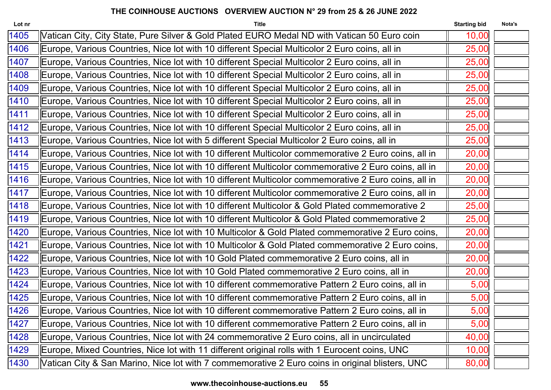| Lot nr | <b>Title</b>                                                                                        | <b>Starting bid</b> | Nota's |
|--------|-----------------------------------------------------------------------------------------------------|---------------------|--------|
| 1405   | Vatican City, City State, Pure Silver & Gold Plated EURO Medal ND with Vatican 50 Euro coin         | 10,00               |        |
| 1406   | Europe, Various Countries, Nice lot with 10 different Special Multicolor 2 Euro coins, all in       | 25,00               |        |
| 1407   | Europe, Various Countries, Nice lot with 10 different Special Multicolor 2 Euro coins, all in       | 25,00               |        |
| 1408   | Europe, Various Countries, Nice lot with 10 different Special Multicolor 2 Euro coins, all in       | 25,00               |        |
| 1409   | Europe, Various Countries, Nice lot with 10 different Special Multicolor 2 Euro coins, all in       | 25,00               |        |
| 1410   | Europe, Various Countries, Nice lot with 10 different Special Multicolor 2 Euro coins, all in       | 25,00               |        |
| 1411   | Europe, Various Countries, Nice lot with 10 different Special Multicolor 2 Euro coins, all in       | 25,00               |        |
| 1412   | Europe, Various Countries, Nice lot with 10 different Special Multicolor 2 Euro coins, all in       | 25,00               |        |
| 1413   | Europe, Various Countries, Nice lot with 5 different Special Multicolor 2 Euro coins, all in        | 25,00               |        |
| 1414   | Europe, Various Countries, Nice lot with 10 different Multicolor commemorative 2 Euro coins, all in | 20,00               |        |
| 1415   | Europe, Various Countries, Nice lot with 10 different Multicolor commemorative 2 Euro coins, all in | 20,00               |        |
| 1416   | Europe, Various Countries, Nice lot with 10 different Multicolor commemorative 2 Euro coins, all in | 20,00               |        |
| 1417   | Europe, Various Countries, Nice lot with 10 different Multicolor commemorative 2 Euro coins, all in | 20,00               |        |
| 1418   | Europe, Various Countries, Nice lot with 10 different Multicolor & Gold Plated commemorative 2      | 25,00               |        |
| 1419   | Europe, Various Countries, Nice lot with 10 different Multicolor & Gold Plated commemorative 2      | 25,00               |        |
| 1420   | Europe, Various Countries, Nice lot with 10 Multicolor & Gold Plated commemorative 2 Euro coins,    | 20,00               |        |
| 1421   | Europe, Various Countries, Nice lot with 10 Multicolor & Gold Plated commemorative 2 Euro coins,    | 20,00               |        |
| 1422   | Europe, Various Countries, Nice lot with 10 Gold Plated commemorative 2 Euro coins, all in          | 20,00               |        |
| 1423   | Europe, Various Countries, Nice lot with 10 Gold Plated commemorative 2 Euro coins, all in          | 20,00               |        |
| 1424   | Europe, Various Countries, Nice lot with 10 different commemorative Pattern 2 Euro coins, all in    | 5,00                |        |
| 1425   | Europe, Various Countries, Nice lot with 10 different commemorative Pattern 2 Euro coins, all in    | 5,00                |        |
| 1426   | Europe, Various Countries, Nice lot with 10 different commemorative Pattern 2 Euro coins, all in    | 5,00                |        |
| 1427   | Europe, Various Countries, Nice lot with 10 different commemorative Pattern 2 Euro coins, all in    | 5,00                |        |
| 1428   | Europe, Various Countries, Nice lot with 24 commemorative 2 Euro coins, all in uncirculated         | 40,00               |        |
| 1429   | Europe, Mixed Countries, Nice lot with 11 different original rolls with 1 Eurocent coins, UNC       | 10,00               |        |
| 1430   | Vatican City & San Marino, Nice lot with 7 commemorative 2 Euro coins in original blisters, UNC     | 80,00               |        |
|        |                                                                                                     |                     |        |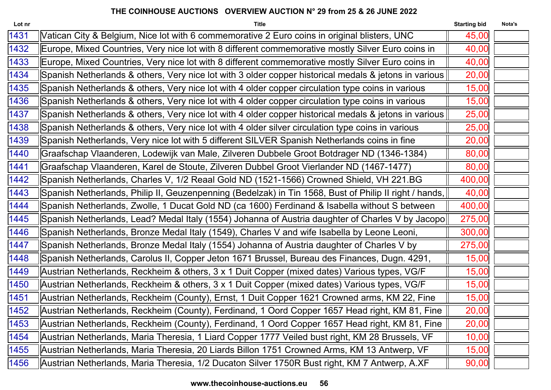| Lot nr | <b>Title</b>                                                                                                      | <b>Starting bid</b> | Nota's |
|--------|-------------------------------------------------------------------------------------------------------------------|---------------------|--------|
| 1431   | Vatican City & Belgium, Nice lot with 6 commemorative 2 Euro coins in original blisters, UNC                      | 45,00               |        |
| 1432   | Europe, Mixed Countries, Very nice lot with 8 different commemorative mostly Silver Euro coins in                 | 40,00               |        |
| 1433   | Europe, Mixed Countries, Very nice lot with 8 different commemorative mostly Silver Euro coins in                 | 40,00               |        |
| 1434   | Spanish Netherlands & others, Very nice lot with 3 older copper historical medals & jetons in various $\parallel$ | 20,00               |        |
| 1435   | Spanish Netherlands & others, Very nice lot with 4 older copper circulation type coins in various                 | 15,00               |        |
| 1436   | Spanish Netherlands & others, Very nice lot with 4 older copper circulation type coins in various                 | 15,00               |        |
| 1437   | Spanish Netherlands & others, Very nice lot with 4 older copper historical medals & jetons in various             | 25,00               |        |
| 1438   | Spanish Netherlands & others, Very nice lot with 4 older silver circulation type coins in various                 | 25,00               |        |
| 1439   | Spanish Netherlands, Very nice lot with 5 different SILVER Spanish Netherlands coins in fine                      | 20,00               |        |
| 1440   | Graafschap Vlaanderen, Lodewijk van Male, Zilveren Dubbele Groot Botdrager ND (1346-1384)                         | 80,00               |        |
| 1441   | Graafschap Vlaanderen, Karel de Stoute, Zilveren Dubbel Groot Vierlander ND (1467-1477)                           | 80,00               |        |
| 1442   | Spanish Netherlands, Charles V, 1/2 Reaal Gold ND (1521-1566) Crowned Shield, VH 221.BG                           | 400,00              |        |
| 1443   | Spanish Netherlands, Philip II, Geuzenpenning (Bedelzak) in Tin 1568, Bust of Philip II right / hands,            | 40,00               |        |
| 1444   | Spanish Netherlands, Zwolle, 1 Ducat Gold ND (ca 1600) Ferdinand & Isabella without S between                     | 400,00              |        |
| 1445   | Spanish Netherlands, Lead? Medal Italy (1554) Johanna of Austria daughter of Charles V by Jacopo                  | 275,00              |        |
| 1446   | Spanish Netherlands, Bronze Medal Italy (1549), Charles V and wife Isabella by Leone Leoni,                       | 300,00              |        |
| 1447   | Spanish Netherlands, Bronze Medal Italy (1554) Johanna of Austria daughter of Charles V by                        | 275,00              |        |
| 1448   | Spanish Netherlands, Carolus II, Copper Jeton 1671 Brussel, Bureau des Finances, Dugn. 4291,                      | 15,00               |        |
| 1449   | Austrian Netherlands, Reckheim & others, 3 x 1 Duit Copper (mixed dates) Various types, VG/F                      | 15,00               |        |
| 1450   | Austrian Netherlands, Reckheim & others, 3 x 1 Duit Copper (mixed dates) Various types, VG/F                      | 15,00               |        |
| 1451   | Austrian Netherlands, Reckheim (County), Ernst, 1 Duit Copper 1621 Crowned arms, KM 22, Fine                      | 15,00               |        |
| 1452   | Austrian Netherlands, Reckheim (County), Ferdinand, 1 Oord Copper 1657 Head right, KM 81, Fine                    | 20,00               |        |
| 1453   | Austrian Netherlands, Reckheim (County), Ferdinand, 1 Oord Copper 1657 Head right, KM 81, Fine                    | 20,00               |        |
| 1454   | Austrian Netherlands, Maria Theresia, 1 Liard Copper 1777 Veiled bust right, KM 28 Brussels, VF                   | 10,00               |        |
| 1455   | Austrian Netherlands, Maria Theresia, 20 Liards Billon 1751 Crowned Arms, KM 13 Antwerp, VF                       | 15,00               |        |
| 1456   | Austrian Netherlands, Maria Theresia, 1/2 Ducaton Silver 1750R Bust right, KM 7 Antwerp, A.XF                     | 90,00               |        |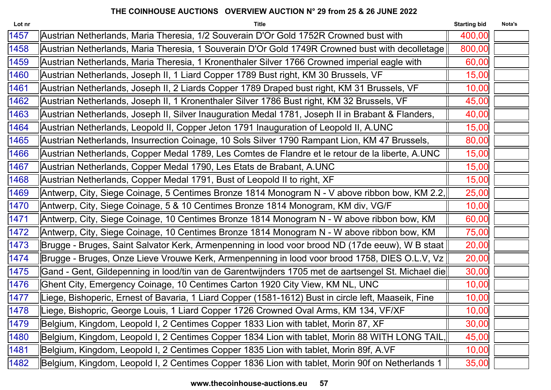| Lot nr | <b>Title</b>                                                                                         | <b>Starting bid</b> | Nota's |
|--------|------------------------------------------------------------------------------------------------------|---------------------|--------|
| 1457   | Austrian Netherlands, Maria Theresia, 1/2 Souverain D'Or Gold 1752R Crowned bust with                | 400,00              |        |
| 1458   | Austrian Netherlands, Maria Theresia, 1 Souverain D'Or Gold 1749R Crowned bust with decolletage      | 800,00              |        |
| 1459   | Austrian Netherlands, Maria Theresia, 1 Kronenthaler Silver 1766 Crowned imperial eagle with         | 60,00               |        |
| 1460   | Austrian Netherlands, Joseph II, 1 Liard Copper 1789 Bust right, KM 30 Brussels, VF                  | 15,00               |        |
| 1461   | Austrian Netherlands, Joseph II, 2 Liards Copper 1789 Draped bust right, KM 31 Brussels, VF          | 10,00               |        |
| 1462   | Austrian Netherlands, Joseph II, 1 Kronenthaler Silver 1786 Bust right, KM 32 Brussels, VF           | 45,00               |        |
| 1463   | Austrian Netherlands, Joseph II, Silver Inauguration Medal 1781, Joseph II in Brabant & Flanders,    | 40,00               |        |
| 1464   | Austrian Netherlands, Leopold II, Copper Jeton 1791 Inauguration of Leopold II, A.UNC                | 15,00               |        |
| 1465   | Austrian Netherlands, Insurrection Coinage, 10 Sols Silver 1790 Rampant Lion, KM 47 Brussels,        | 80,00               |        |
| 1466   | Austrian Netherlands, Copper Medal 1789, Les Comtes de Flandre et le retour de la liberte, A.UNC     | 15,00               |        |
| 1467   | Austrian Netherlands, Copper Medal 1790, Les Etats de Brabant, A.UNC                                 | 15,00               |        |
| 1468   | Austrian Netherlands, Copper Medal 1791, Bust of Leopold II to right, XF                             | 15,00               |        |
| 1469   | Antwerp, City, Siege Coinage, 5 Centimes Bronze 1814 Monogram N - V above ribbon bow, KM 2.2,        | 25,00               |        |
| 1470   | Antwerp, City, Siege Coinage, 5 & 10 Centimes Bronze 1814 Monogram, KM div, VG/F                     | 10,00               |        |
| 1471   | Antwerp, City, Siege Coinage, 10 Centimes Bronze 1814 Monogram N - W above ribbon bow, KM            | 60,00               |        |
| 1472   | Antwerp, City, Siege Coinage, 10 Centimes Bronze 1814 Monogram N - W above ribbon bow, KM            | 75,00               |        |
| 1473   | Brugge - Bruges, Saint Salvator Kerk, Armenpenning in lood voor brood ND (17de eeuw), W B staat      | 20,00               |        |
| 1474   | Brugge - Bruges, Onze Lieve Vrouwe Kerk, Armenpenning in lood voor brood 1758, DIES O.L.V, Vz        | 20,00               |        |
| 1475   | Gand - Gent, Gildepenning in lood/tin van de Garentwijnders 1705 met de aartsengel St. Michael die   | 30,00               |        |
| 1476   | Ghent City, Emergency Coinage, 10 Centimes Carton 1920 City View, KM NL, UNC                         | 10,00               |        |
| 1477   | Liege, Bishoperic, Ernest of Bavaria, 1 Liard Copper (1581-1612) Bust in circle left, Maaseik, Finel | 10,00               |        |
| 1478   | Liege, Bishopric, George Louis, 1 Liard Copper 1726 Crowned Oval Arms, KM 134, VF/XF                 | 10,00               |        |
| 1479   | Belgium, Kingdom, Leopold I, 2 Centimes Copper 1833 Lion with tablet, Morin 87, XF                   | 30,00               |        |
| 1480   | Belgium, Kingdom, Leopold I, 2 Centimes Copper 1834 Lion with tablet, Morin 88 WITH LONG TAIL.       | 45,00               |        |
| 1481   | Belgium, Kingdom, Leopold I, 2 Centimes Copper 1835 Lion with tablet, Morin 89f, A.VF                | 10,00               |        |
| 1482   | Belgium, Kingdom, Leopold I, 2 Centimes Copper 1836 Lion with tablet, Morin 90f on Netherlands 1     | 35,00               |        |
|        |                                                                                                      |                     |        |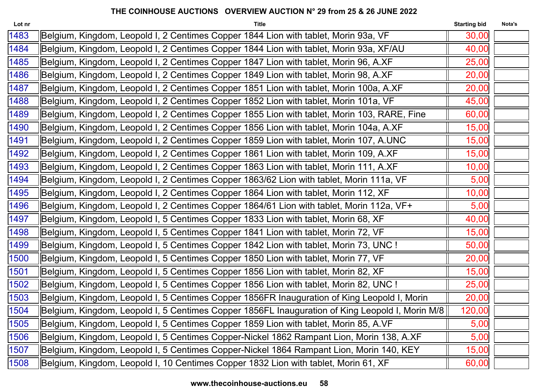| Lot nr | <b>Title</b>                                                                                    | <b>Starting bid</b> | Nota's |
|--------|-------------------------------------------------------------------------------------------------|---------------------|--------|
| 1483   | Belgium, Kingdom, Leopold I, 2 Centimes Copper 1844 Lion with tablet, Morin 93a, VF             | 30,00               |        |
| 1484   | Belgium, Kingdom, Leopold I, 2 Centimes Copper 1844 Lion with tablet, Morin 93a, XF/AU          | 40,00               |        |
| 1485   | Belgium, Kingdom, Leopold I, 2 Centimes Copper 1847 Lion with tablet, Morin 96, A.XF            | 25,00               |        |
| 1486   | Belgium, Kingdom, Leopold I, 2 Centimes Copper 1849 Lion with tablet, Morin 98, A.XF            | 20,00               |        |
| 1487   | Belgium, Kingdom, Leopold I, 2 Centimes Copper 1851 Lion with tablet, Morin 100a, A.XF          | 20,00               |        |
| 1488   | Belgium, Kingdom, Leopold I, 2 Centimes Copper 1852 Lion with tablet, Morin 101a, VF            | 45,00               |        |
| 1489   | Belgium, Kingdom, Leopold I, 2 Centimes Copper 1855 Lion with tablet, Morin 103, RARE, Fine     | 60,00               |        |
| 1490   | Belgium, Kingdom, Leopold I, 2 Centimes Copper 1856 Lion with tablet, Morin 104a, A.XF          | 15,00               |        |
| 1491   | Belgium, Kingdom, Leopold I, 2 Centimes Copper 1859 Lion with tablet, Morin 107, A.UNC          | 15,00               |        |
| 1492   | Belgium, Kingdom, Leopold I, 2 Centimes Copper 1861 Lion with tablet, Morin 109, A.XF           | 15,00               |        |
| 1493   | Belgium, Kingdom, Leopold I, 2 Centimes Copper 1863 Lion with tablet, Morin 111, A.XF           | 10,00               |        |
| 1494   | Belgium, Kingdom, Leopold I, 2 Centimes Copper 1863/62 Lion with tablet, Morin 111a, VF         | 5,00                |        |
| 1495   | Belgium, Kingdom, Leopold I, 2 Centimes Copper 1864 Lion with tablet, Morin 112, XF             | 10,00               |        |
| 1496   | Belgium, Kingdom, Leopold I, 2 Centimes Copper 1864/61 Lion with tablet, Morin 112a, VF+        | 5,00                |        |
| 1497   | Belgium, Kingdom, Leopold I, 5 Centimes Copper 1833 Lion with tablet, Morin 68, XF              | 40,00               |        |
| 1498   | Belgium, Kingdom, Leopold I, 5 Centimes Copper 1841 Lion with tablet, Morin 72, VF              | 15,00               |        |
| 1499   | Belgium, Kingdom, Leopold I, 5 Centimes Copper 1842 Lion with tablet, Morin 73, UNC !           | 50,00               |        |
| 1500   | Belgium, Kingdom, Leopold I, 5 Centimes Copper 1850 Lion with tablet, Morin 77, VF              | 20,00               |        |
| 1501   | Belgium, Kingdom, Leopold I, 5 Centimes Copper 1856 Lion with tablet, Morin 82, XF              | 15,00               |        |
| 1502   | Belgium, Kingdom, Leopold I, 5 Centimes Copper 1856 Lion with tablet, Morin 82, UNC !           | 25,00               |        |
| 1503   | Belgium, Kingdom, Leopold I, 5 Centimes Copper 1856FR Inauguration of King Leopold I, Morin     | 20,00               |        |
| 1504   | Belgium, Kingdom, Leopold I, 5 Centimes Copper 1856FL Inauguration of King Leopold I, Morin M/8 | 120,00              |        |
| 1505   | Belgium, Kingdom, Leopold I, 5 Centimes Copper 1859 Lion with tablet, Morin 85, A.VF            | 5,00                |        |
| 1506   | Belgium, Kingdom, Leopold I, 5 Centimes Copper-Nickel 1862 Rampant Lion, Morin 138, A.XF        | 5,00                |        |
| 1507   | Belgium, Kingdom, Leopold I, 5 Centimes Copper-Nickel 1864 Rampant Lion, Morin 140, KEY         | 15,00               |        |
| 1508   | Belgium, Kingdom, Leopold I, 10 Centimes Copper 1832 Lion with tablet, Morin 61, XF             | 60,00               |        |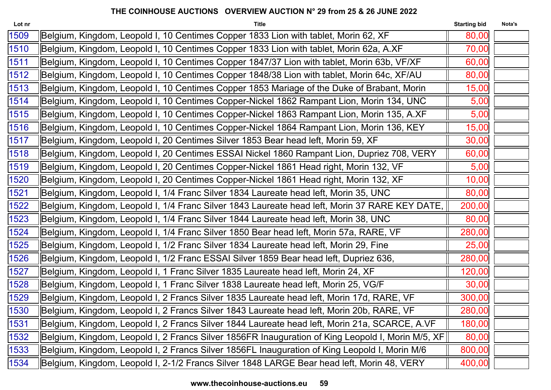| Lot nr | <b>Title</b>                                                                                      | <b>Starting bid</b> | Nota's |
|--------|---------------------------------------------------------------------------------------------------|---------------------|--------|
| 1509   | Belgium, Kingdom, Leopold I, 10 Centimes Copper 1833 Lion with tablet, Morin 62, XF               | 80,00               |        |
| 1510   | Belgium, Kingdom, Leopold I, 10 Centimes Copper 1833 Lion with tablet, Morin 62a, A.XF            | 70,00               |        |
| 1511   | Belgium, Kingdom, Leopold I, 10 Centimes Copper 1847/37 Lion with tablet, Morin 63b, VF/XF        | 60,00               |        |
| 1512   | Belgium, Kingdom, Leopold I, 10 Centimes Copper 1848/38 Lion with tablet, Morin 64c, XF/AU        | 80,00               |        |
| 1513   | Belgium, Kingdom, Leopold I, 10 Centimes Copper 1853 Mariage of the Duke of Brabant, Morin        | 15,00               |        |
| 1514   | Belgium, Kingdom, Leopold I, 10 Centimes Copper-Nickel 1862 Rampant Lion, Morin 134, UNC          | 5,00                |        |
| 1515   | Belgium, Kingdom, Leopold I, 10 Centimes Copper-Nickel 1863 Rampant Lion, Morin 135, A.XF         | 5,00                |        |
| 1516   | Belgium, Kingdom, Leopold I, 10 Centimes Copper-Nickel 1864 Rampant Lion, Morin 136, KEY          | 15,00               |        |
| 1517   | Belgium, Kingdom, Leopold I, 20 Centimes Silver 1853 Bear head left, Morin 59, XF                 | 30,00               |        |
| 1518   | Belgium, Kingdom, Leopold I, 20 Centimes ESSAI Nickel 1860 Rampant Lion, Dupriez 708, VERY        | 60,00               |        |
| 1519   | Belgium, Kingdom, Leopold I, 20 Centimes Copper-Nickel 1861 Head right, Morin 132, VF             | 5,00                |        |
| 1520   | Belgium, Kingdom, Leopold I, 20 Centimes Copper-Nickel 1861 Head right, Morin 132, XF             | 10,00               |        |
| 1521   | Belgium, Kingdom, Leopold I, 1/4 Franc Silver 1834 Laureate head left, Morin 35, UNC              | 80,00               |        |
| 1522   | Belgium, Kingdom, Leopold I, 1/4 Franc Silver 1843 Laureate head left, Morin 37 RARE KEY DATE,    | 200,00              |        |
| 1523   | Belgium, Kingdom, Leopold I, 1/4 Franc Silver 1844 Laureate head left, Morin 38, UNC              | 80,00               |        |
| 1524   | Belgium, Kingdom, Leopold I, 1/4 Franc Silver 1850 Bear head left, Morin 57a, RARE, VF            | 280,00              |        |
| 1525   | Belgium, Kingdom, Leopold I, 1/2 Franc Silver 1834 Laureate head left, Morin 29, Fine             | 25,00               |        |
| 1526   | Belgium, Kingdom, Leopold I, 1/2 Franc ESSAI Silver 1859 Bear head left, Dupriez 636,             | 280,00              |        |
| 1527   | Belgium, Kingdom, Leopold I, 1 Franc Silver 1835 Laureate head left, Morin 24, XF                 | 120,00              |        |
| 1528   | Belgium, Kingdom, Leopold I, 1 Franc Silver 1838 Laureate head left, Morin 25, VG/F               | 30,00               |        |
| 1529   | Belgium, Kingdom, Leopold I, 2 Francs Silver 1835 Laureate head left, Morin 17d, RARE, VF         | 300,00              |        |
| 1530   | Belgium, Kingdom, Leopold I, 2 Francs Silver 1843 Laureate head left, Morin 20b, RARE, VF         | 280,00              |        |
| 1531   | Belgium, Kingdom, Leopold I, 2 Francs Silver 1844 Laureate head left, Morin 21a, SCARCE, A.VF     | 180,00              |        |
| 1532   | Belgium, Kingdom, Leopold I, 2 Francs Silver 1856FR Inauguration of King Leopold I, Morin M/5, XF | 80,00               |        |
| 1533   | Belgium, Kingdom, Leopold I, 2 Francs Silver 1856FL Inauguration of King Leopold I, Morin M/6     | 800,00              |        |
| 1534   | Belgium, Kingdom, Leopold I, 2-1/2 Francs Silver 1848 LARGE Bear head left, Morin 48, VERY        | 400,00              |        |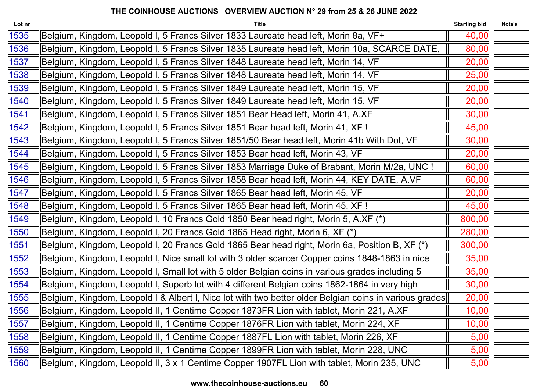| Lot nr | <b>Title</b>                                                                                           | <b>Starting bid</b> | Nota's |
|--------|--------------------------------------------------------------------------------------------------------|---------------------|--------|
| 1535   | Belgium, Kingdom, Leopold I, 5 Francs Silver 1833 Laureate head left, Morin 8a, VF+                    | 40,00               |        |
| 1536   | Belgium, Kingdom, Leopold I, 5 Francs Silver 1835 Laureate head left, Morin 10a, SCARCE DATE,          | 80,00               |        |
| 1537   | Belgium, Kingdom, Leopold I, 5 Francs Silver 1848 Laureate head left, Morin 14, VF                     | 20,00               |        |
| 1538   | Belgium, Kingdom, Leopold I, 5 Francs Silver 1848 Laureate head left, Morin 14, VF                     | 25,00               |        |
| 1539   | Belgium, Kingdom, Leopold I, 5 Francs Silver 1849 Laureate head left, Morin 15, VF                     | 20,00               |        |
| 1540   | Belgium, Kingdom, Leopold I, 5 Francs Silver 1849 Laureate head left, Morin 15, VF                     | 20,00               |        |
| 1541   | Belgium, Kingdom, Leopold I, 5 Francs Silver 1851 Bear Head left, Morin 41, A.XF                       | 30,00               |        |
| 1542   | Belgium, Kingdom, Leopold I, 5 Francs Silver 1851 Bear head left, Morin 41, XF!                        | 45,00               |        |
| 1543   | Belgium, Kingdom, Leopold I, 5 Francs Silver 1851/50 Bear head left, Morin 41b With Dot, VF            | 30,00               |        |
| 1544   | Belgium, Kingdom, Leopold I, 5 Francs Silver 1853 Bear head left, Morin 43, VF                         | 20,00               |        |
| 1545   | Belgium, Kingdom, Leopold I, 5 Francs Silver 1853 Marriage Duke of Brabant, Morin M/2a, UNC !          | 60,00               |        |
| 1546   | Belgium, Kingdom, Leopold I, 5 Francs Silver 1858 Bear head left, Morin 44, KEY DATE, A.VF             | 60,00               |        |
| 1547   | Belgium, Kingdom, Leopold I, 5 Francs Silver 1865 Bear head left, Morin 45, VF                         | 20,00               |        |
| 1548   | Belgium, Kingdom, Leopold I, 5 Francs Silver 1865 Bear head left, Morin 45, XF!                        | 45,00               |        |
| 1549   | Belgium, Kingdom, Leopold I, 10 Francs Gold 1850 Bear head right, Morin 5, A.XF (*)                    | 800,00              |        |
| 1550   | Belgium, Kingdom, Leopold I, 20 Francs Gold 1865 Head right, Morin 6, XF (*)                           | 280,00              |        |
| 1551   | Belgium, Kingdom, Leopold I, 20 Francs Gold 1865 Bear head right, Morin 6a, Position B, XF (*)         | 300,00              |        |
| 1552   | Belgium, Kingdom, Leopold I, Nice small lot with 3 older scarcer Copper coins 1848-1863 in nice        | 35,00               |        |
| 1553   | Belgium, Kingdom, Leopold I, Small lot with 5 older Belgian coins in various grades including 5        | 35,00               |        |
| 1554   | Belgium, Kingdom, Leopold I, Superb lot with 4 different Belgian coins 1862-1864 in very high          | 30,00               |        |
| 1555   | Belgium, Kingdom, Leopold I & Albert I, Nice lot with two better older Belgian coins in various grades | 20,00               |        |
| 1556   | Belgium, Kingdom, Leopold II, 1 Centime Copper 1873FR Lion with tablet, Morin 221, A.XF                | 10,00               |        |
| 1557   | Belgium, Kingdom, Leopold II, 1 Centime Copper 1876FR Lion with tablet, Morin 224, XF                  | 10,00               |        |
| 1558   | Belgium, Kingdom, Leopold II, 1 Centime Copper 1887FL Lion with tablet, Morin 226, XF                  | 5,00                |        |
| 1559   | Belgium, Kingdom, Leopold II, 1 Centime Copper 1899FR Lion with tablet, Morin 228, UNC                 | 5,00                |        |
| 1560   | Belgium, Kingdom, Leopold II, 3 x 1 Centime Copper 1907FL Lion with tablet, Morin 235, UNC             | 5,00                |        |
|        |                                                                                                        |                     |        |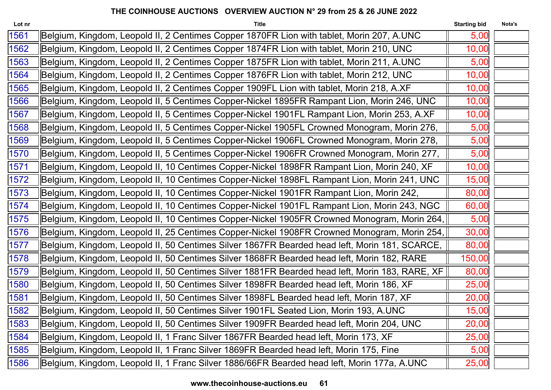| Lot nr | <b>Title</b>                                                                                   | <b>Starting bid</b> | Nota's |
|--------|------------------------------------------------------------------------------------------------|---------------------|--------|
| 1561   | Belgium, Kingdom, Leopold II, 2 Centimes Copper 1870FR Lion with tablet, Morin 207, A.UNC      | 5,00                |        |
| 1562   | Belgium, Kingdom, Leopold II, 2 Centimes Copper 1874FR Lion with tablet, Morin 210, UNC        | 10,00               |        |
| 1563   | Belgium, Kingdom, Leopold II, 2 Centimes Copper 1875FR Lion with tablet, Morin 211, A.UNC      | 5,00                |        |
| 1564   | Belgium, Kingdom, Leopold II, 2 Centimes Copper 1876FR Lion with tablet, Morin 212, UNC        | 10,00               |        |
| 1565   | Belgium, Kingdom, Leopold II, 2 Centimes Copper 1909FL Lion with tablet, Morin 218, A.XF       | 10,00               |        |
| 1566   | Belgium, Kingdom, Leopold II, 5 Centimes Copper-Nickel 1895FR Rampant Lion, Morin 246, UNC     | 10,00               |        |
| 1567   | Belgium, Kingdom, Leopold II, 5 Centimes Copper-Nickel 1901FL Rampant Lion, Morin 253, A.XF    | 10,00               |        |
| 1568   | Belgium, Kingdom, Leopold II, 5 Centimes Copper-Nickel 1905FL Crowned Monogram, Morin 276,     | 5,00                |        |
| 1569   | Belgium, Kingdom, Leopold II, 5 Centimes Copper-Nickel 1906FL Crowned Monogram, Morin 278,     | 5,00                |        |
| 1570   | Belgium, Kingdom, Leopold II, 5 Centimes Copper-Nickel 1906FR Crowned Monogram, Morin 277,     | 5,00                |        |
| 1571   | Belgium, Kingdom, Leopold II, 10 Centimes Copper-Nickel 1898FR Rampant Lion, Morin 240, XF     | 10,00               |        |
| 1572   | Belgium, Kingdom, Leopold II, 10 Centimes Copper-Nickel 1898FL Rampant Lion, Morin 241, UNC    | 15,00               |        |
| 1573   | Belgium, Kingdom, Leopold II, 10 Centimes Copper-Nickel 1901FR Rampant Lion, Morin 242,        | 80,00               |        |
| 1574   | Belgium, Kingdom, Leopold II, 10 Centimes Copper-Nickel 1901FL Rampant Lion, Morin 243, NGC    | 60,00               |        |
| 1575   | Belgium, Kingdom, Leopold II, 10 Centimes Copper-Nickel 1905FR Crowned Monogram, Morin 264,    | 5,00                |        |
| 1576   | Belgium, Kingdom, Leopold II, 25 Centimes Copper-Nickel 1908FR Crowned Monogram, Morin 254,    | 30,00               |        |
| 1577   | Belgium, Kingdom, Leopold II, 50 Centimes Silver 1867FR Bearded head left, Morin 181, SCARCE,  | 80,00               |        |
| 1578   | Belgium, Kingdom, Leopold II, 50 Centimes Silver 1868FR Bearded head left, Morin 182, RARE     | 150,00              |        |
| 1579   | Belgium, Kingdom, Leopold II, 50 Centimes Silver 1881FR Bearded head left, Morin 183, RARE, XF | 80,00               |        |
| 1580   | Belgium, Kingdom, Leopold II, 50 Centimes Silver 1898FR Bearded head left, Morin 186, XF       | 25,00               |        |
| 1581   | Belgium, Kingdom, Leopold II, 50 Centimes Silver 1898FL Bearded head left, Morin 187, XF       | 20,00               |        |
| 1582   | Belgium, Kingdom, Leopold II, 50 Centimes Silver 1901FL Seated Lion, Morin 193, A.UNC          | 15,00               |        |
| 1583   | Belgium, Kingdom, Leopold II, 50 Centimes Silver 1909FR Bearded head left, Morin 204, UNC      | 20,00               |        |
| 1584   | Belgium, Kingdom, Leopold II, 1 Franc Silver 1867FR Bearded head left, Morin 173, XF           | 25,00               |        |
| 1585   | Belgium, Kingdom, Leopold II, 1 Franc Silver 1869FR Bearded head left, Morin 175, Fine         | 5,00                |        |
| 1586   | Belgium, Kingdom, Leopold II, 1 Franc Silver 1886/66FR Bearded head left, Morin 177a, A.UNC    | 25,00               |        |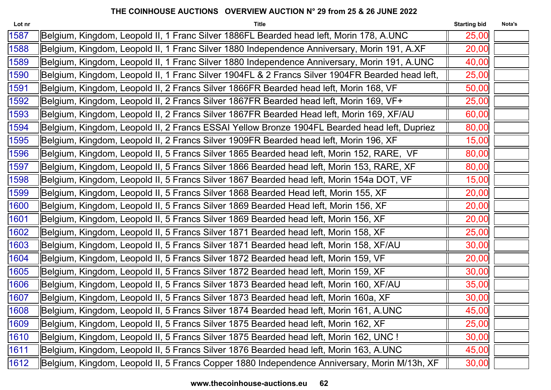| Lot nr | <b>Title</b>                                                                                    | <b>Starting bid</b> | Nota's |
|--------|-------------------------------------------------------------------------------------------------|---------------------|--------|
| 1587   | Belgium, Kingdom, Leopold II, 1 Franc Silver 1886FL Bearded head left, Morin 178, A.UNC         | 25,00               |        |
| 1588   | Belgium, Kingdom, Leopold II, 1 Franc Silver 1880 Independence Anniversary, Morin 191, A.XF     | 20,00               |        |
| 1589   | Belgium, Kingdom, Leopold II, 1 Franc Silver 1880 Independence Anniversary, Morin 191, A.UNC    | 40,00               |        |
| 1590   | Belgium, Kingdom, Leopold II, 1 Franc Silver 1904FL & 2 Francs Silver 1904FR Bearded head left, | 25,00               |        |
| 1591   | Belgium, Kingdom, Leopold II, 2 Francs Silver 1866FR Bearded head left, Morin 168, VF           | 50,00               |        |
| 1592   | Belgium, Kingdom, Leopold II, 2 Francs Silver 1867FR Bearded head left, Morin 169, VF+          | 25,00               |        |
| 1593   | Belgium, Kingdom, Leopold II, 2 Francs Silver 1867FR Bearded Head left, Morin 169, XF/AU        | 60,00               |        |
| 1594   | Belgium, Kingdom, Leopold II, 2 Francs ESSAI Yellow Bronze 1904FL Bearded head left, Dupriez    | 80,00               |        |
| 1595   | Belgium, Kingdom, Leopold II, 2 Francs Silver 1909FR Bearded head left, Morin 196, XF           | 15,00               |        |
| 1596   | Belgium, Kingdom, Leopold II, 5 Francs Silver 1865 Bearded head left, Morin 152, RARE, VF       | 80,00               |        |
| 1597   | Belgium, Kingdom, Leopold II, 5 Francs Silver 1866 Bearded head left, Morin 153, RARE, XF       | 80,00               |        |
| 1598   | Belgium, Kingdom, Leopold II, 5 Francs Silver 1867 Bearded head left, Morin 154a DOT, VF        | 15,00               |        |
| 1599   | Belgium, Kingdom, Leopold II, 5 Francs Silver 1868 Bearded Head left, Morin 155, XF             | 20,00               |        |
| 1600   | Belgium, Kingdom, Leopold II, 5 Francs Silver 1869 Bearded Head left, Morin 156, XF             | 20,00               |        |
| 1601   | Belgium, Kingdom, Leopold II, 5 Francs Silver 1869 Bearded head left, Morin 156, XF             | 20,00               |        |
| 1602   | Belgium, Kingdom, Leopold II, 5 Francs Silver 1871 Bearded head left, Morin 158, XF             | 25,00               |        |
| 1603   | Belgium, Kingdom, Leopold II, 5 Francs Silver 1871 Bearded head left, Morin 158, XF/AU          | 30,00               |        |
| 1604   | Belgium, Kingdom, Leopold II, 5 Francs Silver 1872 Bearded head left, Morin 159, VF             | 20,00               |        |
| 1605   | Belgium, Kingdom, Leopold II, 5 Francs Silver 1872 Bearded head left, Morin 159, XF             | 30,00               |        |
| 1606   | Belgium, Kingdom, Leopold II, 5 Francs Silver 1873 Bearded head left, Morin 160, XF/AU          | 35,00               |        |
| 1607   | Belgium, Kingdom, Leopold II, 5 Francs Silver 1873 Bearded head left, Morin 160a, XF            | 30,00               |        |
| 1608   | Belgium, Kingdom, Leopold II, 5 Francs Silver 1874 Bearded head left, Morin 161, A.UNC          | 45,00               |        |
| 1609   | Belgium, Kingdom, Leopold II, 5 Francs Silver 1875 Bearded head left, Morin 162, XF             | 25,00               |        |
| 1610   | Belgium, Kingdom, Leopold II, 5 Francs Silver 1875 Bearded head left, Morin 162, UNC !          | 30,00               |        |
| 1611   | Belgium, Kingdom, Leopold II, 5 Francs Silver 1876 Bearded head left, Morin 163, A.UNC          | 45,00               |        |
| 1612   | Belgium, Kingdom, Leopold II, 5 Francs Copper 1880 Independence Anniversary, Morin M/13h, XF    | 30,00               |        |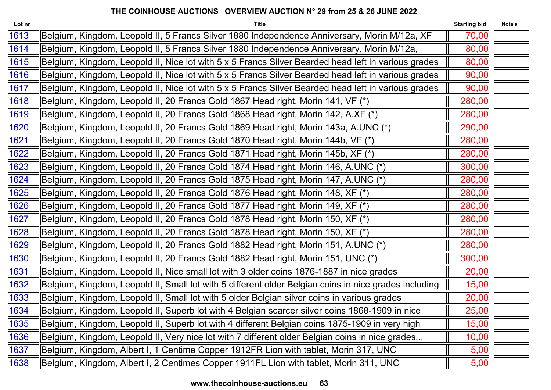| Lot nr | <b>Title</b>                                                                                          | <b>Starting bid</b> | Nota's |
|--------|-------------------------------------------------------------------------------------------------------|---------------------|--------|
| 1613   | Belgium, Kingdom, Leopold II, 5 Francs Silver 1880 Independence Anniversary, Morin M/12a, XF          | 70,00               |        |
| 1614   | Belgium, Kingdom, Leopold II, 5 Francs Silver 1880 Independence Anniversary, Morin M/12a,             | 80,00               |        |
| 1615   | Belgium, Kingdom, Leopold II, Nice lot with 5 x 5 Francs Silver Bearded head left in various grades   | 80,00               |        |
| 1616   | Belgium, Kingdom, Leopold II, Nice lot with 5 x 5 Francs Silver Bearded head left in various grades   | 90,00               |        |
| 1617   | Belgium, Kingdom, Leopold II, Nice lot with 5 x 5 Francs Silver Bearded head left in various grades   | 90,00               |        |
| 1618   | Belgium, Kingdom, Leopold II, 20 Francs Gold 1867 Head right, Morin 141, VF (*)                       | 280,00              |        |
| 1619   | Belgium, Kingdom, Leopold II, 20 Francs Gold 1868 Head right, Morin 142, A.XF (*)                     | 280,00              |        |
| 1620   | Belgium, Kingdom, Leopold II, 20 Francs Gold 1869 Head right, Morin 143a, A.UNC (*)                   | 290,00              |        |
| 1621   | Belgium, Kingdom, Leopold II, 20 Francs Gold 1870 Head right, Morin 144b, VF (*)                      | 280,00              |        |
| 1622   | Belgium, Kingdom, Leopold II, 20 Francs Gold 1871 Head right, Morin 145b, XF (*)                      | 280,00              |        |
| 1623   | Belgium, Kingdom, Leopold II, 20 Francs Gold 1874 Head right, Morin 146, A.UNC (*)                    | 300,00              |        |
| 1624   | Belgium, Kingdom, Leopold II, 20 Francs Gold 1875 Head right, Morin 147, A.UNC (*)                    | 280,00              |        |
| 1625   | Belgium, Kingdom, Leopold II, 20 Francs Gold 1876 Head right, Morin 148, XF (*)                       | 280,00              |        |
| 1626   | Belgium, Kingdom, Leopold II, 20 Francs Gold 1877 Head right, Morin 149, XF (*)                       | 280,00              |        |
| 1627   | Belgium, Kingdom, Leopold II, 20 Francs Gold 1878 Head right, Morin 150, XF (*)                       | 280,00              |        |
| 1628   | Belgium, Kingdom, Leopold II, 20 Francs Gold 1878 Head right, Morin 150, XF (*)                       | 280,00              |        |
| 1629   | Belgium, Kingdom, Leopold II, 20 Francs Gold 1882 Head right, Morin 151, A.UNC (*)                    | 280,00              |        |
| 1630   | Belgium, Kingdom, Leopold II, 20 Francs Gold 1882 Head right, Morin 151, UNC (*)                      | 300,00              |        |
| 1631   | Belgium, Kingdom, Leopold II, Nice small lot with 3 older coins 1876-1887 in nice grades              | 20,00               |        |
| 1632   | Belgium, Kingdom, Leopold II, Small lot with 5 different older Belgian coins in nice grades including | 15,00               |        |
| 1633   | Belgium, Kingdom, Leopold II, Small lot with 5 older Belgian silver coins in various grades           | 20,00               |        |
| 1634   | Belgium, Kingdom, Leopold II, Superb lot with 4 Belgian scarcer silver coins 1868-1909 in nice        | 25,00               |        |
| 1635   | Belgium, Kingdom, Leopold II, Superb lot with 4 different Belgian coins 1875-1909 in very high        | 15,00               |        |
| 1636   | Belgium, Kingdom, Leopold II, Very nice lot with 7 different older Belgian coins in nice grades       | 10,00               |        |
| 1637   | Belgium, Kingdom, Albert I, 1 Centime Copper 1912FR Lion with tablet, Morin 317, UNC                  | 5,00                |        |
| 1638   | Belgium, Kingdom, Albert I, 2 Centimes Copper 1911FL Lion with tablet, Morin 311, UNC                 | 5,00                |        |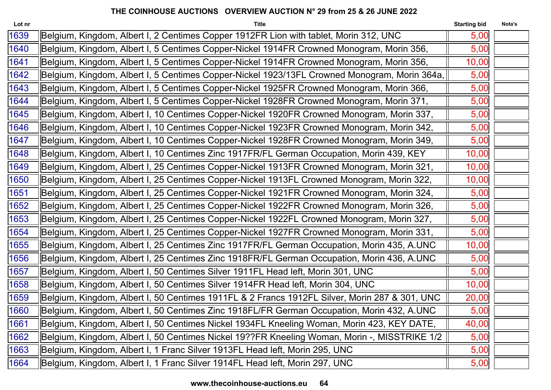| Lot nr | <b>Title</b>                                                                                  | <b>Starting bid</b> | Nota's |
|--------|-----------------------------------------------------------------------------------------------|---------------------|--------|
| 1639   | Belgium, Kingdom, Albert I, 2 Centimes Copper 1912FR Lion with tablet, Morin 312, UNC         | 5,00                |        |
| 1640   | Belgium, Kingdom, Albert I, 5 Centimes Copper-Nickel 1914FR Crowned Monogram, Morin 356,      | 5,00                |        |
| 1641   | Belgium, Kingdom, Albert I, 5 Centimes Copper-Nickel 1914FR Crowned Monogram, Morin 356,      | 10,00               |        |
| 1642   | Belgium, Kingdom, Albert I, 5 Centimes Copper-Nickel 1923/13FL Crowned Monogram, Morin 364a,  | 5,00                |        |
| 1643   | Belgium, Kingdom, Albert I, 5 Centimes Copper-Nickel 1925FR Crowned Monogram, Morin 366,      | 5,00                |        |
| 1644   | Belgium, Kingdom, Albert I, 5 Centimes Copper-Nickel 1928FR Crowned Monogram, Morin 371,      | 5,00                |        |
| 1645   | Belgium, Kingdom, Albert I, 10 Centimes Copper-Nickel 1920FR Crowned Monogram, Morin 337,     | 5,00                |        |
| 1646   | Belgium, Kingdom, Albert I, 10 Centimes Copper-Nickel 1923FR Crowned Monogram, Morin 342,     | 5,00                |        |
| 1647   | Belgium, Kingdom, Albert I, 10 Centimes Copper-Nickel 1928FR Crowned Monogram, Morin 349,     | 5,00                |        |
| 1648   | Belgium, Kingdom, Albert I, 10 Centimes Zinc 1917FR/FL German Occupation, Morin 439, KEY      | 10,00               |        |
| 1649   | Belgium, Kingdom, Albert I, 25 Centimes Copper-Nickel 1913FR Crowned Monogram, Morin 321,     | 10,00               |        |
| 1650   | Belgium, Kingdom, Albert I, 25 Centimes Copper-Nickel 1913FL Crowned Monogram, Morin 322,     | 10,00               |        |
| 1651   | Belgium, Kingdom, Albert I, 25 Centimes Copper-Nickel 1921FR Crowned Monogram, Morin 324,     | 5,00                |        |
| 1652   | Belgium, Kingdom, Albert I, 25 Centimes Copper-Nickel 1922FR Crowned Monogram, Morin 326,     | 5,00                |        |
| 1653   | Belgium, Kingdom, Albert I, 25 Centimes Copper-Nickel 1922FL Crowned Monogram, Morin 327,     | 5,00                |        |
| 1654   | Belgium, Kingdom, Albert I, 25 Centimes Copper-Nickel 1927FR Crowned Monogram, Morin 331,     | 5,00                |        |
| 1655   | Belgium, Kingdom, Albert I, 25 Centimes Zinc 1917FR/FL German Occupation, Morin 435, A.UNC    | 10,00               |        |
| 1656   | Belgium, Kingdom, Albert I, 25 Centimes Zinc 1918FR/FL German Occupation, Morin 436, A.UNC    | 5,00                |        |
| 1657   | Belgium, Kingdom, Albert I, 50 Centimes Silver 1911FL Head left, Morin 301, UNC               | 5,00                |        |
| 1658   | Belgium, Kingdom, Albert I, 50 Centimes Silver 1914FR Head left, Morin 304, UNC               | 10,00               |        |
| 1659   | Belgium, Kingdom, Albert I, 50 Centimes 1911FL & 2 Francs 1912FL Silver, Morin 287 & 301, UNC | 20,00               |        |
| 1660   | Belgium, Kingdom, Albert I, 50 Centimes Zinc 1918FL/FR German Occupation, Morin 432, A.UNC    | 5,00                |        |
| 1661   | Belgium, Kingdom, Albert I, 50 Centimes Nickel 1934FL Kneeling Woman, Morin 423, KEY DATE,    | 40,00               |        |
| 1662   | Belgium, Kingdom, Albert I, 50 Centimes Nickel 19??FR Kneeling Woman, Morin -, MISSTRIKE 1/2  | 5,00                |        |
| 1663   | Belgium, Kingdom, Albert I, 1 Franc Silver 1913FL Head left, Morin 295, UNC                   | 5,00                |        |
| 1664   | Belgium, Kingdom, Albert I, 1 Franc Silver 1914FL Head left, Morin 297, UNC                   | 5,00                |        |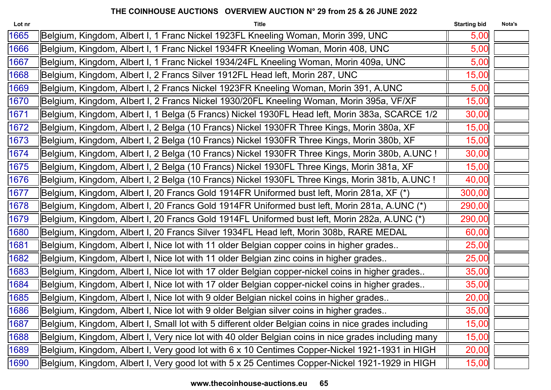| Lot nr | <b>Title</b>                                                                                        | <b>Starting bid</b> | Nota's |
|--------|-----------------------------------------------------------------------------------------------------|---------------------|--------|
| 1665   | Belgium, Kingdom, Albert I, 1 Franc Nickel 1923FL Kneeling Woman, Morin 399, UNC                    | 5,00                |        |
| 1666   | Belgium, Kingdom, Albert I, 1 Franc Nickel 1934FR Kneeling Woman, Morin 408, UNC                    | 5,00                |        |
| 1667   | Belgium, Kingdom, Albert I, 1 Franc Nickel 1934/24FL Kneeling Woman, Morin 409a, UNC                | 5,00                |        |
| 1668   | Belgium, Kingdom, Albert I, 2 Francs Silver 1912FL Head left, Morin 287, UNC                        | 15,00               |        |
| 1669   | Belgium, Kingdom, Albert I, 2 Francs Nickel 1923FR Kneeling Woman, Morin 391, A.UNC                 | 5,00                |        |
| 1670   | Belgium, Kingdom, Albert I, 2 Francs Nickel 1930/20FL Kneeling Woman, Morin 395a, VF/XF             | 15,00               |        |
| 1671   | Belgium, Kingdom, Albert I, 1 Belga (5 Francs) Nickel 1930FL Head left, Morin 383a, SCARCE 1/2      | 30,00               |        |
| 1672   | Belgium, Kingdom, Albert I, 2 Belga (10 Francs) Nickel 1930FR Three Kings, Morin 380a, XF           | 15,00               |        |
| 1673   | Belgium, Kingdom, Albert I, 2 Belga (10 Francs) Nickel 1930FR Three Kings, Morin 380b, XF           | 15,00               |        |
| 1674   | Belgium, Kingdom, Albert I, 2 Belga (10 Francs) Nickel 1930FR Three Kings, Morin 380b, A.UNC !      | 30,00               |        |
| 1675   | Belgium, Kingdom, Albert I, 2 Belga (10 Francs) Nickel 1930FL Three Kings, Morin 381a, XF           | 15,00               |        |
| 1676   | Belgium, Kingdom, Albert I, 2 Belga (10 Francs) Nickel 1930FL Three Kings, Morin 381b, A.UNC !      | 40,00               |        |
| 1677   | Belgium, Kingdom, Albert I, 20 Francs Gold 1914FR Uniformed bust left, Morin 281a, XF (*)           | 300,00              |        |
| 1678   | Belgium, Kingdom, Albert I, 20 Francs Gold 1914FR Uniformed bust left, Morin 281a, A.UNC (*)        | 290,00              |        |
| 1679   | Belgium, Kingdom, Albert I, 20 Francs Gold 1914FL Uniformed bust left, Morin 282a, A.UNC (*)        | 290,00              |        |
| 1680   | Belgium, Kingdom, Albert I, 20 Francs Silver 1934FL Head left, Morin 308b, RARE MEDAL               | 60,00               |        |
| 1681   | Belgium, Kingdom, Albert I, Nice lot with 11 older Belgian copper coins in higher grades            | 25,00               |        |
| 1682   | Belgium, Kingdom, Albert I, Nice lot with 11 older Belgian zinc coins in higher grades              | 25,00               |        |
| 1683   | Belgium, Kingdom, Albert I, Nice lot with 17 older Belgian copper-nickel coins in higher grades     | 35,00               |        |
| 1684   | Belgium, Kingdom, Albert I, Nice lot with 17 older Belgian copper-nickel coins in higher grades     | 35,00               |        |
| 1685   | Belgium, Kingdom, Albert I, Nice lot with 9 older Belgian nickel coins in higher grades             | 20,00               |        |
| 1686   | Belgium, Kingdom, Albert I, Nice lot with 9 older Belgian silver coins in higher grades             | 35,00               |        |
| 1687   | Belgium, Kingdom, Albert I, Small lot with 5 different older Belgian coins in nice grades including | 15,00               |        |
| 1688   | Belgium, Kingdom, Albert I, Very nice lot with 40 older Belgian coins in nice grades including many | 15,00               |        |
| 1689   | Belgium, Kingdom, Albert I, Very good lot with 6 x 10 Centimes Copper-Nickel 1921-1931 in HIGH      | 20,00               |        |
| 1690   | Belgium, Kingdom, Albert I, Very good lot with 5 x 25 Centimes Copper-Nickel 1921-1929 in HIGH      | 15,00               |        |
|        |                                                                                                     |                     |        |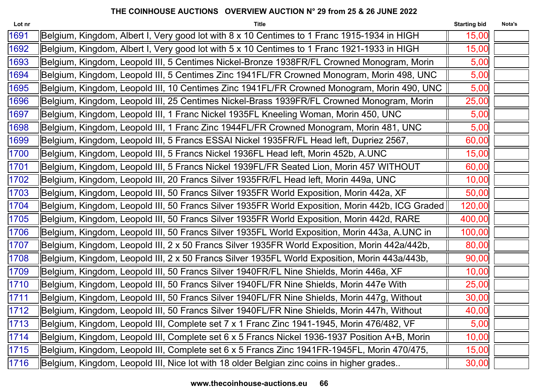| Lot nr | <b>Title</b>                                                                                    | <b>Starting bid</b> | Nota's |
|--------|-------------------------------------------------------------------------------------------------|---------------------|--------|
| 1691   | Belgium, Kingdom, Albert I, Very good lot with 8 x 10 Centimes to 1 Franc 1915-1934 in HIGH     | 15,00               |        |
| 1692   | Belgium, Kingdom, Albert I, Very good lot with 5 x 10 Centimes to 1 Franc 1921-1933 in HIGH     | 15,00               |        |
| 1693   | Belgium, Kingdom, Leopold III, 5 Centimes Nickel-Bronze 1938FR/FL Crowned Monogram, Morin       | 5,00                |        |
| 1694   | Belgium, Kingdom, Leopold III, 5 Centimes Zinc 1941FL/FR Crowned Monogram, Morin 498, UNC       | 5,00                |        |
| 1695   | Belgium, Kingdom, Leopold III, 10 Centimes Zinc 1941FL/FR Crowned Monogram, Morin 490, UNC      | 5,00                |        |
| 1696   | Belgium, Kingdom, Leopold III, 25 Centimes Nickel-Brass 1939FR/FL Crowned Monogram, Morin       | 25,00               |        |
| 1697   | Belgium, Kingdom, Leopold III, 1 Franc Nickel 1935FL Kneeling Woman, Morin 450, UNC             | 5,00                |        |
| 1698   | Belgium, Kingdom, Leopold III, 1 Franc Zinc 1944FL/FR Crowned Monogram, Morin 481, UNC          | 5,00                |        |
| 1699   | Belgium, Kingdom, Leopold III, 5 Francs ESSAI Nickel 1935FR/FL Head left, Dupriez 2567,         | 60,00               |        |
| 1700   | Belgium, Kingdom, Leopold III, 5 Francs Nickel 1936FL Head left, Morin 452b, A.UNC              | 15,00               |        |
| 1701   | Belgium, Kingdom, Leopold III, 5 Francs Nickel 1939FL/FR Seated Lion, Morin 457 WITHOUT         | 60,00               |        |
| 1702   | Belgium, Kingdom, Leopold III, 20 Francs Silver 1935FR/FL Head left, Morin 449a, UNC            | 10,00               |        |
| 1703   | Belgium, Kingdom, Leopold III, 50 Francs Silver 1935FR World Exposition, Morin 442a, XF         | 50,00               |        |
| 1704   | Belgium, Kingdom, Leopold III, 50 Francs Silver 1935FR World Exposition, Morin 442b, ICG Graded | 120,00              |        |
| 1705   | Belgium, Kingdom, Leopold III, 50 Francs Silver 1935FR World Exposition, Morin 442d, RARE       | 400,00              |        |
| 1706   | Belgium, Kingdom, Leopold III, 50 Francs Silver 1935FL World Exposition, Morin 443a, A.UNC in   | 100,00              |        |
| 1707   | Belgium, Kingdom, Leopold III, 2 x 50 Francs Silver 1935FR World Exposition, Morin 442a/442b,   | 80,00               |        |
| 1708   | Belgium, Kingdom, Leopold III, 2 x 50 Francs Silver 1935FL World Exposition, Morin 443a/443b,   | 90,00               |        |
| 1709   | Belgium, Kingdom, Leopold III, 50 Francs Silver 1940FR/FL Nine Shields, Morin 446a, XF          | 10,00               |        |
| 1710   | Belgium, Kingdom, Leopold III, 50 Francs Silver 1940FL/FR Nine Shields, Morin 447e With         | 25,00               |        |
| 1711   | Belgium, Kingdom, Leopold III, 50 Francs Silver 1940FL/FR Nine Shields, Morin 447g, Without     | 30,00               |        |
| 1712   | Belgium, Kingdom, Leopold III, 50 Francs Silver 1940FL/FR Nine Shields, Morin 447h, Without     | 40,00               |        |
| 1713   | Belgium, Kingdom, Leopold III, Complete set 7 x 1 Franc Zinc 1941-1945, Morin 476/482, VF       | 5,00                |        |
| 1714   | Belgium, Kingdom, Leopold III, Complete set 6 x 5 Francs Nickel 1936-1937 Position A+B, Morin   | 10,00               |        |
| 1715   | Belgium, Kingdom, Leopold III, Complete set 6 x 5 Francs Zinc 1941FR-1945FL, Morin 470/475,     | 15,00               |        |
| 1716   | Belgium, Kingdom, Leopold III, Nice lot with 18 older Belgian zinc coins in higher grades       | 30,00               |        |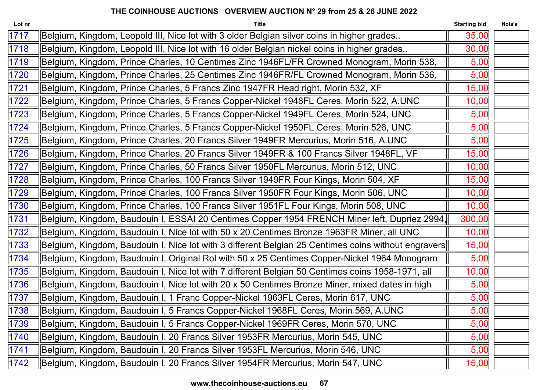| Lot nr | <b>Title</b>                                                                                        | <b>Starting bid</b> | Nota's |
|--------|-----------------------------------------------------------------------------------------------------|---------------------|--------|
| 1717   | Belgium, Kingdom, Leopold III, Nice lot with 3 older Belgian silver coins in higher grades          | 35,00               |        |
| 1718   | Belgium, Kingdom, Leopold III, Nice lot with 16 older Belgian nickel coins in higher grades         | 30,00               |        |
| 1719   | Belgium, Kingdom, Prince Charles, 10 Centimes Zinc 1946FL/FR Crowned Monogram, Morin 538,           | 5,00                |        |
| 1720   | Belgium, Kingdom, Prince Charles, 25 Centimes Zinc 1946FR/FL Crowned Monogram, Morin 536,           | 5,00                |        |
| 1721   | Belgium, Kingdom, Prince Charles, 5 Francs Zinc 1947FR Head right, Morin 532, XF                    | 15,00               |        |
| 1722   | Belgium, Kingdom, Prince Charles, 5 Francs Copper-Nickel 1948FL Ceres, Morin 522, A.UNC             | 10,00               |        |
| 1723   | Belgium, Kingdom, Prince Charles, 5 Francs Copper-Nickel 1949FL Ceres, Morin 524, UNC               | 5,00                |        |
| 1724   | Belgium, Kingdom, Prince Charles, 5 Francs Copper-Nickel 1950FL Ceres, Morin 526, UNC               | 5,00                |        |
| 1725   | Belgium, Kingdom, Prince Charles, 20 Francs Silver 1949FR Mercurius, Morin 516, A.UNC               | 5,00                |        |
| 1726   | Belgium, Kingdom, Prince Charles, 20 Francs Silver 1949FR & 100 Francs Silver 1948FL, VF            | 15,00               |        |
| 1727   | Belgium, Kingdom, Prince Charles, 50 Francs Silver 1950FL Mercurius, Morin 512, UNC                 | 10,00               |        |
| 1728   | Belgium, Kingdom, Prince Charles, 100 Francs Silver 1949FR Four Kings, Morin 504, XF                | 15,00               |        |
| 1729   | Belgium, Kingdom, Prince Charles, 100 Francs Silver 1950FR Four Kings, Morin 506, UNC               | 10,00               |        |
| 1730   | Belgium, Kingdom, Prince Charles, 100 Francs Silver 1951FL Four Kings, Morin 508, UNC               | 10,00               |        |
| 1731   | Belgium, Kingdom, Baudouin I, ESSAI 20 Centimes Copper 1954 FRENCH Miner left, Dupriez 2994,        | 300,00              |        |
| 1732   | Belgium, Kingdom, Baudouin I, Nice lot with 50 x 20 Centimes Bronze 1963FR Miner, all UNC           | 10,00               |        |
| 1733   | Belgium, Kingdom, Baudouin I, Nice lot with 3 different Belgian 25 Centimes coins without engravers | 15,00               |        |
| 1734   | Belgium, Kingdom, Baudouin I, Original Rol with 50 x 25 Centimes Copper-Nickel 1964 Monogram        | 5,00                |        |
| 1735   | Belgium, Kingdom, Baudouin I, Nice lot with 7 different Belgian 50 Centimes coins 1958-1971, all    | 10,00               |        |
| 1736   | Belgium, Kingdom, Baudouin I, Nice lot with 20 x 50 Centimes Bronze Miner, mixed dates in high      | 5,00                |        |
| 1737   | Belgium, Kingdom, Baudouin I, 1 Franc Copper-Nickel 1963FL Ceres, Morin 617, UNC                    | 5,00                |        |
| 1738   | Belgium, Kingdom, Baudouin I, 5 Francs Copper-Nickel 1968FL Ceres, Morin 569, A.UNC                 | 5,00                |        |
| 1739   | Belgium, Kingdom, Baudouin I, 5 Francs Copper-Nickel 1969FR Ceres, Morin 570, UNC                   | 5,00                |        |
| 1740   | Belgium, Kingdom, Baudouin I, 20 Francs Silver 1953FR Mercurius, Morin 545, UNC                     | 5,00                |        |
| 1741   | Belgium, Kingdom, Baudouin I, 20 Francs Silver 1953FL Mercurius, Morin 546, UNC                     | 5,00                |        |
| 1742   | Belgium, Kingdom, Baudouin I, 20 Francs Silver 1954FR Mercurius, Morin 547, UNC                     | 15,00               |        |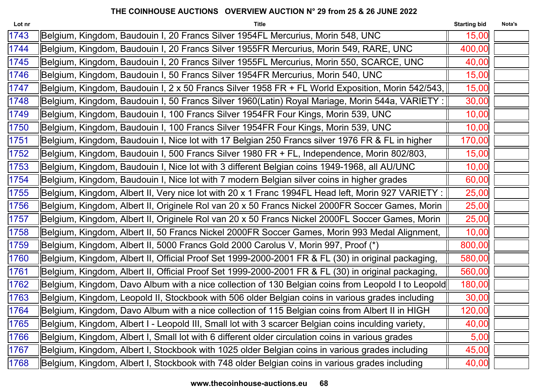| Lot nr | <b>Title</b>                                                                                        | <b>Starting bid</b> | Nota's |
|--------|-----------------------------------------------------------------------------------------------------|---------------------|--------|
| 1743   | Belgium, Kingdom, Baudouin I, 20 Francs Silver 1954FL Mercurius, Morin 548, UNC                     | 15,00               |        |
| 1744   | Belgium, Kingdom, Baudouin I, 20 Francs Silver 1955FR Mercurius, Morin 549, RARE, UNC               | 400,00              |        |
| 1745   | Belgium, Kingdom, Baudouin I, 20 Francs Silver 1955FL Mercurius, Morin 550, SCARCE, UNC             | 40,00               |        |
| 1746   | Belgium, Kingdom, Baudouin I, 50 Francs Silver 1954FR Mercurius, Morin 540, UNC                     | 15,00               |        |
| 1747   | Belgium, Kingdom, Baudouin I, 2 x 50 Francs Silver 1958 FR + FL World Exposition, Morin 542/543,    | 15,00               |        |
| 1748   | Belgium, Kingdom, Baudouin I, 50 Francs Silver 1960(Latin) Royal Mariage, Morin 544a, VARIETY :     | 30,00               |        |
| 1749   | Belgium, Kingdom, Baudouin I, 100 Francs Silver 1954FR Four Kings, Morin 539, UNC                   | 10,00               |        |
| 1750   | Belgium, Kingdom, Baudouin I, 100 Francs Silver 1954FR Four Kings, Morin 539, UNC                   | 10,00               |        |
| 1751   | Belgium, Kingdom, Baudouin I, Nice lot with 17 Belgian 250 Francs silver 1976 FR & FL in higher     | 170,00              |        |
| 1752   | Belgium, Kingdom, Baudouin I, 500 Francs Silver 1980 FR + FL, Independence, Morin 802/803,          | 15,00               |        |
| 1753   | Belgium, Kingdom, Baudouin I, Nice lot with 3 different Belgian coins 1949-1968, all AU/UNC         | 10,00               |        |
| 1754   | Belgium, Kingdom, Baudouin I, Nice lot with 7 modern Belgian silver coins in higher grades          | 60,00               |        |
| 1755   | Belgium, Kingdom, Albert II, Very nice lot with 20 x 1 Franc 1994FL Head left, Morin 927 VARIETY :  | 25,00               |        |
| 1756   | Belgium, Kingdom, Albert II, Originele Rol van 20 x 50 Francs Nickel 2000FR Soccer Games, Morin     | 25,00               |        |
| 1757   | Belgium, Kingdom, Albert II, Originele Rol van 20 x 50 Francs Nickel 2000FL Soccer Games, Morin     | 25,00               |        |
| 1758   | Belgium, Kingdom, Albert II, 50 Francs Nickel 2000FR Soccer Games, Morin 993 Medal Alignment,       | 10,00               |        |
| 1759   | Belgium, Kingdom, Albert II, 5000 Francs Gold 2000 Carolus V, Morin 997, Proof (*)                  | 800,00              |        |
| 1760   | Belgium, Kingdom, Albert II, Official Proof Set 1999-2000-2001 FR & FL (30) in original packaging,  | 580,00              |        |
| 1761   | Belgium, Kingdom, Albert II, Official Proof Set 1999-2000-2001 FR & FL (30) in original packaging,  | 560,00              |        |
| 1762   | Belgium, Kingdom, Davo Album with a nice collection of 130 Belgian coins from Leopold I to Leopold  | 180,00              |        |
| 1763   | Belgium, Kingdom, Leopold II, Stockbook with 506 older Belgian coins in various grades including    | 30,00               |        |
| 1764   | Belgium, Kingdom, Davo Album with a nice collection of 115 Belgian coins from Albert II in HIGH     | 120,00              |        |
| 1765   | Belgium, Kingdom, Albert I - Leopold III, Small lot with 3 scarcer Belgian coins inculding variety, | 40,00               |        |
| 1766   | Belgium, Kingdom, Albert I, Small lot with 6 different older circulation coins in various grades    | 5,00                |        |
| 1767   | Belgium, Kingdom, Albert I, Stockbook with 1025 older Belgian coins in various grades including     | 45,00               |        |
| 1768   | Belgium, Kingdom, Albert I, Stockbook with 748 older Belgian coins in various grades including      | 40,00               |        |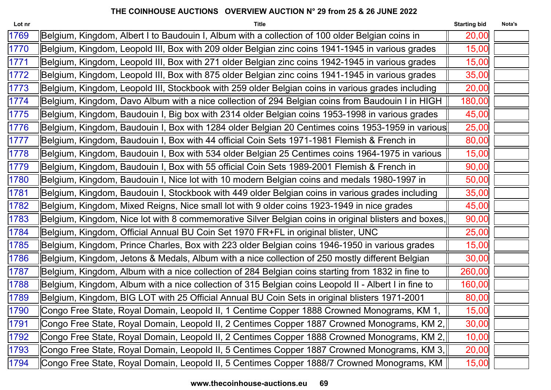| Lot nr | <b>Title</b>                                                                                         | <b>Starting bid</b> | Nota's |
|--------|------------------------------------------------------------------------------------------------------|---------------------|--------|
| 1769   | Belgium, Kingdom, Albert I to Baudouin I, Album with a collection of 100 older Belgian coins in      | 20,00               |        |
| 1770   | Belgium, Kingdom, Leopold III, Box with 209 older Belgian zinc coins 1941-1945 in various grades     | 15,00               |        |
| 1771   | Belgium, Kingdom, Leopold III, Box with 271 older Belgian zinc coins 1942-1945 in various grades     | 15,00               |        |
| 1772   | Belgium, Kingdom, Leopold III, Box with 875 older Belgian zinc coins 1941-1945 in various grades     | 35,00               |        |
| 1773   | Belgium, Kingdom, Leopold III, Stockbook with 259 older Belgian coins in various grades including    | 20,00               |        |
| 1774   | Belgium, Kingdom, Davo Album with a nice collection of 294 Belgian coins from Baudouin I in HIGH     | 180,00              |        |
| 1775   | Belgium, Kingdom, Baudouin I, Big box with 2314 older Belgian coins 1953-1998 in various grades      | 45,00               |        |
| 1776   | Belgium, Kingdom, Baudouin I, Box with 1284 older Belgian 20 Centimes coins 1953-1959 in various     | 25,00               |        |
| 1777   | Belgium, Kingdom, Baudouin I, Box with 44 official Coin Sets 1971-1981 Flemish & French in           | 80,00               |        |
| 1778   | Belgium, Kingdom, Baudouin I, Box with 534 older Belgian 25 Centimes coins 1964-1975 in various      | 15,00               |        |
| 1779   | Belgium, Kingdom, Baudouin I, Box with 55 official Coin Sets 1989-2001 Flemish & French in           | 90,00               |        |
| 1780   | Belgium, Kingdom, Baudouin I, Nice lot with 10 modern Belgian coins and medals 1980-1997 in          | 50,00               |        |
| 1781   | Belgium, Kingdom, Baudouin I, Stockbook with 449 older Belgian coins in various grades including     | 35,00               |        |
| 1782   | Belgium, Kingdom, Mixed Reigns, Nice small lot with 9 older coins 1923-1949 in nice grades           | 45,00               |        |
| 1783   | Belgium, Kingdom, Nice lot with 8 commemorative Silver Belgian coins in original blisters and boxes, | 90,00               |        |
| 1784   | Belgium, Kingdom, Official Annual BU Coin Set 1970 FR+FL in original blister, UNC                    | 25,00               |        |
| 1785   | Belgium, Kingdom, Prince Charles, Box with 223 older Belgian coins 1946-1950 in various grades       | 15,00               |        |
| 1786   | Belgium, Kingdom, Jetons & Medals, Album with a nice collection of 250 mostly different Belgian      | 30,00               |        |
| 1787   | Belgium, Kingdom, Album with a nice collection of 284 Belgian coins starting from 1832 in fine to    | 260,00              |        |
| 1788   | Belgium, Kingdom, Album with a nice collection of 315 Belgian coins Leopold II - Albert I in fine to | 160,00              |        |
| 1789   | Belgium, Kingdom, BIG LOT with 25 Official Annual BU Coin Sets in original blisters 1971-2001        | 80,00               |        |
| 1790   | Congo Free State, Royal Domain, Leopold II, 1 Centime Copper 1888 Crowned Monograms, KM 1,           | 15,00               |        |
| 1791   | Congo Free State, Royal Domain, Leopold II, 2 Centimes Copper 1887 Crowned Monograms, KM 2,          | 30,00               |        |
| 1792   | Congo Free State, Royal Domain, Leopold II, 2 Centimes Copper 1888 Crowned Monograms, KM 2,          | 10,00               |        |
| 1793   | Congo Free State, Royal Domain, Leopold II, 5 Centimes Copper 1887 Crowned Monograms, KM 3,          | 20,00               |        |
| 1794   | Congo Free State, Royal Domain, Leopold II, 5 Centimes Copper 1888/7 Crowned Monograms, KM           | 15,00               |        |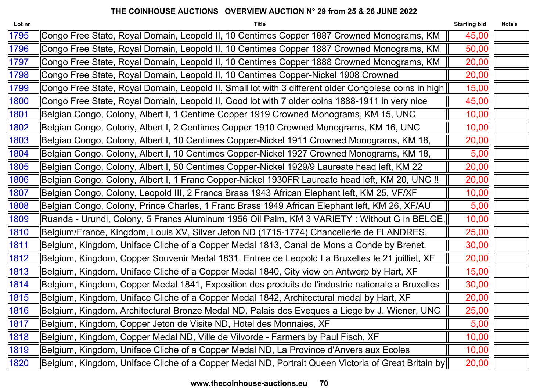| Lot nr | <b>Title</b>                                                                                         | <b>Starting bid</b> | Nota's |
|--------|------------------------------------------------------------------------------------------------------|---------------------|--------|
| 1795   | Congo Free State, Royal Domain, Leopold II, 10 Centimes Copper 1887 Crowned Monograms, KM            | 45,00               |        |
| 1796   | Congo Free State, Royal Domain, Leopold II, 10 Centimes Copper 1887 Crowned Monograms, KM            | 50,00               |        |
| 1797   | Congo Free State, Royal Domain, Leopold II, 10 Centimes Copper 1888 Crowned Monograms, KM            | 20,00               |        |
| 1798   | Congo Free State, Royal Domain, Leopold II, 10 Centimes Copper-Nickel 1908 Crowned                   | 20,00               |        |
| 1799   | Congo Free State, Royal Domain, Leopold II, Small lot with 3 different older Congolese coins in high | 15,00               |        |
| 1800   | Congo Free State, Royal Domain, Leopold II, Good lot with 7 older coins 1888-1911 in very nice       | 45,00               |        |
| 1801   | Belgian Congo, Colony, Albert I, 1 Centime Copper 1919 Crowned Monograms, KM 15, UNC                 | 10,00               |        |
| 1802   | Belgian Congo, Colony, Albert I, 2 Centimes Copper 1910 Crowned Monograms, KM 16, UNC                | 10,00               |        |
| 1803   | Belgian Congo, Colony, Albert I, 10 Centimes Copper-Nickel 1911 Crowned Monograms, KM 18,            | 20,00               |        |
| 1804   | Belgian Congo, Colony, Albert I, 10 Centimes Copper-Nickel 1927 Crowned Monograms, KM 18,            | 5,00                |        |
| 1805   | Belgian Congo, Colony, Albert I, 50 Centimes Copper-Nickel 1929/9 Laureate head left, KM 22          | 20,00               |        |
| 1806   | Belgian Congo, Colony, Albert I, 1 Franc Copper-Nickel 1930FR Laureate head left, KM 20, UNC !!      | 20,00               |        |
| 1807   | Belgian Congo, Colony, Leopold III, 2 Francs Brass 1943 African Elephant left, KM 25, VF/XF          | 10,00               |        |
| 1808   | Belgian Congo, Colony, Prince Charles, 1 Franc Brass 1949 African Elephant left, KM 26, XF/AU        | 5,00                |        |
| 1809   | Ruanda - Urundi, Colony, 5 Francs Aluminum 1956 Oil Palm, KM 3 VARIETY : Without G in BELGE,         | 10,00               |        |
| 1810   | Belgium/France, Kingdom, Louis XV, Silver Jeton ND (1715-1774) Chancellerie de FLANDRES,             | 25,00               |        |
| 1811   | Belgium, Kingdom, Uniface Cliche of a Copper Medal 1813, Canal de Mons a Conde by Brenet,            | 30,00               |        |
| 1812   | Belgium, Kingdom, Copper Souvenir Medal 1831, Entree de Leopold I a Bruxelles le 21 juilliet, XF     | 20,00               |        |
| 1813   | Belgium, Kingdom, Uniface Cliche of a Copper Medal 1840, City view on Antwerp by Hart, XF            | 15,00               |        |
| 1814   | Belgium, Kingdom, Copper Medal 1841, Exposition des produits de l'industrie nationale a Bruxelles    | 30,00               |        |
| 1815   | Belgium, Kingdom, Uniface Cliche of a Copper Medal 1842, Architectural medal by Hart, XF             | 20,00               |        |
| 1816   | Belgium, Kingdom, Architectural Bronze Medal ND, Palais des Eveques a Liege by J. Wiener, UNC        | 25,00               |        |
| 1817   | Belgium, Kingdom, Copper Jeton de Visite ND, Hotel des Monnaies, XF                                  | 5,00                |        |
| 1818   | Belgium, Kingdom, Copper Medal ND, Ville de Vilvorde - Farmers by Paul Fisch, XF                     | 10,00               |        |
| 1819   | Belgium, Kingdom, Uniface Cliche of a Copper Medal ND, La Province d'Anvers aux Ecoles               | 10,00               |        |
| 1820   | Belgium, Kingdom, Uniface Cliche of a Copper Medal ND, Portrait Queen Victoria of Great Britain by   | 20,00               |        |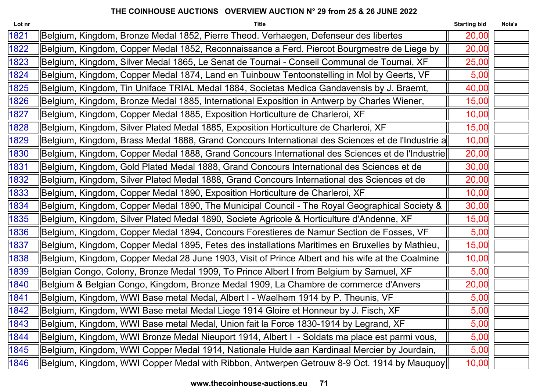| Lot nr | <b>Title</b>                                                                                         | <b>Starting bid</b> | Nota's |
|--------|------------------------------------------------------------------------------------------------------|---------------------|--------|
| 1821   | Belgium, Kingdom, Bronze Medal 1852, Pierre Theod. Verhaegen, Defenseur des libertes                 | 20,00               |        |
| 1822   | Belgium, Kingdom, Copper Medal 1852, Reconnaissance a Ferd. Piercot Bourgmestre de Liege by          | 20,00               |        |
| 1823   | Belgium, Kingdom, Silver Medal 1865, Le Senat de Tournai - Conseil Communal de Tournai, XF           | 25,00               |        |
| 1824   | Belgium, Kingdom, Copper Medal 1874, Land en Tuinbouw Tentoonstelling in Mol by Geerts, VF           | 5,00                |        |
| 1825   | Belgium, Kingdom, Tin Uniface TRIAL Medal 1884, Societas Medica Gandavensis by J. Braemt,            | 40,00               |        |
| 1826   | Belgium, Kingdom, Bronze Medal 1885, International Exposition in Antwerp by Charles Wiener,          | 15,00               |        |
| 1827   | Belgium, Kingdom, Copper Medal 1885, Exposition Horticulture de Charleroi, XF                        | 10,00               |        |
| 1828   | Belgium, Kingdom, Silver Plated Medal 1885, Exposition Horticulture de Charleroi, XF                 | 15,00               |        |
| 1829   | Belgium, Kingdom, Brass Medal 1888, Grand Concours International des Sciences et de l'Industrie a    | 10,00               |        |
| 1830   | Belgium, Kingdom, Copper Medal 1888, Grand Concours International des Sciences et de l'Industrie     | 20,00               |        |
| 1831   | Belgium, Kingdom, Gold Plated Medal 1888, Grand Concours International des Sciences et de            | 30,00               |        |
| 1832   | Belgium, Kingdom, Silver Plated Medal 1888, Grand Concours International des Sciences et de          | 20,00               |        |
| 1833   | Belgium, Kingdom, Copper Medal 1890, Exposition Horticulture de Charleroi, XF                        | 10,00               |        |
| 1834   | Belgium, Kingdom, Copper Medal 1890, The Municipal Council - The Royal Geographical Society & $\mid$ | 30,00               |        |
| 1835   | Belgium, Kingdom, Silver Plated Medal 1890, Societe Agricole & Horticulture d'Andenne, XF            | 15,00               |        |
| 1836   | Belgium, Kingdom, Copper Medal 1894, Concours Forestieres de Namur Section de Fosses, VF             | 5,00                |        |
| 1837   | Belgium, Kingdom, Copper Medal 1895, Fetes des installations Maritimes en Bruxelles by Mathieu,      | 15,00               |        |
| 1838   | Belgium, Kingdom, Copper Medal 28 June 1903, Visit of Prince Albert and his wife at the Coalmine     | 10,00               |        |
| 1839   | Belgian Congo, Colony, Bronze Medal 1909, To Prince Albert I from Belgium by Samuel, XF              | 5,00                |        |
| 1840   | Belgium & Belgian Congo, Kingdom, Bronze Medal 1909, La Chambre de commerce d'Anvers                 | 20,00               |        |
| 1841   | Belgium, Kingdom, WWI Base metal Medal, Albert I - Waelhem 1914 by P. Theunis, VF                    | 5,00                |        |
| 1842   | Belgium, Kingdom, WWI Base metal Medal Liege 1914 Gloire et Honneur by J. Fisch, XF                  | 5,00                |        |
| 1843   | Belgium, Kingdom, WWI Base metal Medal, Union fait la Force 1830-1914 by Legrand, XF                 | 5,00                |        |
| 1844   | Belgium, Kingdom, WWI Bronze Medal Nieuport 1914, Albert I - Soldats ma place est parmi vous,        | 5,00                |        |
| 1845   | Belgium, Kingdom, WWI Copper Medal 1914, Nationale Hulde aan Kardinaal Mercier by Jourdain,          | 5,00                |        |
| 1846   | Belgium, Kingdom, WWI Copper Medal with Ribbon, Antwerpen Getrouw 8-9 Oct. 1914 by Mauquoy]          | 10,00               |        |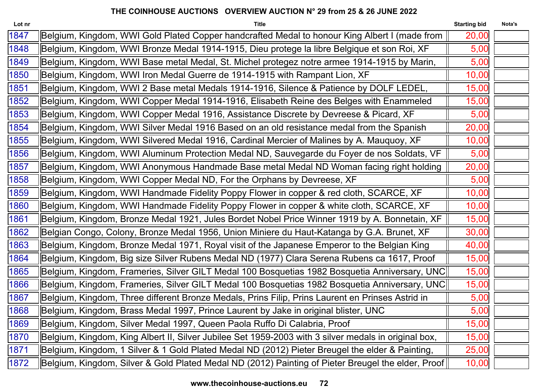| <b>Title</b>                                                                                         | <b>Starting bid</b>                                                                                                                                              | Nota's                                                                                                                                                                                                                                                                                                 |
|------------------------------------------------------------------------------------------------------|------------------------------------------------------------------------------------------------------------------------------------------------------------------|--------------------------------------------------------------------------------------------------------------------------------------------------------------------------------------------------------------------------------------------------------------------------------------------------------|
| Belgium, Kingdom, WWI Gold Plated Copper handcrafted Medal to honour King Albert I (made from        | 20,00                                                                                                                                                            |                                                                                                                                                                                                                                                                                                        |
| Belgium, Kingdom, WWI Bronze Medal 1914-1915, Dieu protege la libre Belgique et son Roi, XF          | 5,00                                                                                                                                                             |                                                                                                                                                                                                                                                                                                        |
| Belgium, Kingdom, WWI Base metal Medal, St. Michel protegez notre armee 1914-1915 by Marin,          | 5,00                                                                                                                                                             |                                                                                                                                                                                                                                                                                                        |
| Belgium, Kingdom, WWI Iron Medal Guerre de 1914-1915 with Rampant Lion, XF                           | 10,00                                                                                                                                                            |                                                                                                                                                                                                                                                                                                        |
| Belgium, Kingdom, WWI 2 Base metal Medals 1914-1916, Silence & Patience by DOLF LEDEL,               | 15,00                                                                                                                                                            |                                                                                                                                                                                                                                                                                                        |
| Belgium, Kingdom, WWI Copper Medal 1914-1916, Elisabeth Reine des Belges with Enammeled              | 15,00                                                                                                                                                            |                                                                                                                                                                                                                                                                                                        |
| Belgium, Kingdom, WWI Copper Medal 1916, Assistance Discrete by Devreese & Picard, XF                | 5,00                                                                                                                                                             |                                                                                                                                                                                                                                                                                                        |
| Belgium, Kingdom, WWI Silver Medal 1916 Based on an old resistance medal from the Spanish            | 20,00                                                                                                                                                            |                                                                                                                                                                                                                                                                                                        |
| Belgium, Kingdom, WWI Silvered Medal 1916, Cardinal Mercier of Malines by A. Mauquoy, XF             | 10,00                                                                                                                                                            |                                                                                                                                                                                                                                                                                                        |
| Belgium, Kingdom, WWI Aluminum Protection Medal ND, Sauvegarde du Foyer de nos Soldats, VF           | 5,00                                                                                                                                                             |                                                                                                                                                                                                                                                                                                        |
| Belgium, Kingdom, WWI Anonymous Handmade Base metal Medal ND Woman facing right holding              | 20,00                                                                                                                                                            |                                                                                                                                                                                                                                                                                                        |
| Belgium, Kingdom, WWI Copper Medal ND, For the Orphans by Devreese, XF                               | 5,00                                                                                                                                                             |                                                                                                                                                                                                                                                                                                        |
| Belgium, Kingdom, WWI Handmade Fidelity Poppy Flower in copper & red cloth, SCARCE, XF               | 10,00                                                                                                                                                            |                                                                                                                                                                                                                                                                                                        |
| Belgium, Kingdom, WWI Handmade Fidelity Poppy Flower in copper & white cloth, SCARCE, XF             | 10,00                                                                                                                                                            |                                                                                                                                                                                                                                                                                                        |
| Belgium, Kingdom, Bronze Medal 1921, Jules Bordet Nobel Price Winner 1919 by A. Bonnetain, XF        | 15,00                                                                                                                                                            |                                                                                                                                                                                                                                                                                                        |
| Belgian Congo, Colony, Bronze Medal 1956, Union Miniere du Haut-Katanga by G.A. Brunet, XF           | 30,00                                                                                                                                                            |                                                                                                                                                                                                                                                                                                        |
| Belgium, Kingdom, Bronze Medal 1971, Royal visit of the Japanese Emperor to the Belgian King         | 40,00                                                                                                                                                            |                                                                                                                                                                                                                                                                                                        |
| Belgium, Kingdom, Big size Silver Rubens Medal ND (1977) Clara Serena Rubens ca 1617, Proof          | 15,00                                                                                                                                                            |                                                                                                                                                                                                                                                                                                        |
|                                                                                                      | 15,00                                                                                                                                                            |                                                                                                                                                                                                                                                                                                        |
|                                                                                                      | 15,00                                                                                                                                                            |                                                                                                                                                                                                                                                                                                        |
| Belgium, Kingdom, Three different Bronze Medals, Prins Filip, Prins Laurent en Prinses Astrid in     | 5,00                                                                                                                                                             |                                                                                                                                                                                                                                                                                                        |
|                                                                                                      | 5,00                                                                                                                                                             |                                                                                                                                                                                                                                                                                                        |
|                                                                                                      | 15,00                                                                                                                                                            |                                                                                                                                                                                                                                                                                                        |
| Belgium, Kingdom, King Albert II, Silver Jubilee Set 1959-2003 with 3 silver medals in original box, | 15,00                                                                                                                                                            |                                                                                                                                                                                                                                                                                                        |
| Belgium, Kingdom, 1 Silver & 1 Gold Plated Medal ND (2012) Pieter Breugel the elder & Painting,      | 25,00                                                                                                                                                            |                                                                                                                                                                                                                                                                                                        |
|                                                                                                      | 10,00                                                                                                                                                            |                                                                                                                                                                                                                                                                                                        |
|                                                                                                      | Belgium, Kingdom, Brass Medal 1997, Prince Laurent by Jake in original blister, UNC<br>Belgium, Kingdom, Silver Medal 1997, Queen Paola Ruffo Di Calabria, Proof | Belgium, Kingdom, Frameries, Silver GILT Medal 100 Bosquetias 1982 Bosquetia Anniversary, UNC  <br>Belgium, Kingdom, Frameries, Silver GILT Medal 100 Bosquetias 1982 Bosquetia Anniversary, UNC<br>Belgium, Kingdom, Silver & Gold Plated Medal ND (2012) Painting of Pieter Breugel the elder, Proof |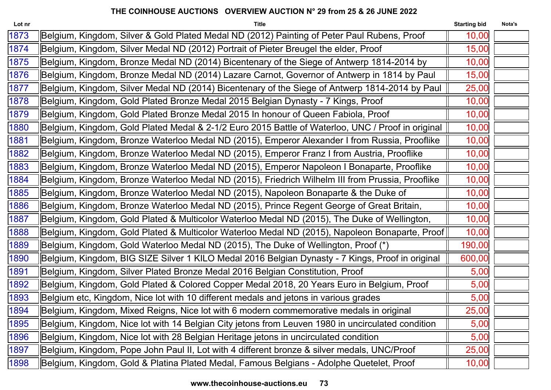| Lot nr | <b>Title</b>                                                                                      | <b>Starting bid</b> | Nota's |
|--------|---------------------------------------------------------------------------------------------------|---------------------|--------|
| 1873   | Belgium, Kingdom, Silver & Gold Plated Medal ND (2012) Painting of Peter Paul Rubens, Proof       | 10,00               |        |
| 1874   | Belgium, Kingdom, Silver Medal ND (2012) Portrait of Pieter Breugel the elder, Proof              | 15,00               |        |
| 1875   | Belgium, Kingdom, Bronze Medal ND (2014) Bicentenary of the Siege of Antwerp 1814-2014 by         | 10,00               |        |
| 1876   | Belgium, Kingdom, Bronze Medal ND (2014) Lazare Carnot, Governor of Antwerp in 1814 by Paul       | 15,00               |        |
| 1877   | Belgium, Kingdom, Silver Medal ND (2014) Bicentenary of the Siege of Antwerp 1814-2014 by Paul    | 25,00               |        |
| 1878   | Belgium, Kingdom, Gold Plated Bronze Medal 2015 Belgian Dynasty - 7 Kings, Proof                  | 10,00               |        |
| 1879   | Belgium, Kingdom, Gold Plated Bronze Medal 2015 In honour of Queen Fabiola, Proof                 | 10,00               |        |
| 1880   | Belgium, Kingdom, Gold Plated Medal & 2-1/2 Euro 2015 Battle of Waterloo, UNC / Proof in original | 10,00               |        |
| 1881   | Belgium, Kingdom, Bronze Waterloo Medal ND (2015), Emperor Alexander I from Russia, Prooflike     | 10,00               |        |
| 1882   | Belgium, Kingdom, Bronze Waterloo Medal ND (2015), Emperor Franz I from Austria, Prooflike        | 10,00               |        |
| 1883   | Belgium, Kingdom, Bronze Waterloo Medal ND (2015), Emperor Napoleon I Bonaparte, Prooflike        | 10,00               |        |
| 1884   | Belgium, Kingdom, Bronze Waterloo Medal ND (2015), Friedrich Wilhelm III from Prussia, Prooflike  | 10,00               |        |
| 1885   | Belgium, Kingdom, Bronze Waterloo Medal ND (2015), Napoleon Bonaparte & the Duke of               | 10,00               |        |
| 1886   | Belgium, Kingdom, Bronze Waterloo Medal ND (2015), Prince Regent George of Great Britain,         | 10,00               |        |
| 1887   | Belgium, Kingdom, Gold Plated & Multicolor Waterloo Medal ND (2015), The Duke of Wellington,      | 10,00               |        |
| 1888   | Belgium, Kingdom, Gold Plated & Multicolor Waterloo Medal ND (2015), Napoleon Bonaparte, Proof    | 10,00               |        |
| 1889   | Belgium, Kingdom, Gold Waterloo Medal ND (2015), The Duke of Wellington, Proof (*)                | 190,00              |        |
| 1890   | Belgium, Kingdom, BIG SIZE Silver 1 KILO Medal 2016 Belgian Dynasty - 7 Kings, Proof in original  | 600,00              |        |
| 1891   | Belgium, Kingdom, Silver Plated Bronze Medal 2016 Belgian Constitution, Proof                     | 5,00                |        |
| 1892   | Belgium, Kingdom, Gold Plated & Colored Copper Medal 2018, 20 Years Euro in Belgium, Proof        | 5,00                |        |
| 1893   | Belgium etc, Kingdom, Nice lot with 10 different medals and jetons in various grades              | 5,00                |        |
| 1894   | Belgium, Kingdom, Mixed Reigns, Nice lot with 6 modern commemorative medals in original           | 25,00               |        |
| 1895   | Belgium, Kingdom, Nice lot with 14 Belgian City jetons from Leuven 1980 in uncirculated condition | 5,00                |        |
| 1896   | Belgium, Kingdom, Nice lot with 28 Belgian Heritage jetons in uncirculated condition              | 5,00                |        |
| 1897   | Belgium, Kingdom, Pope John Paul II, Lot with 4 different bronze & silver medals, UNC/Proof       | 25,00               |        |
| 1898   | Belgium, Kingdom, Gold & Platina Plated Medal, Famous Belgians - Adolphe Quetelet, Proof          | 10,00               |        |
|        |                                                                                                   |                     |        |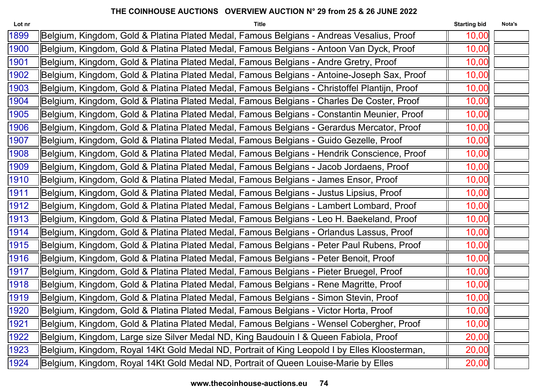| <b>Title</b>                                                                                 | <b>Starting bid</b> | Nota's |
|----------------------------------------------------------------------------------------------|---------------------|--------|
| Belgium, Kingdom, Gold & Platina Plated Medal, Famous Belgians - Andreas Vesalius, Proof     | 10,00               |        |
| Belgium, Kingdom, Gold & Platina Plated Medal, Famous Belgians - Antoon Van Dyck, Proof      | 10,00               |        |
| Belgium, Kingdom, Gold & Platina Plated Medal, Famous Belgians - Andre Gretry, Proof         | 10,00               |        |
| Belgium, Kingdom, Gold & Platina Plated Medal, Famous Belgians - Antoine-Joseph Sax, Proof   | 10,00               |        |
| Belgium, Kingdom, Gold & Platina Plated Medal, Famous Belgians - Christoffel Plantijn, Proof | 10,00               |        |
| Belgium, Kingdom, Gold & Platina Plated Medal, Famous Belgians - Charles De Coster, Proof    | 10,00               |        |
| Belgium, Kingdom, Gold & Platina Plated Medal, Famous Belgians - Constantin Meunier, Proof   | 10,00               |        |
| Belgium, Kingdom, Gold & Platina Plated Medal, Famous Belgians - Gerardus Mercator, Proof    | 10,00               |        |
| Belgium, Kingdom, Gold & Platina Plated Medal, Famous Belgians - Guido Gezelle, Proof        | 10,00               |        |
| Belgium, Kingdom, Gold & Platina Plated Medal, Famous Belgians - Hendrik Conscience, Proof   | 10,00               |        |
| Belgium, Kingdom, Gold & Platina Plated Medal, Famous Belgians - Jacob Jordaens, Proof       | 10,00               |        |
| Belgium, Kingdom, Gold & Platina Plated Medal, Famous Belgians - James Ensor, Proof          | 10,00               |        |
| Belgium, Kingdom, Gold & Platina Plated Medal, Famous Belgians - Justus Lipsius, Proof       | 10,00               |        |
| Belgium, Kingdom, Gold & Platina Plated Medal, Famous Belgians - Lambert Lombard, Proof      | 10,00               |        |
| Belgium, Kingdom, Gold & Platina Plated Medal, Famous Belgians - Leo H. Baekeland, Proof     | 10,00               |        |
| Belgium, Kingdom, Gold & Platina Plated Medal, Famous Belgians - Orlandus Lassus, Proof      | 10,00               |        |
| Belgium, Kingdom, Gold & Platina Plated Medal, Famous Belgians - Peter Paul Rubens, Proof    | 10,00               |        |
| Belgium, Kingdom, Gold & Platina Plated Medal, Famous Belgians - Peter Benoit, Proof         | 10,00               |        |
| Belgium, Kingdom, Gold & Platina Plated Medal, Famous Belgians - Pieter Bruegel, Proof       | 10,00               |        |
| Belgium, Kingdom, Gold & Platina Plated Medal, Famous Belgians - Rene Magritte, Proof        | 10,00               |        |
| Belgium, Kingdom, Gold & Platina Plated Medal, Famous Belgians - Simon Stevin, Proof         | 10,00               |        |
| Belgium, Kingdom, Gold & Platina Plated Medal, Famous Belgians - Victor Horta, Proof         | 10,00               |        |
| Belgium, Kingdom, Gold & Platina Plated Medal, Famous Belgians - Wensel Cobergher, Proof     | 10,00               |        |
| Belgium, Kingdom, Large size Silver Medal ND, King Baudouin I & Queen Fabiola, Proof         | 20,00               |        |
| Belgium, Kingdom, Royal 14Kt Gold Medal ND, Portrait of King Leopold I by Elles Kloosterman, | 20,00               |        |
| Belgium, Kingdom, Royal 14Kt Gold Medal ND, Portrait of Queen Louise-Marie by Elles          | 20,00               |        |
|                                                                                              |                     |        |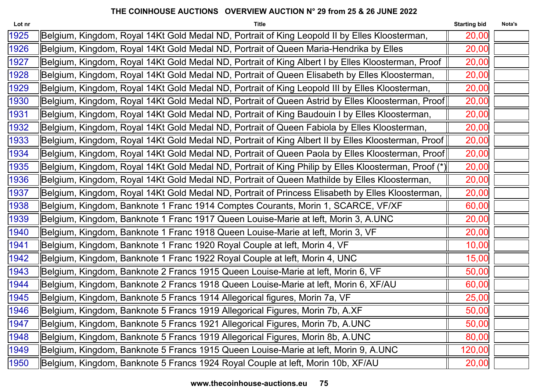| Lot nr | <b>Title</b>                                                                                        | <b>Starting bid</b> | Nota's |
|--------|-----------------------------------------------------------------------------------------------------|---------------------|--------|
| 1925   | Belgium, Kingdom, Royal 14Kt Gold Medal ND, Portrait of King Leopold II by Elles Kloosterman,       | 20,00               |        |
| 1926   | Belgium, Kingdom, Royal 14Kt Gold Medal ND, Portrait of Queen Maria-Hendrika by Elles               | 20,00               |        |
| 1927   | Belgium, Kingdom, Royal 14Kt Gold Medal ND, Portrait of King Albert I by Elles Kloosterman, Proof   | 20,00               |        |
| 1928   | Belgium, Kingdom, Royal 14Kt Gold Medal ND, Portrait of Queen Elisabeth by Elles Kloosterman,       | 20,00               |        |
| 1929   | Belgium, Kingdom, Royal 14Kt Gold Medal ND, Portrait of King Leopold III by Elles Kloosterman,      | 20,00               |        |
| 1930   | Belgium, Kingdom, Royal 14Kt Gold Medal ND, Portrait of Queen Astrid by Elles Kloosterman, Proof    | 20,00               |        |
| 1931   | Belgium, Kingdom, Royal 14Kt Gold Medal ND, Portrait of King Baudouin I by Elles Kloosterman,       | 20,00               |        |
| 1932   | Belgium, Kingdom, Royal 14Kt Gold Medal ND, Portrait of Queen Fabiola by Elles Kloosterman,         | 20,00               |        |
| 1933   | Belgium, Kingdom, Royal 14Kt Gold Medal ND, Portrait of King Albert II by Elles Kloosterman, Proof  | 20,00               |        |
| 1934   | Belgium, Kingdom, Royal 14Kt Gold Medal ND, Portrait of Queen Paola by Elles Kloosterman, Proof     | 20,00               |        |
| 1935   | Belgium, Kingdom, Royal 14Kt Gold Medal ND, Portrait of King Philip by Elles Kloosterman, Proof (*) | 20,00               |        |
| 1936   | Belgium, Kingdom, Royal 14Kt Gold Medal ND, Portrait of Queen Mathilde by Elles Kloosterman,        | 20,00               |        |
| 1937   | Belgium, Kingdom, Royal 14Kt Gold Medal ND, Portrait of Princess Elisabeth by Elles Kloosterman,    | 20,00               |        |
| 1938   | Belgium, Kingdom, Banknote 1 Franc 1914 Comptes Courants, Morin 1, SCARCE, VF/XF                    | 60,00               |        |
| 1939   | Belgium, Kingdom, Banknote 1 Franc 1917 Queen Louise-Marie at left, Morin 3, A.UNC                  | 20,00               |        |
| 1940   | Belgium, Kingdom, Banknote 1 Franc 1918 Queen Louise-Marie at left, Morin 3, VF                     | 20,00               |        |
| 1941   | Belgium, Kingdom, Banknote 1 Franc 1920 Royal Couple at left, Morin 4, VF                           | 10,00               |        |
| 1942   | Belgium, Kingdom, Banknote 1 Franc 1922 Royal Couple at left, Morin 4, UNC                          | 15,00               |        |
| 1943   | Belgium, Kingdom, Banknote 2 Francs 1915 Queen Louise-Marie at left, Morin 6, VF                    | 50,00               |        |
| 1944   | Belgium, Kingdom, Banknote 2 Francs 1918 Queen Louise-Marie at left, Morin 6, XF/AU                 | 60,00               |        |
| 1945   | Belgium, Kingdom, Banknote 5 Francs 1914 Allegorical figures, Morin 7a, VF                          | 25,00               |        |
| 1946   | Belgium, Kingdom, Banknote 5 Francs 1919 Allegorical Figures, Morin 7b, A.XF                        | 50,00               |        |
| 1947   | Belgium, Kingdom, Banknote 5 Francs 1921 Allegorical Figures, Morin 7b, A.UNC                       | 50,00               |        |
| 1948   | Belgium, Kingdom, Banknote 5 Francs 1919 Allegorical Figures, Morin 8b, A.UNC                       | 80,00               |        |
| 1949   | Belgium, Kingdom, Banknote 5 Francs 1915 Queen Louise-Marie at left, Morin 9, A.UNC                 | 120,00              |        |
| 1950   | Belgium, Kingdom, Banknote 5 Francs 1924 Royal Couple at left, Morin 10b, XF/AU                     | 20,00               |        |
|        |                                                                                                     |                     |        |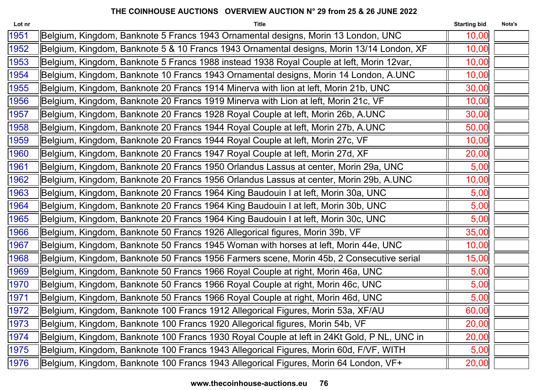| Lot nr | <b>Title</b>                                                                               | <b>Starting bid</b> | Nota's |
|--------|--------------------------------------------------------------------------------------------|---------------------|--------|
| 1951   | Belgium, Kingdom, Banknote 5 Francs 1943 Ornamental designs, Morin 13 London, UNC          | 10,00               |        |
| 1952   | Belgium, Kingdom, Banknote 5 & 10 Francs 1943 Ornamental designs, Morin 13/14 London, XF   | 10,00               |        |
| 1953   | Belgium, Kingdom, Banknote 5 Francs 1988 instead 1938 Royal Couple at left, Morin 12var,   | 10,00               |        |
| 1954   | Belgium, Kingdom, Banknote 10 Francs 1943 Ornamental designs, Morin 14 London, A.UNC       | 10,00               |        |
| 1955   | Belgium, Kingdom, Banknote 20 Francs 1914 Minerva with lion at left, Morin 21b, UNC        | 30,00               |        |
| 1956   | Belgium, Kingdom, Banknote 20 Francs 1919 Minerva with Lion at left, Morin 21c, VF         | 10,00               |        |
| 1957   | Belgium, Kingdom, Banknote 20 Francs 1928 Royal Couple at left, Morin 26b, A.UNC           | 30,00               |        |
| 1958   | Belgium, Kingdom, Banknote 20 Francs 1944 Royal Couple at left, Morin 27b, A.UNC           | 50,00               |        |
| 1959   | Belgium, Kingdom, Banknote 20 Francs 1944 Royal Couple at left, Morin 27c, VF              | 10,00               |        |
| 1960   | Belgium, Kingdom, Banknote 20 Francs 1947 Royal Couple at left, Morin 27d, XF              | 20,00               |        |
| 1961   | Belgium, Kingdom, Banknote 20 Francs 1950 Orlandus Lassus at center, Morin 29a, UNC        | 5,00                |        |
| 1962   | Belgium, Kingdom, Banknote 20 Francs 1956 Orlandus Lassus at center, Morin 29b, A.UNC      | 10,00               |        |
| 1963   | Belgium, Kingdom, Banknote 20 Francs 1964 King Baudouin I at left, Morin 30a, UNC          | 5,00                |        |
| 1964   | Belgium, Kingdom, Banknote 20 Francs 1964 King Baudouin I at left, Morin 30b, UNC          | 5,00                |        |
| 1965   | Belgium, Kingdom, Banknote 20 Francs 1964 King Baudouin I at left, Morin 30c, UNC          | 5,00                |        |
| 1966   | Belgium, Kingdom, Banknote 50 Francs 1926 Allegorical figures, Morin 39b, VF               | 35,00               |        |
| 1967   | Belgium, Kingdom, Banknote 50 Francs 1945 Woman with horses at left, Morin 44e, UNC        | 10,00               |        |
| 1968   | Belgium, Kingdom, Banknote 50 Francs 1956 Farmers scene, Morin 45b, 2 Consecutive serial   | 15,00               |        |
| 1969   | Belgium, Kingdom, Banknote 50 Francs 1966 Royal Couple at right, Morin 46a, UNC            | 5,00                |        |
| 1970   | Belgium, Kingdom, Banknote 50 Francs 1966 Royal Couple at right, Morin 46c, UNC            | 5,00                |        |
| 1971   | Belgium, Kingdom, Banknote 50 Francs 1966 Royal Couple at right, Morin 46d, UNC            | 5,00                |        |
| 1972   | Belgium, Kingdom, Banknote 100 Francs 1912 Allegorical Figures, Morin 53a, XF/AU           | 60,00               |        |
| 1973   | Belgium, Kingdom, Banknote 100 Francs 1920 Allegorical figures, Morin 54b, VF              | 20,00               |        |
| 1974   | Belgium, Kingdom, Banknote 100 Francs 1930 Royal Couple at left in 24Kt Gold, P NL, UNC in | 20,00               |        |
| 1975   | Belgium, Kingdom, Banknote 100 Francs 1943 Allegorical Figures, Morin 60d, F/VF, WITH      | 5,00                |        |
| 1976   | Belgium, Kingdom, Banknote 100 Francs 1943 Allegorical Figures, Morin 64 London, VF+       | 20,00               |        |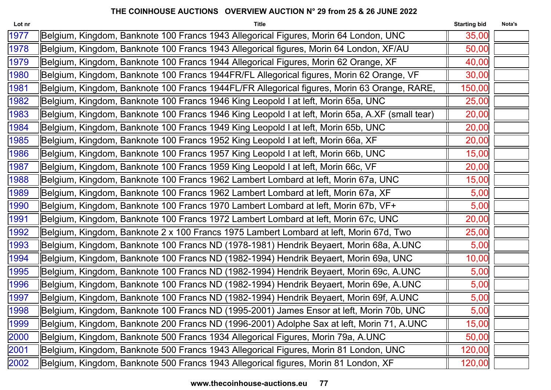| Lot nr | <b>Title</b>                                                                                    | <b>Starting bid</b> | Nota's |
|--------|-------------------------------------------------------------------------------------------------|---------------------|--------|
| 1977   | Belgium, Kingdom, Banknote 100 Francs 1943 Allegorical Figures, Morin 64 London, UNC            | 35,00               |        |
| 1978   | Belgium, Kingdom, Banknote 100 Francs 1943 Allegorical figures, Morin 64 London, XF/AU          | 50,00               |        |
| 1979   | Belgium, Kingdom, Banknote 100 Francs 1944 Allegorical Figures, Morin 62 Orange, XF             | 40,00               |        |
| 1980   | Belgium, Kingdom, Banknote 100 Francs 1944FR/FL Allegorical figures, Morin 62 Orange, VF        | 30,00               |        |
| 1981   | Belgium, Kingdom, Banknote 100 Francs 1944FL/FR Allegorical figures, Morin 63 Orange, RARE,     | 150,00              |        |
| 1982   | Belgium, Kingdom, Banknote 100 Francs 1946 King Leopold I at left, Morin 65a, UNC               | 25,00               |        |
| 1983   | Belgium, Kingdom, Banknote 100 Francs 1946 King Leopold I at left, Morin 65a, A.XF (small tear) | 20,00               |        |
| 1984   | Belgium, Kingdom, Banknote 100 Francs 1949 King Leopold I at left, Morin 65b, UNC               | 20,00               |        |
| 1985   | Belgium, Kingdom, Banknote 100 Francs 1952 King Leopold I at left, Morin 66a, XF                | 20,00               |        |
| 1986   | Belgium, Kingdom, Banknote 100 Francs 1957 King Leopold I at left, Morin 66b, UNC               | 15,00               |        |
| 1987   | Belgium, Kingdom, Banknote 100 Francs 1959 King Leopold I at left, Morin 66c, VF                | 20,00               |        |
| 1988   | Belgium, Kingdom, Banknote 100 Francs 1962 Lambert Lombard at left, Morin 67a, UNC              | 15,00               |        |
| 1989   | Belgium, Kingdom, Banknote 100 Francs 1962 Lambert Lombard at left, Morin 67a, XF               | 5,00                |        |
| 1990   | Belgium, Kingdom, Banknote 100 Francs 1970 Lambert Lombard at left, Morin 67b, VF+              | 5,00                |        |
| 1991   | Belgium, Kingdom, Banknote 100 Francs 1972 Lambert Lombard at left, Morin 67c, UNC              | 20,00               |        |
| 1992   | Belgium, Kingdom, Banknote 2 x 100 Francs 1975 Lambert Lombard at left, Morin 67d, Two          | 25,00               |        |
| 1993   | Belgium, Kingdom, Banknote 100 Francs ND (1978-1981) Hendrik Beyaert, Morin 68a, A.UNC          | 5,00                |        |
| 1994   | Belgium, Kingdom, Banknote 100 Francs ND (1982-1994) Hendrik Beyaert, Morin 69a, UNC            | 10,00               |        |
| 1995   | Belgium, Kingdom, Banknote 100 Francs ND (1982-1994) Hendrik Beyaert, Morin 69c, A.UNC          | 5,00                |        |
| 1996   | Belgium, Kingdom, Banknote 100 Francs ND (1982-1994) Hendrik Beyaert, Morin 69e, A.UNC          | 5,00                |        |
| 1997   | Belgium, Kingdom, Banknote 100 Francs ND (1982-1994) Hendrik Beyaert, Morin 69f, A.UNC          | 5,00                |        |
| 1998   | Belgium, Kingdom, Banknote 100 Francs ND (1995-2001) James Ensor at left, Morin 70b, UNC        | 5,00                |        |
| 1999   | Belgium, Kingdom, Banknote 200 Francs ND (1996-2001) Adolphe Sax at left, Morin 71, A.UNC       | 15,00               |        |
| 2000   | Belgium, Kingdom, Banknote 500 Francs 1934 Allegorical Figures, Morin 79a, A.UNC                | 50,00               |        |
| 2001   | Belgium, Kingdom, Banknote 500 Francs 1943 Allegorical Figures, Morin 81 London, UNC            | 120,00              |        |
| 2002   | Belgium, Kingdom, Banknote 500 Francs 1943 Allegorical figures, Morin 81 London, XF             | 120,00              |        |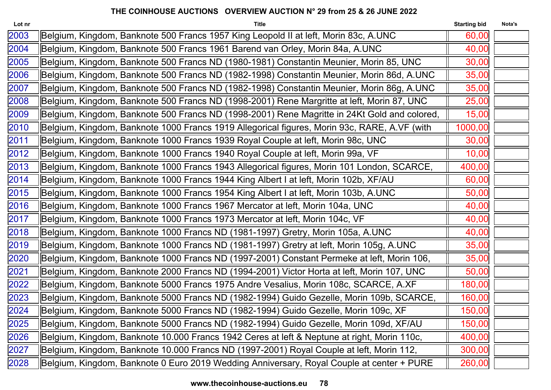| Lot nr | <b>Title</b>                                                                                 | <b>Starting bid</b> | Nota's |
|--------|----------------------------------------------------------------------------------------------|---------------------|--------|
| 2003   | Belgium, Kingdom, Banknote 500 Francs 1957 King Leopold II at left, Morin 83c, A.UNC         | 60,00               |        |
| 2004   | Belgium, Kingdom, Banknote 500 Francs 1961 Barend van Orley, Morin 84a, A.UNC                | 40,00               |        |
| 2005   | Belgium, Kingdom, Banknote 500 Francs ND (1980-1981) Constantin Meunier, Morin 85, UNC       | 30,00               |        |
| 2006   | Belgium, Kingdom, Banknote 500 Francs ND (1982-1998) Constantin Meunier, Morin 86d, A.UNC    | 35,00               |        |
| 2007   | Belgium, Kingdom, Banknote 500 Francs ND (1982-1998) Constantin Meunier, Morin 86g, A.UNC    | 35,00               |        |
| 2008   | Belgium, Kingdom, Banknote 500 Francs ND (1998-2001) Rene Margritte at left, Morin 87, UNC   | 25,00               |        |
| 2009   | Belgium, Kingdom, Banknote 500 Francs ND (1998-2001) Rene Magritte in 24Kt Gold and colored, | 15,00               |        |
| 2010   | Belgium, Kingdom, Banknote 1000 Francs 1919 Allegorical figures, Morin 93c, RARE, A.VF (with | 1000,00             |        |
| 2011   | Belgium, Kingdom, Banknote 1000 Francs 1939 Royal Couple at left, Morin 98c, UNC             | 30,00               |        |
| 2012   | Belgium, Kingdom, Banknote 1000 Francs 1940 Royal Couple at left, Morin 99a, VF              | 10,00               |        |
| 2013   | Belgium, Kingdom, Banknote 1000 Francs 1943 Allegorical figures, Morin 101 London, SCARCE,   | 400,00              |        |
| 2014   | Belgium, Kingdom, Banknote 1000 Francs 1944 King Albert I at left, Morin 102b, XF/AU         | 60,00               |        |
| 2015   | Belgium, Kingdom, Banknote 1000 Francs 1954 King Albert I at left, Morin 103b, A.UNC         | 50,00               |        |
| 2016   | Belgium, Kingdom, Banknote 1000 Francs 1967 Mercator at left, Morin 104a, UNC                | 40,00               |        |
| 2017   | Belgium, Kingdom, Banknote 1000 Francs 1973 Mercator at left, Morin 104c, VF                 | 40,00               |        |
| 2018   | Belgium, Kingdom, Banknote 1000 Francs ND (1981-1997) Gretry, Morin 105a, A.UNC              | 40,00               |        |
| 2019   | Belgium, Kingdom, Banknote 1000 Francs ND (1981-1997) Gretry at left, Morin 105g, A.UNC      | 35,00               |        |
| 2020   | Belgium, Kingdom, Banknote 1000 Francs ND (1997-2001) Constant Permeke at left, Morin 106,   | 35,00               |        |
| 2021   | Belgium, Kingdom, Banknote 2000 Francs ND (1994-2001) Victor Horta at left, Morin 107, UNC   | 50,00               |        |
| 2022   | Belgium, Kingdom, Banknote 5000 Francs 1975 Andre Vesalius, Morin 108c, SCARCE, A.XF         | 180,00              |        |
| 2023   | Belgium, Kingdom, Banknote 5000 Francs ND (1982-1994) Guido Gezelle, Morin 109b, SCARCE,     | 160,00              |        |
| 2024   | Belgium, Kingdom, Banknote 5000 Francs ND (1982-1994) Guido Gezelle, Morin 109c, XF          | 150,00              |        |
| 2025   | Belgium, Kingdom, Banknote 5000 Francs ND (1982-1994) Guido Gezelle, Morin 109d, XF/AU       | 150,00              |        |
| 2026   | Belgium, Kingdom, Banknote 10.000 Francs 1942 Ceres at left & Neptune at right, Morin 110c,  | 400,00              |        |
| 2027   | Belgium, Kingdom, Banknote 10.000 Francs ND (1997-2001) Royal Couple at left, Morin 112,     | 300,00              |        |
| 2028   | Belgium, Kingdom, Banknote 0 Euro 2019 Wedding Anniversary, Royal Couple at center + PURE    | 260,00              |        |
|        |                                                                                              |                     |        |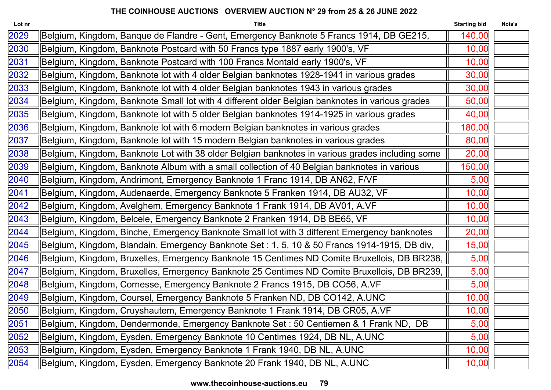| Lot nr | <b>Title</b>                                                                                    | <b>Starting bid</b> | Nota's |
|--------|-------------------------------------------------------------------------------------------------|---------------------|--------|
| 2029   | Belgium, Kingdom, Banque de Flandre - Gent, Emergency Banknote 5 Francs 1914, DB GE215,         | 140,00              |        |
| 2030   | Belgium, Kingdom, Banknote Postcard with 50 Francs type 1887 early 1900's, VF                   | 10,00               |        |
| 2031   | Belgium, Kingdom, Banknote Postcard with 100 Francs Montald early 1900's, VF                    | 10,00               |        |
| 2032   | Belgium, Kingdom, Banknote lot with 4 older Belgian banknotes 1928-1941 in various grades       | 30,00               |        |
| 2033   | Belgium, Kingdom, Banknote lot with 4 older Belgian banknotes 1943 in various grades            | 30,00               |        |
| 2034   | Belgium, Kingdom, Banknote Small lot with 4 different older Belgian banknotes in various grades | 50,00               |        |
| 2035   | Belgium, Kingdom, Banknote lot with 5 older Belgian banknotes 1914-1925 in various grades       | 40,00               |        |
| 2036   | Belgium, Kingdom, Banknote lot with 6 modern Belgian banknotes in various grades                | 180,00              |        |
| 2037   | Belgium, Kingdom, Banknote lot with 15 modern Belgian banknotes in various grades               | 80,00               |        |
| 2038   | Belgium, Kingdom, Banknote Lot with 38 older Belgian banknotes in various grades including some | 20,00               |        |
| 2039   | Belgium, Kingdom, Banknote Album with a small collection of 40 Belgian banknotes in various     | 150,00              |        |
| 2040   | Belgium, Kingdom, Andrimont, Emergency Banknote 1 Franc 1914, DB AN62, F/VF                     | 5,00                |        |
| 2041   | Belgium, Kingdom, Audenaerde, Emergency Banknote 5 Franken 1914, DB AU32, VF                    | 10,00               |        |
| 2042   | Belgium, Kingdom, Avelghem, Emergency Banknote 1 Frank 1914, DB AV01, A.VF                      | 10,00               |        |
| 2043   | Belgium, Kingdom, Belcele, Emergency Banknote 2 Franken 1914, DB BE65, VF                       | 10,00               |        |
| 2044   | Belgium, Kingdom, Binche, Emergency Banknote Small lot with 3 different Emergency banknotes     | 20,00               |        |
| 2045   | Belgium, Kingdom, Blandain, Emergency Banknote Set : 1, 5, 10 & 50 Francs 1914-1915, DB div,    | 15,00               |        |
| 2046   | Belgium, Kingdom, Bruxelles, Emergency Banknote 15 Centimes ND Comite Bruxellois, DB BR238,     | 5,00                |        |
| 2047   | Belgium, Kingdom, Bruxelles, Emergency Banknote 25 Centimes ND Comite Bruxellois, DB BR239,     | 5,00                |        |
| 2048   | Belgium, Kingdom, Cornesse, Emergency Banknote 2 Francs 1915, DB CO56, A.VF                     | 5,00                |        |
| 2049   | Belgium, Kingdom, Coursel, Emergency Banknote 5 Franken ND, DB CO142, A.UNC                     | 10,00               |        |
| 2050   | Belgium, Kingdom, Cruyshautem, Emergency Banknote 1 Frank 1914, DB CR05, A.VF                   | 10,00               |        |
| 2051   | Belgium, Kingdom, Dendermonde, Emergency Banknote Set : 50 Centiemen & 1 Frank ND, DB           | 5,00                |        |
| 2052   | Belgium, Kingdom, Eysden, Emergency Banknote 10 Centimes 1924, DB NL, A.UNC                     | 5,00                |        |
| 2053   | Belgium, Kingdom, Eysden, Emergency Banknote 1 Frank 1940, DB NL, A.UNC                         | 10,00               |        |
| 2054   | Belgium, Kingdom, Eysden, Emergency Banknote 20 Frank 1940, DB NL, A.UNC                        | 10,00               |        |
|        |                                                                                                 |                     |        |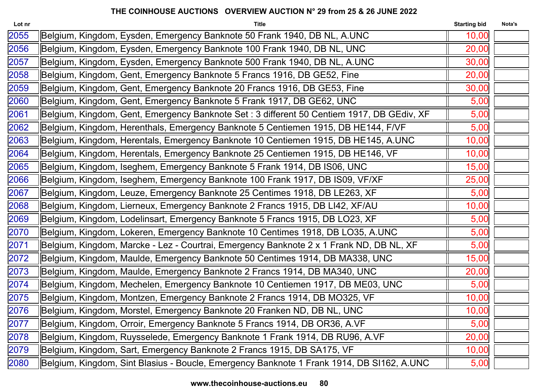| Lot nr | <b>Title</b>                                                                              | <b>Starting bid</b> | Nota's |
|--------|-------------------------------------------------------------------------------------------|---------------------|--------|
| 2055   | Belgium, Kingdom, Eysden, Emergency Banknote 50 Frank 1940, DB NL, A.UNC                  | 10,00               |        |
| 2056   | Belgium, Kingdom, Eysden, Emergency Banknote 100 Frank 1940, DB NL, UNC                   | 20,00               |        |
| 2057   | Belgium, Kingdom, Eysden, Emergency Banknote 500 Frank 1940, DB NL, A.UNC                 | 30,00               |        |
| 2058   | Belgium, Kingdom, Gent, Emergency Banknote 5 Francs 1916, DB GE52, Fine                   | 20,00               |        |
| 2059   | Belgium, Kingdom, Gent, Emergency Banknote 20 Francs 1916, DB GE53, Fine                  | 30,00               |        |
| 2060   | Belgium, Kingdom, Gent, Emergency Banknote 5 Frank 1917, DB GE62, UNC                     | 5,00                |        |
| 2061   | Belgium, Kingdom, Gent, Emergency Banknote Set: 3 different 50 Centiem 1917, DB GEdiv, XF | 5,00                |        |
| 2062   | Belgium, Kingdom, Herenthals, Emergency Banknote 5 Centiemen 1915, DB HE144, F/VF         | 5,00                |        |
| 2063   | Belgium, Kingdom, Herentals, Emergency Banknote 10 Centiemen 1915, DB HE145, A.UNC        | 10,00               |        |
| 2064   | Belgium, Kingdom, Herentals, Emergency Banknote 25 Centiemen 1915, DB HE146, VF           | 10,00               |        |
| 2065   | Belgium, Kingdom, Iseghem, Emergency Banknote 5 Frank 1914, DB IS06, UNC                  | 15,00               |        |
| 2066   | Belgium, Kingdom, Iseghem, Emergency Banknote 100 Frank 1917, DB IS09, VF/XF              | 25,00               |        |
| 2067   | Belgium, Kingdom, Leuze, Emergency Banknote 25 Centimes 1918, DB LE263, XF                | 5,00                |        |
| 2068   | Belgium, Kingdom, Lierneux, Emergency Banknote 2 Francs 1915, DB LI42, XF/AU              | 10,00               |        |
| 2069   | Belgium, Kingdom, Lodelinsart, Emergency Banknote 5 Francs 1915, DB LO23, XF              | 5,00                |        |
| 2070   | Belgium, Kingdom, Lokeren, Emergency Banknote 10 Centimes 1918, DB LO35, A.UNC            | 5,00                |        |
| 2071   | Belgium, Kingdom, Marcke - Lez - Courtrai, Emergency Banknote 2 x 1 Frank ND, DB NL, XF   | 5,00                |        |
| 2072   | Belgium, Kingdom, Maulde, Emergency Banknote 50 Centimes 1914, DB MA338, UNC              | 15,00               |        |
| 2073   | Belgium, Kingdom, Maulde, Emergency Banknote 2 Francs 1914, DB MA340, UNC                 | 20,00               |        |
| 2074   | Belgium, Kingdom, Mechelen, Emergency Banknote 10 Centiemen 1917, DB ME03, UNC            | 5,00                |        |
| 2075   | Belgium, Kingdom, Montzen, Emergency Banknote 2 Francs 1914, DB MO325, VF                 | 10,00               |        |
| 2076   | Belgium, Kingdom, Morstel, Emergency Banknote 20 Franken ND, DB NL, UNC                   | 10,00               |        |
| 2077   | Belgium, Kingdom, Orroir, Emergency Banknote 5 Francs 1914, DB OR36, A.VF                 | 5,00                |        |
| 2078   | Belgium, Kingdom, Ruysselede, Emergency Banknote 1 Frank 1914, DB RU96, A.VF              | 20,00               |        |
| 2079   | Belgium, Kingdom, Sart, Emergency Banknote 2 Francs 1915, DB SA175, VF                    | 10,00               |        |
| 2080   | Belgium, Kingdom, Sint Blasius - Boucle, Emergency Banknote 1 Frank 1914, DB SI162, A.UNC | 5,00                |        |
|        |                                                                                           |                     |        |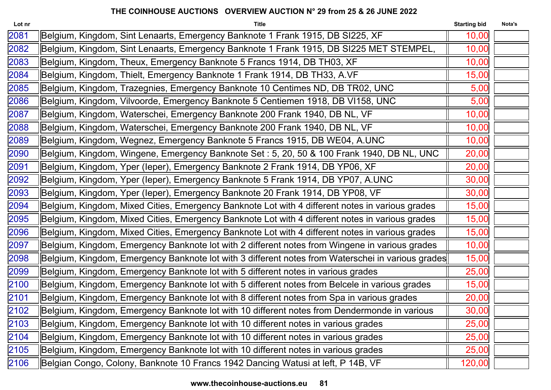| Lot nr | <b>Title</b>                                                                                       | <b>Starting bid</b> | Nota's |
|--------|----------------------------------------------------------------------------------------------------|---------------------|--------|
| 2081   | Belgium, Kingdom, Sint Lenaarts, Emergency Banknote 1 Frank 1915, DB SI225, XF                     | 10,00               |        |
| 2082   | Belgium, Kingdom, Sint Lenaarts, Emergency Banknote 1 Frank 1915, DB SI225 MET STEMPEL,            | 10,00               |        |
| 2083   | Belgium, Kingdom, Theux, Emergency Banknote 5 Francs 1914, DB TH03, XF                             | 10,00               |        |
| 2084   | Belgium, Kingdom, Thielt, Emergency Banknote 1 Frank 1914, DB TH33, A.VF                           | 15,00               |        |
| 2085   | Belgium, Kingdom, Trazegnies, Emergency Banknote 10 Centimes ND, DB TR02, UNC                      | 5,00                |        |
| 2086   | Belgium, Kingdom, Vilvoorde, Emergency Banknote 5 Centiemen 1918, DB VI158, UNC                    | 5,00                |        |
| 2087   | Belgium, Kingdom, Waterschei, Emergency Banknote 200 Frank 1940, DB NL, VF                         | 10,00               |        |
| 2088   | Belgium, Kingdom, Waterschei, Emergency Banknote 200 Frank 1940, DB NL, VF                         | 10,00               |        |
| 2089   | Belgium, Kingdom, Wegnez, Emergency Banknote 5 Francs 1915, DB WE04, A.UNC                         | 10,00               |        |
| 2090   | Belgium, Kingdom, Wingene, Emergency Banknote Set : 5, 20, 50 & 100 Frank 1940, DB NL, UNC         | 20,00               |        |
| 2091   | Belgium, Kingdom, Yper (leper), Emergency Banknote 2 Frank 1914, DB YP06, XF                       | 20,00               |        |
| 2092   | Belgium, Kingdom, Yper (leper), Emergency Banknote 5 Frank 1914, DB YP07, A.UNC                    | 30,00               |        |
| 2093   | Belgium, Kingdom, Yper (leper), Emergency Banknote 20 Frank 1914, DB YP08, VF                      | 30,00               |        |
| 2094   | Belgium, Kingdom, Mixed Cities, Emergency Banknote Lot with 4 different notes in various grades    | 15,00               |        |
| 2095   | Belgium, Kingdom, Mixed Cities, Emergency Banknote Lot with 4 different notes in various grades    | 15,00               |        |
| 2096   | Belgium, Kingdom, Mixed Cities, Emergency Banknote Lot with 4 different notes in various grades    | 15,00               |        |
| 2097   | Belgium, Kingdom, Emergency Banknote lot with 2 different notes from Wingene in various grades     | 10,00               |        |
| 2098   | IBelgium, Kingdom, Emergency Banknote lot with 3 different notes from Waterschei in various grades | 15,00               |        |
| 2099   | Belgium, Kingdom, Emergency Banknote lot with 5 different notes in various grades                  | 25,00               |        |
| 2100   | Belgium, Kingdom, Emergency Banknote lot with 5 different notes from Belcele in various grades     | 15,00               |        |
| 2101   | Belgium, Kingdom, Emergency Banknote lot with 8 different notes from Spa in various grades         | 20,00               |        |
| 2102   | Belgium, Kingdom, Emergency Banknote lot with 10 different notes from Dendermonde in various       | 30,00               |        |
| 2103   | Belgium, Kingdom, Emergency Banknote lot with 10 different notes in various grades                 | 25,00               |        |
| 2104   | Belgium, Kingdom, Emergency Banknote lot with 10 different notes in various grades                 | 25,00               |        |
| 2105   | Belgium, Kingdom, Emergency Banknote lot with 10 different notes in various grades                 | 25,00               |        |
| 2106   | Belgian Congo, Colony, Banknote 10 Francs 1942 Dancing Watusi at left, P 14B, VF                   | 120,00              |        |
|        |                                                                                                    |                     |        |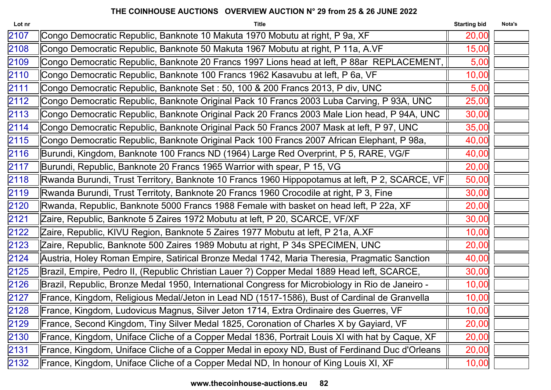| 2107<br>Congo Democratic Republic, Banknote 10 Makuta 1970 Mobutu at right, P 9a, XF<br>2108<br>Congo Democratic Republic, Banknote 50 Makuta 1967 Mobutu at right, P 11a, A.VF<br>2109<br> Congo Democratic Republic, Banknote 20 Francs 1997 Lions head at left, P 88ar REPLACEMENT, | 20,00<br>15,00<br>5,00 |  |
|----------------------------------------------------------------------------------------------------------------------------------------------------------------------------------------------------------------------------------------------------------------------------------------|------------------------|--|
|                                                                                                                                                                                                                                                                                        |                        |  |
|                                                                                                                                                                                                                                                                                        |                        |  |
|                                                                                                                                                                                                                                                                                        |                        |  |
| 2110<br>Congo Democratic Republic, Banknote 100 Francs 1962 Kasavubu at left, P 6a, VF                                                                                                                                                                                                 | 10,00                  |  |
| 2111<br>Congo Democratic Republic, Banknote Set : 50, 100 & 200 Francs 2013, P div, UNC                                                                                                                                                                                                | 5,00                   |  |
| 2112<br>Congo Democratic Republic, Banknote Original Pack 10 Francs 2003 Luba Carving, P 93A, UNC                                                                                                                                                                                      | 25,00                  |  |
| 2113<br>Congo Democratic Republic, Banknote Original Pack 20 Francs 2003 Male Lion head, P 94A, UNC                                                                                                                                                                                    | 30,00                  |  |
| 2114<br>Congo Democratic Republic, Banknote Original Pack 50 Francs 2007 Mask at left, P 97, UNC                                                                                                                                                                                       | 35,00                  |  |
| 2115<br>Congo Democratic Republic, Banknote Original Pack 100 Francs 2007 African Elephant, P 98a,                                                                                                                                                                                     | 40,00                  |  |
| 2116<br>Burundi, Kingdom, Banknote 100 Francs ND (1964) Large Red Overprint, P 5, RARE, VG/F                                                                                                                                                                                           | 40,00                  |  |
| 2117<br>Burundi, Republic, Banknote 20 Francs 1965 Warrior with spear, P 15, VG                                                                                                                                                                                                        | 20,00                  |  |
| 2118<br>Rwanda Burundi, Trust Territory, Banknote 10 Francs 1960 Hippopotamus at left, P 2, SCARCE, VF                                                                                                                                                                                 | 50,00                  |  |
| 2119<br>Rwanda Burundi, Trust Territoty, Banknote 20 Francs 1960 Crocodile at right, P 3, Fine                                                                                                                                                                                         | 30,00                  |  |
| 2120<br>Rwanda, Republic, Banknote 5000 Francs 1988 Female with basket on head left, P 22a, XF                                                                                                                                                                                         | 20,00                  |  |
| 2121<br>Zaire, Republic, Banknote 5 Zaires 1972 Mobutu at left, P 20, SCARCE, VF/XF                                                                                                                                                                                                    | 30,00                  |  |
| 2122<br>Zaire, Republic, KIVU Region, Banknote 5 Zaires 1977 Mobutu at left, P 21a, A.XF                                                                                                                                                                                               | 10,00                  |  |
| 2123<br>Zaire, Republic, Banknote 500 Zaires 1989 Mobutu at right, P 34s SPECIMEN, UNC                                                                                                                                                                                                 | 20,00                  |  |
| 2124<br>  Austria, Holey Roman Empire, Satirical Bronze Medal 1742, Maria Theresia, Pragmatic Sanction                                                                                                                                                                                 | 40,00                  |  |
| 2125<br>Brazil, Empire, Pedro II, (Republic Christian Lauer ?) Copper Medal 1889 Head left, SCARCE,                                                                                                                                                                                    | 30,00                  |  |
| 2126<br>Brazil, Republic, Bronze Medal 1950, International Congress for Microbiology in Rio de Janeiro -                                                                                                                                                                               | 10,00                  |  |
| 2127<br>France, Kingdom, Religious Medal/Jeton in Lead ND (1517-1586), Bust of Cardinal de Granvella                                                                                                                                                                                   | 10,00                  |  |
| 2128<br>France, Kingdom, Ludovicus Magnus, Silver Jeton 1714, Extra Ordinaire des Guerres, VF                                                                                                                                                                                          | 10,00                  |  |
| 2129<br>France, Second Kingdom, Tiny Silver Medal 1825, Coronation of Charles X by Gayiard, VF                                                                                                                                                                                         | 20,00                  |  |
| 2130<br>France, Kingdom, Uniface Cliche of a Copper Medal 1836, Portrait Louis XI with hat by Caque, XF                                                                                                                                                                                | 20,00                  |  |
| 2131<br>France, Kingdom, Uniface Cliche of a Copper Medal in epoxy ND, Bust of Ferdinand Duc d'Orleans                                                                                                                                                                                 | 20,00                  |  |
| France, Kingdom, Uniface Cliche of a Copper Medal ND, In honour of King Louis XI, XF<br>2132                                                                                                                                                                                           | 10,00                  |  |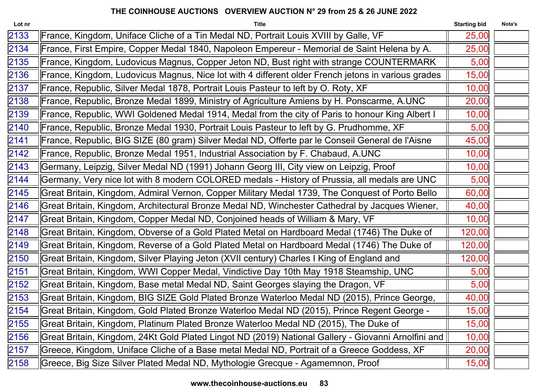| France, Kingdom, Uniface Cliche of a Tin Medal ND, Portrait Louis XVIII by Galle, VF<br>25,00<br>France, First Empire, Copper Medal 1840, Napoleon Empereur - Memorial de Saint Helena by A.<br>25,00<br>France, Kingdom, Ludovicus Magnus, Copper Jeton ND, Bust right with strange COUNTERMARK<br>5,00<br>France, Kingdom, Ludovicus Magnus, Nice lot with 4 different older French jetons in various grades<br>15,00<br>France, Republic, Silver Medal 1878, Portrait Louis Pasteur to left by O. Roty, XF<br>10,00<br>France, Republic, Bronze Medal 1899, Ministry of Agriculture Amiens by H. Ponscarme, A.UNC<br>20,00<br>France, Republic, WWI Goldened Medal 1914, Medal from the city of Paris to honour King Albert I<br>10,00<br>France, Republic, Bronze Medal 1930, Portrait Louis Pasteur to left by G. Prudhomme, XF<br>5,00<br>France, Republic, BIG SIZE (80 gram) Silver Medal ND, Offerte par le Conseil General de l'Aisne<br>45,00<br>France, Republic, Bronze Medal 1951, Industrial Association by F. Chabaud, A.UNC<br>10,00<br>Germany, Leipzig, Silver Medal ND (1991) Johann Georg III, City view on Leipzig, Proof<br>10,00<br>Germany, Very nice lot with 8 modern COLORED medals - History of Prussia, all medals are UNC<br>5,00<br>Great Britain, Kingdom, Admiral Vernon, Copper Military Medal 1739, The Conquest of Porto Bello<br>60,00<br>Great Britain, Kingdom, Architectural Bronze Medal ND, Winchester Cathedral by Jacques Wiener,<br>40,00<br>Great Britain, Kingdom, Copper Medal ND, Conjoined heads of William & Mary, VF<br>10,00<br>Great Britain, Kingdom, Obverse of a Gold Plated Metal on Hardboard Medal (1746) The Duke of<br>120,00<br>Great Britain, Kingdom, Reverse of a Gold Plated Metal on Hardboard Medal (1746) The Duke of<br>120,00<br>Great Britain, Kingdom, Silver Playing Jeton (XVII century) Charles I King of England and<br>120,00<br>Great Britain, Kingdom, WWI Copper Medal, Vindictive Day 10th May 1918 Steamship, UNC<br>5,00<br>Great Britain, Kingdom, Base metal Medal ND, Saint Georges slaying the Dragon, VF<br>5,00<br>Great Britain, Kingdom, BIG SIZE Gold Plated Bronze Waterloo Medal ND (2015), Prince George,<br>40,00<br>Great Britain, Kingdom, Gold Plated Bronze Waterloo Medal ND (2015), Prince Regent George -<br>15,00<br>Great Britain, Kingdom, Platinum Plated Bronze Waterloo Medal ND (2015), The Duke of<br>15,00<br>Great Britain, Kingdom, 24Kt Gold Plated Lingot ND (2019) National Gallery - Giovanni Arnolfini and  <br>10,00<br>Greece, Kingdom, Uniface Cliche of a Base metal Medal ND, Portrait of a Greece Goddess, XF<br>20,00<br>Greece, Big Size Silver Plated Medal ND, Mythologie Grecque - Agamemnon, Proof<br>15,00 | Lot nr | <b>Title</b> | <b>Starting bid</b> | Nota's |
|---------------------------------------------------------------------------------------------------------------------------------------------------------------------------------------------------------------------------------------------------------------------------------------------------------------------------------------------------------------------------------------------------------------------------------------------------------------------------------------------------------------------------------------------------------------------------------------------------------------------------------------------------------------------------------------------------------------------------------------------------------------------------------------------------------------------------------------------------------------------------------------------------------------------------------------------------------------------------------------------------------------------------------------------------------------------------------------------------------------------------------------------------------------------------------------------------------------------------------------------------------------------------------------------------------------------------------------------------------------------------------------------------------------------------------------------------------------------------------------------------------------------------------------------------------------------------------------------------------------------------------------------------------------------------------------------------------------------------------------------------------------------------------------------------------------------------------------------------------------------------------------------------------------------------------------------------------------------------------------------------------------------------------------------------------------------------------------------------------------------------------------------------------------------------------------------------------------------------------------------------------------------------------------------------------------------------------------------------------------------------------------------------------------------------------------------------------------------------------------------------------------------------------------------------------------------------------------------------------------------------------------------------------------------------------------------------------------------------------------------------|--------|--------------|---------------------|--------|
|                                                                                                                                                                                                                                                                                                                                                                                                                                                                                                                                                                                                                                                                                                                                                                                                                                                                                                                                                                                                                                                                                                                                                                                                                                                                                                                                                                                                                                                                                                                                                                                                                                                                                                                                                                                                                                                                                                                                                                                                                                                                                                                                                                                                                                                                                                                                                                                                                                                                                                                                                                                                                                                                                                                                                   | 2133   |              |                     |        |
|                                                                                                                                                                                                                                                                                                                                                                                                                                                                                                                                                                                                                                                                                                                                                                                                                                                                                                                                                                                                                                                                                                                                                                                                                                                                                                                                                                                                                                                                                                                                                                                                                                                                                                                                                                                                                                                                                                                                                                                                                                                                                                                                                                                                                                                                                                                                                                                                                                                                                                                                                                                                                                                                                                                                                   | 2134   |              |                     |        |
|                                                                                                                                                                                                                                                                                                                                                                                                                                                                                                                                                                                                                                                                                                                                                                                                                                                                                                                                                                                                                                                                                                                                                                                                                                                                                                                                                                                                                                                                                                                                                                                                                                                                                                                                                                                                                                                                                                                                                                                                                                                                                                                                                                                                                                                                                                                                                                                                                                                                                                                                                                                                                                                                                                                                                   | 2135   |              |                     |        |
|                                                                                                                                                                                                                                                                                                                                                                                                                                                                                                                                                                                                                                                                                                                                                                                                                                                                                                                                                                                                                                                                                                                                                                                                                                                                                                                                                                                                                                                                                                                                                                                                                                                                                                                                                                                                                                                                                                                                                                                                                                                                                                                                                                                                                                                                                                                                                                                                                                                                                                                                                                                                                                                                                                                                                   | 2136   |              |                     |        |
|                                                                                                                                                                                                                                                                                                                                                                                                                                                                                                                                                                                                                                                                                                                                                                                                                                                                                                                                                                                                                                                                                                                                                                                                                                                                                                                                                                                                                                                                                                                                                                                                                                                                                                                                                                                                                                                                                                                                                                                                                                                                                                                                                                                                                                                                                                                                                                                                                                                                                                                                                                                                                                                                                                                                                   | 2137   |              |                     |        |
|                                                                                                                                                                                                                                                                                                                                                                                                                                                                                                                                                                                                                                                                                                                                                                                                                                                                                                                                                                                                                                                                                                                                                                                                                                                                                                                                                                                                                                                                                                                                                                                                                                                                                                                                                                                                                                                                                                                                                                                                                                                                                                                                                                                                                                                                                                                                                                                                                                                                                                                                                                                                                                                                                                                                                   | 2138   |              |                     |        |
|                                                                                                                                                                                                                                                                                                                                                                                                                                                                                                                                                                                                                                                                                                                                                                                                                                                                                                                                                                                                                                                                                                                                                                                                                                                                                                                                                                                                                                                                                                                                                                                                                                                                                                                                                                                                                                                                                                                                                                                                                                                                                                                                                                                                                                                                                                                                                                                                                                                                                                                                                                                                                                                                                                                                                   | 2139   |              |                     |        |
|                                                                                                                                                                                                                                                                                                                                                                                                                                                                                                                                                                                                                                                                                                                                                                                                                                                                                                                                                                                                                                                                                                                                                                                                                                                                                                                                                                                                                                                                                                                                                                                                                                                                                                                                                                                                                                                                                                                                                                                                                                                                                                                                                                                                                                                                                                                                                                                                                                                                                                                                                                                                                                                                                                                                                   | 2140   |              |                     |        |
|                                                                                                                                                                                                                                                                                                                                                                                                                                                                                                                                                                                                                                                                                                                                                                                                                                                                                                                                                                                                                                                                                                                                                                                                                                                                                                                                                                                                                                                                                                                                                                                                                                                                                                                                                                                                                                                                                                                                                                                                                                                                                                                                                                                                                                                                                                                                                                                                                                                                                                                                                                                                                                                                                                                                                   | 2141   |              |                     |        |
|                                                                                                                                                                                                                                                                                                                                                                                                                                                                                                                                                                                                                                                                                                                                                                                                                                                                                                                                                                                                                                                                                                                                                                                                                                                                                                                                                                                                                                                                                                                                                                                                                                                                                                                                                                                                                                                                                                                                                                                                                                                                                                                                                                                                                                                                                                                                                                                                                                                                                                                                                                                                                                                                                                                                                   | 2142   |              |                     |        |
|                                                                                                                                                                                                                                                                                                                                                                                                                                                                                                                                                                                                                                                                                                                                                                                                                                                                                                                                                                                                                                                                                                                                                                                                                                                                                                                                                                                                                                                                                                                                                                                                                                                                                                                                                                                                                                                                                                                                                                                                                                                                                                                                                                                                                                                                                                                                                                                                                                                                                                                                                                                                                                                                                                                                                   | 2143   |              |                     |        |
|                                                                                                                                                                                                                                                                                                                                                                                                                                                                                                                                                                                                                                                                                                                                                                                                                                                                                                                                                                                                                                                                                                                                                                                                                                                                                                                                                                                                                                                                                                                                                                                                                                                                                                                                                                                                                                                                                                                                                                                                                                                                                                                                                                                                                                                                                                                                                                                                                                                                                                                                                                                                                                                                                                                                                   | 2144   |              |                     |        |
|                                                                                                                                                                                                                                                                                                                                                                                                                                                                                                                                                                                                                                                                                                                                                                                                                                                                                                                                                                                                                                                                                                                                                                                                                                                                                                                                                                                                                                                                                                                                                                                                                                                                                                                                                                                                                                                                                                                                                                                                                                                                                                                                                                                                                                                                                                                                                                                                                                                                                                                                                                                                                                                                                                                                                   | 2145   |              |                     |        |
|                                                                                                                                                                                                                                                                                                                                                                                                                                                                                                                                                                                                                                                                                                                                                                                                                                                                                                                                                                                                                                                                                                                                                                                                                                                                                                                                                                                                                                                                                                                                                                                                                                                                                                                                                                                                                                                                                                                                                                                                                                                                                                                                                                                                                                                                                                                                                                                                                                                                                                                                                                                                                                                                                                                                                   | 2146   |              |                     |        |
|                                                                                                                                                                                                                                                                                                                                                                                                                                                                                                                                                                                                                                                                                                                                                                                                                                                                                                                                                                                                                                                                                                                                                                                                                                                                                                                                                                                                                                                                                                                                                                                                                                                                                                                                                                                                                                                                                                                                                                                                                                                                                                                                                                                                                                                                                                                                                                                                                                                                                                                                                                                                                                                                                                                                                   | 2147   |              |                     |        |
|                                                                                                                                                                                                                                                                                                                                                                                                                                                                                                                                                                                                                                                                                                                                                                                                                                                                                                                                                                                                                                                                                                                                                                                                                                                                                                                                                                                                                                                                                                                                                                                                                                                                                                                                                                                                                                                                                                                                                                                                                                                                                                                                                                                                                                                                                                                                                                                                                                                                                                                                                                                                                                                                                                                                                   | 2148   |              |                     |        |
|                                                                                                                                                                                                                                                                                                                                                                                                                                                                                                                                                                                                                                                                                                                                                                                                                                                                                                                                                                                                                                                                                                                                                                                                                                                                                                                                                                                                                                                                                                                                                                                                                                                                                                                                                                                                                                                                                                                                                                                                                                                                                                                                                                                                                                                                                                                                                                                                                                                                                                                                                                                                                                                                                                                                                   | 2149   |              |                     |        |
|                                                                                                                                                                                                                                                                                                                                                                                                                                                                                                                                                                                                                                                                                                                                                                                                                                                                                                                                                                                                                                                                                                                                                                                                                                                                                                                                                                                                                                                                                                                                                                                                                                                                                                                                                                                                                                                                                                                                                                                                                                                                                                                                                                                                                                                                                                                                                                                                                                                                                                                                                                                                                                                                                                                                                   | 2150   |              |                     |        |
|                                                                                                                                                                                                                                                                                                                                                                                                                                                                                                                                                                                                                                                                                                                                                                                                                                                                                                                                                                                                                                                                                                                                                                                                                                                                                                                                                                                                                                                                                                                                                                                                                                                                                                                                                                                                                                                                                                                                                                                                                                                                                                                                                                                                                                                                                                                                                                                                                                                                                                                                                                                                                                                                                                                                                   | 2151   |              |                     |        |
|                                                                                                                                                                                                                                                                                                                                                                                                                                                                                                                                                                                                                                                                                                                                                                                                                                                                                                                                                                                                                                                                                                                                                                                                                                                                                                                                                                                                                                                                                                                                                                                                                                                                                                                                                                                                                                                                                                                                                                                                                                                                                                                                                                                                                                                                                                                                                                                                                                                                                                                                                                                                                                                                                                                                                   | 2152   |              |                     |        |
|                                                                                                                                                                                                                                                                                                                                                                                                                                                                                                                                                                                                                                                                                                                                                                                                                                                                                                                                                                                                                                                                                                                                                                                                                                                                                                                                                                                                                                                                                                                                                                                                                                                                                                                                                                                                                                                                                                                                                                                                                                                                                                                                                                                                                                                                                                                                                                                                                                                                                                                                                                                                                                                                                                                                                   | 2153   |              |                     |        |
|                                                                                                                                                                                                                                                                                                                                                                                                                                                                                                                                                                                                                                                                                                                                                                                                                                                                                                                                                                                                                                                                                                                                                                                                                                                                                                                                                                                                                                                                                                                                                                                                                                                                                                                                                                                                                                                                                                                                                                                                                                                                                                                                                                                                                                                                                                                                                                                                                                                                                                                                                                                                                                                                                                                                                   | 2154   |              |                     |        |
|                                                                                                                                                                                                                                                                                                                                                                                                                                                                                                                                                                                                                                                                                                                                                                                                                                                                                                                                                                                                                                                                                                                                                                                                                                                                                                                                                                                                                                                                                                                                                                                                                                                                                                                                                                                                                                                                                                                                                                                                                                                                                                                                                                                                                                                                                                                                                                                                                                                                                                                                                                                                                                                                                                                                                   | 2155   |              |                     |        |
|                                                                                                                                                                                                                                                                                                                                                                                                                                                                                                                                                                                                                                                                                                                                                                                                                                                                                                                                                                                                                                                                                                                                                                                                                                                                                                                                                                                                                                                                                                                                                                                                                                                                                                                                                                                                                                                                                                                                                                                                                                                                                                                                                                                                                                                                                                                                                                                                                                                                                                                                                                                                                                                                                                                                                   | 2156   |              |                     |        |
|                                                                                                                                                                                                                                                                                                                                                                                                                                                                                                                                                                                                                                                                                                                                                                                                                                                                                                                                                                                                                                                                                                                                                                                                                                                                                                                                                                                                                                                                                                                                                                                                                                                                                                                                                                                                                                                                                                                                                                                                                                                                                                                                                                                                                                                                                                                                                                                                                                                                                                                                                                                                                                                                                                                                                   | 2157   |              |                     |        |
|                                                                                                                                                                                                                                                                                                                                                                                                                                                                                                                                                                                                                                                                                                                                                                                                                                                                                                                                                                                                                                                                                                                                                                                                                                                                                                                                                                                                                                                                                                                                                                                                                                                                                                                                                                                                                                                                                                                                                                                                                                                                                                                                                                                                                                                                                                                                                                                                                                                                                                                                                                                                                                                                                                                                                   | 2158   |              |                     |        |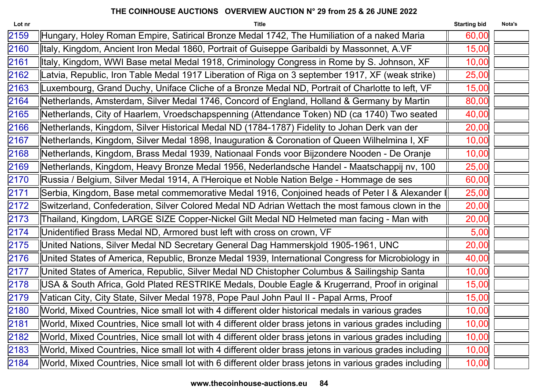| <b>Title</b>                                                                                           | <b>Starting bid</b> | Nota's                                                                                         |
|--------------------------------------------------------------------------------------------------------|---------------------|------------------------------------------------------------------------------------------------|
| Hungary, Holey Roman Empire, Satirical Bronze Medal 1742, The Humiliation of a naked Maria             | 60,00               |                                                                                                |
| Italy, Kingdom, Ancient Iron Medal 1860, Portrait of Guiseppe Garibaldi by Massonnet, A.VF             | 15,00               |                                                                                                |
| Italy, Kingdom, WWI Base metal Medal 1918, Criminology Congress in Rome by S. Johnson, XF              | 10,00               |                                                                                                |
| Latvia, Republic, Iron Table Medal 1917 Liberation of Riga on 3 september 1917, XF (weak strike)       | 25,00               |                                                                                                |
| Luxembourg, Grand Duchy, Uniface Cliche of a Bronze Medal ND, Portrait of Charlotte to left, VF        | 15,00               |                                                                                                |
| Netherlands, Amsterdam, Silver Medal 1746, Concord of England, Holland & Germany by Martin             | 80,00               |                                                                                                |
| Netherlands, City of Haarlem, Vroedschapspenning (Attendance Token) ND (ca 1740) Two seated            | 40,00               |                                                                                                |
| Netherlands, Kingdom, Silver Historical Medal ND (1784-1787) Fidelity to Johan Derk van der            | 20,00               |                                                                                                |
| Netherlands, Kingdom, Silver Medal 1898, Inauguration & Coronation of Queen Wilhelmina I, XF           | 10,00               |                                                                                                |
| Netherlands, Kingdom, Brass Medal 1939, Nationaal Fonds voor Bijzondere Nooden - De Oranje             | 10,00               |                                                                                                |
| Netherlands, Kingdom, Heavy Bronze Medal 1956, Nederlandsche Handel - Maatschappij nv, 100             | 25,00               |                                                                                                |
| Russia / Belgium, Silver Medal 1914, A l'Heroique et Noble Nation Belge - Hommage de ses               | 60,00               |                                                                                                |
|                                                                                                        | 25,00               |                                                                                                |
| Switzerland, Confederation, Silver Colored Medal ND Adrian Wettach the most famous clown in the        | 20,00               |                                                                                                |
| Thailand, Kingdom, LARGE SIZE Copper-Nickel Gilt Medal ND Helmeted man facing - Man with               | 20,00               |                                                                                                |
| Unidentified Brass Medal ND, Armored bust left with cross on crown, VF                                 | 5,00                |                                                                                                |
| United Nations, Silver Medal ND Secretary General Dag Hammerskjold 1905-1961, UNC                      | 20,00               |                                                                                                |
| United States of America, Republic, Bronze Medal 1939, International Congress for Microbiology in      | 40,00               |                                                                                                |
| United States of America, Republic, Silver Medal ND Chistopher Columbus & Sailingship Santa            | 10,00               |                                                                                                |
| USA & South Africa, Gold Plated RESTRIKE Medals, Double Eagle & Krugerrand, Proof in original          | 15,00               |                                                                                                |
| Vatican City, City State, Silver Medal 1978, Pope Paul John Paul II - Papal Arms, Proof                | 15,00               |                                                                                                |
| World, Mixed Countries, Nice small lot with 4 different older historical medals in various grades      | 10,00               |                                                                                                |
| World, Mixed Countries, Nice small lot with 4 different older brass jetons in various grades including | 10,00               |                                                                                                |
| World, Mixed Countries, Nice small lot with 4 different older brass jetons in various grades including | 10,00               |                                                                                                |
| World, Mixed Countries, Nice small lot with 4 different older brass jetons in various grades including | 10,00               |                                                                                                |
| World, Mixed Countries, Nice small lot with 6 different older brass jetons in various grades including | 10,00               |                                                                                                |
|                                                                                                        |                     | Serbia, Kingdom, Base metal commemorative Medal 1916, Conjoined heads of Peter I & Alexander I |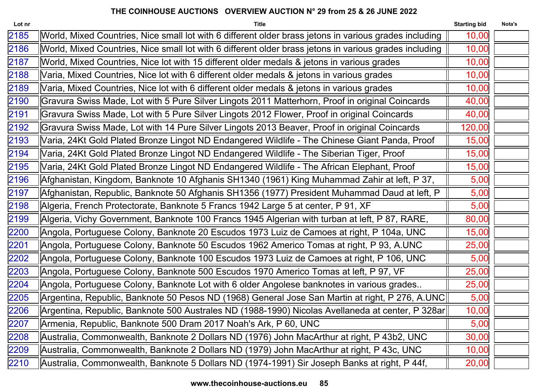| Lot nr | <b>Title</b>                                                                                           | <b>Starting bid</b> | Nota's |
|--------|--------------------------------------------------------------------------------------------------------|---------------------|--------|
| 2185   | World, Mixed Countries, Nice small lot with 6 different older brass jetons in various grades including | 10,00               |        |
| 2186   | World, Mixed Countries, Nice small lot with 6 different older brass jetons in various grades including | 10,00               |        |
| 2187   | World, Mixed Countries, Nice lot with 15 different older medals & jetons in various grades             | 10,00               |        |
| 2188   | Varia, Mixed Countries, Nice lot with 6 different older medals & jetons in various grades              | 10,00               |        |
| 2189   | Varia, Mixed Countries, Nice lot with 6 different older medals & jetons in various grades              | 10,00               |        |
| 2190   | Gravura Swiss Made, Lot with 5 Pure Silver Lingots 2011 Matterhorn, Proof in original Coincards        | 40,00               |        |
| 2191   | Gravura Swiss Made, Lot with 5 Pure Silver Lingots 2012 Flower, Proof in original Coincards            | 40,00               |        |
| 2192   | Gravura Swiss Made, Lot with 14 Pure Silver Lingots 2013 Beaver, Proof in original Coincards           | 120,00              |        |
| 2193   | Varia, 24Kt Gold Plated Bronze Lingot ND Endangered Wildlife - The Chinese Giant Panda, Proof          | 15,00               |        |
| 2194   | Varia, 24Kt Gold Plated Bronze Lingot ND Endangered Wildlife - The Siberian Tiger, Proof               | 15,00               |        |
| 2195   | Varia, 24Kt Gold Plated Bronze Lingot ND Endangered Wildlife - The African Elephant, Proof             | 15,00               |        |
| 2196   | Afghanistan, Kingdom, Banknote 10 Afghanis SH1340 (1961) King Muhammad Zahir at left, P 37,            | 5,00                |        |
| 2197   | Afghanistan, Republic, Banknote 50 Afghanis SH1356 (1977) President Muhammad Daud at left, P           | 5,00                |        |
| 2198   | Algeria, French Protectorate, Banknote 5 Francs 1942 Large 5 at center, P 91, XF                       | 5,00                |        |
| 2199   | Algeria, Vichy Government, Banknote 100 Francs 1945 Algerian with turban at left, P 87, RARE,          | 80,00               |        |
| 2200   | Angola, Portuguese Colony, Banknote 20 Escudos 1973 Luiz de Camoes at right, P 104a, UNC               | 15,00               |        |
| 2201   | Angola, Portuguese Colony, Banknote 50 Escudos 1962 Americo Tomas at right, P 93, A.UNC                | 25,00               |        |
| 2202   | Angola, Portuguese Colony, Banknote 100 Escudos 1973 Luiz de Camoes at right, P 106, UNC               | 5,00                |        |
| 2203   | Angola, Portuguese Colony, Banknote 500 Escudos 1970 Americo Tomas at left, P 97, VF                   | 25,00               |        |
| 2204   | Angola, Portuguese Colony, Banknote Lot with 6 older Angolese banknotes in various grades              | 25,00               |        |
| 2205   | Argentina, Republic, Banknote 50 Pesos ND (1968) General Jose San Martin at right, P 276, A.UNC        | 5,00                |        |
| 2206   | Argentina, Republic, Banknote 500 Australes ND (1988-1990) Nicolas Avellaneda at center, P 328ar       | 10,00               |        |
| 2207   | Armenia, Republic, Banknote 500 Dram 2017 Noah's Ark, P 60, UNC                                        | 5,00                |        |
| 2208   | Australia, Commonwealth, Banknote 2 Dollars ND (1976) John MacArthur at right, P 43b2, UNC             | 30,00               |        |
| 2209   | Australia, Commonwealth, Banknote 2 Dollars ND (1979) John MacArthur at right, P 43c, UNC              | 10,00               |        |
| 2210   | Australia, Commonwealth, Banknote 5 Dollars ND (1974-1991) Sir Joseph Banks at right, P 44f,           | 20,00               |        |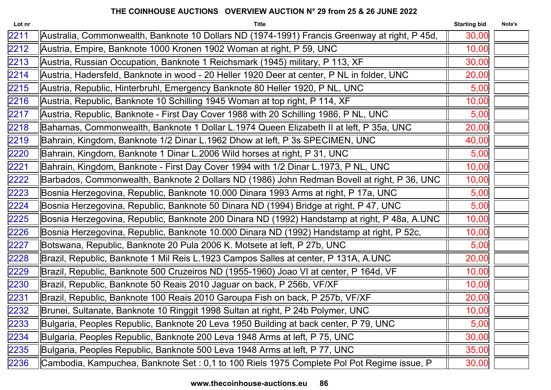| Lot nr | <b>Title</b>                                                                                  | <b>Starting bid</b> | Nota's |
|--------|-----------------------------------------------------------------------------------------------|---------------------|--------|
| 2211   | Australia, Commonwealth, Banknote 10 Dollars ND (1974-1991) Francis Greenway at right, P 45d, | 30,00               |        |
| 2212   | Austria, Empire, Banknote 1000 Kronen 1902 Woman at right, P 59, UNC                          | 10,00               |        |
| 2213   | Austria, Russian Occupation, Banknote 1 Reichsmark (1945) military, P 113, XF                 | 30,00               |        |
| 2214   | Austria, Hadersfeld, Banknote in wood - 20 Heller 1920 Deer at center, P NL in folder, UNC    | 20,00               |        |
| 2215   | Austria, Republic, Hinterbruhl, Emergency Banknote 80 Heller 1920, P NL, UNC                  | 5,00                |        |
| 2216   | Austria, Republic, Banknote 10 Schilling 1945 Woman at top right, P 114, XF                   | 10,00               |        |
| 2217   | Austria, Republic, Banknote - First Day Cover 1988 with 20 Schilling 1986, P NL, UNC          | 5,00                |        |
| 2218   | Bahamas, Commonwealth, Banknote 1 Dollar L.1974 Queen Elizabeth II at left, P 35a, UNC        | 20,00               |        |
| 2219   | Bahrain, Kingdom, Banknote 1/2 Dinar L.1962 Dhow at left, P 3s SPECIMEN, UNC                  | 40,00               |        |
| 2220   | Bahrain, Kingdom, Banknote 1 Dinar L.2006 Wild horses at right, P 31, UNC                     | 5,00                |        |
| 2221   | Bahrain, Kingdom, Banknote - First Day Cover 1994 with 1/2 Dinar L.1973, P NL, UNC            | 10,00               |        |
| 2222   | Barbados, Commonwealth, Banknote 2 Dollars ND (1986) John Redman Bovell at right, P 36, UNC   | 10,00               |        |
| 2223   | Bosnia Herzegovina, Republic, Banknote 10.000 Dinara 1993 Arms at right, P 17a, UNC           | 5,00                |        |
| 2224   | Bosnia Herzegovina, Republic, Banknote 50 Dinara ND (1994) Bridge at right, P 47, UNC         | 5,00                |        |
| 2225   | Bosnia Herzegovina, Republic, Banknote 200 Dinara ND (1992) Handstamp at right, P 48a, A.UNC  | 10,00               |        |
| 2226   | Bosnia Herzegovina, Republic, Banknote 10.000 Dinara ND (1992) Handstamp at right, P 52c,     | 10,00               |        |
| 2227   | Botswana, Republic, Banknote 20 Pula 2006 K. Motsete at left, P 27b, UNC                      | 5,00                |        |
| 2228   | Brazil, Republic, Banknote 1 Mil Reis L.1923 Campos Salles at center, P 131A, A.UNC           | 20,00               |        |
| 2229   | Brazil, Republic, Banknote 500 Cruzeiros ND (1955-1960) Joao VI at center, P 164d, VF         | 10,00               |        |
| 2230   | Brazil, Republic, Banknote 50 Reais 2010 Jaguar on back, P 256b, VF/XF                        | 10,00               |        |
| 2231   | Brazil, Republic, Banknote 100 Reais 2010 Garoupa Fish on back, P 257b, VF/XF                 | 20,00               |        |
| 2232   | Brunei, Sultanate, Banknote 10 Ringgit 1998 Sultan at right, P 24b Polymer, UNC               | 10,00               |        |
| 2233   | Bulgaria, Peoples Republic, Banknote 20 Leva 1950 Building at back center, P 79, UNC          | 5,00                |        |
| 2234   | Bulgaria, Peoples Republic, Banknote 200 Leva 1948 Arms at left, P 75, UNC                    | 30,00               |        |
| 2235   | Bulgaria, Peoples Republic, Banknote 500 Leva 1948 Arms at left, P 77, UNC                    | 35,00               |        |
| 2236   | Cambodia, Kampuchea, Banknote Set : 0,1 to 100 Riels 1975 Complete Pol Pot Regime issue, P    | 30,00               |        |
|        |                                                                                               |                     |        |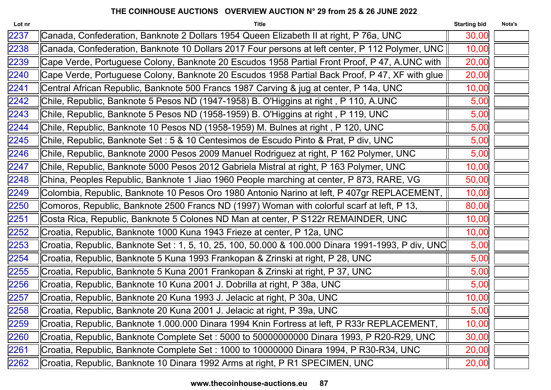| Lot nr | <b>Title</b>                                                                                       | <b>Starting bid</b> | Nota's |
|--------|----------------------------------------------------------------------------------------------------|---------------------|--------|
| 2237   | Canada, Confederation, Banknote 2 Dollars 1954 Queen Elizabeth II at right, P 76a, UNC             | 30,00               |        |
| 2238   | Canada, Confederation, Banknote 10 Dollars 2017 Four persons at left center, P 112 Polymer, UNC    | 10,00               |        |
| 2239   | Cape Verde, Portuguese Colony, Banknote 20 Escudos 1958 Partial Front Proof, P 47, A.UNC with      | 20,00               |        |
| 2240   | Cape Verde, Portuguese Colony, Banknote 20 Escudos 1958 Partial Back Proof, P 47, XF with glue     | 20,00               |        |
| 2241   | Central African Republic, Banknote 500 Francs 1987 Carving & jug at center, P 14a, UNC             | 10,00               |        |
| 2242   | Chile, Republic, Banknote 5 Pesos ND (1947-1958) B. O'Higgins at right, P 110, A.UNC               | 5,00                |        |
| 2243   | Chile, Republic, Banknote 5 Pesos ND (1958-1959) B. O'Higgins at right, P 119, UNC                 | 5,00                |        |
| 2244   | Chile, Republic, Banknote 10 Pesos ND (1958-1959) M. Bulnes at right, P 120, UNC                   | 5,00                |        |
| 2245   | Chile, Republic, Banknote Set : 5 & 10 Centesimos de Escudo Pinto & Prat, P div, UNC               | 5,00                |        |
| 2246   | Chile, Republic, Banknote 2000 Pesos 2009 Manuel Rodriguez at right, P 162 Polymer, UNC            | 5,00                |        |
| 2247   | Chile, Republic, Banknote 5000 Pesos 2012 Gabriela Mistral at right, P 163 Polymer, UNC            | 10,00               |        |
| 2248   | China, Peoples Republic, Banknote 1 Jiao 1960 People marching at center, P 873, RARE, VG           | 50,00               |        |
| 2249   | Colombia, Republic, Banknote 10 Pesos Oro 1980 Antonio Narino at left, P 407gr REPLACEMENT,        | 10,00               |        |
| 2250   | Comoros, Republic, Banknote 2500 Francs ND (1997) Woman with colorful scarf at left, P 13,         | 80,00               |        |
| 2251   | Costa Rica, Republic, Banknote 5 Colones ND Man at center, P S122r REMAINDER, UNC                  | 10,00               |        |
| 2252   | Croatia, Republic, Banknote 1000 Kuna 1943 Frieze at center, P 12a, UNC                            | 10,00               |        |
| 2253   | Croatia, Republic, Banknote Set : 1, 5, 10, 25, 100, 50.000 & 100.000 Dinara 1991-1993, P div, UNC | 5,00                |        |
| 2254   | Croatia, Republic, Banknote 5 Kuna 1993 Frankopan & Zrinski at right, P 28, UNC                    | 5,00                |        |
| 2255   | Croatia, Republic, Banknote 5 Kuna 2001 Frankopan & Zrinski at right, P 37, UNC                    | 5,00                |        |
| 2256   | Croatia, Republic, Banknote 10 Kuna 2001 J. Dobrilla at right, P 38a, UNC                          | 5,00                |        |
| 2257   | Croatia, Republic, Banknote 20 Kuna 1993 J. Jelacic at right, P 30a, UNC                           | 10,00               |        |
| 2258   | Croatia, Republic, Banknote 20 Kuna 2001 J. Jelacic at right, P 39a, UNC                           | 5,00                |        |
| 2259   | Croatia, Republic, Banknote 1.000.000 Dinara 1994 Knin Fortress at left, P R33r REPLACEMENT,       | 10,00               |        |
| 2260   | Croatia, Republic, Banknote Complete Set : 5000 to 50000000000 Dinara 1993, P R20-R29, UNC         | 30,00               |        |
| 2261   | Croatia, Republic, Banknote Complete Set : 1000 to 10000000 Dinara 1994, P R30-R34, UNC            | 20,00               |        |
| 2262   | Croatia, Republic, Banknote 10 Dinara 1992 Arms at right, P R1 SPECIMEN, UNC                       | 20,00               |        |
|        |                                                                                                    |                     |        |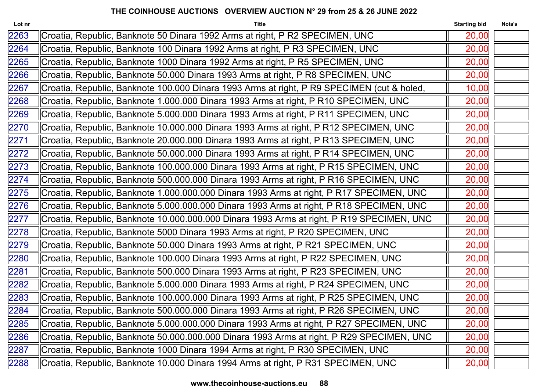| Lot nr | <b>Title</b>                                                                               | <b>Starting bid</b> | Nota's |
|--------|--------------------------------------------------------------------------------------------|---------------------|--------|
| 2263   | Croatia, Republic, Banknote 50 Dinara 1992 Arms at right, P R2 SPECIMEN, UNC               | 20,00               |        |
| 2264   | Croatia, Republic, Banknote 100 Dinara 1992 Arms at right, P R3 SPECIMEN, UNC              | 20,00               |        |
| 2265   | Croatia, Republic, Banknote 1000 Dinara 1992 Arms at right, P R5 SPECIMEN, UNC             | 20,00               |        |
| 2266   | Croatia, Republic, Banknote 50.000 Dinara 1993 Arms at right, P R8 SPECIMEN, UNC           | 20,00               |        |
| 2267   | Croatia, Republic, Banknote 100.000 Dinara 1993 Arms at right, P R9 SPECIMEN (cut & holed, | 10,00               |        |
| 2268   | Croatia, Republic, Banknote 1.000.000 Dinara 1993 Arms at right, P R10 SPECIMEN, UNC       | 20,00               |        |
| 2269   | Croatia, Republic, Banknote 5.000.000 Dinara 1993 Arms at right, P R11 SPECIMEN, UNC       | 20,00               |        |
| 2270   | Croatia, Republic, Banknote 10.000.000 Dinara 1993 Arms at right, P R12 SPECIMEN, UNC      | 20,00               |        |
| 2271   | Croatia, Republic, Banknote 20.000.000 Dinara 1993 Arms at right, P R13 SPECIMEN, UNC      | 20,00               |        |
| 2272   | Croatia, Republic, Banknote 50.000.000 Dinara 1993 Arms at right, P R14 SPECIMEN, UNC      | 20,00               |        |
| 2273   | Croatia, Republic, Banknote 100.000.000 Dinara 1993 Arms at right, P R15 SPECIMEN, UNC     | 20,00               |        |
| 2274   | Croatia, Republic, Banknote 500.000.000 Dinara 1993 Arms at right, P R16 SPECIMEN, UNC     | 20,00               |        |
| 2275   | Croatia, Republic, Banknote 1.000.000.000 Dinara 1993 Arms at right, P R17 SPECIMEN, UNC   | 20,00               |        |
| 2276   | Croatia, Republic, Banknote 5.000.000.000 Dinara 1993 Arms at right, P R18 SPECIMEN, UNC   | 20,00               |        |
| 2277   | Croatia, Republic, Banknote 10.000.000.000 Dinara 1993 Arms at right, P R19 SPECIMEN, UNC  | 20,00               |        |
| 2278   | Croatia, Republic, Banknote 5000 Dinara 1993 Arms at right, P R20 SPECIMEN, UNC            | 20,00               |        |
| 2279   | Croatia, Republic, Banknote 50.000 Dinara 1993 Arms at right, P R21 SPECIMEN, UNC          | 20,00               |        |
| 2280   | Croatia, Republic, Banknote 100.000 Dinara 1993 Arms at right, P R22 SPECIMEN, UNC         | 20,00               |        |
| 2281   | Croatia, Republic, Banknote 500.000 Dinara 1993 Arms at right, P R23 SPECIMEN, UNC         | 20,00               |        |
| 2282   | Croatia, Republic, Banknote 5.000.000 Dinara 1993 Arms at right, P R24 SPECIMEN, UNC       | 20,00               |        |
| 2283   | Croatia, Republic, Banknote 100.000.000 Dinara 1993 Arms at right, P R25 SPECIMEN, UNC     | 20,00               |        |
| 2284   | Croatia, Republic, Banknote 500.000.000 Dinara 1993 Arms at right, P R26 SPECIMEN, UNC     | 20,00               |        |
| 2285   | Croatia, Republic, Banknote 5.000.000.000 Dinara 1993 Arms at right, P R27 SPECIMEN, UNC   | 20,00               |        |
| 2286   | Croatia, Republic, Banknote 50.000.000.000 Dinara 1993 Arms at right, P R29 SPECIMEN, UNC  | 20,00               |        |
| 2287   | Croatia, Republic, Banknote 1000 Dinara 1994 Arms at right, P R30 SPECIMEN, UNC            | 20,00               |        |
| 2288   | Croatia, Republic, Banknote 10.000 Dinara 1994 Arms at right, P R31 SPECIMEN, UNC          | 20,00               |        |
|        |                                                                                            |                     |        |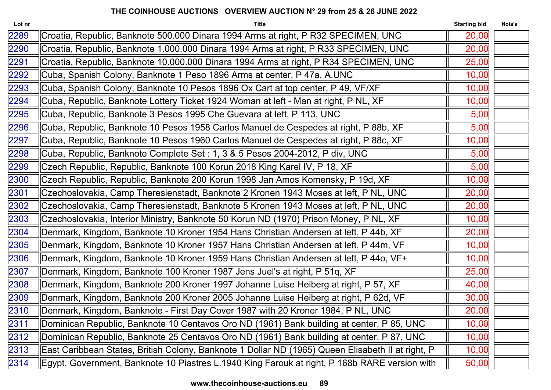| Lot nr | <b>Title</b>                                                                                      | <b>Starting bid</b> | Nota's |
|--------|---------------------------------------------------------------------------------------------------|---------------------|--------|
| 2289   | Croatia, Republic, Banknote 500.000 Dinara 1994 Arms at right, P R32 SPECIMEN, UNC                | 20,00               |        |
| 2290   | Croatia, Republic, Banknote 1.000.000 Dinara 1994 Arms at right, P R33 SPECIMEN, UNC              | 20,00               |        |
| 2291   | Croatia, Republic, Banknote 10.000.000 Dinara 1994 Arms at right, P R34 SPECIMEN, UNC             | 25,00               |        |
| 2292   | Cuba, Spanish Colony, Banknote 1 Peso 1896 Arms at center, P 47a, A.UNC                           | 10,00               |        |
| 2293   | Cuba, Spanish Colony, Banknote 10 Pesos 1896 Ox Cart at top center, P 49, VF/XF                   | 10,00               |        |
| 2294   | Cuba, Republic, Banknote Lottery Ticket 1924 Woman at left - Man at right, P NL, XF               | 10,00               |        |
| 2295   | Cuba, Republic, Banknote 3 Pesos 1995 Che Guevara at left, P 113, UNC                             | 5,00                |        |
| 2296   | Cuba, Republic, Banknote 10 Pesos 1958 Carlos Manuel de Cespedes at right, P 88b, XF              | 5,00                |        |
| 2297   | Cuba, Republic, Banknote 10 Pesos 1960 Carlos Manuel de Cespedes at right, P 88c, XF              | 10,00               |        |
| 2298   | Cuba, Republic, Banknote Complete Set : 1, 3 & 5 Pesos 2004-2012, P div, UNC                      | 5,00                |        |
| 2299   | Czech Republic, Republic, Banknote 100 Korun 2018 King Karel IV, P 18, XF                         | 5,00                |        |
| 2300   | Czech Republic, Republic, Banknote 200 Korun 1998 Jan Amos Komensky, P 19d, XF                    | 10,00               |        |
| 2301   | Czechoslovakia, Camp Theresienstadt, Banknote 2 Kronen 1943 Moses at left, P NL, UNC              | 20,00               |        |
| 2302   | Czechoslovakia, Camp Theresienstadt, Banknote 5 Kronen 1943 Moses at left, P NL, UNC              | 20,00               |        |
| 2303   | Czechoslovakia, Interior Ministry, Banknote 50 Korun ND (1970) Prison Money, P NL, XF             | 10,00               |        |
| 2304   | Denmark, Kingdom, Banknote 10 Kroner 1954 Hans Christian Andersen at left, P 44b, XF              | 20,00               |        |
| 2305   | Denmark, Kingdom, Banknote 10 Kroner 1957 Hans Christian Andersen at left, P 44m, VF              | 10,00               |        |
| 2306   | Denmark, Kingdom, Banknote 10 Kroner 1959 Hans Christian Andersen at left, P 44o, VF+             | 10,00               |        |
| 2307   | Denmark, Kingdom, Banknote 100 Kroner 1987 Jens Juel's at right, P 51q, XF                        | 25,00               |        |
| 2308   | Denmark, Kingdom, Banknote 200 Kroner 1997 Johanne Luise Heiberg at right, P 57, XF               | 40,00               |        |
| 2309   | Denmark, Kingdom, Banknote 200 Kroner 2005 Johanne Luise Heiberg at right, P 62d, VF              | 30,00               |        |
| 2310   | Denmark, Kingdom, Banknote - First Day Cover 1987 with 20 Kroner 1984, P NL, UNC                  | 20,00               |        |
| 2311   | Dominican Republic, Banknote 10 Centavos Oro ND (1961) Bank building at center, P 85, UNC         | 10,00               |        |
| 2312   | Dominican Republic, Banknote 25 Centavos Oro ND (1961) Bank building at center, P 87, UNC         | 10,00               |        |
| 2313   | East Caribbean States, British Colony, Banknote 1 Dollar ND (1965) Queen Elisabeth II at right, P | 10,00               |        |
| 2314   | Egypt, Government, Banknote 10 Piastres L.1940 King Farouk at right, P 168b RARE version with     | 50,00               |        |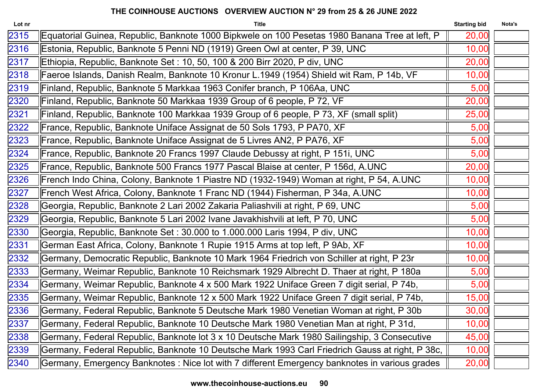| Lot nr | <b>Title</b>                                                                                    | <b>Starting bid</b> | Nota's |
|--------|-------------------------------------------------------------------------------------------------|---------------------|--------|
| 2315   | Equatorial Guinea, Republic, Banknote 1000 Bipkwele on 100 Pesetas 1980 Banana Tree at left, P  | 20,00               |        |
| 2316   | Estonia, Republic, Banknote 5 Penni ND (1919) Green Owl at center, P 39, UNC                    | 10,00               |        |
| 2317   | Ethiopia, Republic, Banknote Set : 10, 50, 100 & 200 Birr 2020, P div, UNC                      | 20,00               |        |
| 2318   | Faeroe Islands, Danish Realm, Banknote 10 Kronur L.1949 (1954) Shield wit Ram, P 14b, VF        | 10,00               |        |
| 2319   | Finland, Republic, Banknote 5 Markkaa 1963 Conifer branch, P 106Aa, UNC                         | 5,00                |        |
| 2320   | Finland, Republic, Banknote 50 Markkaa 1939 Group of 6 people, P 72, VF                         | 20,00               |        |
| 2321   | Finland, Republic, Banknote 100 Markkaa 1939 Group of 6 people, P 73, XF (small split)          | 25,00               |        |
| 2322   | France, Republic, Banknote Uniface Assignat de 50 Sols 1793, P PA70, XF                         | 5,00                |        |
| 2323   | France, Republic, Banknote Uniface Assignat de 5 Livres AN2, P PA76, XF                         | 5,00                |        |
| 2324   | France, Republic, Banknote 20 Francs 1997 Claude Debussy at right, P 151i, UNC                  | 5,00                |        |
| 2325   | France, Republic, Banknote 500 Francs 1977 Pascal Blaise at center, P 156d, A.UNC               | 20,00               |        |
| 2326   | French Indo China, Colony, Banknote 1 Piastre ND (1932-1949) Woman at right, P 54, A.UNC        | 10,00               |        |
| 2327   | French West Africa, Colony, Banknote 1 Franc ND (1944) Fisherman, P 34a, A.UNC                  | 10,00               |        |
| 2328   | Georgia, Republic, Banknote 2 Lari 2002 Zakaria Paliashvili at right, P 69, UNC                 | 5,00                |        |
| 2329   | Georgia, Republic, Banknote 5 Lari 2002 Ivane Javakhishvili at left, P 70, UNC                  | 5,00                |        |
| 2330   | Georgia, Republic, Banknote Set: 30.000 to 1.000.000 Laris 1994, P div, UNC                     | 10,00               |        |
| 2331   | German East Africa, Colony, Banknote 1 Rupie 1915 Arms at top left, P 9Ab, XF                   | 10,00               |        |
| 2332   | Germany, Democratic Republic, Banknote 10 Mark 1964 Friedrich von Schiller at right, P 23r      | 10,00               |        |
| 2333   | Germany, Weimar Republic, Banknote 10 Reichsmark 1929 Albrecht D. Thaer at right, P 180a        | 5,00                |        |
| 2334   | Germany, Weimar Republic, Banknote 4 x 500 Mark 1922 Uniface Green 7 digit serial, P 74b,       | 5,00                |        |
| 2335   | Germany, Weimar Republic, Banknote 12 x 500 Mark 1922 Uniface Green 7 digit serial, P 74b,      | 15,00               |        |
| 2336   | Germany, Federal Republic, Banknote 5 Deutsche Mark 1980 Venetian Woman at right, P 30b         | 30,00               |        |
| 2337   | Germany, Federal Republic, Banknote 10 Deutsche Mark 1980 Venetian Man at right, P 31d,         | 10,00               |        |
| 2338   | Germany, Federal Republic, Banknote lot 3 x 10 Deutsche Mark 1980 Sailingship, 3 Consecutive    | 45,00               |        |
| 2339   | Germany, Federal Republic, Banknote 10 Deutsche Mark 1993 Carl Friedrich Gauss at right, P 38c, | 10,00               |        |
| 2340   | Germany, Emergency Banknotes : Nice lot with 7 different Emergency banknotes in various grades  | 20,00               |        |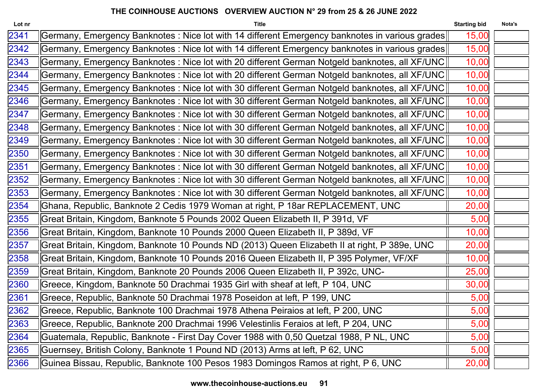| Lot nr | <b>Title</b>                                                                                    | <b>Starting bid</b> | Nota's |
|--------|-------------------------------------------------------------------------------------------------|---------------------|--------|
| 2341   | Germany, Emergency Banknotes : Nice lot with 14 different Emergency banknotes in various grades | 15,00               |        |
| 2342   | Germany, Emergency Banknotes : Nice lot with 14 different Emergency banknotes in various grades | 15,00               |        |
| 2343   | Germany, Emergency Banknotes : Nice lot with 20 different German Notgeld banknotes, all XF/UNC  | 10,00               |        |
| 2344   | Germany, Emergency Banknotes : Nice lot with 20 different German Notgeld banknotes, all XF/UNC  | 10,00               |        |
| 2345   | Germany, Emergency Banknotes : Nice lot with 30 different German Notgeld banknotes, all XF/UNC  | 10,00               |        |
| 2346   | Germany, Emergency Banknotes : Nice lot with 30 different German Notgeld banknotes, all XF/UNC  | 10,00               |        |
| 2347   | Germany, Emergency Banknotes : Nice lot with 30 different German Notgeld banknotes, all XF/UNC  | 10,00               |        |
| 2348   | Germany, Emergency Banknotes : Nice lot with 30 different German Notgeld banknotes, all XF/UNC  | 10,00               |        |
| 2349   | Germany, Emergency Banknotes : Nice lot with 30 different German Notgeld banknotes, all XF/UNC  | 10,00               |        |
| 2350   | Germany, Emergency Banknotes : Nice lot with 30 different German Notgeld banknotes, all XF/UNC  | 10,00               |        |
| 2351   | Germany, Emergency Banknotes : Nice lot with 30 different German Notgeld banknotes, all XF/UNC  | 10,00               |        |
| 2352   | Germany, Emergency Banknotes : Nice lot with 30 different German Notgeld banknotes, all XF/UNC  | 10,00               |        |
| 2353   | Germany, Emergency Banknotes : Nice lot with 30 different German Notgeld banknotes, all XF/UNC  | 10,00               |        |
| 2354   | Ghana, Republic, Banknote 2 Cedis 1979 Woman at right, P 18ar REPLACEMENT, UNC                  | 20,00               |        |
| 2355   | Great Britain, Kingdom, Banknote 5 Pounds 2002 Queen Elizabeth II, P 391d, VF                   | 5,00                |        |
| 2356   | Great Britain, Kingdom, Banknote 10 Pounds 2000 Queen Elizabeth II, P 389d, VF                  | 10,00               |        |
| 2357   | Great Britain, Kingdom, Banknote 10 Pounds ND (2013) Queen Elizabeth II at right, P 389e, UNC   | 20,00               |        |
| 2358   | Great Britain, Kingdom, Banknote 10 Pounds 2016 Queen Elizabeth II, P 395 Polymer, VF/XF        | 10,00               |        |
| 2359   | Great Britain, Kingdom, Banknote 20 Pounds 2006 Queen Elizabeth II, P 392c, UNC-                | 25,00               |        |
| 2360   | Greece, Kingdom, Banknote 50 Drachmai 1935 Girl with sheaf at left, P 104, UNC                  | 30,00               |        |
| 2361   | Greece, Republic, Banknote 50 Drachmai 1978 Poseidon at left, P 199, UNC                        | 5,00                |        |
| 2362   | Greece, Republic, Banknote 100 Drachmai 1978 Athena Peiraios at left, P 200, UNC                | 5,00                |        |
| 2363   | Greece, Republic, Banknote 200 Drachmai 1996 Velestinlis Feraios at left, P 204, UNC            | 5,00                |        |
| 2364   | Guatemala, Republic, Banknote - First Day Cover 1988 with 0,50 Quetzal 1988, P NL, UNC          | 5,00                |        |
| 2365   | Guernsey, British Colony, Banknote 1 Pound ND (2013) Arms at left, P 62, UNC                    | 5,00                |        |
| 2366   | Guinea Bissau, Republic, Banknote 100 Pesos 1983 Domingos Ramos at right, P 6, UNC              | 20,00               |        |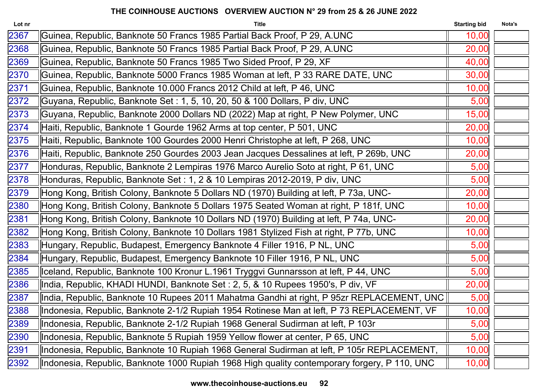| Lot nr | <b>Title</b>                                                                                 | <b>Starting bid</b> | Nota's |
|--------|----------------------------------------------------------------------------------------------|---------------------|--------|
| 2367   | Guinea, Republic, Banknote 50 Francs 1985 Partial Back Proof, P 29, A.UNC                    | 10,00               |        |
| 2368   | Guinea, Republic, Banknote 50 Francs 1985 Partial Back Proof, P 29, A.UNC                    | 20,00               |        |
| 2369   | Guinea, Republic, Banknote 50 Francs 1985 Two Sided Proof, P 29, XF                          | 40,00               |        |
| 2370   | Guinea, Republic, Banknote 5000 Francs 1985 Woman at left, P 33 RARE DATE, UNC               | 30,00               |        |
| 2371   | Guinea, Republic, Banknote 10.000 Francs 2012 Child at left, P 46, UNC                       | 10,00               |        |
| 2372   | Guyana, Republic, Banknote Set : 1, 5, 10, 20, 50 & 100 Dollars, P div, UNC                  | 5,00                |        |
| 2373   | Guyana, Republic, Banknote 2000 Dollars ND (2022) Map at right, P New Polymer, UNC           | 15,00               |        |
| 2374   | Haiti, Republic, Banknote 1 Gourde 1962 Arms at top center, P 501, UNC                       | 20,00               |        |
| 2375   | Haiti, Republic, Banknote 100 Gourdes 2000 Henri Christophe at left, P 268, UNC              | 10,00               |        |
| 2376   | Haiti, Republic, Banknote 250 Gourdes 2003 Jean Jacques Dessalines at left, P 269b, UNC      | 20,00               |        |
| 2377   | Honduras, Republic, Banknote 2 Lempiras 1976 Marco Aurelio Soto at right, P 61, UNC          | 5,00                |        |
| 2378   | Honduras, Republic, Banknote Set : 1, 2 & 10 Lempiras 2012-2019, P div, UNC                  | 5,00                |        |
| 2379   | Hong Kong, British Colony, Banknote 5 Dollars ND (1970) Building at left, P 73a, UNC-        | 20,00               |        |
| 2380   | Hong Kong, British Colony, Banknote 5 Dollars 1975 Seated Woman at right, P 181f, UNC        | 10,00               |        |
| 2381   | Hong Kong, British Colony, Banknote 10 Dollars ND (1970) Building at left, P 74a, UNC-       | 20,00               |        |
| 2382   | Hong Kong, British Colony, Banknote 10 Dollars 1981 Stylized Fish at right, P 77b, UNC       | 10,00               |        |
| 2383   | Hungary, Republic, Budapest, Emergency Banknote 4 Filler 1916, P NL, UNC                     | 5,00                |        |
| 2384   | Hungary, Republic, Budapest, Emergency Banknote 10 Filler 1916, P NL, UNC                    | 5,00                |        |
| 2385   | Iceland, Republic, Banknote 100 Kronur L.1961 Tryggvi Gunnarsson at left, P 44, UNC          | 5,00                |        |
| 2386   | India, Republic, KHADI HUNDI, Banknote Set : 2, 5, & 10 Rupees 1950's, P div, VF             | 20,00               |        |
| 2387   | ∥India, Republic, Banknote 10 Rupees 2011 Mahatma Gandhi at right, P 95zr REPLACEMENT, UNC∥  | 5,00                |        |
| 2388   | Indonesia, Republic, Banknote 2-1/2 Rupiah 1954 Rotinese Man at left, P 73 REPLACEMENT, VF   | 10,00               |        |
| 2389   | Indonesia, Republic, Banknote 2-1/2 Rupiah 1968 General Sudirman at left, P 103r             | 5,00                |        |
| 2390   | Indonesia, Republic, Banknote 5 Rupiah 1959 Yellow flower at center, P 65, UNC               | 5,00                |        |
| 2391   | Indonesia, Republic, Banknote 10 Rupiah 1968 General Sudirman at left, P 105r REPLACEMENT,   | 10,00               |        |
| 2392   | Indonesia, Republic, Banknote 1000 Rupiah 1968 High quality contemporary forgery, P 110, UNC | 10,00               |        |
|        |                                                                                              |                     |        |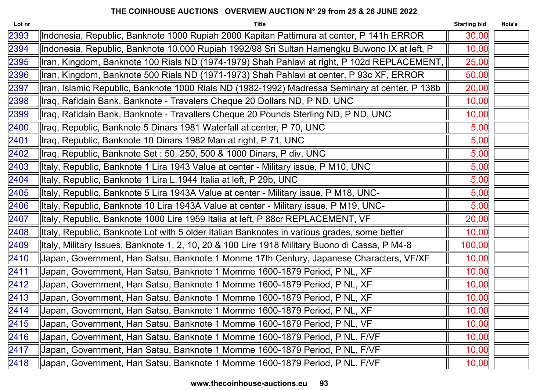| Lot nr | <b>Title</b>                                                                                   | <b>Starting bid</b> | Nota's |
|--------|------------------------------------------------------------------------------------------------|---------------------|--------|
| 2393   | Indonesia, Republic, Banknote 1000 Rupiah 2000 Kapitan Pattimura at center, P 141h ERROR       | 30,00               |        |
| 2394   | Indonesia, Republic, Banknote 10.000 Rupiah 1992/98 Sri Sultan Hamengku Buwono IX at left, P   | 10,00               |        |
| 2395   | Iran, Kingdom, Banknote 100 Rials ND (1974-1979) Shah Pahlavi at right, P 102d REPLACEMENT,    | 25,00               |        |
| 2396   | Iran, Kingdom, Banknote 500 Rials ND (1971-1973) Shah Pahlavi at center, P 93c XF, ERROR       | 50,00               |        |
| 2397   | Iran, Islamic Republic, Banknote 1000 Rials ND (1982-1992) Madressa Seminary at center, P 138b | 20,00               |        |
| 2398   | Iraq, Rafidain Bank, Banknote - Travalers Cheque 20 Dollars ND, P ND, UNC                      | 10,00               |        |
| 2399   | Iraq, Rafidain Bank, Banknote - Travallers Cheque 20 Pounds Sterling ND, P ND, UNC             | 10,00               |        |
| 2400   | Iraq, Republic, Banknote 5 Dinars 1981 Waterfall at center, P 70, UNC                          | 5,00                |        |
| 2401   | Iraq, Republic, Banknote 10 Dinars 1982 Man at right, P 71, UNC                                | 5,00                |        |
| 2402   | Iraq, Republic, Banknote Set: 50, 250, 500 & 1000 Dinars, P div, UNC                           | 5,00                |        |
| 2403   | Italy, Republic, Banknote 1 Lira 1943 Value at center - Military issue, P M10, UNC             | 5,00                |        |
| 2404   | Italy, Republic, Banknote 1 Lira L.1944 Italia at left, P 29b, UNC                             | 5,00                |        |
| 2405   | Italy, Republic, Banknote 5 Lira 1943A Value at center - Military issue, P M18, UNC-           | 5,00                |        |
| 2406   | lltaly, Republic, Banknote 10 Lira 1943A Value at center - Military issue, P M19, UNC-         | 5,00                |        |
| 2407   | Italy, Republic, Banknote 1000 Lire 1959 Italia at left, P 88cr REPLACEMENT, VF                | 20,00               |        |
| 2408   | Italy, Republic, Banknote Lot with 5 older Italian Banknotes in various grades, some better    | 10,00               |        |
| 2409   | Italy, Military Issues, Banknote 1, 2, 10, 20 & 100 Lire 1918 Military Buono di Cassa, P M4-8  | 100,00              |        |
| 2410   | Japan, Government, Han Satsu, Banknote 1 Monme 17th Century, Japanese Characters, VF/XF        | 10,00               |        |
| 2411   | Japan, Government, Han Satsu, Banknote 1 Momme 1600-1879 Period, P NL, XF                      | 10,00               |        |
| 2412   | Japan, Government, Han Satsu, Banknote 1 Momme 1600-1879 Period, P NL, XF                      | 10,00               |        |
| 2413   | Japan, Government, Han Satsu, Banknote 1 Momme 1600-1879 Period, P NL, XF                      | 10,00               |        |
| 2414   | Japan, Government, Han Satsu, Banknote 1 Momme 1600-1879 Period, P NL, XF                      | 10,00               |        |
| 2415   | Japan, Government, Han Satsu, Banknote 1 Momme 1600-1879 Period, P NL, VF                      | 10,00               |        |
| 2416   | Japan, Government, Han Satsu, Banknote 1 Momme 1600-1879 Period, P NL, F/VF                    | 10,00               |        |
| 2417   | Japan, Government, Han Satsu, Banknote 1 Momme 1600-1879 Period, P NL, F/VF                    | 10,00               |        |
| 2418   | Japan, Government, Han Satsu, Banknote 1 Momme 1600-1879 Period, P NL, F/VF                    | 10,00               |        |
|        |                                                                                                |                     |        |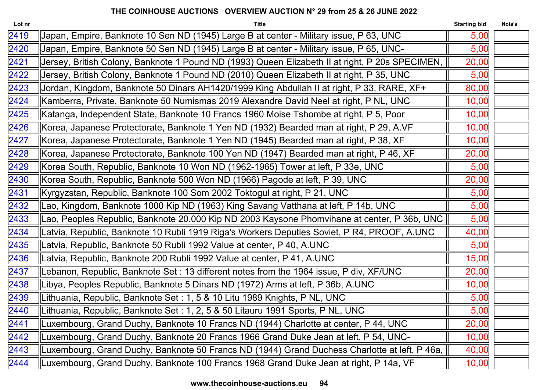| Lot nr | <b>Title</b>                                                                                    | <b>Starting bid</b> | Nota's |
|--------|-------------------------------------------------------------------------------------------------|---------------------|--------|
| 2419   | Japan, Empire, Banknote 10 Sen ND (1945) Large B at center - Military issue, P 63, UNC          | 5,00                |        |
| 2420   | Japan, Empire, Banknote 50 Sen ND (1945) Large B at center - Military issue, P 65, UNC-         | 5,00                |        |
| 2421   | Jersey, British Colony, Banknote 1 Pound ND (1993) Queen Elizabeth II at right, P 20s SPECIMEN, | 20,00               |        |
| 2422   | Jersey, British Colony, Banknote 1 Pound ND (2010) Queen Elizabeth II at right, P 35, UNC       | 5,00                |        |
| 2423   | Jordan, Kingdom, Banknote 50 Dinars AH1420/1999 King Abdullah II at right, P 33, RARE, XF+      | 80,00               |        |
| 2424   | Kamberra, Private, Banknote 50 Numismas 2019 Alexandre David Neel at right, P NL, UNC           | 10,00               |        |
| 2425   | Katanga, Independent State, Banknote 10 Francs 1960 Moise Tshombe at right, P 5, Poor           | 10,00               |        |
| 2426   | Korea, Japanese Protectorate, Banknote 1 Yen ND (1932) Bearded man at right, P 29, A.VF         | 10,00               |        |
| 2427   | Korea, Japanese Protectorate, Banknote 1 Yen ND (1945) Bearded man at right, P 38, XF           | 10,00               |        |
| 2428   | Korea, Japanese Protectorate, Banknote 100 Yen ND (1947) Bearded man at right, P 46, XF         | 20,00               |        |
| 2429   | Korea South, Republic, Banknote 10 Won ND (1962-1965) Tower at left, P 33e, UNC                 | 5,00                |        |
| 2430   | Korea South, Republic, Banknote 500 Won ND (1966) Pagode at left, P 39, UNC                     | 20,00               |        |
| 2431   | Kyrgyzstan, Republic, Banknote 100 Som 2002 Toktogul at right, P 21, UNC                        | 5,00                |        |
| 2432   | Lao, Kingdom, Banknote 1000 Kip ND (1963) King Savang Vatthana at left, P 14b, UNC              | 5,00                |        |
| 2433   | Lao, Peoples Republic, Banknote 20.000 Kip ND 2003 Kaysone Phomvihane at center, P 36b, UNC     | 5,00                |        |
| 2434   | Latvia, Republic, Banknote 10 Rubli 1919 Riga's Workers Deputies Soviet, P R4, PROOF, A.UNC     | 40,00               |        |
| 2435   | Latvia, Republic, Banknote 50 Rubli 1992 Value at center, P 40, A.UNC                           | 5,00                |        |
| 2436   | Latvia, Republic, Banknote 200 Rubli 1992 Value at center, P 41, A.UNC                          | 15,00               |        |
| 2437   | Lebanon, Republic, Banknote Set : 13 different notes from the 1964 issue, P div, XF/UNC         | 20,00               |        |
| 2438   | Libya, Peoples Republic, Banknote 5 Dinars ND (1972) Arms at left, P 36b, A.UNC                 | 10,00               |        |
| 2439   | Lithuania, Republic, Banknote Set : 1, 5 & 10 Litu 1989 Knights, P NL, UNC                      | 5,00                |        |
| 2440   | Lithuania, Republic, Banknote Set : 1, 2, 5 & 50 Litauru 1991 Sports, P NL, UNC                 | 5,00                |        |
| 2441   | Luxembourg, Grand Duchy, Banknote 10 Francs ND (1944) Charlotte at center, P 44, UNC            | 20,00               |        |
| 2442   | Luxembourg, Grand Duchy, Banknote 20 Francs 1966 Grand Duke Jean at left, P 54, UNC-            | 10,00               |        |
| 2443   | Luxembourg, Grand Duchy, Banknote 50 Francs ND (1944) Grand Duchess Charlotte at left, P 46a,   | 40,00               |        |
| 2444   | Luxembourg, Grand Duchy, Banknote 100 Francs 1968 Grand Duke Jean at right, P 14a, VF           | 10,00               |        |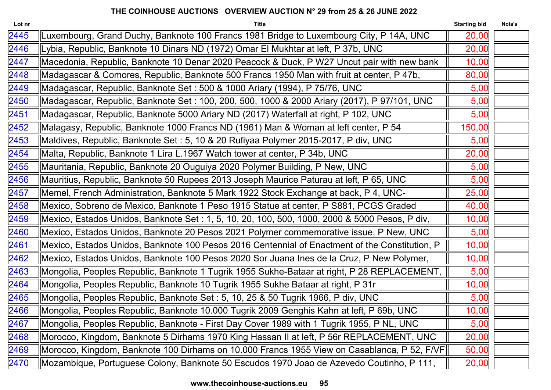| Lot nr | <b>Title</b>                                                                                   | <b>Starting bid</b> | Nota's |
|--------|------------------------------------------------------------------------------------------------|---------------------|--------|
| 2445   | Luxembourg, Grand Duchy, Banknote 100 Francs 1981 Bridge to Luxembourg City, P 14A, UNC        | 20,00               |        |
| 2446   | Lybia, Republic, Banknote 10 Dinars ND (1972) Omar El Mukhtar at left, P 37b, UNC              | 20,00               |        |
| 2447   | Macedonia, Republic, Banknote 10 Denar 2020 Peacock & Duck, P W27 Uncut pair with new bank     | 10,00               |        |
| 2448   | Madagascar & Comores, Republic, Banknote 500 Francs 1950 Man with fruit at center, P 47b,      | 80,00               |        |
| 2449   | Madagascar, Republic, Banknote Set : 500 & 1000 Ariary (1994), P 75/76, UNC                    | 5,00                |        |
| 2450   | Madagascar, Republic, Banknote Set : 100, 200, 500, 1000 & 2000 Ariary (2017), P 97/101, UNC   | 5,00                |        |
| 2451   | Madagascar, Republic, Banknote 5000 Ariary ND (2017) Waterfall at right, P 102, UNC            | 5,00                |        |
| 2452   | Malagasy, Republic, Banknote 1000 Francs ND (1961) Man & Woman at left center, P 54            | 150,00              |        |
| 2453   | Maldives, Republic, Banknote Set : 5, 10 & 20 Rufiyaa Polymer 2015-2017, P div, UNC            | 5,00                |        |
| 2454   | Malta, Republic, Banknote 1 Lira L.1967 Watch tower at center, P 34b, UNC                      | 20,00               |        |
| 2455   | Mauritania, Republic, Banknote 20 Ouguiya 2020 Polymer Building, P New, UNC                    | 5,00                |        |
| 2456   | Mauritius, Republic, Banknote 50 Rupees 2013 Joseph Maurice Paturau at left, P 65, UNC         | 5,00                |        |
| 2457   | Memel, French Administration, Banknote 5 Mark 1922 Stock Exchange at back, P 4, UNC-           | 25,00               |        |
| 2458   | Mexico, Sobreno de Mexico, Banknote 1 Peso 1915 Statue at center, P S881, PCGS Graded          | 40,00               |        |
| 2459   | Mexico, Estados Unidos, Banknote Set : 1, 5, 10, 20, 100, 500, 1000, 2000 & 5000 Pesos, P div, | 10,00               |        |
| 2460   | Mexico, Estados Unidos, Banknote 20 Pesos 2021 Polymer commemorative issue, P New, UNC         | 5,00                |        |
| 2461   | Mexico, Estados Unidos, Banknote 100 Pesos 2016 Centennial of Enactment of the Constitution, P | 10,00               |        |
| 2462   | Mexico, Estados Unidos, Banknote 100 Pesos 2020 Sor Juana Ines de la Cruz, P New Polymer,      | 10,00               |        |
| 2463   | Mongolia, Peoples Republic, Banknote 1 Tugrik 1955 Sukhe-Bataar at right, P 28 REPLACEMENT,    | 5,00                |        |
| 2464   | Mongolia, Peoples Republic, Banknote 10 Tugrik 1955 Sukhe Bataar at right, P 31r               | 10,00               |        |
| 2465   | Mongolia, Peoples Republic, Banknote Set : 5, 10, 25 & 50 Tugrik 1966, P div, UNC              | 5,00                |        |
| 2466   | Mongolia, Peoples Republic, Banknote 10.000 Tugrik 2009 Genghis Kahn at left, P 69b, UNC       | 10,00               |        |
| 2467   | Mongolia, Peoples Republic, Banknote - First Day Cover 1989 with 1 Tugrik 1955, P NL, UNC      | 5,00                |        |
| 2468   | Morocco, Kingdom, Banknote 5 Dirhams 1970 King Hassan II at left, P 56r REPLACEMENT, UNC       | 20,00               |        |
| 2469   | Morocco, Kingdom, Banknote 100 Dirhams on 10.000 Francs 1955 View on Casablanca, P 52, F/VF    | 50,00               |        |
| 2470   | Mozambique, Portuguese Colony, Banknote 50 Escudos 1970 Joao de Azevedo Coutinho, P 111,       | 20,00               |        |
|        |                                                                                                |                     |        |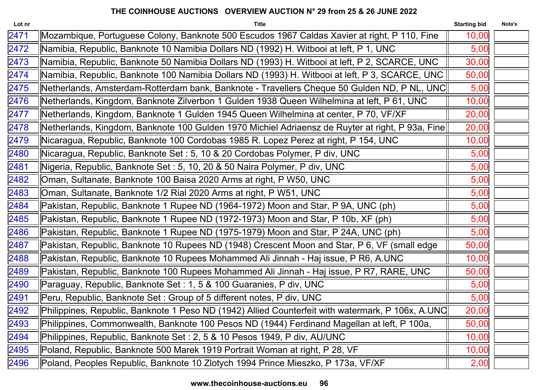| <b>Title</b>                                                                                   | <b>Starting bid</b>                                                                         | Nota's                                                                                                                                                                                                                                                                                                   |
|------------------------------------------------------------------------------------------------|---------------------------------------------------------------------------------------------|----------------------------------------------------------------------------------------------------------------------------------------------------------------------------------------------------------------------------------------------------------------------------------------------------------|
| Mozambique, Portuguese Colony, Banknote 500 Escudos 1967 Caldas Xavier at right, P 110, Fine   | 10,00                                                                                       |                                                                                                                                                                                                                                                                                                          |
| Namibia, Republic, Banknote 10 Namibia Dollars ND (1992) H. Witbooi at left, P 1, UNC          | 5,00                                                                                        |                                                                                                                                                                                                                                                                                                          |
| Namibia, Republic, Banknote 50 Namibia Dollars ND (1993) H. Witbooi at left, P 2, SCARCE, UNC  | 30,00                                                                                       |                                                                                                                                                                                                                                                                                                          |
| Namibia, Republic, Banknote 100 Namibia Dollars ND (1993) H. Witbooi at left, P 3, SCARCE, UNC | 50,00                                                                                       |                                                                                                                                                                                                                                                                                                          |
|                                                                                                | 5,00                                                                                        |                                                                                                                                                                                                                                                                                                          |
| Netherlands, Kingdom, Banknote Zilverbon 1 Gulden 1938 Queen Wilhelmina at left, P 61, UNC     | 10,00                                                                                       |                                                                                                                                                                                                                                                                                                          |
| Netherlands, Kingdom, Banknote 1 Gulden 1945 Queen Wilhelmina at center, P 70, VF/XF           | 20,00                                                                                       |                                                                                                                                                                                                                                                                                                          |
|                                                                                                | 20,00                                                                                       |                                                                                                                                                                                                                                                                                                          |
| Nicaragua, Republic, Banknote 100 Cordobas 1985 R. Lopez Perez at right, P 154, UNC            | 10,00                                                                                       |                                                                                                                                                                                                                                                                                                          |
| Nicaragua, Republic, Banknote Set : 5, 10 & 20 Cordobas Polymer, P div, UNC                    | 5,00                                                                                        |                                                                                                                                                                                                                                                                                                          |
| Nigeria, Republic, Banknote Set : 5, 10, 20 & 50 Naira Polymer, P div, UNC                     | 5,00                                                                                        |                                                                                                                                                                                                                                                                                                          |
| Oman, Sultanate, Banknote 100 Baisa 2020 Arms at right, P W50, UNC                             | 5,00                                                                                        |                                                                                                                                                                                                                                                                                                          |
| Oman, Sultanate, Banknote 1/2 Rial 2020 Arms at right, P W51, UNC                              | 5,00                                                                                        |                                                                                                                                                                                                                                                                                                          |
| Pakistan, Republic, Banknote 1 Rupee ND (1964-1972) Moon and Star, P 9A, UNC (ph)              | 5,00                                                                                        |                                                                                                                                                                                                                                                                                                          |
| Pakistan, Republic, Banknote 1 Rupee ND (1972-1973) Moon and Star, P 10b, XF (ph)              | 5,00                                                                                        |                                                                                                                                                                                                                                                                                                          |
| Pakistan, Republic, Banknote 1 Rupee ND (1975-1979) Moon and Star, P 24A, UNC (ph)             | 5,00                                                                                        |                                                                                                                                                                                                                                                                                                          |
| Pakistan, Republic, Banknote 10 Rupees ND (1948) Crescent Moon and Star, P 6, VF (small edge   | 50,00                                                                                       |                                                                                                                                                                                                                                                                                                          |
| Pakistan, Republic, Banknote 10 Rupees Mohammed Ali Jinnah - Haj issue, P R6, A.UNC            | 10,00                                                                                       |                                                                                                                                                                                                                                                                                                          |
| Pakistan, Republic, Banknote 100 Rupees Mohammed Ali Jinnah - Haj issue, P R7, RARE, UNC       | 50,00                                                                                       |                                                                                                                                                                                                                                                                                                          |
| Paraguay, Republic, Banknote Set: 1, 5 & 100 Guaranies, P div, UNC                             | 5,00                                                                                        |                                                                                                                                                                                                                                                                                                          |
| Peru, Republic, Banknote Set: Group of 5 different notes, P div, UNC                           | 5,00                                                                                        |                                                                                                                                                                                                                                                                                                          |
|                                                                                                | 20,00                                                                                       |                                                                                                                                                                                                                                                                                                          |
|                                                                                                | 50,00                                                                                       |                                                                                                                                                                                                                                                                                                          |
| Philippines, Republic, Banknote Set: 2, 5 & 10 Pesos 1949, P div, AU/UNC                       | 10,00                                                                                       |                                                                                                                                                                                                                                                                                                          |
| Poland, Republic, Banknote 500 Marek 1919 Portrait Woman at right, P 28, VF                    | 10,00                                                                                       |                                                                                                                                                                                                                                                                                                          |
| Poland, Peoples Republic, Banknote 10 Zlotych 1994 Prince Mieszko, P 173a, VF/XF               | 2,00                                                                                        |                                                                                                                                                                                                                                                                                                          |
|                                                                                                | Philippines, Commonwealth, Banknote 100 Pesos ND (1944) Ferdinand Magellan at left, P 100a, | Netherlands, Amsterdam-Rotterdam bank, Banknote - Travellers Cheque 50 Gulden ND, P NL, UNC  <br>Netherlands, Kingdom, Banknote 100 Gulden 1970 Michiel Adriaensz de Ruyter at right, P 93a, Fine  <br>Philippines, Republic, Banknote 1 Peso ND (1942) Allied Counterfeit with watermark, P 106x, A.UNC |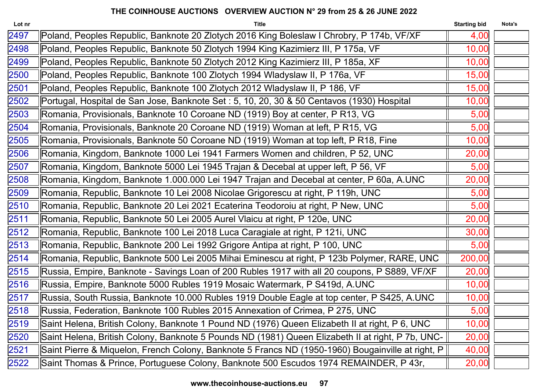| Lot nr | <b>Title</b>                                                                                      | <b>Starting bid</b> | Nota's |
|--------|---------------------------------------------------------------------------------------------------|---------------------|--------|
| 2497   | Poland, Peoples Republic, Banknote 20 Zlotych 2016 King Boleslaw I Chrobry, P 174b, VF/XF         | 4,00                |        |
| 2498   | Poland, Peoples Republic, Banknote 50 Zlotych 1994 King Kazimierz III, P 175a, VF                 | 10,00               |        |
| 2499   | Poland, Peoples Republic, Banknote 50 Zlotych 2012 King Kazimierz III, P 185a, XF                 | 10,00               |        |
| 2500   | Poland, Peoples Republic, Banknote 100 Zlotych 1994 Wladyslaw II, P 176a, VF                      | 15,00               |        |
| 2501   | Poland, Peoples Republic, Banknote 100 Zlotych 2012 Wladyslaw II, P 186, VF                       | 15,00               |        |
| 2502   | Portugal, Hospital de San Jose, Banknote Set : 5, 10, 20, 30 & 50 Centavos (1930) Hospital        | 10,00               |        |
| 2503   | Romania, Provisionals, Banknote 10 Coroane ND (1919) Boy at center, P R13, VG                     | 5,00                |        |
| 2504   | Romania, Provisionals, Banknote 20 Coroane ND (1919) Woman at left, P R15, VG                     | 5,00                |        |
| 2505   | Romania, Provisionals, Banknote 50 Coroane ND (1919) Woman at top left, P R18, Fine               | 10,00               |        |
| 2506   | Romania, Kingdom, Banknote 1000 Lei 1941 Farmers Women and children, P 52, UNC                    | 20,00               |        |
| 2507   | Romania, Kingdom, Banknote 5000 Lei 1945 Trajan & Decebal at upper left, P 56, VF                 | 5,00                |        |
| 2508   | Romania, Kingdom, Banknote 1.000.000 Lei 1947 Trajan and Decebal at center, P 60a, A.UNC          | 20,00               |        |
| 2509   | Romania, Republic, Banknote 10 Lei 2008 Nicolae Grigorescu at right, P 119h, UNC                  | 5,00                |        |
| 2510   | Romania, Republic, Banknote 20 Lei 2021 Ecaterina Teodoroiu at right, P New, UNC                  | 5,00                |        |
| 2511   | Romania, Republic, Banknote 50 Lei 2005 Aurel Vlaicu at right, P 120e, UNC                        | 20,00               |        |
| 2512   | Romania, Republic, Banknote 100 Lei 2018 Luca Caragiale at right, P 121i, UNC                     | 30,00               |        |
| 2513   | Romania, Republic, Banknote 200 Lei 1992 Grigore Antipa at right, P 100, UNC                      | 5,00                |        |
| 2514   | Romania, Republic, Banknote 500 Lei 2005 Mihai Eminescu at right, P 123b Polymer, RARE, UNC       | 200,00              |        |
| 2515   | Russia, Empire, Banknote - Savings Loan of 200 Rubles 1917 with all 20 coupons, P S889, VF/XF     | 20,00               |        |
| 2516   | Russia, Empire, Banknote 5000 Rubles 1919 Mosaic Watermark, P S419d, A.UNC                        | 10,00               |        |
| 2517   | Russia, South Russia, Banknote 10.000 Rubles 1919 Double Eagle at top center, P S425, A.UNC       | 10,00               |        |
| 2518   | Russia, Federation, Banknote 100 Rubles 2015 Annexation of Crimea, P 275, UNC                     | 5,00                |        |
| 2519   | Saint Helena, British Colony, Banknote 1 Pound ND (1976) Queen Elizabeth II at right, P 6, UNC    | 10,00               |        |
| 2520   | Saint Helena, British Colony, Banknote 5 Pounds ND (1981) Queen Elizabeth II at right, P 7b, UNC- | 20,00               |        |
| 2521   | Saint Pierre & Miquelon, French Colony, Banknote 5 Francs ND (1950-1960) Bougainville at right, P | 40,00               |        |
| 2522   | Saint Thomas & Prince, Portuguese Colony, Banknote 500 Escudos 1974 REMAINDER, P 43r,             | 20,00               |        |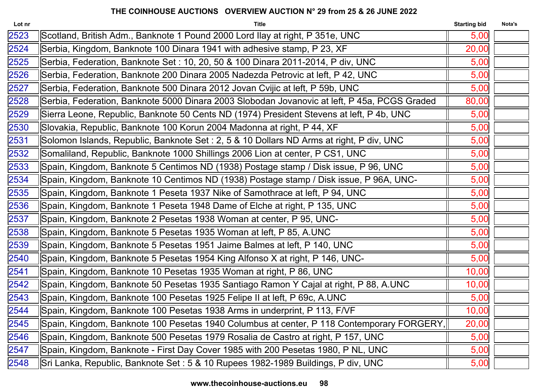| Lot nr | <b>Title</b>                                                                                 | <b>Starting bid</b> | Nota's |
|--------|----------------------------------------------------------------------------------------------|---------------------|--------|
| 2523   | Scotland, British Adm., Banknote 1 Pound 2000 Lord Ilay at right, P 351e, UNC                | 5,00                |        |
| 2524   | Serbia, Kingdom, Banknote 100 Dinara 1941 with adhesive stamp, P 23, XF                      | 20,00               |        |
| 2525   | Serbia, Federation, Banknote Set : 10, 20, 50 & 100 Dinara 2011-2014, P div, UNC             | 5,00                |        |
| 2526   | Serbia, Federation, Banknote 200 Dinara 2005 Nadezda Petrovic at left, P 42, UNC             | 5,00                |        |
| 2527   | Serbia, Federation, Banknote 500 Dinara 2012 Jovan Cvijic at left, P 59b, UNC                | 5,00                |        |
| 2528   | Serbia, Federation, Banknote 5000 Dinara 2003 Slobodan Jovanovic at left, P 45a, PCGS Graded | 80,00               |        |
| 2529   | Sierra Leone, Republic, Banknote 50 Cents ND (1974) President Stevens at left, P 4b, UNC     | 5,00                |        |
| 2530   | Slovakia, Republic, Banknote 100 Korun 2004 Madonna at right, P 44, XF                       | 5,00                |        |
| 2531   | Solomon Islands, Republic, Banknote Set : 2, 5 & 10 Dollars ND Arms at right, P div, UNC     | 5,00                |        |
| 2532   | Somaliland, Republic, Banknote 1000 Shillings 2006 Lion at center, P CS1, UNC                | 5,00                |        |
| 2533   | Spain, Kingdom, Banknote 5 Centimos ND (1938) Postage stamp / Disk issue, P 96, UNC          | 5,00                |        |
| 2534   | Spain, Kingdom, Banknote 10 Centimos ND (1938) Postage stamp / Disk issue, P 96A, UNC-       | 5,00                |        |
| 2535   | Spain, Kingdom, Banknote 1 Peseta 1937 Nike of Samothrace at left, P 94, UNC                 | 5,00                |        |
| 2536   | Spain, Kingdom, Banknote 1 Peseta 1948 Dame of Elche at right, P 135, UNC                    | 5,00                |        |
| 2537   | Spain, Kingdom, Banknote 2 Pesetas 1938 Woman at center, P 95, UNC-                          | 5,00                |        |
| 2538   | Spain, Kingdom, Banknote 5 Pesetas 1935 Woman at left, P 85, A.UNC                           | 5,00                |        |
| 2539   | Spain, Kingdom, Banknote 5 Pesetas 1951 Jaime Balmes at left, P 140, UNC                     | 5,00                |        |
| 2540   | Spain, Kingdom, Banknote 5 Pesetas 1954 King Alfonso X at right, P 146, UNC-                 | 5,00                |        |
| 2541   | Spain, Kingdom, Banknote 10 Pesetas 1935 Woman at right, P 86, UNC                           | 10,00               |        |
| 2542   | Spain, Kingdom, Banknote 50 Pesetas 1935 Santiago Ramon Y Cajal at right, P 88, A.UNC        | 10,00               |        |
| 2543   | Spain, Kingdom, Banknote 100 Pesetas 1925 Felipe II at left, P 69c, A.UNC                    | 5,00                |        |
| 2544   | Spain, Kingdom, Banknote 100 Pesetas 1938 Arms in underprint, P 113, F/VF                    | 10,00               |        |
| 2545   | Spain, Kingdom, Banknote 100 Pesetas 1940 Columbus at center, P 118 Contemporary FORGERY,    | 20,00               |        |
| 2546   | Spain, Kingdom, Banknote 500 Pesetas 1979 Rosalia de Castro at right, P 157, UNC             | 5,00                |        |
| 2547   | Spain, Kingdom, Banknote - First Day Cover 1985 with 200 Pesetas 1980, P NL, UNC             | 5,00                |        |
| 2548   | Sri Lanka, Republic, Banknote Set: 5 & 10 Rupees 1982-1989 Buildings, P div, UNC             | 5,00                |        |
|        |                                                                                              |                     |        |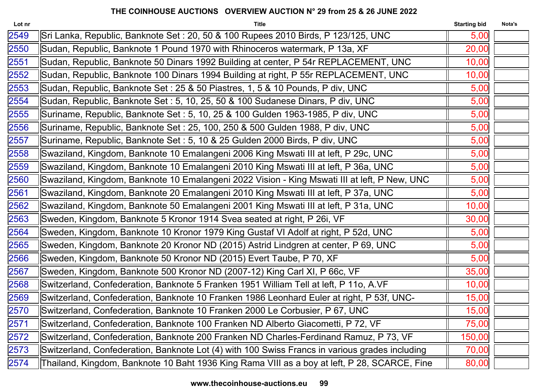| Lot nr | <b>Title</b>                                                                                   | <b>Starting bid</b> | Nota's |
|--------|------------------------------------------------------------------------------------------------|---------------------|--------|
| 2549   | Sri Lanka, Republic, Banknote Set : 20, 50 & 100 Rupees 2010 Birds, P 123/125, UNC             | 5,00                |        |
| 2550   | Sudan, Republic, Banknote 1 Pound 1970 with Rhinoceros watermark, P 13a, XF                    | 20,00               |        |
| 2551   | Sudan, Republic, Banknote 50 Dinars 1992 Building at center, P 54r REPLACEMENT, UNC            | 10,00               |        |
| 2552   | Sudan, Republic, Banknote 100 Dinars 1994 Building at right, P 55r REPLACEMENT, UNC            | 10,00               |        |
| 2553   | Sudan, Republic, Banknote Set: 25 & 50 Piastres, 1, 5 & 10 Pounds, P div, UNC                  | 5,00                |        |
| 2554   | Sudan, Republic, Banknote Set : 5, 10, 25, 50 & 100 Sudanese Dinars, P div, UNC                | 5,00                |        |
| 2555   | Suriname, Republic, Banknote Set : 5, 10, 25 & 100 Gulden 1963-1985, P div, UNC                | 5,00                |        |
| 2556   | Suriname, Republic, Banknote Set: 25, 100, 250 & 500 Gulden 1988, P div, UNC                   | 5,00                |        |
| 2557   | Suriname, Republic, Banknote Set : 5, 10 & 25 Gulden 2000 Birds, P div, UNC                    | 5,00                |        |
| 2558   | Swaziland, Kingdom, Banknote 10 Emalangeni 2006 King Mswati III at left, P 29c, UNC            | 5,00                |        |
| 2559   | Swaziland, Kingdom, Banknote 10 Emalangeni 2010 King Mswati III at left, P 36a, UNC            | 5,00                |        |
| 2560   | Swaziland, Kingdom, Banknote 10 Emalangeni 2022 Vision - King Mswati III at left, P New, UNC   | 5,00                |        |
| 2561   | Swaziland, Kingdom, Banknote 20 Emalangeni 2010 King Mswati III at left, P 37a, UNC            | 5,00                |        |
| 2562   | Swaziland, Kingdom, Banknote 50 Emalangeni 2001 King Mswati III at left, P 31a, UNC            | 10,00               |        |
| 2563   | Sweden, Kingdom, Banknote 5 Kronor 1914 Svea seated at right, P 26i, VF                        | 30,00               |        |
| 2564   | Sweden, Kingdom, Banknote 10 Kronor 1979 King Gustaf VI Adolf at right, P 52d, UNC             | 5,00                |        |
| 2565   | Sweden, Kingdom, Banknote 20 Kronor ND (2015) Astrid Lindgren at center, P 69, UNC             | 5,00                |        |
| 2566   | Sweden, Kingdom, Banknote 50 Kronor ND (2015) Evert Taube, P 70, XF                            | 5,00                |        |
| 2567   | Sweden, Kingdom, Banknote 500 Kronor ND (2007-12) King Carl XI, P 66c, VF                      | 35,00               |        |
| 2568   | Switzerland, Confederation, Banknote 5 Franken 1951 William Tell at left, P 11o, A.VF          | 10,00               |        |
| 2569   | Switzerland, Confederation, Banknote 10 Franken 1986 Leonhard Euler at right, P 53f, UNC-      | 15,00               |        |
| 2570   | Switzerland, Confederation, Banknote 10 Franken 2000 Le Corbusier, P 67, UNC                   | 15,00               |        |
| 2571   | Switzerland, Confederation, Banknote 100 Franken ND Alberto Giacometti, P 72, VF               | 75,00               |        |
| 2572   | Switzerland, Confederation, Banknote 200 Franken ND Charles-Ferdinand Ramuz, P 73, VF          | 150,00              |        |
| 2573   | Switzerland, Confederation, Banknote Lot (4) with 100 Swiss Francs in various grades including | 70,00               |        |
| 2574   | Thailand, Kingdom, Banknote 10 Baht 1936 King Rama VIII as a boy at left, P 28, SCARCE, Fine   | 80,00               |        |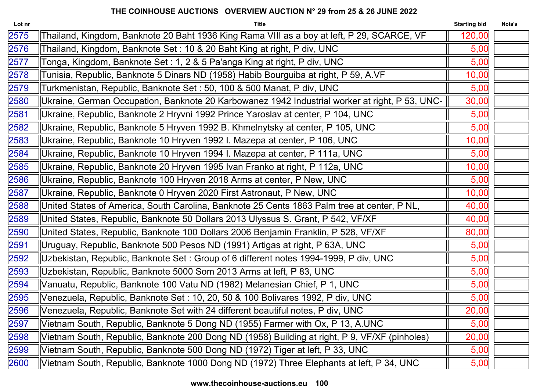| Lot nr | <b>Title</b>                                                                                   | <b>Starting bid</b> | Nota's |
|--------|------------------------------------------------------------------------------------------------|---------------------|--------|
| 2575   | Thailand, Kingdom, Banknote 20 Baht 1936 King Rama VIII as a boy at left, P 29, SCARCE, VF     | 120,00              |        |
| 2576   | Thailand, Kingdom, Banknote Set: 10 & 20 Baht King at right, P div, UNC                        | 5,00                |        |
| 2577   | Tonga, Kingdom, Banknote Set : 1, 2 & 5 Pa'anga King at right, P div, UNC                      | 5,00                |        |
| 2578   | Tunisia, Republic, Banknote 5 Dinars ND (1958) Habib Bourguiba at right, P 59, A.VF            | 10,00               |        |
| 2579   | Turkmenistan, Republic, Banknote Set : 50, 100 & 500 Manat, P div, UNC                         | 5,00                |        |
| 2580   | Ukraine, German Occupation, Banknote 20 Karbowanez 1942 Industrial worker at right, P 53, UNC- | 30,00               |        |
| 2581   | Ukraine, Republic, Banknote 2 Hryvni 1992 Prince Yaroslav at center, P 104, UNC                | 5,00                |        |
| 2582   | Ukraine, Republic, Banknote 5 Hryven 1992 B. Khmelnytsky at center, P 105, UNC                 | 5,00                |        |
| 2583   | Ukraine, Republic, Banknote 10 Hryven 1992 I. Mazepa at center, P 106, UNC                     | 10,00               |        |
| 2584   | Ukraine, Republic, Banknote 10 Hryven 1994 I. Mazepa at center, P 111a, UNC                    | 5,00                |        |
| 2585   | Ukraine, Republic, Banknote 20 Hryven 1995 Ivan Franko at right, P 112a, UNC                   | 10,00               |        |
| 2586   | Ukraine, Republic, Banknote 100 Hryven 2018 Arms at center, P New, UNC                         | 5,00                |        |
| 2587   | Ukraine, Republic, Banknote 0 Hryven 2020 First Astronaut, P New, UNC                          | 10,00               |        |
| 2588   | United States of America, South Carolina, Banknote 25 Cents 1863 Palm tree at center, P NL,    | 40,00               |        |
| 2589   | United States, Republic, Banknote 50 Dollars 2013 Ulyssus S. Grant, P 542, VF/XF               | 40,00               |        |
| 2590   | United States, Republic, Banknote 100 Dollars 2006 Benjamin Franklin, P 528, VF/XF             | 80,00               |        |
| 2591   | Uruguay, Republic, Banknote 500 Pesos ND (1991) Artigas at right, P 63A, UNC                   | 5,00                |        |
| 2592   | Uzbekistan, Republic, Banknote Set : Group of 6 different notes 1994-1999, P div, UNC          | 5,00                |        |
| 2593   | Uzbekistan, Republic, Banknote 5000 Som 2013 Arms at left, P 83, UNC                           | 5,00                |        |
| 2594   | Vanuatu, Republic, Banknote 100 Vatu ND (1982) Melanesian Chief, P 1, UNC                      | 5,00                |        |
| 2595   | Venezuela, Republic, Banknote Set : 10, 20, 50 & 100 Bolivares 1992, P div, UNC                | 5,00                |        |
| 2596   | Venezuela, Republic, Banknote Set with 24 different beautiful notes, P div, UNC                | 20,00               |        |
| 2597   | Vietnam South, Republic, Banknote 5 Dong ND (1955) Farmer with Ox, P 13, A.UNC                 | 5,00                |        |
| 2598   | Vietnam South, Republic, Banknote 200 Dong ND (1958) Building at right, P 9, VF/XF (pinholes)  | 20,00               |        |
| 2599   | Vietnam South, Republic, Banknote 500 Dong ND (1972) Tiger at left, P 33, UNC                  | 5,00                |        |
| 2600   | Vietnam South, Republic, Banknote 1000 Dong ND (1972) Three Elephants at left, P 34, UNC       | 5,00                |        |
|        |                                                                                                |                     |        |